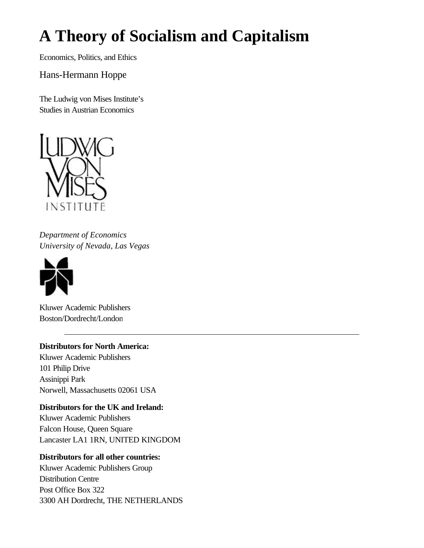# **A Theory of Socialism and Capitalism**

Economics, Politics, and Ethics

### Hans-Hermann Hoppe

The Ludwig von Mises Institute's Studies in Austrian Economics



*Department of Economics University of Nevada, Las Vegas*



Kluwer Academic Publishers Boston/Dordrecht/London

#### **Distributors for North America:**

Kluwer Academic Publishers 101 Philip Drive Assinippi Park Norwell, Massachusetts 02061 USA

**Distributors for the UK and Ireland:**

Kluwer Academic Publishers Falcon House, Queen Square Lancaster LA1 1RN, UNITED KINGDOM

### **Distributors for all other countries:**

Kluwer Academic Publishers Group Distribution Centre Post Office Box 322 3300 AH Dordrecht, THE NETHERLANDS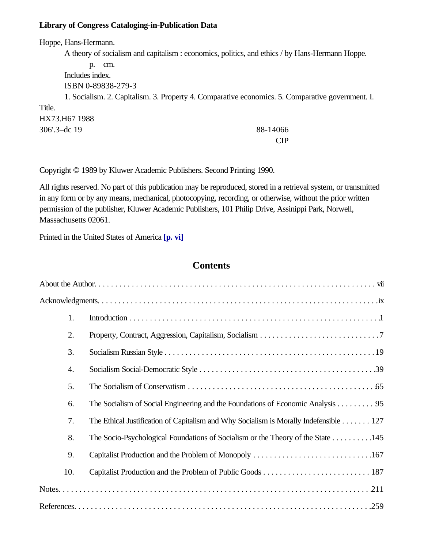#### **Library of Congress Cataloging-in-Publication Data**

Hoppe, Hans-Hermann.

A theory of socialism and capitalism : economics, politics, and ethics / by Hans-Hermann Hoppe.

 p. cm. Includes index. ISBN 0-89838-279-3 1. Socialism. 2. Capitalism. 3. Property 4. Comparative economics. 5. Comparative government. I. Title. HX73.H67 1988 306'.3–dc 19 88-14066 CIP

Copyright © 1989 by Kluwer Academic Publishers. Second Printing 1990.

All rights reserved. No part of this publication may be reproduced, stored in a retrieval system, or transmitted in any form or by any means, mechanical, photocopying, recording, or otherwise, without the prior written permission of the publisher, Kluwer Academic Publishers, 101 Philip Drive, Assinippi Park, Norwell, Massachusetts 02061.

Printed in the United States of America **[p. vi]**

### **Contents**

| 1.  |                                                                                       |
|-----|---------------------------------------------------------------------------------------|
| 2.  |                                                                                       |
| 3.  |                                                                                       |
| 4.  |                                                                                       |
| 5.  |                                                                                       |
| 6.  | The Socialism of Social Engineering and the Foundations of Economic Analysis 95       |
| 7.  | The Ethical Justification of Capitalism and Why Socialism is Morally Indefensible 127 |
| 8.  | The Socio-Psychological Foundations of Socialism or the Theory of the State 145       |
| 9.  |                                                                                       |
| 10. |                                                                                       |
|     |                                                                                       |
|     |                                                                                       |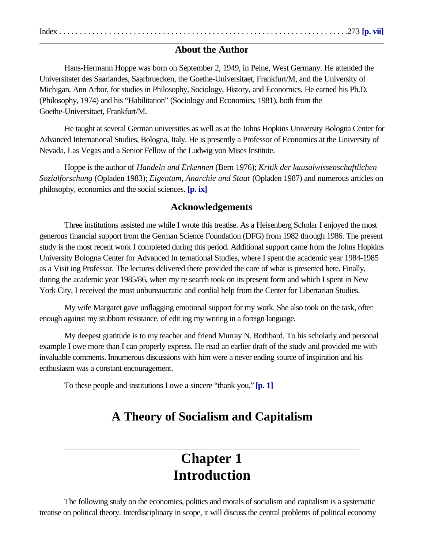#### **About the Author**

 Hans-Hermann Hoppe was born on September 2, 1949, in Peine, West Germany. He attended the Universitatet des Saarlandes, Saarbruecken, the Goethe-Universitaet, Frankfurt/M, and the University of Michigan, Ann Arbor, for studies in Philosophy, Sociology, History, and Economics. He earned his Ph.D. (Philosophy, 1974) and his "Habilitation" (Sociology and Economics, 1981), both from the Goethe-Universitaet, Frankfurt/M.

 He taught at several German universities as well as at the Johns Hopkins University Bologna Center for Advanced International Studies, Bologna, Italy. He is presently a Professor of Economics at the University of Nevada, Las Vegas and a Senior Fellow of the Ludwig von Mises Institute.

 Hoppe is the author of *Handeln und Erkennen* (Bern 1976); *Kritik der kausalwissenschaftlichen Sozialforschung* (Opladen 1983); *Eigentum, Anarchie und Staat* (Opladen 1987) and numerous articles on philosophy, economics and the social sciences. **[p. ix]**

#### **Acknowledgements**

 Three institutions assisted me while I wrote this treatise. As a Heisenberg Scholar I enjoyed the most generous financial support from the German Science Foundation (DFG) from 1982 through 1986. The present study is the most recent work I completed during this period. Additional support came from the Johns Hopkins University Bologna Center for Advanced In ternational Studies, where I spent the academic year 1984-1985 as a Visit ing Professor. The lectures delivered there provided the core of what is presented here. Finally, during the academic year 1985/86, when my re search took on its present form and which I spent in New York City, I received the most unbureaucratic and cordial help from the Center for Libertarian Studies.

 My wife Margaret gave unflagging emotional support for my work. She also took on the task, often enough against my stubborn resistance, of edit ing my writing in a foreign language.

 My deepest gratitude is to my teacher and friend Murray N. Rothbard. To his scholarly and personal example I owe more than I can properly express. He read an earlier draft of the study and provided me with invaluable comments. Innumerous discussions with him were a never ending source of inspiration and his enthusiasm was a constant encouragement.

To these people and institutions I owe a sincere "thank you." **[p. 1]**

### **A Theory of Socialism and Capitalism**

### **Chapter 1 Introduction**

 The following study on the economics, politics and morals of socialism and capitalism is a systematic treatise on political theory. Interdisciplinary in scope, it will discuss the central problems of political economy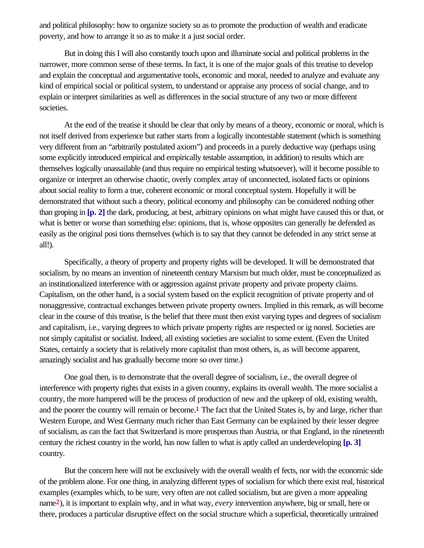and political philosophy: how to organize society so as to promote the production of wealth and eradicate poverty, and how to arrange it so as to make it a just social order.

 But in doing this I will also constantly touch upon and illuminate social and political problems in the narrower, more common sense of these terms. In fact, it is one of the major goals of this treatise to develop and explain the conceptual and argumentative tools, economic and moral, needed to analyze and evaluate any kind of empirical social or political system, to understand or appraise any process of social change, and to explain or interpret similarities as well as differences in the social structure of any two or more different societies.

 At the end of the treatise it should be clear that only by means of a theory, economic or moral, which is not itself derived from experience but rather starts from a logically incontestable statement (which is something very different from an "arbitrarily postulated axiom") and proceeds in a purely deductive way (perhaps using some explicitly introduced empirical and empirically testable assumption, in addition) to results which are themselves logically unassailable (and thus require no empirical testing whatsoever), will it become possible to organize or interpret an otherwise chaotic, overly complex array of unconnected, isolated facts or opinions about social reality to form a true, coherent economic or moral conceptual system. Hopefully it will be demonstrated that without such a theory, political economy and philosophy can be considered nothing other than groping in **[p. 2]** the dark, producing, at best, arbitrary opinions on what might have caused this or that, or what is better or worse than something else: opinions, that is, whose opposites can generally be defended as easily as the original posi tions themselves (which is to say that they cannot be defended in any strict sense at all!).

 Specifically, a theory of property and property rights will be developed. It will be demonstrated that socialism, by no means an invention of nineteenth century Marxism but much older, must be conceptualized as an institutionalized interference with or aggression against private property and private property claims. Capitalism, on the other hand, is a social system based on the explicit recognition of private property and of nonaggressive, contractual exchanges between private property owners. Implied in this remark, as will become clear in the course of this treatise, is the belief that there must then exist varying types and degrees of socialism and capitalism, i.e., varying degrees to which private property rights are respected or ig nored. Societies are not simply capitalist or socialist. Indeed, all existing societies are socialist to some extent. (Even the United States, certainly a society that is relatively more capitalist than most others, is, as will become apparent, amazingly socialist and has gradually become more so over time.)

 One goal then, is to demonstrate that the overall degree of socialism, i.e., the overall degree of interference with property rights that exists in a given country, explains its overall wealth. The more socialist a country, the more hampered will be the process of production of new and the upkeep of old, existing wealth, and the poorer the country will remain or become.**1** The fact that the United States is, by and large, richer than Western Europe, and West Germany much richer than East Germany can be explained by their lesser degree of socialism, as can the fact that Switzerland is more prosperous than Austria, or that England, in the nineteenth century the richest country in the world, has now fallen to what is aptly called an underdeveloping **[p. 3]** country.

 But the concern here will not be exclusively with the overall wealth ef fects, nor with the economic side of the problem alone. For one thing, in analyzing different types of socialism for which there exist real, historical examples (examples which, to be sure, very often are not called socialism, but are given a more appealing name**2**), it is important to explain why, and in what way, *every* intervention anywhere, big or small, here or there, produces a particular disruptive effect on the social structure which a superficial, theoretically untrained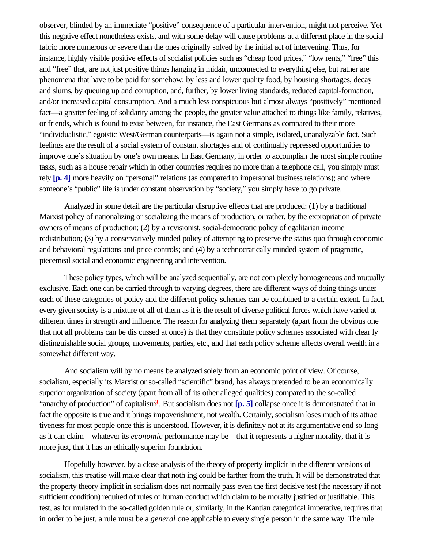observer, blinded by an immediate "positive" consequence of a particular intervention, might not perceive. Yet this negative effect nonetheless exists, and with some delay will cause problems at a different place in the social fabric more numerous or severe than the ones originally solved by the initial act of intervening. Thus, for instance, highly visible positive effects of socialist policies such as "cheap food prices," "low rents," "free" this and "free" that, are not just positive things hanging in midair, unconnected to everything else, but rather are phenomena that have to be paid for somehow: by less and lower quality food, by housing shortages, decay and slums, by queuing up and corruption, and, further, by lower living standards, reduced capital-formation, and/or increased capital consumption. And a much less conspicuous but almost always "positively" mentioned fact—a greater feeling of solidarity among the people, the greater value attached to things like family, relatives, or friends, which is found to exist between, for instance, the East Germans as compared to their more "individualistic," egoistic West/German counterparts—is again not a simple, isolated, unanalyzable fact. Such feelings are the result of a social system of constant shortages and of continually repressed opportunities to improve one's situation by one's own means. In East Germany, in order to accomplish the most simple routine tasks, such as a house repair which in other countries requires no more than a telephone call, you simply must rely [p. 4] more heavily on "personal" relations (as compared to impersonal business relations); and where someone's "public" life is under constant observation by "society," you simply have to go private.

 Analyzed in some detail are the particular disruptive effects that are produced: (1) by a traditional Marxist policy of nationalizing or socializing the means of production, or rather, by the expropriation of private owners of means of production; (2) by a revisionist, social-democratic policy of egalitarian income redistribution; (3) by a conservatively minded policy of attempting to preserve the status quo through economic and behavioral regulations and price controls; and (4) by a technocratically minded system of pragmatic, piecemeal social and economic engineering and intervention.

 These policy types, which will be analyzed sequentially, are not com pletely homogeneous and mutually exclusive. Each one can be carried through to varying degrees, there are different ways of doing things under each of these categories of policy and the different policy schemes can be combined to a certain extent. In fact, every given society is a mixture of all of them as it is the result of diverse political forces which have varied at different times in strength and influence. The reason for analyzing them separately (apart from the obvious one that not all problems can be dis cussed at once) is that they constitute policy schemes associated with clear ly distinguishable social groups, movements, parties, etc., and that each policy scheme affects overall wealth in a somewhat different way.

 And socialism will by no means be analyzed solely from an economic point of view. Of course, socialism, especially its Marxist or so-called "scientific" brand, has always pretended to be an economically superior organization of society (apart from all of its other alleged qualities) compared to the so-called "anarchy of production" of capitalism**3**. But socialism does not **[p. 5]** collapse once it is demonstrated that in fact the opposite is true and it brings impoverishment, not wealth. Certainly, socialism loses much of its attrac tiveness for most people once this is understood. However, it is definitely not at its argumentative end so long as it can claim—whatever its *economic* performance may be—that it represents a higher morality, that it is more just, that it has an ethically superior foundation.

 Hopefully however, by a close analysis of the theory of property implicit in the different versions of socialism, this treatise will make clear that noth ing could be farther from the truth. It will be demonstrated that the property theory implicit in socialism does not normally pass even the first decisive test (the necessary if not sufficient condition) required of rules of human conduct which claim to be morally justified or justifiable. This test, as for mulated in the so-called golden rule or, similarly, in the Kantian categorical imperative, requires that in order to be just, a rule must be a *general* one applicable to every single person in the same way. The rule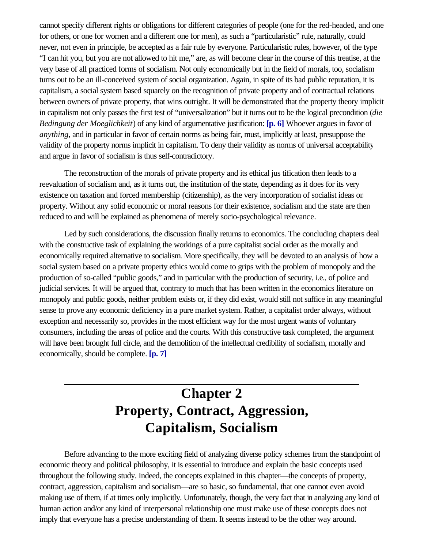cannot specify different rights or obligations for different categories of people (one for the red-headed, and one for others, or one for women and a different one for men), as such a "particularistic" rule, naturally, could never, not even in principle, be accepted as a fair rule by everyone. Particularistic rules, however, of the type "I can hit you, but you are not allowed to hit me," are, as will become clear in the course of this treatise, at the very base of all practiced forms of socialism. Not only economically but in the field of morals, too, socialism turns out to be an ill-conceived system of social organization. Again, in spite of its bad public reputation, it is capitalism, a social system based squarely on the recognition of private property and of contractual relations between owners of private property, that wins outright. It will be demonstrated that the property theory implicit in capitalism not only passes the first test of "universalization" but it turns out to be the logical precondition (*die Bedingung der Moeglichkeit*) of any kind of argumentative justification: **[p. 6]** Whoever argues in favor of *anything*, and in particular in favor of certain norms as being fair, must, implicitly at least, presuppose the validity of the property norms implicit in capitalism. To deny their validity as norms of universal acceptability and argue in favor of socialism is thus self-contradictory.

 The reconstruction of the morals of private property and its ethical jus tification then leads to a reevaluation of socialism and, as it turns out, the institution of the state, depending as it does for its very existence on taxation and forced membership (citizenship), as the very incorporation of socialist ideas on property. Without any solid economic or moral reasons for their existence, socialism and the state are then reduced to and will be explained as phenomena of merely socio-psychological relevance.

 Led by such considerations, the discussion finally returns to economics. The concluding chapters deal with the constructive task of explaining the workings of a pure capitalist social order as the morally and economically required alternative to socialism. More specifically, they will be devoted to an analysis of how a social system based on a private property ethics would come to grips with the problem of monopoly and the production of so-called "public goods," and in particular with the production of security, i.e., of police and judicial services. It will be argued that, contrary to much that has been written in the economics literature on monopoly and public goods, neither problem exists or, if they did exist, would still not suffice in any meaningful sense to prove any economic deficiency in a pure market system. Rather, a capitalist order always, without exception and necessarily so, provides in the most efficient way for the most urgent wants of voluntary consumers, including the areas of police and the courts. With this constructive task completed, the argument will have been brought full circle, and the demolition of the intellectual credibility of socialism, morally and economically, should be complete. **[p. 7]**

# **Chapter 2 Property, Contract, Aggression, Capitalism, Socialism**

 Before advancing to the more exciting field of analyzing diverse policy schemes from the standpoint of economic theory and political philosophy, it is essential to introduce and explain the basic concepts used throughout the following study. Indeed, the concepts explained in this chapter—the concepts of property, contract, aggression, capitalism and socialism—are so basic, so fundamental, that one cannot even avoid making use of them, if at times only implicitly. Unfortunately, though, the very fact that in analyzing any kind of human action and/or any kind of interpersonal relationship one must make use of these concepts does not imply that everyone has a precise understanding of them. It seems instead to be the other way around.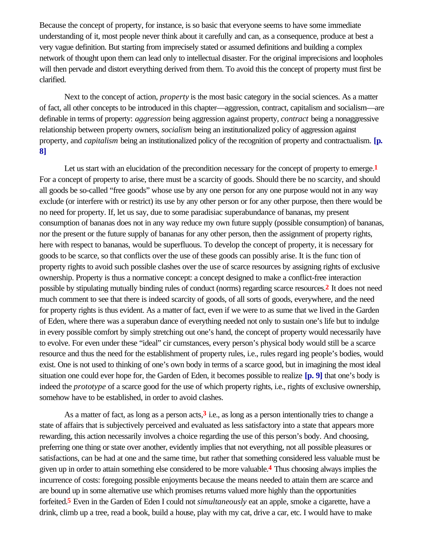Because the concept of property, for instance, is so basic that everyone seems to have some immediate understanding of it, most people never think about it carefully and can, as a consequence, produce at best a very vague definition. But starting from imprecisely stated or assumed definitions and building a complex network of thought upon them can lead only to intellectual disaster. For the original imprecisions and loopholes will then pervade and distort everything derived from them. To avoid this the concept of property must first be clarified.

 Next to the concept of action, *property* is the most basic category in the social sciences. As a matter of fact, all other concepts to be introduced in this chapter—aggression, contract, capitalism and socialism—are definable in terms of property: *aggression* being aggression against property, *contract* being a nonaggressive relationship between property owners, *socialism* being an institutionalized policy of aggression against property, and *capitalism* being an institutionalized policy of the recognition of property and contractualism. **[p. 8]**

Let us start with an elucidation of the precondition necessary for the concept of property to emerge.<sup>1</sup> For a concept of property to arise, there must be a scarcity of goods. Should there be no scarcity, and should all goods be so-called "free goods" whose use by any one person for any one purpose would not in any way exclude (or interfere with or restrict) its use by any other person or for any other purpose, then there would be no need for property. If, let us say, due to some paradisiac superabundance of bananas, my present consumption of bananas does not in any way reduce my own future supply (possible consumption) of bananas, nor the present or the future supply of bananas for any other person, then the assignment of property rights, here with respect to bananas, would be superfluous. To develop the concept of property, it is necessary for goods to be scarce, so that conflicts over the use of these goods can possibly arise. It is the func tion of property rights to avoid such possible clashes over the use of scarce resources by assigning rights of exclusive ownership. Property is thus a normative concept: a concept designed to make a conflict-free interaction possible by stipulating mutually binding rules of conduct (norms) regarding scarce resources.**2** It does not need much comment to see that there is indeed scarcity of goods, of all sorts of goods, everywhere, and the need for property rights is thus evident. As a matter of fact, even if we were to as sume that we lived in the Garden of Eden, where there was a superabun dance of everything needed not only to sustain one's life but to indulge in every possible comfort by simply stretching out one's hand, the concept of property would necessarily have to evolve. For even under these "ideal" cir cumstances, every person's physical body would still be a scarce resource and thus the need for the establishment of property rules, i.e., rules regard ing people's bodies, would exist. One is not used to thinking of one's own body in terms of a scarce good, but in imagining the most ideal situation one could ever hope for, the Garden of Eden, it becomes possible to realize **[p. 9]** that one's body is indeed the *prototype* of a scarce good for the use of which property rights, i.e., rights of exclusive ownership, somehow have to be established, in order to avoid clashes.

 As a matter of fact, as long as a person acts,**3** i.e., as long as a person intentionally tries to change a state of affairs that is subjectively perceived and evaluated as less satisfactory into a state that appears more rewarding, this action necessarily involves a choice regarding the use of this person's body. And choosing, preferring one thing or state over another, evidently implies that not everything, not all possible pleasures or satisfactions, can be had at one and the same time, but rather that something considered less valuable must be given up in order to attain something else considered to be more valuable.**4** Thus choosing always implies the incurrence of costs: foregoing possible enjoyments because the means needed to attain them are scarce and are bound up in some alternative use which promises returns valued more highly than the opportunities forfeited.**5** Even in the Garden of Eden I could not *simultaneously* eat an apple, smoke a cigarette, have a drink, climb up a tree, read a book, build a house, play with my cat, drive a car, etc. I would have to make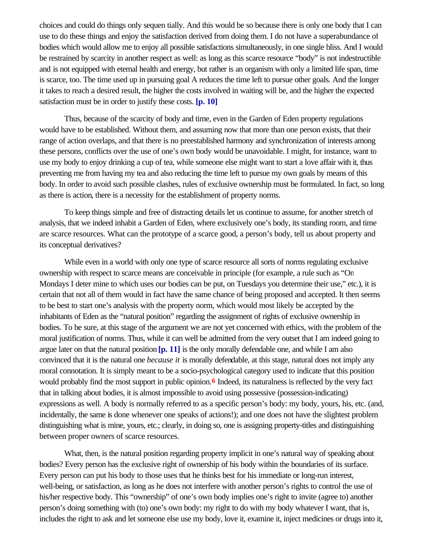choices and could do things only sequen tially. And this would be so because there is only one body that I can use to do these things and enjoy the satisfaction derived from doing them. I do not have a superabundance of bodies which would allow me to enjoy all possible satisfactions simultaneously, in one single bliss. And I would be restrained by scarcity in another respect as well: as long as this scarce resource "body" is not indestructible and is not equipped with eternal health and energy, but rather is an organism with only a limited life span, time is scarce, too. The time used up in pursuing goal A reduces the time left to pursue other goals. And the longer it takes to reach a desired result, the higher the costs involved in waiting will be, and the higher the expected satisfaction must be in order to justify these costs. **[p. 10]**

 Thus, because of the scarcity of body and time, even in the Garden of Eden property regulations would have to be established. Without them, and assuming now that more than one person exists, that their range of action overlaps, and that there is no preestablished harmony and synchronization of interests among these persons, conflicts over the use of one's own body would be unavoidable. I might, for instance, want to use my body to enjoy drinking a cup of tea, while someone else might want to start a love affair with it, thus preventing me from having my tea and also reducing the time left to pursue my own goals by means of this body. In order to avoid such possible clashes, rules of exclusive ownership must be formulated. In fact, so long as there is action, there is a necessity for the establishment of property norms.

 To keep things simple and free of distracting details let us continue to assume, for another stretch of analysis, that we indeed inhabit a Garden of Eden, where exclusively one's body, its standing room, and time are scarce resources. What can the prototype of a scarce good, a person's body, tell us about property and its conceptual derivatives?

 While even in a world with only one type of scarce resource all sorts of norms regulating exclusive ownership with respect to scarce means are conceivable in principle (for example, a rule such as "On Mondays I deter mine to which uses our bodies can be put, on Tuesdays you determine their use," etc.), it is certain that not all of them would in fact have the same chance of being proposed and accepted. It then seems to be best to start one's analysis with the property norm, which would most likely be accepted by the inhabitants of Eden as the "natural position" regarding the assignment of rights of exclusive ownership in bodies. To be sure, at this stage of the argument we are not yet concerned with ethics, with the problem of the moral justification of norms. Thus, while it can well be admitted from the very outset that I am indeed going to argue later on that the natural position **[p. 11]** is the only morally defendable one, and while I am also convinced that it is the natural one *because it* is morally defendable, at this stage, natural does not imply any moral connotation. It is simply meant to be a socio-psychological category used to indicate that this position would probably find the most support in public opinion.**6** Indeed, its naturalness is reflected by the very fact that in talking about bodies, it is almost impossible to avoid using possessive (possession-indicating) expressions as well. A body is normally referred to as a specific person's body: my body, yours, his, etc. (and, incidentally, the same is done whenever one speaks of actions!); and one does not have the slightest problem distinguishing what is mine, yours, etc.; clearly, in doing so, one is assigning property-titles and distinguishing between proper owners of scarce resources.

What, then, is the natural position regarding property implicit in one's natural way of speaking about bodies? Every person has the exclusive right of ownership of his body within the boundaries of its surface. Every person can put his body to those uses that he thinks best for his immediate or long-run interest, well-being, or satisfaction, as long as he does not interfere with another person's rights to control the use of his/her respective body. This "ownership" of one's own body implies one's right to invite (agree to) another person's doing something with (to) one's own body: my right to do with my body whatever I want, that is, includes the right to ask and let someone else use my body, love it, examine it, inject medicines or drugs into it,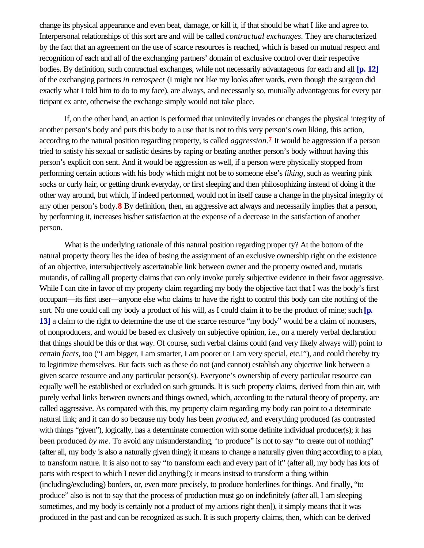change its physical appearance and even beat, damage, or kill it, if that should be what I like and agree to. Interpersonal relationships of this sort are and will be called *contractual exchanges.* They are characterized by the fact that an agreement on the use of scarce resources is reached, which is based on mutual respect and recognition of each and all of the exchanging partners' domain of exclusive control over their respective bodies. By definition, such contractual exchanges, while not necessarily advantageous for each and all **[p. 12]** of the exchanging partners *in retrospect* (I might not like my looks after wards, even though the surgeon did exactly what I told him to do to my face), are always, and necessarily so, mutually advantageous for every par ticipant ex ante, otherwise the exchange simply would not take place.

 If, on the other hand, an action is performed that uninvitedly invades or changes the physical integrity of another person's body and puts this body to a use that is not to this very person's own liking, this action, according to the natural position regarding property, is called *aggression*.**7** It would be aggression if a person tried to satisfy his sexual or sadistic desires by raping or beating another person's body without having this person's explicit con sent. And it would be aggression as well, if a person were physically stopped from performing certain actions with his body which might not be to someone else's *liking*, such as wearing pink socks or curly hair, or getting drunk everyday, or first sleeping and then philosophizing instead of doing it the other way around, but which, if indeed performed, would not in itself cause a change in the physical integrity of any other person's body.**8** By definition, then, an aggressive act always and necessarily implies that a person, by performing it, increases his/her satisfaction at the expense of a decrease in the satisfaction of another person.

 What is the underlying rationale of this natural position regarding proper ty? At the bottom of the natural property theory lies the idea of basing the assignment of an exclusive ownership right on the existence of an objective, intersubjectively ascertainable link between owner and the property owned and, mutatis mutandis, of calling all property claims that can only invoke purely subjective evidence in their favor aggressive. While I can cite in favor of my property claim regarding my body the objective fact that I was the body's first occupant—its first user—anyone else who claims to have the right to control this body can cite nothing of the sort. No one could call my body a product of his will, as I could claim it to be the product of mine; such **[p. 13]** a claim to the right to determine the use of the scarce resource "my body" would be a claim of nonusers, of nonproducers, and would be based ex clusively on subjective opinion, i.e., on a merely verbal declaration that things should be this or that way. Of course, such verbal claims could (and very likely always will) point to certain *facts*, too ("I am bigger, I am smarter, I am poorer or I am very special, etc.!"), and could thereby try to legitimize themselves. But facts such as these do not (and cannot) establish any objective link between a given scarce resource and any particular person(s). Everyone's ownership of every particular resource can equally well be established or excluded on such grounds. It is such property claims, derived from thin air, with purely verbal links between owners and things owned, which, according to the natural theory of property, are called aggressive. As compared with this, my property claim regarding my body can point to a determinate natural link; and it can do so because my body has been *produced*, and everything produced (as contrasted with things "given"), logically, has a determinate connection with some definite individual producer(s); it has been produced *by me*. To avoid any misunderstanding, 'to produce' is not to say "to create out of nothing" (after all, my body is also a naturally given thing); it means to change a naturally given thing according to a plan, to transform nature. It is also not to say "to transform each and every part of it" (after all, my body has lots of parts with respect to which I never did anything!); it means instead to transform a thing within (including/excluding) borders, or, even more precisely, to produce borderlines for things. And finally, "to produce" also is not to say that the process of production must go on indefinitely (after all, I am sleeping sometimes, and my body is certainly not a product of my actions right then]), it simply means that it was produced in the past and can be recognized as such. It is such property claims, then, which can be derived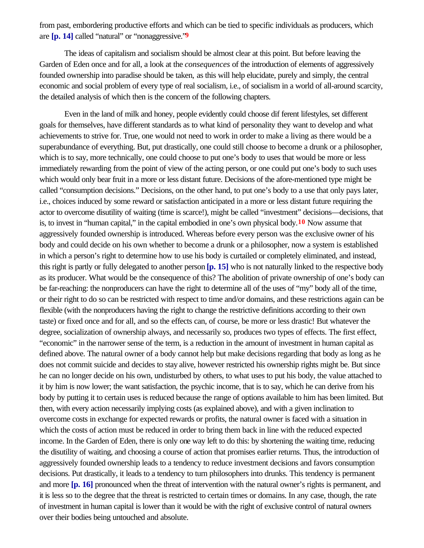from past, embordering productive efforts and which can be tied to specific individuals as producers, which are **[p. 14]** called "natural" or "nonaggressive."**9**

 The ideas of capitalism and socialism should be almost clear at this point. But before leaving the Garden of Eden once and for all, a look at the *consequences* of the introduction of elements of aggressively founded ownership into paradise should be taken, as this will help elucidate, purely and simply, the central economic and social problem of every type of real socialism, i.e., of socialism in a world of all-around scarcity, the detailed analysis of which then is the concern of the following chapters.

 Even in the land of milk and honey, people evidently could choose dif ferent lifestyles, set different goals for themselves, have different standards as to what kind of personality they want to develop and what achievements to strive for. True, one would not need to work in order to make a living as there would be a superabundance of everything. But, put drastically, one could still choose to become a drunk or a philosopher, which is to say, more technically, one could choose to put one's body to uses that would be more or less immediately rewarding from the point of view of the acting person, or one could put one's body to such uses which would only bear fruit in a more or less distant future. Decisions of the afore-mentioned type might be called "consumption decisions." Decisions, on the other hand, to put one's body to a use that only pays later, i.e., choices induced by some reward or satisfaction anticipated in a more or less distant future requiring the actor to overcome disutility of waiting (time is scarce!), might be called "investment" decisions—decisions, that is, to invest in "human capital," in the capital embodied in one's own physical body.**10** Now assume that aggressively founded ownership is introduced. Whereas before every person was the exclusive owner of his body and could decide on his own whether to become a drunk or a philosopher, now a system is established in which a person's right to determine how to use his body is curtailed or completely eliminated, and instead, this right is partly or fully delegated to another person **[p. 15]** who is not naturally linked to the respective body as its producer. What would be the consequence of this? The abolition of private ownership of one's body can be far-reaching: the nonproducers can have the right to determine all of the uses of "my" body all of the time, or their right to do so can be restricted with respect to time and/or domains, and these restrictions again can be flexible (with the nonproducers having the right to change the restrictive definitions according to their own taste) or fixed once and for all, and so the effects can, of course, be more or less drastic! But whatever the degree, socialization of ownership always, and necessarily so, produces two types of effects. The first effect, "economic" in the narrower sense of the term, is a reduction in the amount of investment in human capital as defined above. The natural owner of a body cannot help but make decisions regarding that body as long as he does not commit suicide and decides to stay alive, however restricted his ownership rights might be. But since he can no longer decide on his own, undisturbed by others, to what uses to put his body, the value attached to it by him is now lower; the want satisfaction, the psychic income, that is to say, which he can derive from his body by putting it to certain uses is reduced because the range of options available to him has been limited. But then, with every action necessarily implying costs (as explained above), and with a given inclination to overcome costs in exchange for expected rewards or profits, the natural owner is faced with a situation in which the costs of action must be reduced in order to bring them back in line with the reduced expected income. In the Garden of Eden, there is only one way left to do this: by shortening the waiting time, reducing the disutility of waiting, and choosing a course of action that promises earlier returns. Thus, the introduction of aggressively founded ownership leads to a tendency to reduce investment decisions and favors consumption decisions. Put drastically, it leads to a tendency to turn philosophers into drunks. This tendency is permanent and more **[p. 16]** pronounced when the threat of intervention with the natural owner's rights is permanent, and it is less so to the degree that the threat is restricted to certain times or domains. In any case, though, the rate of investment in human capital is lower than it would be with the right of exclusive control of natural owners over their bodies being untouched and absolute.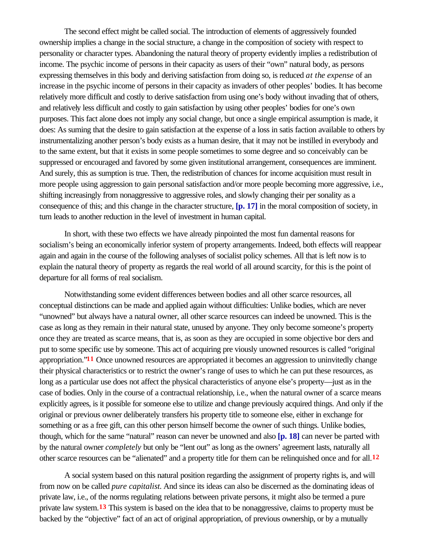The second effect might be called social. The introduction of elements of aggressively founded ownership implies a change in the social structure, a change in the composition of society with respect to personality or character types. Abandoning the natural theory of property evidently implies a redistribution of income. The psychic income of persons in their capacity as users of their "own" natural body, as persons expressing themselves in this body and deriving satisfaction from doing so, is reduced *at the expense* of an increase in the psychic income of persons in their capacity as invaders of other peoples' bodies. It has become relatively more difficult and costly to derive satisfaction from using one's body without invading that of others, and relatively less difficult and costly to gain satisfaction by using other peoples' bodies for one's own purposes. This fact alone does not imply any social change, but once a single empirical assumption is made, it does: As suming that the desire to gain satisfaction at the expense of a loss in satis faction available to others by instrumentalizing another person's body exists as a human desire, that it may not be instilled in everybody and to the same extent, but that it exists in some people sometimes to some degree and so conceivably can be suppressed or encouraged and favored by some given institutional arrangement, consequences are imminent. And surely, this as sumption is true. Then, the redistribution of chances for income acquisition must result in more people using aggression to gain personal satisfaction and/or more people becoming more aggressive, i.e., shifting increasingly from nonaggressive to aggressive roles, and slowly changing their per sonality as a consequence of this; and this change in the character structure, **[p. 17]** in the moral composition of society, in turn leads to another reduction in the level of investment in human capital.

 In short, with these two effects we have already pinpointed the most fun damental reasons for socialism's being an economically inferior system of property arrangements. Indeed, both effects will reappear again and again in the course of the following analyses of socialist policy schemes. All that is left now is to explain the natural theory of property as regards the real world of all around scarcity, for this is the point of departure for all forms of real socialism.

 Notwithstanding some evident differences between bodies and all other scarce resources, all conceptual distinctions can be made and applied again without difficulties: Unlike bodies, which are never "unowned" but always have a natural owner, all other scarce resources can indeed be unowned. This is the case as long as they remain in their natural state, unused by anyone. They only become someone's property once they are treated as scarce means, that is, as soon as they are occupied in some objective bor ders and put to some specific use by someone. This act of acquiring pre viously unowned resources is called "original appropriation."**11** Once unowned resources are appropriated it becomes an aggression to uninvitedly change their physical characteristics or to restrict the owner's range of uses to which he can put these resources, as long as a particular use does not affect the physical characteristics of anyone else's property—just as in the case of bodies. Only in the course of a contractual relationship, i.e., when the natural owner of a scarce means explicitly agrees, is it possible for someone else to utilize and change previously acquired things. And only if the original or previous owner deliberately transfers his property title to someone else, either in exchange for something or as a free gift, can this other person himself become the owner of such things. Unlike bodies, though, which for the same "natural" reason can never be unowned and also **[p. 18]** can never be parted with by the natural owner *completely* but only be "lent out" as long as the owners' agreement lasts, naturally all other scarce resources can be "alienated" and a property title for them can be relinquished once and for all.**12**

 A social system based on this natural position regarding the assignment of property rights is, and will from now on be called *pure capitalist.* And since its ideas can also be discerned as the dominating ideas of private law, i.e., of the norms regulating relations between private persons, it might also be termed a pure private law system.**13** This system is based on the idea that to be nonaggressive, claims to property must be backed by the "objective" fact of an act of original appropriation, of previous ownership, or by a mutually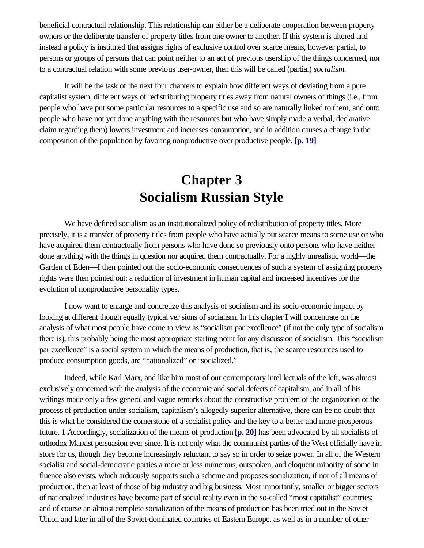beneficial contractual relationship. This relationship can either be a deliberate cooperation between property owners or the deliberate transfer of property titles from one owner to another. If this system is altered and instead a policy is instituted that assigns rights of exclusive control over scarce means, however partial, to persons or groups of persons that can point neither to an act of previous usership of the things concerned, nor to a contractual relation with some previous user-owner, then this will be called (partial) *socialism.*

 It will be the task of the next four chapters to explain how different ways of deviating from a pure capitalist system, different ways of redistributing property titles away from natural owners of things (i.e., from people who have put some particular resources to a specific use and so are naturally linked to them, and onto people who have not yet done anything with the resources but who have simply made a verbal, declarative claim regarding them) lowers investment and increases consumption, and in addition causes a change in the composition of the population by favoring nonproductive over productive people. **[p. 19]**

## **Chapter 3 Socialism Russian Style**

 We have defined socialism as an institutionalized policy of redistribution of property titles. More precisely, it is a transfer of property titles from people who have actually put scarce means to some use or who have acquired them contractually from persons who have done so previously onto persons who have neither done anything with the things in question nor acquired them contractually. For a highly unrealistic world—the Garden of Eden—I then pointed out the socio-economic consequences of such a system of assigning property rights were then pointed out: a reduction of investment in human capital and increased incentives for the evolution of nonproductive personality types.

 I now want to enlarge and concretize this analysis of socialism and its socio-economic impact by looking at different though equally typical ver sions of socialism. In this chapter I will concentrate on the analysis of what most people have come to view as "socialism par excellence" (if not the only type of socialism there is), this probably being the most appropriate starting point for any discussion of socialism. This "socialism par excellence" is a social system in which the means of production, that is, the scarce resources used to produce consumption goods, are "nationalized" or "socialized."

 Indeed, while Karl Marx, and like him most of our contemporary intel lectuals of the left, was almost exclusively concerned with the analysis of the economic and social defects of capitalism, and in all of his writings made only a few general and vague remarks about the constructive problem of the organization of the process of production under socialism, capitalism's allegedly superior alternative, there can be no doubt that this is what he considered the cornerstone of a socialist policy and the key to a better and more prosperous future. 1 Accordingly, socialization of the means of production **[p. 20]** has been advocated by all socialists of orthodox Marxist persuasion ever since. It is not only what the communist parties of the West officially have in store for us, though they become increasingly reluctant to say so in order to seize power. In all of the Western socialist and social-democratic parties a more or less numerous, outspoken, and eloquent minority of some in fluence also exists, which arduously supports such a scheme and proposes socialization, if not of all means of production, then at least of those of big industry and big business. Most importantly, smaller or bigger sectors of nationalized industries have become part of social reality even in the so-called "most capitalist" countries; and of course an almost complete socialization of the means of production has been tried out in the Soviet Union and later in all of the Soviet-dominated countries of Eastern Europe, as well as in a number of other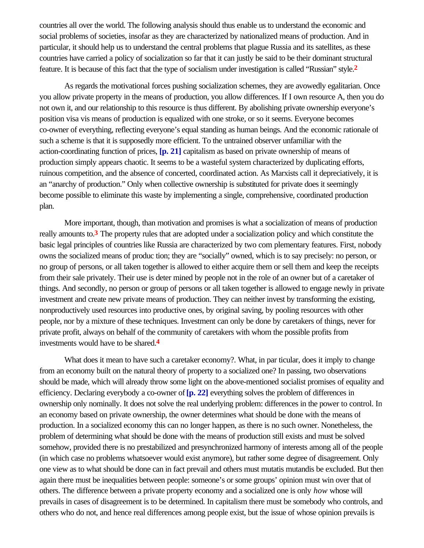countries all over the world. The following analysis should thus enable us to understand the economic and social problems of societies, insofar as they are characterized by nationalized means of production. And in particular, it should help us to understand the central problems that plague Russia and its satellites, as these countries have carried a policy of socialization so far that it can justly be said to be their dominant structural feature. It is because of this fact that the type of socialism under investigation is called "Russian" style.**2**

 As regards the motivational forces pushing socialization schemes, they are avowedly egalitarian. Once you allow private property in the means of production, you allow differences. If I own resource A, then you do not own it, and our relationship to this resource is thus different. By abolishing private ownership everyone's position visa vis means of production is equalized with one stroke, or so it seems. Everyone becomes co-owner of everything, reflecting everyone's equal standing as human beings. And the economic rationale of such a scheme is that it is supposedly more efficient. To the untrained observer unfamiliar with the action-coordinating function of prices, **[p. 21]** capitalism as based on private ownership of means of production simply appears chaotic. It seems to be a wasteful system characterized by duplicating efforts, ruinous competition, and the absence of concerted, coordinated action. As Marxists call it depreciatively, it is an "anarchy of production." Only when collective ownership is substituted for private does it seemingly become possible to eliminate this waste by implementing a single, comprehensive, coordinated production plan.

 More important, though, than motivation and promises is what a socialization of means of production really amounts to.**3** The property rules that are adopted under a socialization policy and which constitute the basic legal principles of countries like Russia are characterized by two com plementary features. First, nobody owns the socialized means of produc tion; they are "socially" owned, which is to say precisely: no person, or no group of persons, or all taken together is allowed to either acquire them or sell them and keep the receipts from their sale privately. Their use is deter mined by people not in the role of an owner but of a caretaker of things. And secondly, no person or group of persons or all taken together is allowed to engage newly in private investment and create new private means of production. They can neither invest by transforming the existing, nonproductively used resources into productive ones, by original saving, by pooling resources with other people, nor by a mixture of these techniques. Investment can only be done by caretakers of things, never for private profit, always on behalf of the community of caretakers with whom the possible profits from investments would have to be shared.**4**

What does it mean to have such a caretaker economy?. What, in par ticular, does it imply to change from an economy built on the natural theory of property to a socialized one? In passing, two observations should be made, which will already throw some light on the above-mentioned socialist promises of equality and efficiency. Declaring everybody a co-owner of**[p. 22]** everything solves the problem of differences in ownership only nominally. It does not solve the real underlying problem: differences in the power to control. In an economy based on private ownership, the owner determines what should be done with the means of production. In a socialized economy this can no longer happen, as there is no such owner. Nonetheless, the problem of determining what should be done with the means of production still exists and must be solved somehow, provided there is no prestabilized and presynchronized harmony of interests among all of the people (in which case no problems whatsoever would exist anymore), but rather some degree of disagreement. Only one view as to what should be done can in fact prevail and others must mutatis mutandis be excluded. But then again there must be inequalities between people: someone's or some groups' opinion must win over that of others. The difference between a private property economy and a socialized one is only *how* whose will prevails in cases of disagreement is to be determined. In capitalism there must be somebody who controls, and others who do not, and hence real differences among people exist, but the issue of whose opinion prevails is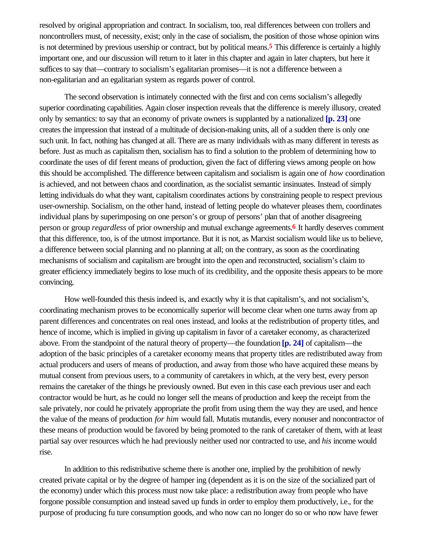resolved by original appropriation and contract. In socialism, too, real differences between con trollers and noncontrollers must, of necessity, exist; only in the case of socialism, the position of those whose opinion wins is not determined by previous usership or contract, but by political means.**5** This difference is certainly a highly important one, and our discussion will return to it later in this chapter and again in later chapters, but here it suffices to say that—contrary to socialism's egalitarian promises—it is not a difference between a non-egalitarian and an egalitarian system as regards power of control.

 The second observation is intimately connected with the first and con cerns socialism's allegedly superior coordinating capabilities. Again closer inspection reveals that the difference is merely illusory, created only by semantics: to say that an economy of private owners is supplanted by a nationalized **[p. 23]** one creates the impression that instead of a multitude of decision-making units, all of a sudden there is only one such unit. In fact, nothing has changed at all. There are as many individuals with as many different in terests as before. Just as much as capitalism then, socialism has to find a solution to the problem of determining how to coordinate the uses of dif ferent means of production, given the fact of differing views among people on how this should be accomplished. The difference between capitalism and socialism is again one of *how* coordination is achieved, and not between chaos and coordination, as the socialist semantic insinuates. Instead of simply letting individuals do what they want, capitalism coordinates actions by constraining people to respect previous user-ownership. Socialism, on the other hand, instead of letting people do whatever pleases them, coordinates individual plans by superimposing on one person's or group of persons' plan that of another disagreeing person or group *regardless* of prior ownership and mutual exchange agreements.**6** It hardly deserves comment that this difference, too, is of the utmost importance. But it is not, as Marxist socialism would like us to believe, a difference between social planning and no planning at all; on the contrary, as soon as the coordinating mechanisms of socialism and capitalism are brought into the open and reconstructed, socialism's claim to greater efficiency immediately begins to lose much of its credibility, and the opposite thesis appears to be more convincing.

 How well-founded this thesis indeed is, and exactly why it is that capitalism's, and not socialism's, coordinating mechanism proves to be economically superior will become clear when one turns away from ap parent differences and concentrates on real ones instead, and looks at the redistribution of property titles, and hence of income, which is implied in giving up capitalism in favor of a caretaker economy, as characterized above. From the standpoint of the natural theory of property—the foundation **[p. 24]** of capitalism—the adoption of the basic principles of a caretaker economy means that property titles are redistributed away from actual producers and users of means of production, and away from those who have acquired these means by mutual consent from previous users, to a community of caretakers in which, at the very best, every person remains the caretaker of the things he previously owned. But even in this case each previous user and each contractor would be hurt, as he could no longer sell the means of production and keep the receipt from the sale privately, nor could he privately appropriate the profit from using them the way they are used, and hence the value of the means of production *for him* would fall. Mutatis mutandis, every nonuser and noncontractor of these means of production would be favored by being promoted to the rank of caretaker of them, with at least partial say over resources which he had previously neither used nor contracted to use, and *his* income would rise.

 In addition to this redistributive scheme there is another one, implied by the prohibition of newly created private capital or by the degree of hamper ing (dependent as it is on the size of the socialized part of the economy) under which this process must now take place: a redistribution away from people who have forgone possible consumption and instead saved up funds in order to employ them productively, i.e., for the purpose of producing fu ture consumption goods, and who now can no longer do so or who now have fewer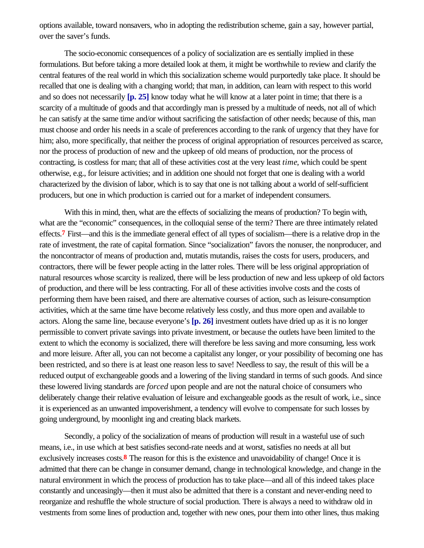options available, toward nonsavers, who in adopting the redistribution scheme, gain a say, however partial, over the saver's funds.

 The socio-economic consequences of a policy of socialization are es sentially implied in these formulations. But before taking a more detailed look at them, it might be worthwhile to review and clarify the central features of the real world in which this socialization scheme would purportedly take place. It should be recalled that one is dealing with a changing world; that man, in addition, can learn with respect to this world and so does not necessarily **[p. 25]** know today what he will know at a later point in time; that there is a scarcity of a multitude of goods and that accordingly man is pressed by a multitude of needs, not all of which he can satisfy at the same time and/or without sacrificing the satisfaction of other needs; because of this, man must choose and order his needs in a scale of preferences according to the rank of urgency that they have for him; also, more specifically, that neither the process of original appropriation of resources perceived as scarce, nor the process of production of new and the upkeep of old means of production, nor the process of contracting, is costless for man; that all of these activities cost at the very least *time*, which could be spent otherwise, e.g., for leisure activities; and in addition one should not forget that one is dealing with a world characterized by the division of labor, which is to say that one is not talking about a world of self-sufficient producers, but one in which production is carried out for a market of independent consumers.

 With this in mind, then, what are the effects of socializing the means of production? To begin with, what are the "economic" consequences, in the colloquial sense of the term? There are three intimately related effects.**7** First—and this is the immediate general effect of all types of socialism—there is a relative drop in the rate of investment, the rate of capital formation. Since "socialization" favors the nonuser, the nonproducer, and the noncontractor of means of production and, mutatis mutandis, raises the costs for users, producers, and contractors, there will be fewer people acting in the latter roles. There will be less original appropriation of natural resources whose scarcity is realized, there will be less production of new and less upkeep of old factors of production, and there will be less contracting. For all of these activities involve costs and the costs of performing them have been raised, and there are alternative courses of action, such as leisure-consumption activities, which at the same time have become relatively less costly, and thus more open and available to actors. Along the same line, because everyone's **[p. 26]** investment outlets have dried up as it is no longer permissible to convert private savings into private investment, or because the outlets have been limited to the extent to which the economy is socialized, there will therefore be less saving and more consuming, less work and more leisure. After all, you can not become a capitalist any longer, or your possibility of becoming one has been restricted, and so there is at least one reason less to save! Needless to say, the result of this will be a reduced output of exchangeable goods and a lowering of the living standard in terms of such goods. And since these lowered living standards are *forced* upon people and are not the natural choice of consumers who deliberately change their relative evaluation of leisure and exchangeable goods as the result of work, i.e., since it is experienced as an unwanted impoverishment, a tendency will evolve to compensate for such losses by going underground, by moonlight ing and creating black markets.

 Secondly, a policy of the socialization of means of production will result in a wasteful use of such means, i.e., in use which at best satisfies second-rate needs and at worst, satisfies no needs at all but exclusively increases costs.**8** The reason for this is the existence and unavoidability of change! Once it is admitted that there can be change in consumer demand, change in technological knowledge, and change in the natural environment in which the process of production has to take place—and all of this indeed takes place constantly and unceasingly—then it must also be admitted that there is a constant and never-ending need to reorganize and reshuffle the whole structure of social production. There is always a need to withdraw old in vestments from some lines of production and, together with new ones, pour them into other lines, thus making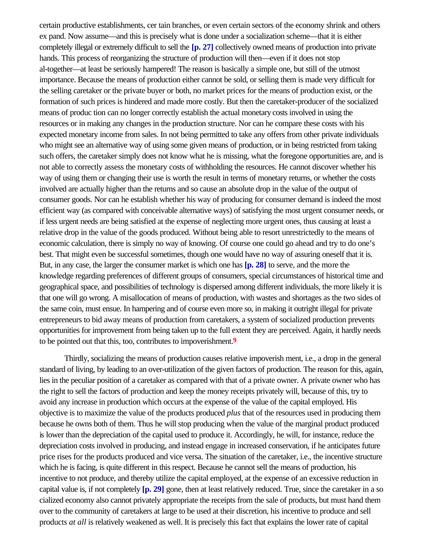certain productive establishments, cer tain branches, or even certain sectors of the economy shrink and others ex pand. Now assume—and this is precisely what is done under a socialization scheme—that it is either completely illegal or extremely difficult to sell the **[p. 27]** collectively owned means of production into private hands. This process of reorganizing the structure of production will then—even if it does not stop al-together—at least be seriously hampered! The reason is basically a simple one, but still of the utmost importance. Because the means of production either cannot be sold, or selling them is made very difficult for the selling caretaker or the private buyer or both, no market prices for the means of production exist, or the formation of such prices is hindered and made more costly. But then the caretaker-producer of the socialized means of produc tion can no longer correctly establish the actual monetary costs involved in using the resources or in making any changes in the production structure. Nor can he compare these costs with his expected monetary income from sales. In not being permitted to take any offers from other private individuals who might see an alternative way of using some given means of production, or in being restricted from taking such offers, the caretaker simply does not know what he is missing, what the foregone opportunities are, and is not able to correctly assess the monetary costs of withholding the resources. He cannot discover whether his way of using them or changing their use is worth the result in terms of monetary returns, or whether the costs involved are actually higher than the returns and so cause an absolute drop in the value of the output of consumer goods. Nor can he establish whether his way of producing for consumer demand is indeed the most efficient way (as compared with conceivable alternative ways) of satisfying the most urgent consumer needs, or if less urgent needs are being satisfied at the expense of neglecting more urgent ones, thus causing at least a relative drop in the value of the goods produced. Without being able to resort unrestrictedly to the means of economic calculation, there is simply no way of knowing. Of course one could go ahead and try to do one's best. That might even be successful sometimes, though one would have no way of assuring oneself that it is. But, in any case, the larger the consumer market is which one has **[p. 28]** to serve, and the more the knowledge regarding preferences of different groups of consumers, special circumstances of historical time and geographical space, and possibilities of technology is dispersed among different individuals, the more likely it is that one will go wrong. A misallocation of means of production, with wastes and shortages as the two sides of the same coin, must ensue. In hampering and of course even more so, in making it outright illegal for private entrepreneurs to bid away means of production from caretakers, a system of socialized production prevents opportunities for improvement from being taken up to the full extent they are perceived. Again, it hardly needs to be pointed out that this, too, contributes to impoverishment.**9**

 Thirdly, socializing the means of production causes relative impoverish ment, i.e., a drop in the general standard of living, by leading to an over-utilization of the given factors of production. The reason for this, again, lies in the peculiar position of a caretaker as compared with that of a private owner. A private owner who has the right to sell the factors of production and keep the money receipts privately will, because of this, try to avoid any increase in production which occurs at the expense of the value of the capital employed. His objective is to maximize the value of the products produced *plus* that of the resources used in producing them because he owns both of them. Thus he will stop producing when the value of the marginal product produced is lower than the depreciation of the capital used to produce it. Accordingly, he will, for instance, reduce the depreciation costs involved in producing, and instead engage in increased conservation, if he anticipates future price rises for the products produced and vice versa. The situation of the caretaker, i.e., the incentive structure which he is facing, is quite different in this respect. Because he cannot sell the means of production, his incentive to not produce, and thereby utilize the capital employed, at the expense of an excessive reduction in capital value is, if not completely **[p. 29]** gone, then at least relatively reduced. True, since the caretaker in a so cialized economy also cannot privately appropriate the receipts from the sale of products, but must hand them over to the community of caretakers at large to be used at their discretion, his incentive to produce and sell products *at all* is relatively weakened as well. It is precisely this fact that explains the lower rate of capital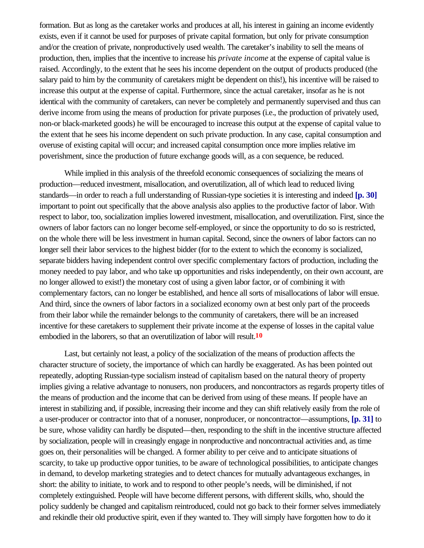formation. But as long as the caretaker works and produces at all, his interest in gaining an income evidently exists, even if it cannot be used for purposes of private capital formation, but only for private consumption and/or the creation of private, nonproductively used wealth. The caretaker's inability to sell the means of production, then, implies that the incentive to increase his *private income* at the expense of capital value is raised. Accordingly, to the extent that he sees his income dependent on the output of products produced (the salary paid to him by the community of caretakers might be dependent on this!), his incentive will be raised to increase this output at the expense of capital. Furthermore, since the actual caretaker, insofar as he is not identical with the community of caretakers, can never be completely and permanently supervised and thus can derive income from using the means of production for private purposes (i.e., the production of privately used, non-or black-marketed goods) he will be encouraged to increase this output at the expense of capital value to the extent that he sees his income dependent on such private production. In any case, capital consumption and overuse of existing capital will occur; and increased capital consumption once more implies relative im poverishment, since the production of future exchange goods will, as a con sequence, be reduced.

 While implied in this analysis of the threefold economic consequences of socializing the means of production—reduced investment, misallocation, and overutilization, all of which lead to reduced living standards—in order to reach a full understanding of Russian-type societies it is interesting and indeed **[p. 30]** important to point out specifically that the above analysis also applies to the productive factor of labor. With respect to labor, too, socialization implies lowered investment, misallocation, and overutilization. First, since the owners of labor factors can no longer become self-employed, or since the opportunity to do so is restricted, on the whole there will be less investment in human capital. Second, since the owners of labor factors can no longer sell their labor services to the highest bidder (for to the extent to which the economy is socialized, separate bidders having independent control over specific complementary factors of production, including the money needed to pay labor, and who take up opportunities and risks independently, on their own account, are no longer allowed to exist!) the monetary cost of using a given labor factor, or of combining it with complementary factors, can no longer be established, and hence all sorts of misallocations of labor will ensue. And third, since the owners of labor factors in a socialized economy own at best only part of the proceeds from their labor while the remainder belongs to the community of caretakers, there will be an increased incentive for these caretakers to supplement their private income at the expense of losses in the capital value embodied in the laborers, so that an overutilization of labor will result.**10**

 Last, but certainly not least, a policy of the socialization of the means of production affects the character structure of society, the importance of which can hardly be exaggerated. As has been pointed out repeatedly, adopting Russian-type socialism instead of capitalism based on the natural theory of property implies giving a relative advantage to nonusers, non producers, and noncontractors as regards property titles of the means of production and the income that can be derived from using of these means. If people have an interest in stabilizing and, if possible, increasing their income and they can shift relatively easily from the role of a user-producer or contractor into that of a nonuser, nonproducer, or noncontractor—assumptions, **[p. 31]** to be sure, whose validity can hardly be disputed—then, responding to the shift in the incentive structure affected by socialization, people will in creasingly engage in nonproductive and noncontractual activities and, as time goes on, their personalities will be changed. A former ability to per ceive and to anticipate situations of scarcity, to take up productive oppor tunities, to be aware of technological possibilities, to anticipate changes in demand, to develop marketing strategies and to detect chances for mutually advantageous exchanges, in short: the ability to initiate, to work and to respond to other people's needs, will be diminished, if not completely extinguished. People will have become different persons, with different skills, who, should the policy suddenly be changed and capitalism reintroduced, could not go back to their former selves immediately and rekindle their old productive spirit, even if they wanted to. They will simply have forgotten how to do it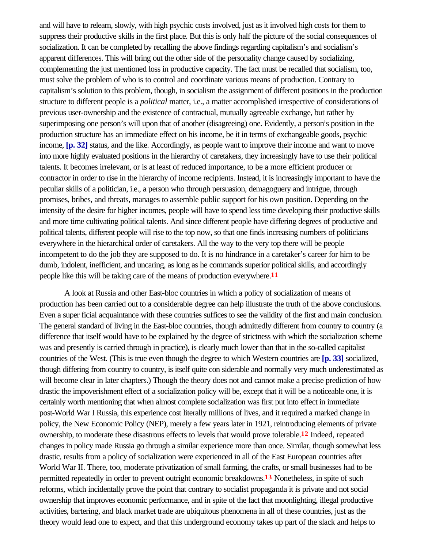and will have to relearn, slowly, with high psychic costs involved, just as it involved high costs for them to suppress their productive skills in the first place. But this is only half the picture of the social consequences of socialization. It can be completed by recalling the above findings regarding capitalism's and socialism's apparent differences. This will bring out the other side of the personality change caused by socializing, complementing the just mentioned loss in productive capacity. The fact must be recalled that socialism, too, must solve the problem of who is to control and coordinate various means of production. Contrary to capitalism's solution to this problem, though, in socialism the assignment of different positions in the production structure to different people is a *political* matter, i.e., a matter accomplished irrespective of considerations of previous user-ownership and the existence of contractual, mutually agreeable exchange, but rather by superimposing one person's will upon that of another (disagreeing) one. Evidently, a person's position in the production structure has an immediate effect on his income, be it in terms of exchangeable goods, psychic income, **[p. 32]** status, and the like. Accordingly, as people want to improve their income and want to move into more highly evaluated positions in the hierarchy of caretakers, they increasingly have to use their political talents. It becomes irrelevant, or is at least of reduced importance, to be a more efficient producer or contractor in order to rise in the hierarchy of income recipients. Instead, it is increasingly important to have the peculiar skills of a politician, i.e., a person who through persuasion, demagoguery and intrigue, through promises, bribes, and threats, manages to assemble public support for his own position. Depending on the intensity of the desire for higher incomes, people will have to spend less time developing their productive skills and more time cultivating political talents. And since different people have differing degrees of productive and political talents, different people will rise to the top now, so that one finds increasing numbers of politicians everywhere in the hierarchical order of caretakers. All the way to the very top there will be people incompetent to do the job they are supposed to do. It is no hindrance in a caretaker's career for him to be dumb, indolent, inefficient, and uncaring, as long as he commands superior political skills, and accordingly people like this will be taking care of the means of production everywhere.**11**

 A look at Russia and other East-bloc countries in which a policy of socialization of means of production has been carried out to a considerable degree can help illustrate the truth of the above conclusions. Even a super ficial acquaintance with these countries suffices to see the validity of the first and main conclusion. The general standard of living in the East-bloc countries, though admittedly different from country to country (a difference that itself would have to be explained by the degree of strictness with which the socialization scheme was and presently is carried through in practice), is clearly much lower than that in the so-called capitalist countries of the West. (This is true even though the degree to which Western countries are **[p. 33]** socialized, though differing from country to country, is itself quite con siderable and normally very much underestimated as will become clear in later chapters.) Though the theory does not and cannot make a precise prediction of how drastic the impoverishment effect of a socialization policy will be, except that it will be a noticeable one, it is certainly worth mentioning that when almost complete socialization was first put into effect in immediate post-World War I Russia, this experience cost literally millions of lives, and it required a marked change in policy, the New Economic Policy (NEP), merely a few years later in 1921, reintroducing elements of private ownership, to moderate these disastrous effects to levels that would prove tolerable.**12** Indeed, repeated changes in policy made Russia go through a similar experience more than once. Similar, though somewhat less drastic, results from a policy of socialization were experienced in all of the East European countries after World War II. There, too, moderate privatization of small farming, the crafts, or small businesses had to be permitted repeatedly in order to prevent outright economic breakdowns.**13** Nonetheless, in spite of such reforms, which incidentally prove the point that contrary to socialist propaganda it is private and not social ownership that improves economic performance, and in spite of the fact that moonlighting, illegal productive activities, bartering, and black market trade are ubiquitous phenomena in all of these countries, just as the theory would lead one to expect, and that this underground economy takes up part of the slack and helps to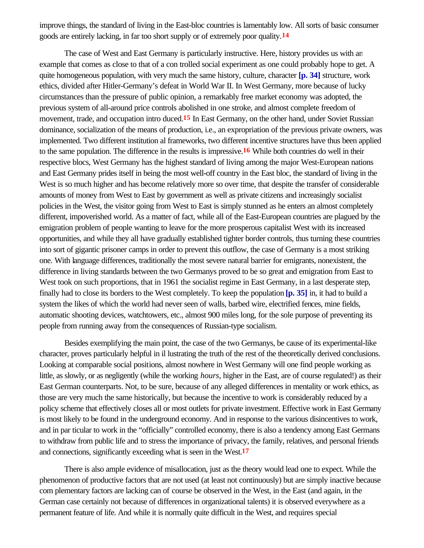improve things, the standard of living in the East-bloc countries is lamentably low. All sorts of basic consumer goods are entirely lacking, in far too short supply or of extremely poor quality.**14**

 The case of West and East Germany is particularly instructive. Here, history provides us with an example that comes as close to that of a con trolled social experiment as one could probably hope to get. A quite homogeneous population, with very much the same history, culture, character **[p. 34]** structure, work ethics, divided after Hitler-Germany's defeat in World War II. In West Germany, more because of lucky circumstances than the pressure of public opinion, a remarkably free market economy was adopted, the previous system of all-around price controls abolished in one stroke, and almost complete freedom of movement, trade, and occupation intro duced.**15** In East Germany, on the other hand, under Soviet Russian dominance, socialization of the means of production, i.e., an expropriation of the previous private owners, was implemented. Two different institution al frameworks, two different incentive structures have thus been applied to the same population. The difference in the results is impressive.**16** While both countries do well in their respective blocs, West Germany has the highest standard of living among the major West-European nations and East Germany prides itself in being the most well-off country in the East bloc, the standard of living in the West is so much higher and has become relatively more so over time, that despite the transfer of considerable amounts of money from West to East by government as well as private citizens and increasingly socialist policies in the West, the visitor going from West to East is simply stunned as he enters an almost completely different, impoverished world. As a matter of fact, while all of the East-European countries are plagued by the emigration problem of people wanting to leave for the more prosperous capitalist West with its increased opportunities, and while they all have gradually established tighter border controls, thus turning these countries into sort of gigantic prisoner camps in order to prevent this outflow, the case of Germany is a most striking one. With language differences, traditionally the most severe natural barrier for emigrants, nonexistent, the difference in living standards between the two Germanys proved to be so great and emigration from East to West took on such proportions, that in 1961 the socialist regime in East Germany, in a last desperate step, finally had to close its borders to the West completely. To keep the population **[p. 35]** in, it had to build a system the likes of which the world had never seen of walls, barbed wire, electrified fences, mine fields, automatic shooting devices, watchtowers, etc., almost 900 miles long, for the sole purpose of preventing its people from running away from the consequences of Russian-type socialism.

 Besides exemplifying the main point, the case of the two Germanys, be cause of its experimental-like character, proves particularly helpful in il lustrating the truth of the rest of the theoretically derived conclusions. Looking at comparable social positions, almost nowhere in West Germany will one find people working as little, as slowly, or as negligently (while the working *hours*, higher in the East, are of course regulated!) as their East German counterparts. Not, to be sure, because of any alleged differences in mentality or work ethics, as those are very much the same historically, but because the incentive to work is considerably reduced by a policy scheme that effectively closes all or most outlets for private investment. Effective work in East Germany is most likely to be found in the underground economy. And in response to the various disincentives to work, and in par ticular to work in the "officially" controlled economy, there is also a tendency among East Germans to withdraw from public life and to stress the importance of privacy, the family, relatives, and personal friends and connections, significantly exceeding what is seen in the West.**17**

 There is also ample evidence of misallocation, just as the theory would lead one to expect. While the phenomenon of productive factors that are not used (at least not continuously) but are simply inactive because com plementary factors are lacking can of course be observed in the West, in the East (and again, in the German case certainly not because of differences in organizational talents) it is observed everywhere as a permanent feature of life. And while it is normally quite difficult in the West, and requires special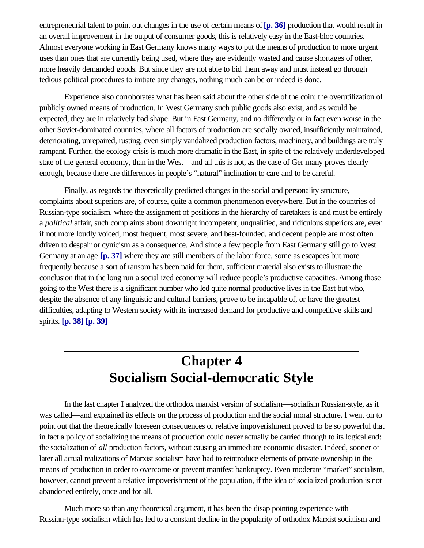entrepreneurial talent to point out changes in the use of certain means of**[p. 36]** production that would result in an overall improvement in the output of consumer goods, this is relatively easy in the East-bloc countries. Almost everyone working in East Germany knows many ways to put the means of production to more urgent uses than ones that are currently being used, where they are evidently wasted and cause shortages of other, more heavily demanded goods. But since they are not able to bid them away and must instead go through tedious political procedures to initiate any changes, nothing much can be or indeed is done.

 Experience also corroborates what has been said about the other side of the coin: the overutilization of publicly owned means of production. In West Germany such public goods also exist, and as would be expected, they are in relatively bad shape. But in East Germany, and no differently or in fact even worse in the other Soviet-dominated countries, where all factors of production are socially owned, insufficiently maintained, deteriorating, unrepaired, rusting, even simply vandalized production factors, machinery, and buildings are truly rampant. Further, the ecology crisis is much more dramatic in the East, in spite of the relatively underdeveloped state of the general economy, than in the West—and all this is not, as the case of Ger many proves clearly enough, because there are differences in people's "natural" inclination to care and to be careful.

 Finally, as regards the theoretically predicted changes in the social and personality structure, complaints about superiors are, of course, quite a common phenomenon everywhere. But in the countries of Russian-type socialism, where the assignment of positions in the hierarchy of caretakers is and must be entirely a *political* affair, such complaints about downright incompetent, unqualified, and ridiculous superiors are, even if not more loudly voiced, most frequent, most severe, and best-founded, and decent people are most often driven to despair or cynicism as a consequence. And since a few people from East Germany still go to West Germany at an age  $[p, 37]$  where they are still members of the labor force, some as escapees but more frequently because a sort of ransom has been paid for them, sufficient material also exists to illustrate the conclusion that in the long run a social ized economy will reduce people's productive capacities. Among those going to the West there is a significant number who led quite normal productive lives in the East but who, despite the absence of any linguistic and cultural barriers, prove to be incapable of, or have the greatest difficulties, adapting to Western society with its increased demand for productive and competitive skills and spirits. **[p. 38] [p. 39]**

# **Chapter 4 Socialism Social-democratic Style**

 In the last chapter I analyzed the orthodox marxist version of socialism—socialism Russian-style, as it was called—and explained its effects on the process of production and the social moral structure. I went on to point out that the theoretically foreseen consequences of relative impoverishment proved to be so powerful that in fact a policy of socializing the means of production could never actually be carried through to its logical end: the socialization of *all* production factors, without causing an immediate economic disaster. Indeed, sooner or later all actual realizations of Marxist socialism have had to reintroduce elements of private ownership in the means of production in order to overcome or prevent manifest bankruptcy. Even moderate "market" socialism, however, cannot prevent a relative impoverishment of the population, if the idea of socialized production is not abandoned entirely, once and for all.

 Much more so than any theoretical argument, it has been the disap pointing experience with Russian-type socialism which has led to a constant decline in the popularity of orthodox Marxist socialism and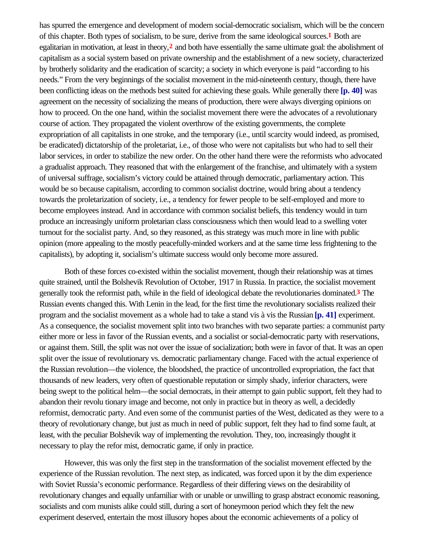has spurred the emergence and development of modern social-democratic socialism, which will be the concern of this chapter. Both types of socialism, to be sure, derive from the same ideological sources.**1** Both are egalitarian in motivation, at least in theory,**2** and both have essentially the same ultimate goal: the abolishment of capitalism as a social system based on private ownership and the establishment of a new society, characterized by brotherly solidarity and the eradication of scarcity; a society in which everyone is paid "according to his needs." From the very beginnings of the socialist movement in the mid-nineteenth century, though, there have been conflicting ideas on the methods best suited for achieving these goals. While generally there **[p. 40]** was agreement on the necessity of socializing the means of production, there were always diverging opinions on how to proceed. On the one hand, within the socialist movement there were the advocates of a revolutionary course of action. They propagated the violent overthrow of the existing governments, the complete expropriation of all capitalists in one stroke, and the temporary (i.e., until scarcity would indeed, as promised, be eradicated) dictatorship of the proletariat, i.e., of those who were not capitalists but who had to sell their labor services, in order to stabilize the new order. On the other hand there were the reformists who advocated a gradualist approach. They reasoned that with the enlargement of the franchise, and ultimately with a system of universal suffrage, socialism's victory could be attained through democratic, parliamentary action. This would be so because capitalism, according to common socialist doctrine, would bring about a tendency towards the proletarization of society, i.e., a tendency for fewer people to be self-employed and more to become employees instead. And in accordance with common socialist beliefs, this tendency would in turn produce an increasingly uniform proletarian class consciousness which then would lead to a swelling voter turnout for the socialist party. And, so they reasoned, as this strategy was much more in line with public opinion (more appealing to the mostly peacefully-minded workers and at the same time less frightening to the capitalists), by adopting it, socialism's ultimate success would only become more assured.

 Both of these forces co-existed within the socialist movement, though their relationship was at times quite strained, until the Bolshevik Revolution of October, 1917 in Russia. In practice, the socialist movement generally took the reformist path, while in the field of ideological debate the revolutionaries dominated.**3** The Russian events changed this. With Lenin in the lead, for the first time the revolutionary socialists realized their program and the socialist movement as a whole had to take a stand vis à vis the Russian **[p. 41]** experiment. As a consequence, the socialist movement split into two branches with two separate parties: a communist party either more or less in favor of the Russian events, and a socialist or social-democratic party with reservations, or against them. Still, the split was not over the issue of socialization; both were in favor of that. It was an open split over the issue of revolutionary vs. democratic parliamentary change. Faced with the actual experience of the Russian revolution—the violence, the bloodshed, the practice of uncontrolled expropriation, the fact that thousands of new leaders, very often of questionable reputation or simply shady, inferior characters, were being swept to the political helm—the social democrats, in their attempt to gain public support, felt they had to abandon their revolu tionary image and become, not only in practice but in theory as well, a decidedly reformist, democratic party. And even some of the communist parties of the West, dedicated as they were to a theory of revolutionary change, but just as much in need of public support, felt they had to find some fault, at least, with the peculiar Bolshevik way of implementing the revolution. They, too, increasingly thought it necessary to play the refor mist, democratic game, if only in practice.

 However, this was only the first step in the transformation of the socialist movement effected by the experience of the Russian revolution. The next step, as indicated, was forced upon it by the dim experience with Soviet Russia's economic performance. Regardless of their differing views on the desirability of revolutionary changes and equally unfamiliar with or unable or unwilling to grasp abstract economic reasoning, socialists and com munists alike could still, during a sort of honeymoon period which they felt the new experiment deserved, entertain the most illusory hopes about the economic achievements of a policy of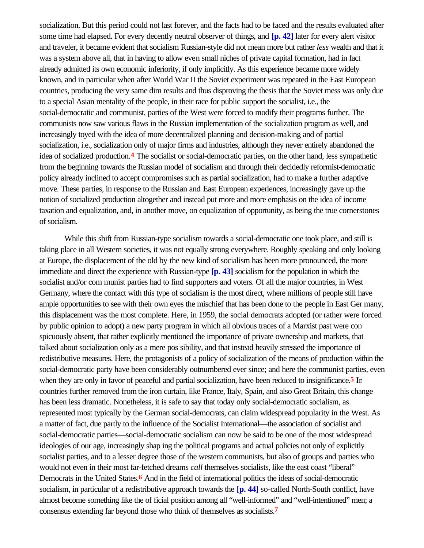socialization. But this period could not last forever, and the facts had to be faced and the results evaluated after some time had elapsed. For every decently neutral observer of things, and **[p. 42]** later for every alert visitor and traveler, it became evident that socialism Russian-style did not mean more but rather *less* wealth and that it was a system above all, that in having to allow even small niches of private capital formation, had in fact already admitted its own economic inferiority, if only implicitly. As this experience became more widely known, and in particular when after World War II the Soviet experiment was repeated in the East European countries, producing the very same dim results and thus disproving the thesis that the Soviet mess was only due to a special Asian mentality of the people, in their race for public support the socialist, i.e., the social-democratic and communist, parties of the West were forced to modify their programs further. The communists now saw various flaws in the Russian implementation of the socialization program as well, and increasingly toyed with the idea of more decentralized planning and decision-making and of partial socialization, i.e., socialization only of major firms and industries, although they never entirely abandoned the idea of socialized production.**4** The socialist or social-democratic parties, on the other hand, less sympathetic from the beginning towards the Russian model of socialism and through their decidedly reformist-democratic policy already inclined to accept compromises such as partial socialization, had to make a further adaptive move. These parties, in response to the Russian and East European experiences, increasingly gave up the notion of socialized production altogether and instead put more and more emphasis on the idea of income taxation and equalization, and, in another move, on equalization of opportunity, as being the true cornerstones of socialism.

 While this shift from Russian-type socialism towards a social-democratic one took place, and still is taking place in all Western societies, it was not equally strong everywhere. Roughly speaking and only looking at Europe, the displacement of the old by the new kind of socialism has been more pronounced, the more immediate and direct the experience with Russian-type **[p. 43]** socialism for the population in which the socialist and/or com munist parties had to find supporters and voters. Of all the major countries, in West Germany, where the contact with this type of socialism is the most direct, where millions of people still have ample opportunities to see with their own eyes the mischief that has been done to the people in East Ger many, this displacement was the most complete. Here, in 1959, the social democrats adopted (or rather were forced by public opinion to adopt) a new party program in which all obvious traces of a Marxist past were con spicuously absent, that rather explicitly mentioned the importance of private ownership and markets, that talked about socialization only as a mere pos sibility, and that instead heavily stressed the importance of redistributive measures. Here, the protagonists of a policy of socialization of the means of production within the social-democratic party have been considerably outnumbered ever since; and here the communist parties, even when they are only in favor of peaceful and partial socialization, have been reduced to insignificance.**5** In countries further removed from the iron curtain, like France, Italy, Spain, and also Great Britain, this change has been less dramatic. Nonetheless, it is safe to say that today only social-democratic socialism, as represented most typically by the German social-democrats, can claim widespread popularity in the West. As a matter of fact, due partly to the influence of the Socialist International—the association of socialist and social-democratic parties—social-democratic socialism can now be said to be one of the most widespread ideologies of our age, increasingly shap ing the political programs and actual policies not only of explicitly socialist parties, and to a lesser degree those of the western communists, but also of groups and parties who would not even in their most far-fetched dreams *call* themselves socialists, like the east coast "liberal" Democrats in the United States.**6** And in the field of international politics the ideas of social-democratic socialism, in particular of a redistributive approach towards the **[p. 44]** so-called North-South conflict, have almost become something like the of ficial position among all "well-informed" and "well-intentioned" men; a consensus extending far beyond those who think of themselves as socialists.**7**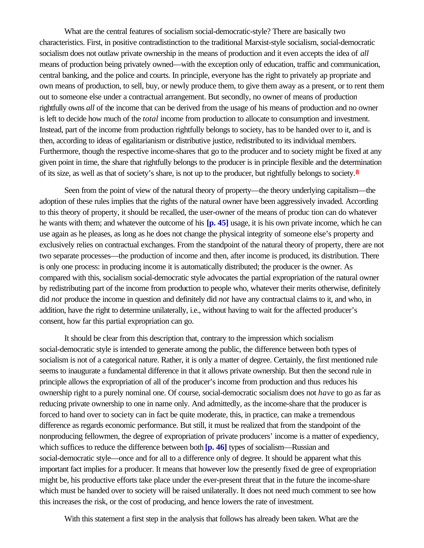What are the central features of socialism social-democratic-style? There are basically two characteristics. First, in positive contradistinction to the traditional Marxist-style socialism, social-democratic socialism does not outlaw private ownership in the means of production and it even accepts the idea of *all* means of production being privately owned—with the exception only of education, traffic and communication, central banking, and the police and courts. In principle, everyone has the right to privately ap propriate and own means of production, to sell, buy, or newly produce them, to give them away as a present, or to rent them out to someone else under a contractual arrangement. But secondly, no owner of means of production rightfully owns *all* of the income that can be derived from the usage of his means of production and no owner is left to decide how much of the *total* income from production to allocate to consumption and investment. Instead, part of the income from production rightfully belongs to society, has to be handed over to it, and is then, according to ideas of egalitarianism or distributive justice, redistributed to its individual members. Furthermore, though the respective income-shares that go to the producer and to society might be fixed at any given point in time, the share that rightfully belongs to the producer is in principle flexible and the determination of its size, as well as that of society's share, is not up to the producer, but rightfully belongs to society.**8**

 Seen from the point of view of the natural theory of property—the theory underlying capitalism—the adoption of these rules implies that the rights of the natural owner have been aggressively invaded. According to this theory of property, it should be recalled, the user-owner of the means of produc tion can do whatever he wants with them; and whatever the outcome of his **[p. 45]** usage, it is his own private income, which he can use again as he pleases, as long as he does not change the physical integrity of someone else's property and exclusively relies on contractual exchanges. From the standpoint of the natural theory of property, there are not two separate processes—the production of income and then, after income is produced, its distribution. There is only one process: in producing income it is automatically distributed; the producer is the owner. As compared with this, socialism social-democratic style advocates the partial expropriation of the natural owner by redistributing part of the income from production to people who, whatever their merits otherwise, definitely did *not* produce the income in question and definitely did *not* have any contractual claims to it, and who, in addition, have the right to determine unilaterally, i.e., without having to wait for the affected producer's consent, how far this partial expropriation can go.

 It should be clear from this description that, contrary to the impression which socialism social-democratic style is intended to generate among the public, the difference between both types of socialism is not of a categorical nature. Rather, it is only a matter of degree. Certainly, the first mentioned rule seems to inaugurate a fundamental difference in that it allows private ownership. But then the second rule in principle allows the expropriation of all of the producer's income from production and thus reduces his ownership right to a purely nominal one. Of course, social-democratic socialism does not *have* to go as far as reducing private ownership to one in name only. And admittedly, as the income-share that the producer is forced to hand over to society can in fact be quite moderate, this, in practice, can make a tremendous difference as regards economic performance. But still, it must be realized that from the standpoint of the nonproducing fellowmen, the degree of expropriation of private producers' income is a matter of expediency, which suffices to reduce the difference between both **[p. 46]** types of socialism—Russian and social-democratic style—once and for all to a difference only of degree. It should be apparent what this important fact implies for a producer. It means that however low the presently fixed de gree of expropriation might be, his productive efforts take place under the ever-present threat that in the future the income-share which must be handed over to society will be raised unilaterally. It does not need much comment to see how this increases the risk, or the cost of producing, and hence lowers the rate of investment.

With this statement a first step in the analysis that follows has already been taken. What are the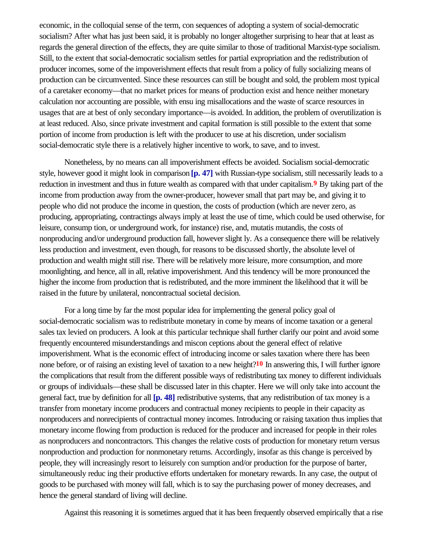economic, in the colloquial sense of the term, con sequences of adopting a system of social-democratic socialism? After what has just been said, it is probably no longer altogether surprising to hear that at least as regards the general direction of the effects, they are quite similar to those of traditional Marxist-type socialism. Still, to the extent that social-democratic socialism settles for partial expropriation and the redistribution of producer incomes, some of the impoverishment effects that result from a policy of fully socializing means of production can be circumvented. Since these resources can still be bought and sold, the problem most typical of a caretaker economy—that no market prices for means of production exist and hence neither monetary calculation nor accounting are possible, with ensu ing misallocations and the waste of scarce resources in usages that are at best of only secondary importance—is avoided. In addition, the problem of overutilization is at least reduced. Also, since private investment and capital formation is still possible to the extent that some portion of income from production is left with the producer to use at his discretion, under socialism social-democratic style there is a relatively higher incentive to work, to save, and to invest.

 Nonetheless, by no means can all impoverishment effects be avoided. Socialism social-democratic style, however good it might look in comparison **[p. 47]** with Russian-type socialism, still necessarily leads to a reduction in investment and thus in future wealth as compared with that under capitalism.**9** By taking part of the income from production away from the owner-producer, however small that part may be, and giving it to people who did not produce the income in question, the costs of production (which are never zero, as producing, appropriating, contractings always imply at least the use of time, which could be used otherwise, for leisure, consump tion, or underground work, for instance) rise, and, mutatis mutandis, the costs of nonproducing and/or underground production fall, however slight ly. As a consequence there will be relatively less production and investment, even though, for reasons to be discussed shortly, the absolute level of production and wealth might still rise. There will be relatively more leisure, more consumption, and more moonlighting, and hence, all in all, relative impoverishment. And this tendency will be more pronounced the higher the income from production that is redistributed, and the more imminent the likelihood that it will be raised in the future by unilateral, noncontractual societal decision.

 For a long time by far the most popular idea for implementing the general policy goal of social-democratic socialism was to redistribute monetary in come by means of income taxation or a general sales tax levied on producers. A look at this particular technique shall further clarify our point and avoid some frequently encountered misunderstandings and miscon ceptions about the general effect of relative impoverishment. What is the economic effect of introducing income or sales taxation where there has been none before, or of raising an existing level of taxation to a new height?**10** In answering this, I will further ignore the complications that result from the different possible ways of redistributing tax money to different individuals or groups of individuals—these shall be discussed later in this chapter. Here we will only take into account the general fact, true by definition for all **[p. 48]** redistributive systems, that any redistribution of tax money is a transfer from monetary income producers and contractual money recipients to people in their capacity as nonproducers and nonrecipients of contractual money incomes. Introducing or raising taxation thus implies that monetary income flowing from production is reduced for the producer and increased for people in their roles as nonproducers and noncontractors. This changes the relative costs of production for monetary return versus nonproduction and production for nonmonetary returns. Accordingly, insofar as this change is perceived by people, they will increasingly resort to leisurely con sumption and/or production for the purpose of barter, simultaneously reduc ing their productive efforts undertaken for monetary rewards. In any case, the output of goods to be purchased with money will fall, which is to say the purchasing power of money decreases, and hence the general standard of living will decline.

Against this reasoning it is sometimes argued that it has been frequently observed empirically that a rise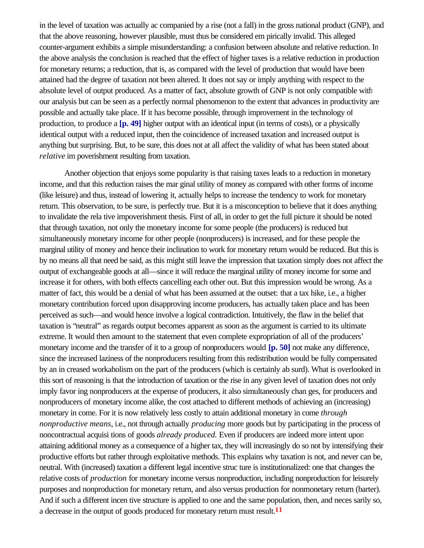in the level of taxation was actually ac companied by a rise (not a fall) in the gross national product (GNP), and that the above reasoning, however plausible, must thus be considered em pirically invalid. This alleged counter-argument exhibits a simple misunderstanding: a confusion between absolute and relative reduction. In the above analysis the conclusion is reached that the effect of higher taxes is a relative reduction in production for monetary returns; a reduction, that is, as compared with the level of production that would have been attained had the degree of taxation not been altered. It does not say or imply anything with respect to the absolute level of output produced. As a matter of fact, absolute growth of GNP is not only compatible with our analysis but can be seen as a perfectly normal phenomenon to the extent that advances in productivity are possible and actually take place. If it has become possible, through improvement in the technology of production, to produce a **[p. 49]** higher output with an identical input (in terms of costs), or a physically identical output with a reduced input, then the coincidence of increased taxation and increased output is anything but surprising. But, to be sure, this does not at all affect the validity of what has been stated about *relative* im poverishment resulting from taxation.

 Another objection that enjoys some popularity is that raising taxes leads to a reduction in monetary income, and that this reduction raises the mar ginal utility of money as compared with other forms of income (like leisure) and thus, instead of lowering it, actually helps to increase the tendency to work for monetary return. This observation, to be sure, is perfectly true. But it is a misconception to believe that it does anything to invalidate the rela tive impoverishment thesis. First of all, in order to get the full picture it should be noted that through taxation, not only the monetary income for some people (the producers) is reduced but simultaneously monetary income for other people (nonproducers) is increased, and for these people the marginal utility of money and hence their inclination to work for monetary return would be reduced. But this is by no means all that need be said, as this might still leave the impression that taxation simply does not affect the output of exchangeable goods at all—since it will reduce the marginal utility of money income for some and increase it for others, with both effects cancelling each other out. But this impression would be wrong. As a matter of fact, this would be a denial of what has been assumed at the outset: that a tax hike, i.e., a higher monetary contribution forced upon disapproving income producers, has actually taken place and has been perceived as such—and would hence involve a logical contradiction. Intuitively, the flaw in the belief that taxation is "neutral" as regards output becomes apparent as soon as the argument is carried to its ultimate extreme. It would then amount to the statement that even complete expropriation of all of the producers' monetary income and the transfer of it to a group of nonproducers would **[p. 50]** not make any difference, since the increased laziness of the nonproducers resulting from this redistribution would be fully compensated by an in creased workaholism on the part of the producers (which is certainly ab surd). What is overlooked in this sort of reasoning is that the introduction of taxation or the rise in any given level of taxation does not only imply favor ing nonproducers at the expense of producers, it also simultaneously chan ges, for producers and nonproducers of monetary income alike, the cost attached to different methods of achieving an (increasing) monetary in come. For it is now relatively less costly to attain additional monetary in come *through nonproductive means*, i.e., not through actually *producing* more goods but by participating in the process of noncontractual acquisi tions of goods *already produced.* Even if producers are indeed more intent upon attaining additional money as a consequence of a higher tax, they will increasingly do so not by intensifying their productive efforts but rather through exploitative methods. This explains why taxation is not, and never can be, neutral. With (increased) taxation a different legal incentive struc ture is institutionalized: one that changes the relative costs of *production* for monetary income versus nonproduction, including nonproduction for leisurely purposes and nonproduction for monetary return, and also versus production for nonmonetary return (barter). And if such a different incen tive structure is applied to one and the same population, then, and neces sarily so, a decrease in the output of goods produced for monetary return must result.**11**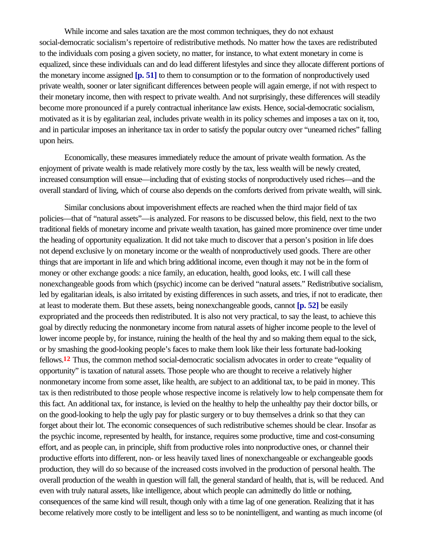While income and sales taxation are the most common techniques, they do not exhaust social-democratic socialism's repertoire of redistributive methods. No matter how the taxes are redistributed to the individuals com posing a given society, no matter, for instance, to what extent monetary in come is equalized, since these individuals can and do lead different lifestyles and since they allocate different portions of the monetary income assigned **[p. 51]** to them to consumption or to the formation of nonproductively used private wealth, sooner or later significant differences between people will again emerge, if not with respect to their monetary income, then with respect to private wealth. And not surprisingly, these differences will steadily become more pronounced if a purely contractual inheritance law exists. Hence, social-democratic socialism, motivated as it is by egalitarian zeal, includes private wealth in its policy schemes and imposes a tax on it, too, and in particular imposes an inheritance tax in order to satisfy the popular outcry over "unearned riches" falling upon heirs.

 Economically, these measures immediately reduce the amount of private wealth formation. As the enjoyment of private wealth is made relatively more costly by the tax, less wealth will be newly created, increased consumption will ensue—including that of existing stocks of nonproductively used riches—and the overall standard of living, which of course also depends on the comforts derived from private wealth, will sink.

 Similar conclusions about impoverishment effects are reached when the third major field of tax policies—that of "natural assets"—is analyzed. For reasons to be discussed below, this field, next to the two traditional fields of monetary income and private wealth taxation, has gained more prominence over time under the heading of opportunity equalization. It did not take much to discover that a person's position in life does not depend exclusive ly on monetary income or the wealth of nonproductively used goods. There are other things that are important in life and which bring additional income, even though it may not be in the form of money or other exchange goods: a nice family, an education, health, good looks, etc. I will call these nonexchangeable goods from which (psychic) income can be derived "natural assets." Redistributive socialism, led by egalitarian ideals, is also irritated by existing differences in such assets, and tries, if not to eradicate, then at least to moderate them. But these assets, being nonexchangeable goods, cannot **[p. 52]** be easily expropriated and the proceeds then redistributed. It is also not very practical, to say the least, to achieve this goal by directly reducing the nonmonetary income from natural assets of higher income people to the level of lower income people by, for instance, ruining the health of the heal thy and so making them equal to the sick, or by smashing the good-looking people's faces to make them look like their less fortunate bad-looking fellows.**12** Thus, the common method social-democratic socialism advocates in order to create "equality of opportunity" is taxation of natural assets. Those people who are thought to receive a relatively higher nonmonetary income from some asset, like health, are subject to an additional tax, to be paid in money. This tax is then redistributed to those people whose respective income is relatively low to help compensate them for this fact. An additional tax, for instance, is levied on the healthy to help the unhealthy pay their doctor bills, or on the good-looking to help the ugly pay for plastic surgery or to buy themselves a drink so that they can forget about their lot. The economic consequences of such redistributive schemes should be clear. Insofar as the psychic income, represented by health, for instance, requires some productive, time and cost-consuming effort, and as people can, in principle, shift from productive roles into nonproductive ones, or channel their productive efforts into different, non- or less heavily taxed lines of nonexchangeable or exchangeable goods production, they will do so because of the increased costs involved in the production of personal health. The overall production of the wealth in question will fall, the general standard of health, that is, will be reduced. And even with truly natural assets, like intelligence, about which people can admittedly do little or nothing, consequences of the same kind will result, though only with a time lag of one generation. Realizing that it has become relatively more costly to be intelligent and less so to be nonintelligent, and wanting as much income (of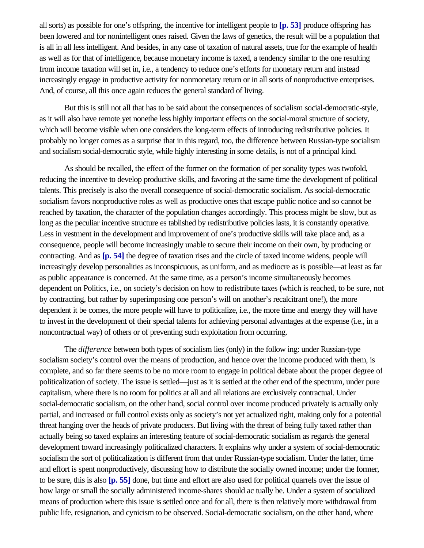all sorts) as possible for one's offspring, the incentive for intelligent people to **[p. 53]** produce offspring has been lowered and for nonintelligent ones raised. Given the laws of genetics, the result will be a population that is all in all less intelligent. And besides, in any case of taxation of natural assets, true for the example of health as well as for that of intelligence, because monetary income is taxed, a tendency similar to the one resulting from income taxation will set in, i.e., a tendency to reduce one's efforts for monetary return and instead increasingly engage in productive activity for nonmonetary return or in all sorts of nonproductive enterprises. And, of course, all this once again reduces the general standard of living.

 But this is still not all that has to be said about the consequences of socialism social-democratic-style, as it will also have remote yet nonethe less highly important effects on the social-moral structure of society, which will become visible when one considers the long-term effects of introducing redistributive policies. It probably no longer comes as a surprise that in this regard, too, the difference between Russian-type socialism and socialism social-democratic style, while highly interesting in some details, is not of a principal kind.

 As should be recalled, the effect of the former on the formation of per sonality types was twofold, reducing the incentive to develop productive skills, and favoring at the same time the development of political talents. This precisely is also the overall consequence of social-democratic socialism. As social-democratic socialism favors nonproductive roles as well as productive ones that escape public notice and so cannot be reached by taxation, the character of the population changes accordingly. This process might be slow, but as long as the peculiar incentive structure es tablished by redistributive policies lasts, it is constantly operative. Less in vestment in the development and improvement of one's productive skills will take place and, as a consequence, people will become increasingly unable to secure their income on their own, by producing or contracting. And as **[p. 54]** the degree of taxation rises and the circle of taxed income widens, people will increasingly develop personalities as inconspicuous, as uniform, and as mediocre as is possible—at least as far as public appearance is concerned. At the same time, as a person's income simultaneously becomes dependent on Politics, i.e., on society's decision on how to redistribute taxes (which is reached, to be sure, not by contracting, but rather by superimposing one person's will on another's recalcitrant one!), the more dependent it be comes, the more people will have to politicalize, i.e., the more time and energy they will have to invest in the development of their special talents for achieving personal advantages at the expense (i.e., in a noncontractual way) of others or of preventing such exploitation from occurring.

 The *difference* between both types of socialism lies (only) in the follow ing: under Russian-type socialism society's control over the means of production, and hence over the income produced with them, is complete, and so far there seems to be no more room to engage in political debate about the proper degree of politicalization of society. The issue is settled—just as it is settled at the other end of the spectrum, under pure capitalism, where there is no room for politics at all and all relations are exclusively contractual. Under social-democratic socialism, on the other hand, social control over income produced privately is actually only partial, and increased or full control exists only as society's not yet actualized right, making only for a potential threat hanging over the heads of private producers. But living with the threat of being fully taxed rather than actually being so taxed explains an interesting feature of social-democratic socialism as regards the general development toward increasingly politicalized characters. It explains why under a system of social-democratic socialism the sort of politicalization is different from that under Russian-type socialism. Under the latter, time and effort is spent nonproductively, discussing how to distribute the socially owned income; under the former, to be sure, this is also **[p. 55]** done, but time and effort are also used for political quarrels over the issue of how large or small the socially administered income-shares should ac tually be. Under a system of socialized means of production where this issue is settled once and for all, there is then relatively more withdrawal from public life, resignation, and cynicism to be observed. Social-democratic socialism, on the other hand, where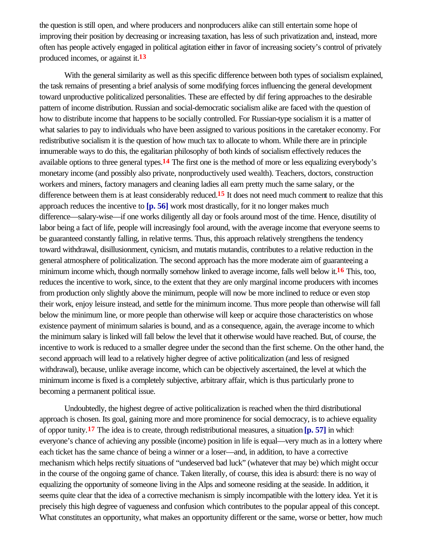the question is still open, and where producers and nonproducers alike can still entertain some hope of improving their position by decreasing or increasing taxation, has less of such privatization and, instead, more often has people actively engaged in political agitation either in favor of increasing society's control of privately produced incomes, or against it.**13**

With the general similarity as well as this specific difference between both types of socialism explained, the task remains of presenting a brief analysis of some modifying forces influencing the general development toward unproductive politicalized personalities. These are effected by dif fering approaches to the desirable pattern of income distribution. Russian and social-democratic socialism alike are faced with the question of how to distribute income that happens to be socially controlled. For Russian-type socialism it is a matter of what salaries to pay to individuals who have been assigned to various positions in the caretaker economy. For redistributive socialism it is the question of how much tax to allocate to whom. While there are in principle innumerable ways to do this, the egalitarian philosophy of both kinds of socialism effectively reduces the available options to three general types.**14** The first one is the method of more or less equalizing everybody's monetary income (and possibly also private, nonproductively used wealth). Teachers, doctors, construction workers and miners, factory managers and cleaning ladies all earn pretty much the same salary, or the difference between them is at least considerably reduced.**15** It does not need much comment to realize that this approach reduces the incentive to **[p. 56]** work most drastically, for it no longer makes much difference—salary-wise—if one works diligently all day or fools around most of the time. Hence, disutility of labor being a fact of life, people will increasingly fool around, with the average income that everyone seems to be guaranteed constantly falling, in relative terms. Thus, this approach relatively strengthens the tendency toward withdrawal, disillusionment, cynicism, and mutatis mutandis, contributes to a relative reduction in the general atmosphere of politicalization. The second approach has the more moderate aim of guaranteeing a minimum income which, though normally somehow linked to average income, falls well below it.**16** This, too, reduces the incentive to work, since, to the extent that they are only marginal income producers with incomes from production only slightly above the minimum, people will now be more inclined to reduce or even stop their work, enjoy leisure instead, and settle for the minimum income. Thus more people than otherwise will fall below the minimum line, or more people than otherwise will keep or acquire those characteristics on whose existence payment of minimum salaries is bound, and as a consequence, again, the average income to which the minimum salary is linked will fall below the level that it otherwise would have reached. But, of course, the incentive to work is reduced to a smaller degree under the second than the first scheme. On the other hand, the second approach will lead to a relatively higher degree of active politicalization (and less of resigned withdrawal), because, unlike average income, which can be objectively ascertained, the level at which the minimum income is fixed is a completely subjective, arbitrary affair, which is thus particularly prone to becoming a permanent political issue.

 Undoubtedly, the highest degree of active politicalization is reached when the third distributional approach is chosen. Its goal, gaining more and more prominence for social democracy, is to achieve equality of oppor tunity.**17** The idea is to create, through redistributional measures, a situation **[p. 57]** in which everyone's chance of achieving any possible (income) position in life is equal—very much as in a lottery where each ticket has the same chance of being a winner or a loser—and, in addition, to have a corrective mechanism which helps rectify situations of "undeserved bad luck" (whatever that may be) which might occur in the course of the ongoing game of chance. Taken literally, of course, this idea is absurd: there is no way of equalizing the opportunity of someone living in the Alps and someone residing at the seaside. In addition, it seems quite clear that the idea of a corrective mechanism is simply incompatible with the lottery idea. Yet it is precisely this high degree of vagueness and confusion which contributes to the popular appeal of this concept. What constitutes an opportunity, what makes an opportunity different or the same, worse or better, how much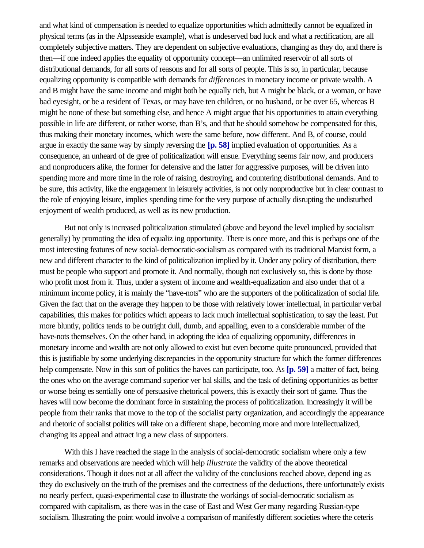and what kind of compensation is needed to equalize opportunities which admittedly cannot be equalized in physical terms (as in the Alpsseaside example), what is undeserved bad luck and what a rectification, are all completely subjective matters. They are dependent on subjective evaluations, changing as they do, and there is then—if one indeed applies the equality of opportunity concept—an unlimited reservoir of all sorts of distributional demands, for all sorts of reasons and for all sorts of people. This is so, in particular, because equalizing opportunity is compatible with demands for *differences* in monetary income or private wealth. A and B might have the same income and might both be equally rich, but A might be black, or a woman, or have bad eyesight, or be a resident of Texas, or may have ten children, or no husband, or be over 65, whereas B might be none of these but something else, and hence A might argue that his opportunities to attain everything possible in life are different, or rather worse, than B's, and that he should somehow be compensated for this, thus making their monetary incomes, which were the same before, now different. And B, of course, could argue in exactly the same way by simply reversing the **[p. 58]** implied evaluation of opportunities. As a consequence, an unheard of de gree of politicalization will ensue. Everything seems fair now, and producers and nonproducers alike, the former for defensive and the latter for aggressive purposes, will be driven into spending more and more time in the role of raising, destroying, and countering distributional demands. And to be sure, this activity, like the engagement in leisurely activities, is not only nonproductive but in clear contrast to the role of enjoying leisure, implies spending time for the very purpose of actually disrupting the undisturbed enjoyment of wealth produced, as well as its new production.

 But not only is increased politicalization stimulated (above and beyond the level implied by socialism generally) by promoting the idea of equaliz ing opportunity. There is once more, and this is perhaps one of the most interesting features of new social-democratic-socialism as compared with its traditional Marxist form, a new and different character to the kind of politicalization implied by it. Under any policy of distribution, there must be people who support and promote it. And normally, though not exclusively so, this is done by those who profit most from it. Thus, under a system of income and wealth-equalization and also under that of a minimum income policy, it is mainly the "have-nots" who are the supporters of the politicalization of social life. Given the fact that on the average they happen to be those with relatively lower intellectual, in particular verbal capabilities, this makes for politics which appears to lack much intellectual sophistication, to say the least. Put more bluntly, politics tends to be outright dull, dumb, and appalling, even to a considerable number of the have-nots themselves. On the other hand, in adopting the idea of equalizing opportunity, differences in monetary income and wealth are not only allowed to exist but even become quite pronounced, provided that this is justifiable by some underlying discrepancies in the opportunity structure for which the former differences help compensate. Now in this sort of politics the haves can participate, too. As **[p. 59]** a matter of fact, being the ones who on the average command superior ver bal skills, and the task of defining opportunities as better or worse being es sentially one of persuasive rhetorical powers, this is exactly their sort of game. Thus the haves will now become the dominant force in sustaining the process of politicalization. Increasingly it will be people from their ranks that move to the top of the socialist party organization, and accordingly the appearance and rhetoric of socialist politics will take on a different shape, becoming more and more intellectualized, changing its appeal and attract ing a new class of supporters.

With this I have reached the stage in the analysis of social-democratic socialism where only a few remarks and observations are needed which will help *illustrate* the validity of the above theoretical considerations. Though it does not at all affect the validity of the conclusions reached above, depend ing as they do exclusively on the truth of the premises and the correctness of the deductions, there unfortunately exists no nearly perfect, quasi-experimental case to illustrate the workings of social-democratic socialism as compared with capitalism, as there was in the case of East and West Ger many regarding Russian-type socialism. Illustrating the point would involve a comparison of manifestly different societies where the ceteris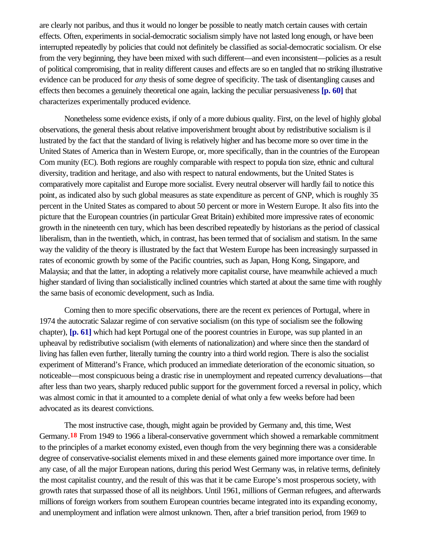are clearly not paribus, and thus it would no longer be possible to neatly match certain causes with certain effects. Often, experiments in social-democratic socialism simply have not lasted long enough, or have been interrupted repeatedly by policies that could not definitely be classified as social-democratic socialism. Or else from the very beginning, they have been mixed with such different—and even inconsistent—policies as a result of political compromising, that in reality different causes and effects are so en tangled that no striking illustrative evidence can be produced for *any* thesis of some degree of specificity. The task of disentangling causes and effects then becomes a genuinely theoretical one again, lacking the peculiar persuasiveness **[p. 60]** that characterizes experimentally produced evidence.

 Nonetheless some evidence exists, if only of a more dubious quality. First, on the level of highly global observations, the general thesis about relative impoverishment brought about by redistributive socialism is il lustrated by the fact that the standard of living is relatively higher and has become more so over time in the United States of America than in Western Europe, or, more specifically, than in the countries of the European Com munity (EC). Both regions are roughly comparable with respect to popula tion size, ethnic and cultural diversity, tradition and heritage, and also with respect to natural endowments, but the United States is comparatively more capitalist and Europe more socialist. Every neutral observer will hardly fail to notice this point, as indicated also by such global measures as state expenditure as percent of GNP, which is roughly 35 percent in the United States as compared to about 50 percent or more in Western Europe. It also fits into the picture that the European countries (in particular Great Britain) exhibited more impressive rates of economic growth in the nineteenth cen tury, which has been described repeatedly by historians as the period of classical liberalism, than in the twentieth, which, in contrast, has been termed that of socialism and statism. In the same way the validity of the theory is illustrated by the fact that Western Europe has been increasingly surpassed in rates of economic growth by some of the Pacific countries, such as Japan, Hong Kong, Singapore, and Malaysia; and that the latter, in adopting a relatively more capitalist course, have meanwhile achieved a much higher standard of living than socialistically inclined countries which started at about the same time with roughly the same basis of economic development, such as India.

 Coming then to more specific observations, there are the recent ex periences of Portugal, where in 1974 the autocratic Salazar regime of con servative socialism (on this type of socialism see the following chapter), **[p. 61]** which had kept Portugal one of the poorest countries in Europe, was sup planted in an upheaval by redistributive socialism (with elements of nationalization) and where since then the standard of living has fallen even further, literally turning the country into a third world region. There is also the socialist experiment of Mitterand's France, which produced an immediate deterioration of the economic situation, so noticeable—most conspicuous being a drastic rise in unemployment and repeated currency devaluations—that after less than two years, sharply reduced public support for the government forced a reversal in policy, which was almost comic in that it amounted to a complete denial of what only a few weeks before had been advocated as its dearest convictions.

 The most instructive case, though, might again be provided by Germany and, this time, West Germany.**18** From 1949 to 1966 a liberal-conservative government which showed a remarkable commitment to the principles of a market economy existed, even though from the very beginning there was a considerable degree of conservative-socialist elements mixed in and these elements gained more importance over time. In any case, of all the major European nations, during this period West Germany was, in relative terms, definitely the most capitalist country, and the result of this was that it be came Europe's most prosperous society, with growth rates that surpassed those of all its neighbors. Until 1961, millions of German refugees, and afterwards millions of foreign workers from southern European countries became integrated into its expanding economy, and unemployment and inflation were almost unknown. Then, after a brief transition period, from 1969 to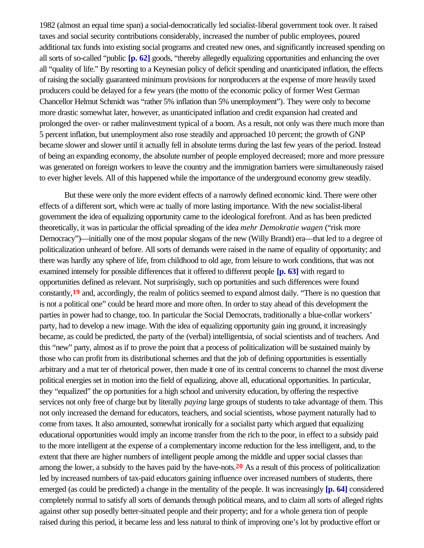1982 (almost an equal time span) a social-democratically led socialist-liberal government took over. It raised taxes and social security contributions considerably, increased the number of public employees, poured additional tax funds into existing social programs and created new ones, and significantly increased spending on all sorts of so-called "public **[p. 62]** goods, "thereby allegedly equalizing opportunities and enhancing the over all "quality of life." By resorting to a Keynesian policy of deficit spending and unanticipated inflation, the effects of raising the socially guaranteed minimum provisions for nonproducers at the expense of more heavily taxed producers could be delayed for a few years (the motto of the economic policy of former West German Chancellor Helmut Schmidt was "rather 5% inflation than 5% unemployment"). They were only to become more drastic somewhat later, however, as unanticipated inflation and credit expansion had created and prolonged the over- or rather malinvestment typical of a boom. As a result, not only was there much more than 5 percent inflation, but unemployment also rose steadily and approached 10 percent; the growth of GNP became slower and slower until it actually fell in absolute terms during the last few years of the period. Instead of being an expanding economy, the absolute number of people employed decreased; more and more pressure was generated on foreign workers to leave the country and the immigration barriers were simultaneously raised to ever higher levels. All of this happened while the importance of the underground economy grew steadily.

 But these were only the more evident effects of a narrowly defined economic kind. There were other effects of a different sort, which were ac tually of more lasting importance. With the new socialist-liberal government the idea of equalizing opportunity came to the ideological forefront. And as has been predicted theoretically, it was in particular the official spreading of the idea *mehr Demokratie wagen* ("risk more Democracy")—initially one of the most popular slogans of the new (Willy Brandt) era—that led to a degree of politicalization unheard of before. All sorts of demands were raised in the name of equality of opportunity; and there was hardly any sphere of life, from childhood to old age, from leisure to work conditions, that was not examined intensely for possible differences that it offered to different people **[p. 63]** with regard to opportunities defined as relevant. Not surprisingly, such op portunities and such differences were found constantly,**19** and, accordingly, the realm of politics seemed to expand almost daily. "There is no question that is not a political one" could be heard more and more often. In order to stay ahead of this development the parties in power had to change, too. In particular the Social Democrats, traditionally a blue-collar workers' party, had to develop a new image. With the idea of equalizing opportunity gain ing ground, it increasingly became, as could be predicted, the party of the (verbal) intelligentsia, of social scientists and of teachers. And this "new" party, almost as if to prove the point that a process of politicalization will be sustained mainly by those who can profit from its distributional schemes and that the job of defining opportunities is essentially arbitrary and a mat ter of rhetorical power, then made it one of its central concerns to channel the most diverse political energies set in motion into the field of equalizing, above all, educational opportunities. In particular, they "equalized" the op portunities for a high school and university education, by offering the respective services not only free of charge but by literally *paying* large groups of students to take advantage of them. This not only increased the demand for educators, teachers, and social scientists, whose payment naturally had to come from taxes. It also amounted, somewhat ironically for a socialist party which argued that equalizing educational opportunities would imply an income transfer from the rich to the poor, in effect to a subsidy paid to the more intelligent at the expense of a complementary income reduction for the less intelligent, and, to the extent that there are higher numbers of intelligent people among the middle and upper social classes than among the lower, a subsidy to the haves paid by the have-nots.**20** As a result of this process of politicalization led by increased numbers of tax-paid educators gaining influence over increased numbers of students, there emerged (as could be predicted) a change in the mentality of the people. It was increasingly **[p. 64]** considered completely normal to satisfy all sorts of demands through political means, and to claim all sorts of alleged rights against other sup posedly better-situated people and their property; and for a whole genera tion of people raised during this period, it became less and less natural to think of improving one's lot by productive effort or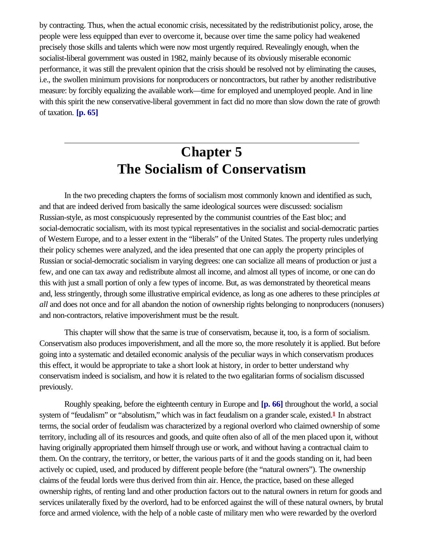by contracting. Thus, when the actual economic crisis, necessitated by the redistributionist policy, arose, the people were less equipped than ever to overcome it, because over time the same policy had weakened precisely those skills and talents which were now most urgently required. Revealingly enough, when the socialist-liberal government was ousted in 1982, mainly because of its obviously miserable economic performance, it was still the prevalent opinion that the crisis should be resolved not by eliminating the causes, i.e., the swollen minimum provisions for nonproducers or noncontractors, but rather by another redistributive measure: by forcibly equalizing the available work—time for employed and unemployed people. And in line with this spirit the new conservative-liberal government in fact did no more than slow down the rate of growth of taxation. **[p. 65]**

# **Chapter 5 The Socialism of Conservatism**

 In the two preceding chapters the forms of socialism most commonly known and identified as such, and that are indeed derived from basically the same ideological sources were discussed: socialism Russian-style, as most conspicuously represented by the communist countries of the East bloc; and social-democratic socialism, with its most typical representatives in the socialist and social-democratic parties of Western Europe, and to a lesser extent in the "liberals" of the United States. The property rules underlying their policy schemes were analyzed, and the idea presented that one can apply the property principles of Russian or social-democratic socialism in varying degrees: one can socialize all means of production or just a few, and one can tax away and redistribute almost all income, and almost all types of income, or one can do this with just a small portion of only a few types of income. But, as was demonstrated by theoretical means and, less stringently, through some illustrative empirical evidence, as long as one adheres to these principles *at all* and does not once and for all abandon the notion of ownership rights belonging to nonproducers (nonusers) and non-contractors, relative impoverishment must be the result.

 This chapter will show that the same is true of conservatism, because it, too, is a form of socialism. Conservatism also produces impoverishment, and all the more so, the more resolutely it is applied. But before going into a systematic and detailed economic analysis of the peculiar ways in which conservatism produces this effect, it would be appropriate to take a short look at history, in order to better understand why conservatism indeed is socialism, and how it is related to the two egalitarian forms of socialism discussed previously.

 Roughly speaking, before the eighteenth century in Europe and **[p. 66]** throughout the world, a social system of "feudalism" or "absolutism," which was in fact feudalism on a grander scale, existed.**1** In abstract terms, the social order of feudalism was characterized by a regional overlord who claimed ownership of some territory, including all of its resources and goods, and quite often also of all of the men placed upon it, without having originally appropriated them himself through use or work, and without having a contractual claim to them. On the contrary, the territory, or better, the various parts of it and the goods standing on it, had been actively oc cupied, used, and produced by different people before (the "natural owners"). The ownership claims of the feudal lords were thus derived from thin air. Hence, the practice, based on these alleged ownership rights, of renting land and other production factors out to the natural owners in return for goods and services unilaterally fixed by the overlord, had to be enforced against the will of these natural owners, by brutal force and armed violence, with the help of a noble caste of military men who were rewarded by the overlord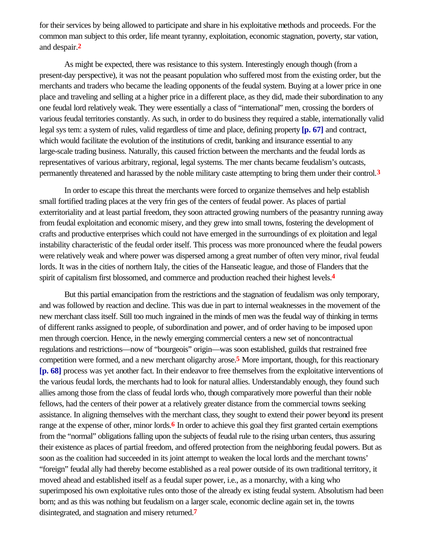for their services by being allowed to participate and share in his exploitative methods and proceeds. For the common man subject to this order, life meant tyranny, exploitation, economic stagnation, poverty, star vation, and despair.**2**

 As might be expected, there was resistance to this system. Interestingly enough though (from a present-day perspective), it was not the peasant population who suffered most from the existing order, but the merchants and traders who became the leading opponents of the feudal system. Buying at a lower price in one place and traveling and selling at a higher price in a different place, as they did, made their subordination to any one feudal lord relatively weak. They were essentially a class of "international" men, crossing the borders of various feudal territories constantly. As such, in order to do business they required a stable, internationally valid legal sys tem: a system of rules, valid regardless of time and place, defining property **[p. 67]** and contract, which would facilitate the evolution of the institutions of credit, banking and insurance essential to any large-scale trading business. Naturally, this caused friction between the merchants and the feudal lords as representatives of various arbitrary, regional, legal systems. The mer chants became feudalism's outcasts, permanently threatened and harassed by the noble military caste attempting to bring them under their control.**3**

 In order to escape this threat the merchants were forced to organize themselves and help establish small fortified trading places at the very frin ges of the centers of feudal power. As places of partial exterritoriality and at least partial freedom, they soon attracted growing numbers of the peasantry running away from feudal exploitation and economic misery, and they grew into small towns, fostering the development of crafts and productive enterprises which could not have emerged in the surroundings of ex ploitation and legal instability characteristic of the feudal order itself. This process was more pronounced where the feudal powers were relatively weak and where power was dispersed among a great number of often very minor, rival feudal lords. It was in the cities of northern Italy, the cities of the Hanseatic league, and those of Flanders that the spirit of capitalism first blossomed, and commerce and production reached their highest levels.**4**

 But this partial emancipation from the restrictions and the stagnation of feudalism was only temporary, and was followed by reaction and decline. This was due in part to internal weaknesses in the movement of the new merchant class itself. Still too much ingrained in the minds of men was the feudal way of thinking in terms of different ranks assigned to people, of subordination and power, and of order having to be imposed upon men through coercion. Hence, in the newly emerging commercial centers a new set of noncontractual regulations and restrictions—now of "bourgeois" origin—was soon established, guilds that restrained free competition were formed, and a new merchant oligarchy arose.**5** More important, though, for this reactionary **[p. 68]** process was yet another fact. In their endeavor to free themselves from the exploitative interventions of the various feudal lords, the merchants had to look for natural allies. Understandably enough, they found such allies among those from the class of feudal lords who, though comparatively more powerful than their noble fellows, had the centers of their power at a relatively greater distance from the commercial towns seeking assistance. In aligning themselves with the merchant class, they sought to extend their power beyond its present range at the expense of other, minor lords.**6** In order to achieve this goal they first granted certain exemptions from the "normal" obligations falling upon the subjects of feudal rule to the rising urban centers, thus assuring their existence as places of partial freedom, and offered protection from the neighboring feudal powers. But as soon as the coalition had succeeded in its joint attempt to weaken the local lords and the merchant towns' "foreign" feudal ally had thereby become established as a real power outside of its own traditional territory, it moved ahead and established itself as a feudal super power, i.e., as a monarchy, with a king who superimposed his own exploitative rules onto those of the already ex isting feudal system. Absolutism had been born; and as this was nothing but feudalism on a larger scale, economic decline again set in, the towns disintegrated, and stagnation and misery returned.**7**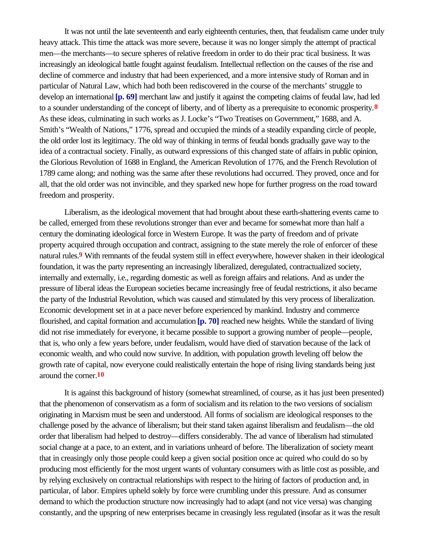It was not until the late seventeenth and early eighteenth centuries, then, that feudalism came under truly heavy attack. This time the attack was more severe, because it was no longer simply the attempt of practical men—the merchants—to secure spheres of relative freedom in order to do their prac tical business. It was increasingly an ideological battle fought against feudalism. Intellectual reflection on the causes of the rise and decline of commerce and industry that had been experienced, and a more intensive study of Roman and in particular of Natural Law, which had both been rediscovered in the course of the merchants' struggle to develop an international**[p. 69]** merchant law and justify it against the competing claims of feudal law, had led to a sounder understanding of the concept of liberty, and of liberty as a prerequisite to economic prosperity.**8** As these ideas, culminating in such works as J. Locke's "Two Treatises on Government," 1688, and A. Smith's "Wealth of Nations," 1776, spread and occupied the minds of a steadily expanding circle of people, the old order lost its legitimacy. The old way of thinking in terms of feudal bonds gradually gave way to the idea of a contractual society. Finally, as outward expressions of this changed state of affairs in public opinion, the Glorious Revolution of 1688 in England, the American Revolution of 1776, and the French Revolution of 1789 came along; and nothing was the same after these revolutions had occurred. They proved, once and for all, that the old order was not invincible, and they sparked new hope for further progress on the road toward freedom and prosperity.

 Liberalism, as the ideological movement that had brought about these earth-shattering events came to be called, emerged from these revolutions stronger than ever and became for somewhat more than half a century the dominating ideological force in Western Europe. It was the party of freedom and of private property acquired through occupation and contract, assigning to the state merely the role of enforcer of these natural rules.**9** With remnants of the feudal system still in effect everywhere, however shaken in their ideological foundation, it was the party representing an increasingly liberalized, deregulated, contractualized society, internally and externally, i.e., regarding domestic as well as foreign affairs and relations. And as under the pressure of liberal ideas the European societies became increasingly free of feudal restrictions, it also became the party of the Industrial Revolution, which was caused and stimulated by this very process of liberalization. Economic development set in at a pace never before experienced by mankind. Industry and commerce flourished, and capital formation and accumulation **[p. 70]** reached new heights. While the standard of living did not rise immediately for everyone, it became possible to support a growing number of people—people, that is, who only a few years before, under feudalism, would have died of starvation because of the lack of economic wealth, and who could now survive. In addition, with population growth leveling off below the growth rate of capital, now everyone could realistically entertain the hope of rising living standards being just around the corner.**10**

 It is against this background of history (somewhat streamlined, of course, as it has just been presented) that the phenomenon of conservatism as a form of socialism and its relation to the two versions of socialism originating in Marxism must be seen and understood. All forms of socialism are ideological responses to the challenge posed by the advance of liberalism; but their stand taken against liberalism and feudalism—the old order that liberalism had helped to destroy—differs considerably. The ad vance of liberalism had stimulated social change at a pace, to an extent, and in variations unheard of before. The liberalization of society meant that in creasingly only those people could keep a given social position once ac quired who could do so by producing most efficiently for the most urgent wants of voluntary consumers with as little cost as possible, and by relying exclusively on contractual relationships with respect to the hiring of factors of production and, in particular, of labor. Empires upheld solely by force were crumbling under this pressure. And as consumer demand to which the production structure now increasingly had to adapt (and not vice versa) was changing constantly, and the upspring of new enterprises became in creasingly less regulated (insofar as it was the result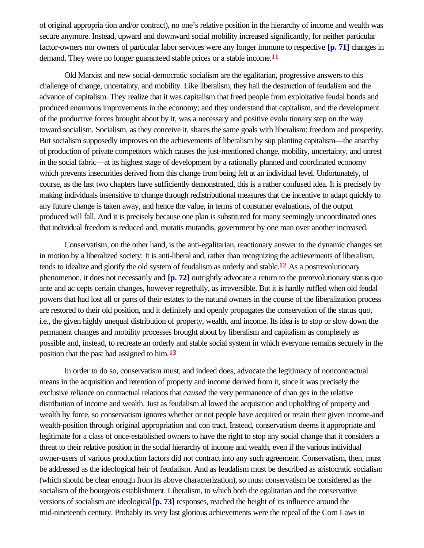of original appropria tion and/or contract), no one's relative position in the hierarchy of income and wealth was secure anymore. Instead, upward and downward social mobility increased significantly, for neither particular factor-owners nor owners of particular labor services were any longer immune to respective **[p. 71]** changes in demand. They were no longer guaranteed stable prices or a stable income.**11**

 Old Marxist and new social-democratic socialism are the egalitarian, progressive answers to this challenge of change, uncertainty, and mobility. Like liberalism, they hail the destruction of feudalism and the advance of capitalism. They realize that it was capitalism that freed people from exploitative feudal bonds and produced enormous improvements in the economy; and they understand that capitalism, and the development of the productive forces brought about by it, was a necessary and positive evolu tionary step on the way toward socialism. Socialism, as they conceive it, shares the same goals with liberalism: freedom and prosperity. But socialism supposedly improves on the achievements of liberalism by sup planting capitalism—the anarchy of production of private competitors which causes the just-mentioned change, mobility, uncertainty, and unrest in the social fabric—at its highest stage of development by a rationally planned and coordinated economy which prevents insecurities derived from this change from being felt at an individual level. Unfortunately, of course, as the last two chapters have sufficiently demonstrated, this is a rather confused idea. It is precisely by making individuals insensitive to change through redistributional measures that the incentive to adapt quickly to any future change is taken away, and hence the value, in terms of consumer evaluations, of the output produced will fall. And it is precisely because one plan is substituted for many seemingly uncoordinated ones that individual freedom is reduced and, mutatis mutandis, government by one man over another increased.

 Conservatism, on the other hand, is the anti-egalitarian, reactionary answer to the dynamic changes set in motion by a liberalized society: It is anti-liberal and, rather than recognizing the achievements of liberalism, tends to idealize and glorify the old system of feudalism as orderly and stable.**12** As a postrevolutionary phenomenon, it does not necessarily and **[p. 72]** outrightly advocate a return to the prerevolutionary status quo ante and ac cepts certain changes, however regretfully, as irreversible. But it is hardly ruffled when old feudal powers that had lost all or parts of their estates to the natural owners in the course of the liberalization process are restored to their old position, and it definitely and openly propagates the conservation of the status quo, i.e., the given highly unequal distribution of property, wealth, and income. Its idea is to stop or slow down the permanent changes and mobility processes brought about by liberalism and capitalism as completely as possible and, instead, to recreate an orderly and stable social system in which everyone remains securely in the position that the past had assigned to him.**13**

 In order to do so, conservatism must, and indeed does, advocate the legitimacy of noncontractual means in the acquisition and retention of property and income derived from it, since it was precisely the exclusive reliance on contractual relations that *caused* the very permanence of chan ges in the relative distribution of income and wealth. Just as feudalism al lowed the acquisition and upholding of property and wealth by force, so conservatism ignores whether or not people have acquired or retain their given income-and wealth-position through original appropriation and con tract. Instead, conservatism deems it appropriate and legitimate for a class of once-established owners to have the right to stop any social change that it considers a threat to their relative position in the social hierarchy of income and wealth, even if the various individual owner-users of various production factors did not contract into any such agreement. Conservatism, then, must be addressed as the ideological heir of feudalism. And as feudalism must be described as aristocratic socialism (which should be clear enough from its above characterization), so must conservatism be considered as the socialism of the bourgeois establishment. Liberalism, to which both the egalitarian and the conservative versions of socialism are ideological**[p. 73]** responses, reached the height of its influence around the mid-nineteenth century. Probably its very last glorious achievements were the repeal of the Corn Laws in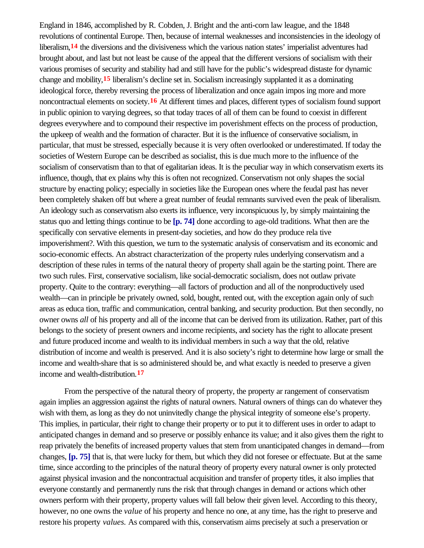England in 1846, accomplished by R. Cobden, J. Bright and the anti-corn law league, and the 1848 revolutions of continental Europe. Then, because of internal weaknesses and inconsistencies in the ideology of liberalism,**14** the diversions and the divisiveness which the various nation states' imperialist adventures had brought about, and last but not least be cause of the appeal that the different versions of socialism with their various promises of security and stability had and still have for the public's widespread distaste for dynamic change and mobility,**15** liberalism's decline set in. Socialism increasingly supplanted it as a dominating ideological force, thereby reversing the process of liberalization and once again impos ing more and more noncontractual elements on society.**16** At different times and places, different types of socialism found support in public opinion to varying degrees, so that today traces of all of them can be found to coexist in different degrees everywhere and to compound their respective im poverishment effects on the process of production, the upkeep of wealth and the formation of character. But it is the influence of conservative socialism, in particular, that must be stressed, especially because it is very often overlooked or underestimated. If today the societies of Western Europe can be described as socialist, this is due much more to the influence of the socialism of conservatism than to that of egalitarian ideas. It is the peculiar way in which conservatism exerts its influence, though, that ex plains why this is often not recognized. Conservatism not only shapes the social structure by enacting policy; especially in societies like the European ones where the feudal past has never been completely shaken off but where a great number of feudal remnants survived even the peak of liberalism. An ideology such as conservatism also exerts its influence, very inconspicuous ly, by simply maintaining the status quo and letting things continue to be **[p. 74]** done according to age-old traditions. What then are the specifically con servative elements in present-day societies, and how do they produce rela tive impoverishment?. With this question, we turn to the systematic analysis of conservatism and its economic and socio-economic effects. An abstract characterization of the property rules underlying conservatism and a description of these rules in terms of the natural theory of property shall again be the starting point. There are two such rules. First, conservative socialism, like social-democratic socialism, does not outlaw private property. Quite to the contrary: everything—all factors of production and all of the nonproductively used wealth—can in principle be privately owned, sold, bought, rented out, with the exception again only of such areas as educa tion, traffic and communication, central banking, and security production. But then secondly, no owner owns *all* of his property and all of the income that can be derived from its utilization. Rather, part of this belongs to the society of present owners and income recipients, and society has the right to allocate present and future produced income and wealth to its individual members in such a way that the old, relative distribution of income and wealth is preserved. And it is also society's right to determine how large or small the income and wealth-share that is so administered should be, and what exactly is needed to preserve a given income and wealth-distribution.**17**

 From the perspective of the natural theory of property, the property ar rangement of conservatism again implies an aggression against the rights of natural owners. Natural owners of things can do whatever they wish with them, as long as they do not uninvitedly change the physical integrity of someone else's property. This implies, in particular, their right to change their property or to put it to different uses in order to adapt to anticipated changes in demand and so preserve or possibly enhance its value; and it also gives them the right to reap privately the benefits of increased property values that stem from unanticipated changes in demand—from changes, **[p. 75]** that is, that were lucky for them, but which they did not foresee or effectuate. But at the same time, since according to the principles of the natural theory of property every natural owner is only protected against physical invasion and the noncontractual acquisition and transfer of property titles, it also implies that everyone constantly and permanently runs the risk that through changes in demand or actions which other owners perform with their property, property values will fall below their given level. According to this theory, however, no one owns the *value* of his property and hence no one, at any time, has the right to preserve and restore his property *values.* As compared with this, conservatism aims precisely at such a preservation or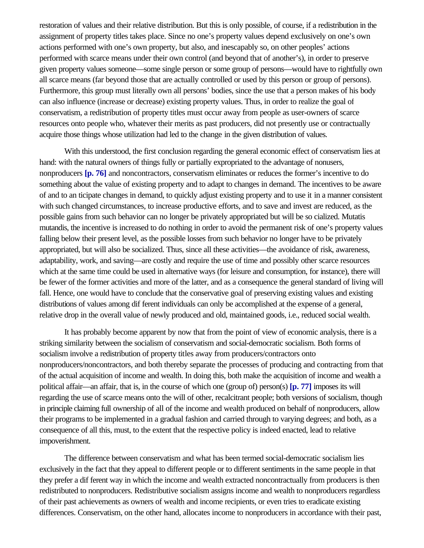restoration of values and their relative distribution. But this is only possible, of course, if a redistribution in the assignment of property titles takes place. Since no one's property values depend exclusively on one's own actions performed with one's own property, but also, and inescapably so, on other peoples' actions performed with scarce means under their own control (and beyond that of another's), in order to preserve given property values someone—some single person or some group of persons—would have to rightfully own all scarce means (far beyond those that are actually controlled or used by this person or group of persons). Furthermore, this group must literally own all persons' bodies, since the use that a person makes of his body can also influence (increase or decrease) existing property values. Thus, in order to realize the goal of conservatism, a redistribution of property titles must occur away from people as user-owners of scarce resources onto people who, whatever their merits as past producers, did not presently use or contractually acquire those things whose utilization had led to the change in the given distribution of values.

 With this understood, the first conclusion regarding the general economic effect of conservatism lies at hand: with the natural owners of things fully or partially expropriated to the advantage of nonusers, nonproducers **[p. 76]** and noncontractors, conservatism eliminates or reduces the former's incentive to do something about the value of existing property and to adapt to changes in demand. The incentives to be aware of and to an ticipate changes in demand, to quickly adjust existing property and to use it in a manner consistent with such changed circumstances, to increase productive efforts, and to save and invest are reduced, as the possible gains from such behavior can no longer be privately appropriated but will be so cialized. Mutatis mutandis, the incentive is increased to do nothing in order to avoid the permanent risk of one's property values falling below their present level, as the possible losses from such behavior no longer have to be privately appropriated, but will also be socialized. Thus, since all these activities—the avoidance of risk, awareness, adaptability, work, and saving—are costly and require the use of time and possibly other scarce resources which at the same time could be used in alternative ways (for leisure and consumption, for instance), there will be fewer of the former activities and more of the latter, and as a consequence the general standard of living will fall. Hence, one would have to conclude that the conservative goal of preserving existing values and existing distributions of values among dif ferent individuals can only be accomplished at the expense of a general, relative drop in the overall value of newly produced and old, maintained goods, i.e., reduced social wealth.

 It has probably become apparent by now that from the point of view of economic analysis, there is a striking similarity between the socialism of conservatism and social-democratic socialism. Both forms of socialism involve a redistribution of property titles away from producers/contractors onto nonproducers/noncontractors, and both thereby separate the processes of producing and contracting from that of the actual acquisition of income and wealth. In doing this, both make the acquisition of income and wealth a political affair—an affair, that is, in the course of which one (group of) person(s) **[p. 77]** imposes its will regarding the use of scarce means onto the will of other, recalcitrant people; both versions of socialism, though in principle claiming full ownership of all of the income and wealth produced on behalf of nonproducers, allow their programs to be implemented in a gradual fashion and carried through to varying degrees; and both, as a consequence of all this, must, to the extent that the respective policy is indeed enacted, lead to relative impoverishment.

 The difference between conservatism and what has been termed social-democratic socialism lies exclusively in the fact that they appeal to different people or to different sentiments in the same people in that they prefer a dif ferent way in which the income and wealth extracted noncontractually from producers is then redistributed to nonproducers. Redistributive socialism assigns income and wealth to nonproducers regardless of their past achievements as owners of wealth and income recipients, or even tries to eradicate existing differences. Conservatism, on the other hand, allocates income to nonproducers in accordance with their past,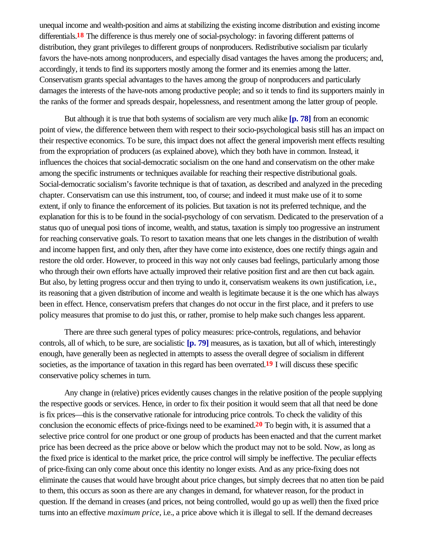unequal income and wealth-position and aims at stabilizing the existing income distribution and existing income differentials.**18** The difference is thus merely one of social-psychology: in favoring different patterns of distribution, they grant privileges to different groups of nonproducers. Redistributive socialism par ticularly favors the have-nots among nonproducers, and especially disad vantages the haves among the producers; and, accordingly, it tends to find its supporters mostly among the former and its enemies among the latter. Conservatism grants special advantages to the haves among the group of nonproducers and particularly damages the interests of the have-nots among productive people; and so it tends to find its supporters mainly in the ranks of the former and spreads despair, hopelessness, and resentment among the latter group of people.

 But although it is true that both systems of socialism are very much alike **[p. 78]** from an economic point of view, the difference between them with respect to their socio-psychological basis still has an impact on their respective economics. To be sure, this impact does not affect the general impoverish ment effects resulting from the expropriation of producers (as explained above), which they both have in common. Instead, it influences the choices that social-democratic socialism on the one hand and conservatism on the other make among the specific instruments or techniques available for reaching their respective distributional goals. Social-democratic socialism's favorite technique is that of taxation, as described and analyzed in the preceding chapter. Conservatism can use this instrument, too, of course; and indeed it must make use of it to some extent, if only to finance the enforcement of its policies. But taxation is not its preferred technique, and the explanation for this is to be found in the social-psychology of con servatism. Dedicated to the preservation of a status quo of unequal posi tions of income, wealth, and status, taxation is simply too progressive an instrument for reaching conservative goals. To resort to taxation means that one lets changes in the distribution of wealth and income happen first, and only then, after they have come into existence, does one rectify things again and restore the old order. However, to proceed in this way not only causes bad feelings, particularly among those who through their own efforts have actually improved their relative position first and are then cut back again. But also, by letting progress occur and then trying to undo it, conservatism weakens its own justification, i.e., its reasoning that a given distribution of income and wealth is legitimate because it is the one which has always been in effect. Hence, conservatism prefers that changes do not occur in the first place, and it prefers to use policy measures that promise to do just this, or rather, promise to help make such changes less apparent.

 There are three such general types of policy measures: price-controls, regulations, and behavior controls, all of which, to be sure, are socialistic **[p. 79]** measures, as is taxation, but all of which, interestingly enough, have generally been as neglected in attempts to assess the overall degree of socialism in different societies, as the importance of taxation in this regard has been overrated.**19** I will discuss these specific conservative policy schemes in turn.

 Any change in (relative) prices evidently causes changes in the relative position of the people supplying the respective goods or services. Hence, in order to fix their position it would seem that all that need be done is fix prices—this is the conservative rationale for introducing price controls. To check the validity of this conclusion the economic effects of price-fixings need to be examined.**20** To begin with, it is assumed that a selective price control for one product or one group of products has been enacted and that the current market price has been decreed as the price above or below which the product may not to be sold. Now, as long as the fixed price is identical to the market price, the price control will simply be ineffective. The peculiar effects of price-fixing can only come about once this identity no longer exists. And as any price-fixing does not eliminate the causes that would have brought about price changes, but simply decrees that no atten tion be paid to them, this occurs as soon as there are any changes in demand, for whatever reason, for the product in question. If the demand in creases (and prices, not being controlled, would go up as well) then the fixed price turns into an effective *maximum price*, i.e., a price above which it is illegal to sell. If the demand decreases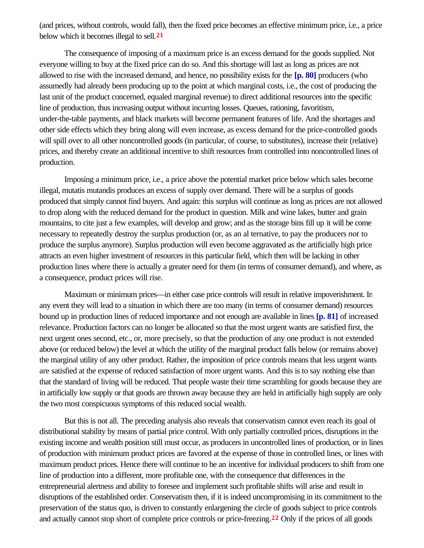(and prices, without controls, would fall), then the fixed price becomes an effective minimum price, i.e., a price below which it becomes illegal to sell.**21**

 The consequence of imposing of a maximum price is an excess demand for the goods supplied. Not everyone willing to buy at the fixed price can do so. And this shortage will last as long as prices are not allowed to rise with the increased demand, and hence, no possibility exists for the **[p. 80]** producers (who assumedly had already been producing up to the point at which marginal costs, i.e., the cost of producing the last unit of the product concerned, equaled marginal revenue) to direct additional resources into the specific line of production, thus increasing output without incurring losses. Queues, rationing, favoritism, under-the-table payments, and black markets will become permanent features of life. And the shortages and other side effects which they bring along will even increase, as excess demand for the price-controlled goods will spill over to all other noncontrolled goods (in particular, of course, to substitutes), increase their (relative) prices, and thereby create an additional incentive to shift resources from controlled into noncontrolled lines of production.

 Imposing a minimum price, i.e., a price above the potential market price below which sales become illegal, mutatis mutandis produces an excess of supply over demand. There will be a surplus of goods produced that simply cannot find buyers. And again: this surplus will continue as long as prices are not allowed to drop along with the reduced demand for the product in question. Milk and wine lakes, butter and grain mountains, to cite just a few examples, will develop and grow; and as the storage bins fill up it will be come necessary to repeatedly destroy the surplus production (or, as an al ternative, to pay the producers *not* to produce the surplus anymore). Surplus production will even become aggravated as the artificially high price attracts an even higher investment of resources in this particular field, which then will be lacking in other production lines where there is actually a greater need for them (in terms of consumer demand), and where, as a consequence, product prices will rise.

 Maximum or minimum prices—in either case price controls will result in relative impoverishment. In any event they will lead to a situation in which there are too many (in terms of consumer demand) resources bound up in production lines of reduced importance and not enough are available in lines **[p. 81]** of increased relevance. Production factors can no longer be allocated so that the most urgent wants are satisfied first, the next urgent ones second, etc., or, more precisely, so that the production of any one product is not extended above (or reduced below) the level at which the utility of the marginal product falls below (or remains above) the marginal utility of any other product. Rather, the imposition of price controls means that less urgent wants are satisfied at the expense of reduced satisfaction of more urgent wants. And this is to say nothing else than that the standard of living will be reduced. That people waste their time scrambling for goods because they are in artificially low supply or that goods are thrown away because they are held in artificially high supply are only the two most conspicuous symptoms of this reduced social wealth.

 But this is not all. The preceding analysis also reveals that conservatism cannot even reach its goal of distributional stability by means of partial price control. With only partially controlled prices, disruptions in the existing income and wealth position still must occur, as producers in uncontrolled lines of production, or in lines of production with minimum product prices are favored at the expense of those in controlled lines, or lines with maximum product prices. Hence there will continue to be an incentive for individual producers to shift from one line of production into a different, more profitable one, with the consequence that differences in the entrepreneurial alertness and ability to foresee and implement such profitable shifts will arise and result in disruptions of the established order. Conservatism then, if it is indeed uncompromising in its commitment to the preservation of the status quo, is driven to constantly enlargening the circle of goods subject to price controls and actually cannot stop short of complete price controls or price-freezing.**22** Only if the prices of all goods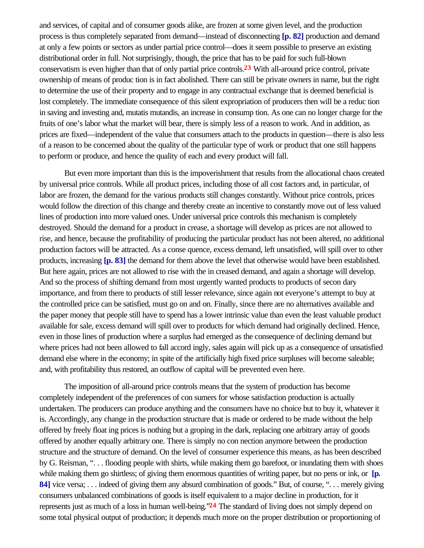and services, of capital and of consumer goods alike, are frozen at some given level, and the production process is thus completely separated from demand—instead of disconnecting **[p. 82]** production and demand at only a few points or sectors as under partial price control—does it seem possible to preserve an existing distributional order in full. Not surprisingly, though, the price that has to be paid for such full-blown conservatism is even higher than that of only partial price controls.**23** With all-around price control, private ownership of means of produc tion is in fact abolished. There can still be private owners in name, but the right to determine the use of their property and to engage in any contractual exchange that is deemed beneficial is lost completely. The immediate consequence of this silent expropriation of producers then will be a reduc tion in saving and investing and, mutatis mutandis, an increase in consump tion. As one can no longer charge for the fruits of one's labor what the market will bear, there is simply less of a reason to work. And in addition, as prices are fixed—independent of the value that consumers attach to the products in question—there is also less of a reason to be concerned about the quality of the particular type of work or product that one still happens to perform or produce, and hence the quality of each and every product will fall.

 But even more important than this is the impoverishment that results from the allocational chaos created by universal price controls. While all product prices, including those of all cost factors and, in particular, of labor are frozen, the demand for the various products still changes constantly. Without price controls, prices would follow the direction of this change and thereby create an incentive to constantly move out of less valued lines of production into more valued ones. Under universal price controls this mechanism is completely destroyed. Should the demand for a product in crease, a shortage will develop as prices are not allowed to rise, and hence, because the profitability of producing the particular product has not been altered, no additional production factors will be attracted. As a conse quence, excess demand, left unsatisfied, will spill over to other products, increasing **[p. 83]** the demand for them above the level that otherwise would have been established. But here again, prices are not allowed to rise with the in creased demand, and again a shortage will develop. And so the process of shifting demand from most urgently wanted products to products of secon dary importance, and from there to products of still lesser relevance, since again not everyone's attempt to buy at the controlled price can be satisfied, must go on and on. Finally, since there are no alternatives available and the paper money that people still have to spend has a lower intrinsic value than even the least valuable product available for sale, excess demand will spill over to products for which demand had originally declined. Hence, even in those lines of production where a surplus had emerged as the consequence of declining demand but where prices had not been allowed to fall accord ingly, sales again will pick up as a consequence of unsatisfied demand else where in the economy; in spite of the artificially high fixed price surpluses will become saleable; and, with profitability thus restored, an outflow of capital will be prevented even here.

 The imposition of all-around price controls means that the system of production has become completely independent of the preferences of con sumers for whose satisfaction production is actually undertaken. The producers can produce anything and the consumers have no choice but to buy it, whatever it is. Accordingly, any change in the production structure that is made or ordered to be made without the help offered by freely float ing prices is nothing but a groping in the dark, replacing one arbitrary array of goods offered by another equally arbitrary one. There is simply no con nection anymore between the production structure and the structure of demand. On the level of consumer experience this means, as has been described by G. Reisman, ". . . flooding people with shirts, while making them go barefoot, or inundating them with shoes while making them go shirtless; of giving them enormous quantities of writing paper, but no pens or ink, or **[p.**] **84]** vice versa; . . . indeed of giving them any absurd combination of goods." But, of course, ". . . merely giving consumers unbalanced combinations of goods is itself equivalent to a major decline in production, for it represents just as much of a loss in human well-being."**24** The standard of living does not simply depend on some total physical output of production; it depends much more on the proper distribution or proportioning of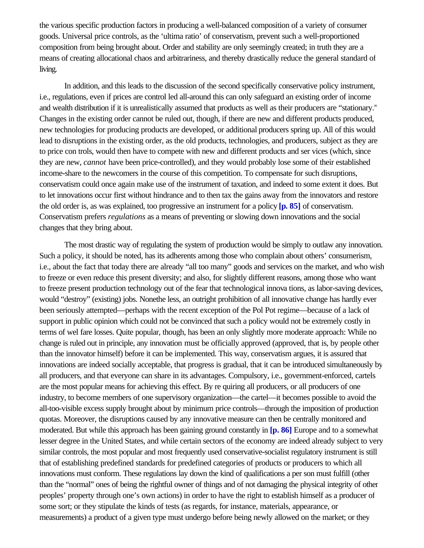the various specific production factors in producing a well-balanced composition of a variety of consumer goods. Universal price controls, as the 'ultima ratio' of conservatism, prevent such a well-proportioned composition from being brought about. Order and stability are only seemingly created; in truth they are a means of creating allocational chaos and arbitrariness, and thereby drastically reduce the general standard of living.

 In addition, and this leads to the discussion of the second specifically conservative policy instrument, i.e., regulations, even if prices are control led all-around this can only safeguard an existing order of income and wealth distribution if it is unrealistically assumed that products as well as their producers are "stationary." Changes in the existing order cannot be ruled out, though, if there are new and different products produced, new technologies for producing products are developed, or additional producers spring up. All of this would lead to disruptions in the existing order, as the old products, technologies, and producers, subject as they are to price con trols, would then have to compete with new and different products and ser vices (which, since they are new, *cannot* have been price-controlled), and they would probably lose some of their established income-share to the newcomers in the course of this competition. To compensate for such disruptions, conservatism could once again make use of the instrument of taxation, and indeed to some extent it does. But to let innovations occur first without hindrance and to then tax the gains away from the innovators and restore the old order is, as was explained, too progressive an instrument for a policy **[p. 85]** of conservatism. Conservatism prefers *regulations* as a means of preventing or slowing down innovations and the social changes that they bring about.

 The most drastic way of regulating the system of production would be simply to outlaw any innovation. Such a policy, it should be noted, has its adherents among those who complain about others' consumerism, i.e., about the fact that today there are already "all too many" goods and services on the market, and who wish to freeze or even reduce this present diversity; and also, for slightly different reasons, among those who want to freeze present production technology out of the fear that technological innova tions, as labor-saving devices, would "destroy" (existing) jobs. Nonethe less, an outright prohibition of all innovative change has hardly ever been seriously attempted—perhaps with the recent exception of the Pol Pot regime—because of a lack of support in public opinion which could not be convinced that such a policy would not be extremely costly in terms of wel fare losses. Quite popular, though, has been an only slightly more moderate approach: While no change is ruled out in principle, any innovation must be officially approved (approved, that is, by people other than the innovator himself) before it can be implemented. This way, conservatism argues, it is assured that innovations are indeed socially acceptable, that progress is gradual, that it can be introduced simultaneously by all producers, and that everyone can share in its advantages. Compulsory, i.e., government-enforced, cartels are the most popular means for achieving this effect. By re quiring all producers, or all producers of one industry, to become members of one supervisory organization—the cartel—it becomes possible to avoid the all-too-visible excess supply brought about by minimum price controls—through the imposition of production quotas. Moreover, the disruptions caused by any innovative measure can then be centrally monitored and moderated. But while this approach has been gaining ground constantly in **[p. 86]** Europe and to a somewhat lesser degree in the United States, and while certain sectors of the economy are indeed already subject to very similar controls, the most popular and most frequently used conservative-socialist regulatory instrument is still that of establishing predefined standards for predefined categories of products or producers to which all innovations must conform. These regulations lay down the kind of qualifications a per son must fulfill (other than the "normal" ones of being the rightful owner of things and of not damaging the physical integrity of other peoples' property through one's own actions) in order to have the right to establish himself as a producer of some sort; or they stipulate the kinds of tests (as regards, for instance, materials, appearance, or measurements) a product of a given type must undergo before being newly allowed on the market; or they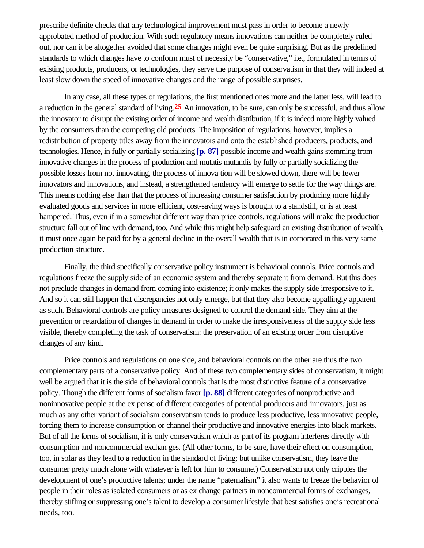prescribe definite checks that any technological improvement must pass in order to become a newly approbated method of production. With such regulatory means innovations can neither be completely ruled out, nor can it be altogether avoided that some changes might even be quite surprising. But as the predefined standards to which changes have to conform must of necessity be "conservative," i.e., formulated in terms of existing products, producers, or technologies, they serve the purpose of conservatism in that they will indeed at least slow down the speed of innovative changes and the range of possible surprises.

 In any case, all these types of regulations, the first mentioned ones more and the latter less, will lead to a reduction in the general standard of living.**25** An innovation, to be sure, can only be successful, and thus allow the innovator to disrupt the existing order of income and wealth distribution, if it is indeed more highly valued by the consumers than the competing old products. The imposition of regulations, however, implies a redistribution of property titles away from the innovators and onto the established producers, products, and technologies. Hence, in fully or partially socializing **[p. 87]** possible income and wealth gains stemming from innovative changes in the process of production and mutatis mutandis by fully or partially socializing the possible losses from not innovating, the process of innova tion will be slowed down, there will be fewer innovators and innovations, and instead, a strengthened tendency will emerge to settle for the way things are. This means nothing else than that the process of increasing consumer satisfaction by producing more highly evaluated goods and services in more efficient, cost-saving ways is brought to a standstill, or is at least hampered. Thus, even if in a somewhat different way than price controls, regulations will make the production structure fall out of line with demand, too. And while this might help safeguard an existing distribution of wealth, it must once again be paid for by a general decline in the overall wealth that is in corporated in this very same production structure.

 Finally, the third specifically conservative policy instrument is behavioral controls. Price controls and regulations freeze the supply side of an economic system and thereby separate it from demand. But this does not preclude changes in demand from coming into existence; it only makes the supply side irresponsive to it. And so it can still happen that discrepancies not only emerge, but that they also become appallingly apparent as such. Behavioral controls are policy measures designed to control the demand side. They aim at the prevention or retardation of changes in demand in order to make the irresponsiveness of the supply side less visible, thereby completing the task of conservatism: the preservation of an existing order from disruptive changes of any kind.

 Price controls and regulations on one side, and behavioral controls on the other are thus the two complementary parts of a conservative policy. And of these two complementary sides of conservatism, it might well be argued that it is the side of behavioral controls that is the most distinctive feature of a conservative policy. Though the different forms of socialism favor **[p. 88]** different categories of nonproductive and noninnovative people at the ex pense of different categories of potential producers and innovators, just as much as any other variant of socialism conservatism tends to produce less productive, less innovative people, forcing them to increase consumption or channel their productive and innovative energies into black markets. But of all the forms of socialism, it is only conservatism which as part of its program interferes directly with consumption and noncommercial exchan ges. (All other forms, to be sure, have their effect on consumption, too, in sofar as they lead to a reduction in the standard of living; but unlike conservatism, they leave the consumer pretty much alone with whatever is left for him to consume.) Conservatism not only cripples the development of one's productive talents; under the name "paternalism" it also wants to freeze the behavior of people in their roles as isolated consumers or as ex change partners in noncommercial forms of exchanges, thereby stifling or suppressing one's talent to develop a consumer lifestyle that best satisfies one's recreational needs, too.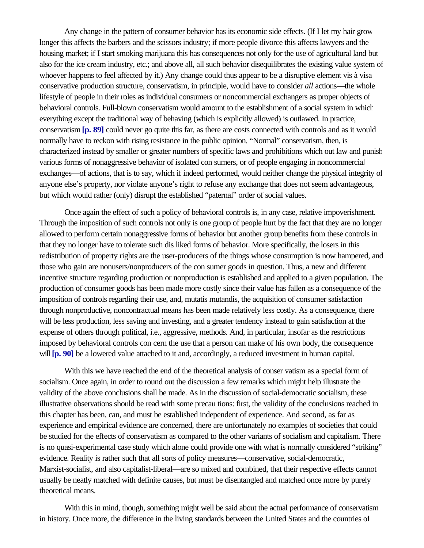Any change in the pattern of consumer behavior has its economic side effects. (If I let my hair grow longer this affects the barbers and the scissors industry; if more people divorce this affects lawyers and the housing market; if I start smoking marijuana this has consequences not only for the use of agricultural land but also for the ice cream industry, etc.; and above all, all such behavior disequilibrates the existing value system of whoever happens to feel affected by it.) Any change could thus appear to be a disruptive element vis à visa conservative production structure, conservatism, in principle, would have to consider *all* actions—the whole lifestyle of people in their roles as individual consumers or noncommercial exchangers as proper objects of behavioral controls. Full-blown conservatism would amount to the establishment of a social system in which everything except the traditional way of behaving (which is explicitly allowed) is outlawed. In practice, conservatism **[p. 89]** could never go quite this far, as there are costs connected with controls and as it would normally have to reckon with rising resistance in the public opinion. "Normal" conservatism, then, is characterized instead by smaller or greater numbers of specific laws and prohibitions which out law and punish various forms of nonaggressive behavior of isolated con sumers, or of people engaging in noncommercial exchanges—of actions, that is to say, which if indeed performed, would neither change the physical integrity of anyone else's property, nor violate anyone's right to refuse any exchange that does not seem advantageous, but which would rather (only) disrupt the established "paternal" order of social values.

 Once again the effect of such a policy of behavioral controls is, in any case, relative impoverishment. Through the imposition of such controls not only is one group of people hurt by the fact that they are no longer allowed to perform certain nonaggressive forms of behavior but another group benefits from these controls in that they no longer have to tolerate such dis liked forms of behavior. More specifically, the losers in this redistribution of property rights are the user-producers of the things whose consumption is now hampered, and those who gain are nonusers/nonproducers of the con sumer goods in question. Thus, a new and different incentive structure regarding production or nonproduction is established and applied to a given population. The production of consumer goods has been made more costly since their value has fallen as a consequence of the imposition of controls regarding their use, and, mutatis mutandis, the acquisition of consumer satisfaction through nonproductive, noncontractual means has been made relatively less costly. As a consequence, there will be less production, less saving and investing, and a greater tendency instead to gain satisfaction at the expense of others through political, i.e., aggressive, methods. And, in particular, insofar as the restrictions imposed by behavioral controls con cern the use that a person can make of his own body, the consequence will [p. 90] be a lowered value attached to it and, accordingly, a reduced investment in human capital.

 With this we have reached the end of the theoretical analysis of conser vatism as a special form of socialism. Once again, in order to round out the discussion a few remarks which might help illustrate the validity of the above conclusions shall be made. As in the discussion of social-democratic socialism, these illustrative observations should be read with some precau tions: first, the validity of the conclusions reached in this chapter has been, can, and must be established independent of experience. And second, as far as experience and empirical evidence are concerned, there are unfortunately no examples of societies that could be studied for the effects of conservatism as compared to the other variants of socialism and capitalism. There is no quasi-experimental case study which alone could provide one with what is normally considered "striking" evidence. Reality is rather such that all sorts of policy measures—conservative, social-democratic, Marxist-socialist, and also capitalist-liberal—are so mixed and combined, that their respective effects cannot usually be neatly matched with definite causes, but must be disentangled and matched once more by purely theoretical means.

With this in mind, though, something might well be said about the actual performance of conservatism in history. Once more, the difference in the living standards between the United States and the countries of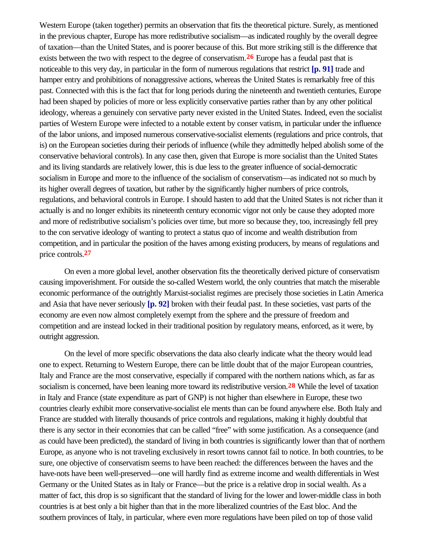Western Europe (taken together) permits an observation that fits the theoretical picture. Surely, as mentioned in the previous chapter, Europe has more redistributive socialism—as indicated roughly by the overall degree of taxation—than the United States, and is poorer because of this. But more striking still is the difference that exists between the two with respect to the degree of conservatism.**26** Europe has a feudal past that is noticeable to this very day, in particular in the form of numerous regulations that restrict **[p. 91]** trade and hamper entry and prohibitions of nonaggressive actions, whereas the United States is remarkably free of this past. Connected with this is the fact that for long periods during the nineteenth and twentieth centuries, Europe had been shaped by policies of more or less explicitly conservative parties rather than by any other political ideology, whereas a genuinely con servative party never existed in the United States. Indeed, even the socialist parties of Western Europe were infected to a notable extent by conser vatism, in particular under the influence of the labor unions, and imposed numerous conservative-socialist elements (regulations and price controls, that is) on the European societies during their periods of influence (while they admittedly helped abolish some of the conservative behavioral controls). In any case then, given that Europe is more socialist than the United States and its living standards are relatively lower, this is due less to the greater influence of social-democratic socialism in Europe and more to the influence of the socialism of conservatism—as indicated not so much by its higher overall degrees of taxation, but rather by the significantly higher numbers of price controls, regulations, and behavioral controls in Europe. I should hasten to add that the United States is not richer than it actually is and no longer exhibits its nineteenth century economic vigor not only be cause they adopted more and more of redistributive socialism's policies over time, but more so because they, too, increasingly fell prey to the con servative ideology of wanting to protect a status quo of income and wealth distribution from competition, and in particular the position of the haves among existing producers, by means of regulations and price controls.**27**

 On even a more global level, another observation fits the theoretically derived picture of conservatism causing impoverishment. For outside the so-called Western world, the only countries that match the miserable economic performance of the outrightly Marxist-socialist regimes are precisely those societies in Latin America and Asia that have never seriously **[p. 92]** broken with their feudal past. In these societies, vast parts of the economy are even now almost completely exempt from the sphere and the pressure of freedom and competition and are instead locked in their traditional position by regulatory means, enforced, as it were, by outright aggression.

 On the level of more specific observations the data also clearly indicate what the theory would lead one to expect. Returning to Western Europe, there can be little doubt that of the major European countries, Italy and France are the most conservative, especially if compared with the northern nations which, as far as socialism is concerned, have been leaning more toward its redistributive version.**28** While the level of taxation in Italy and France (state expenditure as part of GNP) is not higher than elsewhere in Europe, these two countries clearly exhibit more conservative-socialist ele ments than can be found anywhere else. Both Italy and France are studded with literally thousands of price controls and regulations, making it highly doubtful that there is any sector in their economies that can be called "free" with some justification. As a consequence (and as could have been predicted), the standard of living in both countries is significantly lower than that of northern Europe, as anyone who is not traveling exclusively in resort towns cannot fail to notice. In both countries, to be sure, one objective of conservatism seems to have been reached: the differences between the haves and the have-nots have been well-preserved—one will hardly find as extreme income and wealth differentials in West Germany or the United States as in Italy or France—but the price is a relative drop in social wealth. As a matter of fact, this drop is so significant that the standard of living for the lower and lower-middle class in both countries is at best only a bit higher than that in the more liberalized countries of the East bloc. And the southern provinces of Italy, in particular, where even more regulations have been piled on top of those valid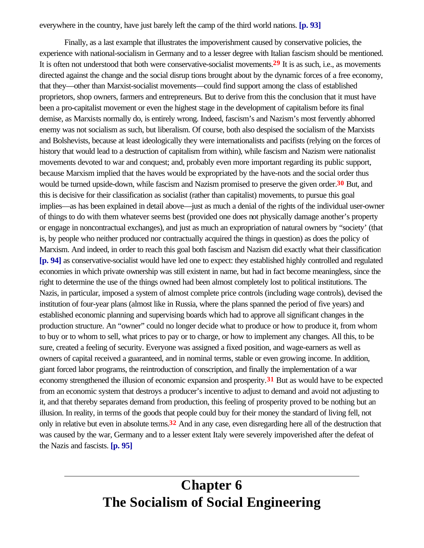everywhere in the country, have just barely left the camp of the third world nations. **[p. 93]**

 Finally, as a last example that illustrates the impoverishment caused by conservative policies, the experience with national-socialism in Germany and to a lesser degree with Italian fascism should be mentioned. It is often not understood that both were conservative-socialist movements.**29** It is as such, i.e., as movements directed against the change and the social disrup tions brought about by the dynamic forces of a free economy, that they—other than Marxist-socialist movements—could find support among the class of established proprietors, shop owners, farmers and entrepreneurs. But to derive from this the conclusion that it must have been a pro-capitalist movement or even the highest stage in the development of capitalism before its final demise, as Marxists normally do, is entirely wrong. Indeed, fascism's and Nazism's most fervently abhorred enemy was not socialism as such, but liberalism. Of course, both also despised the socialism of the Marxists and Bolshevists, because at least ideologically they were internationalists and pacifists (relying on the forces of history that would lead to a destruction of capitalism from within), while fascism and Nazism were nationalist movements devoted to war and conquest; and, probably even more important regarding its public support, because Marxism implied that the haves would be expropriated by the have-nots and the social order thus would be turned upside-down, while fascism and Nazism promised to preserve the given order.**30** But, and this is decisive for their classification as socialist (rather than capitalist) movements, to pursue this goal implies—as has been explained in detail above—just as much a denial of the rights of the individual user-owner of things to do with them whatever seems best (provided one does not physically damage another's property or engage in noncontractual exchanges), and just as much an expropriation of natural owners by "society' (that is, by people who neither produced nor contractually acquired the things in question) as does the policy of Marxism. And indeed, in order to reach this goal both fascism and Nazism did exactly what their classification **[p. 94]** as conservative-socialist would have led one to expect: they established highly controlled and regulated economies in which private ownership was still existent in name, but had in fact become meaningless, since the right to determine the use of the things owned had been almost completely lost to political institutions. The Nazis, in particular, imposed a system of almost complete price controls (including wage controls), devised the institution of four-year plans (almost like in Russia, where the plans spanned the period of five years) and established economic planning and supervising boards which had to approve all significant changes in the production structure. An "owner" could no longer decide what to produce or how to produce it, from whom to buy or to whom to sell, what prices to pay or to charge, or how to implement any changes. All this, to be sure, created a feeling of security. Everyone was assigned a fixed position, and wage-earners as well as owners of capital received a guaranteed, and in nominal terms, stable or even growing income. In addition, giant forced labor programs, the reintroduction of conscription, and finally the implementation of a war economy strengthened the illusion of economic expansion and prosperity.**31** But as would have to be expected from an economic system that destroys a producer's incentive to adjust to demand and avoid not adjusting to it, and that thereby separates demand from production, this feeling of prosperity proved to be nothing but an illusion. In reality, in terms of the goods that people could buy for their money the standard of living fell, not only in relative but even in absolute terms.**32** And in any case, even disregarding here all of the destruction that was caused by the war, Germany and to a lesser extent Italy were severely impoverished after the defeat of the Nazis and fascists. **[p. 95]**

# **Chapter 6 The Socialism of Social Engineering**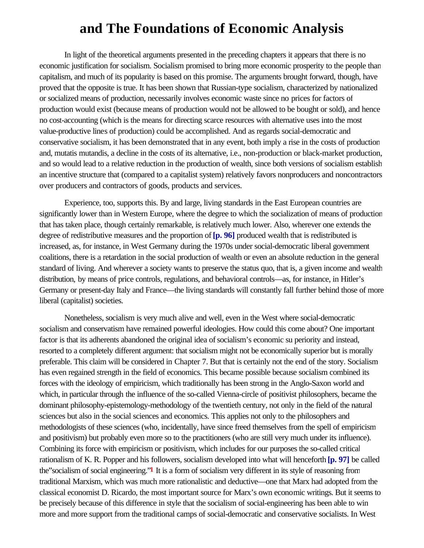#### **and The Foundations of Economic Analysis**

 In light of the theoretical arguments presented in the preceding chapters it appears that there is no economic justification for socialism. Socialism promised to bring more economic prosperity to the people than capitalism, and much of its popularity is based on this promise. The arguments brought forward, though, have proved that the opposite is true. It has been shown that Russian-type socialism, characterized by nationalized or socialized means of production, necessarily involves economic waste since no prices for factors of production would exist (because means of production would not be allowed to be bought or sold), and hence no cost-accounting (which is the means for directing scarce resources with alternative uses into the most value-productive lines of production) could be accomplished. And as regards social-democratic and conservative socialism, it has been demonstrated that in any event, both imply a rise in the costs of production and, mutatis mutandis, a decline in the costs of its alternative, i.e., non-production or black-market production, and so would lead to a relative reduction in the production of wealth, since both versions of socialism establish an incentive structure that (compared to a capitalist system) relatively favors nonproducers and noncontractors over producers and contractors of goods, products and services.

 Experience, too, supports this. By and large, living standards in the East European countries are significantly lower than in Western Europe, where the degree to which the socialization of means of production that has taken place, though certainly remarkable, is relatively much lower. Also, wherever one extends the degree of redistributive measures and the proportion of**[p. 96]** produced wealth that is redistributed is increased, as, for instance, in West Germany during the 1970s under social-democratic liberal government coalitions, there is a retardation in the social production of wealth or even an absolute reduction in the general standard of living. And wherever a society wants to preserve the status quo, that is, a given income and wealth distribution, by means of price controls, regulations, and behavioral controls—as, for instance, in Hitler's Germany or present-day Italy and France—the living standards will constantly fall further behind those of more liberal (capitalist) societies.

 Nonetheless, socialism is very much alive and well, even in the West where social-democratic socialism and conservatism have remained powerful ideologies. How could this come about? One important factor is that its adherents abandoned the original idea of socialism's economic su periority and instead, resorted to a completely different argument: that socialism might not be economically superior but is morally preferable. This claim will be considered in Chapter 7. But that is certainly not the end of the story. Socialism has even regained strength in the field of economics. This became possible because socialism combined its forces with the ideology of empiricism, which traditionally has been strong in the Anglo-Saxon world and which, in particular through the influence of the so-called Vienna-circle of positivist philosophers, became the dominant philosophy-epistemology-methodology of the twentieth century, not only in the field of the natural sciences but also in the social sciences and economics. This applies not only to the philosophers and methodologists of these sciences (who, incidentally, have since freed themselves from the spell of empiricism and positivism) but probably even more so to the practitioners (who are still very much under its influence). Combining its force with empiricism or positivism, which includes for our purposes the so-called critical rationalism of K. R. Popper and his followers, socialism developed into what will henceforth **[p. 97]** be called the"socialism of social engineering."**1** It is a form of socialism very different in its style of reasoning from traditional Marxism, which was much more rationalistic and deductive—one that Marx had adopted from the classical economist D. Ricardo, the most important source for Marx's own economic writings. But it seems to be precisely because of this difference in style that the socialism of social-engineering has been able to win more and more support from the traditional camps of social-democratic and conservative socialists. In West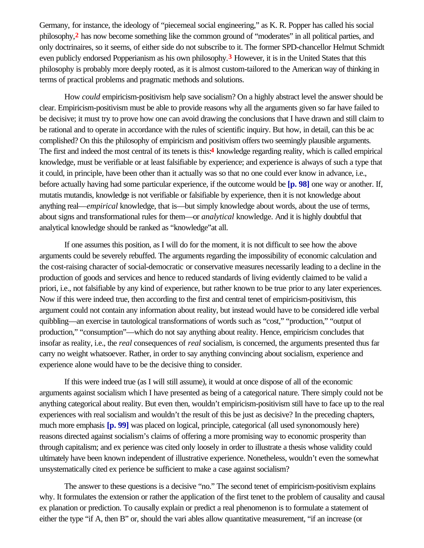Germany, for instance, the ideology of "piecemeal social engineering," as K. R. Popper has called his social philosophy,**2** has now become something like the common ground of "moderates" in all political parties, and only doctrinaires, so it seems, of either side do not subscribe to it. The former SPD-chancellor Helmut Schmidt even publicly endorsed Popperianism as his own philosophy.**3** However, it is in the United States that this philosophy is probably more deeply rooted, as it is almost custom-tailored to the American way of thinking in terms of practical problems and pragmatic methods and solutions.

 How *could* empiricism-positivism help save socialism? On a highly abstract level the answer should be clear. Empiricism-positivism must be able to provide reasons why all the arguments given so far have failed to be decisive; it must try to prove how one can avoid drawing the conclusions that I have drawn and still claim to be rational and to operate in accordance with the rules of scientific inquiry. But how, in detail, can this be ac complished? On this the philosophy of empiricism and positivism offers two seemingly plausible arguments. The first and indeed the most central of its tenets is this:**4** knowledge regarding reality, which is called empirical knowledge, must be verifiable or at least falsifiable by experience; and experience is always of such a type that it could, in principle, have been other than it actually was so that no one could ever know in advance, i.e., before actually having had some particular experience, if the outcome would be **[p. 98]** one way or another. If, mutatis mutandis, knowledge is not verifiable or falsifiable by experience, then it is not knowledge about anything real—*empirical* knowledge, that is—but simply knowledge about words, about the use of terms, about signs and transformational rules for them—or *analytical* knowledge. And it is highly doubtful that analytical knowledge should be ranked as "knowledge"at all.

 If one assumes this position, as I will do for the moment, it is not difficult to see how the above arguments could be severely rebuffed. The arguments regarding the impossibility of economic calculation and the cost-raising character of social-democratic or conservative measures necessarily leading to a decline in the production of goods and services and hence to reduced standards of living evidently claimed to be valid a priori, i.e., not falsifiable by any kind of experience, but rather known to be true prior to any later experiences. Now if this were indeed true, then according to the first and central tenet of empiricism-positivism, this argument could not contain any information about reality, but instead would have to be considered idle verbal quibbling—an exercise in tautological transformations of words such as "cost," "production," "output of production," "consumption"—which do not say anything about reality. Hence, empiricism concludes that insofar as reality, i.e., the *real* consequences of *real* socialism, is concerned, the arguments presented thus far carry no weight whatsoever. Rather, in order to say anything convincing about socialism, experience and experience alone would have to be the decisive thing to consider.

 If this were indeed true (as I will still assume), it would at once dispose of all of the economic arguments against socialism which I have presented as being of a categorical nature. There simply could not be anything categorical about reality. But even then, wouldn't empiricism-positivism still have to face up to the real experiences with real socialism and wouldn't the result of this be just as decisive? In the preceding chapters, much more emphasis **[p. 99]** was placed on logical, principle, categorical (all used synonomously here) reasons directed against socialism's claims of offering a more promising way to economic prosperity than through capitalism; and ex perience was cited only loosely in order to illustrate a thesis whose validity could ultimately have been known independent of illustrative experience. Nonetheless, wouldn't even the somewhat unsystematically cited ex perience be sufficient to make a case against socialism?

 The answer to these questions is a decisive "no." The second tenet of empiricism-positivism explains why. It formulates the extension or rather the application of the first tenet to the problem of causality and causal ex planation or prediction. To causally explain or predict a real phenomenon is to formulate a statement of either the type "if A, then B" or, should the vari ables allow quantitative measurement, "if an increase (or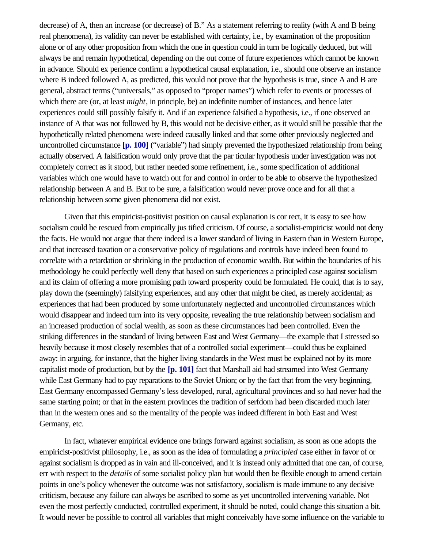decrease) of A, then an increase (or decrease) of B." As a statement referring to reality (with A and B being real phenomena), its validity can never be established with certainty, i.e., by examination of the proposition alone or of any other proposition from which the one in question could in turn be logically deduced, but will always be and remain hypothetical, depending on the out come of future experiences which cannot be known in advance. Should ex perience confirm a hypothetical causal explanation, i.e., should one observe an instance where B indeed followed A, as predicted, this would not prove that the hypothesis is true, since A and B are general, abstract terms ("universals," as opposed to "proper names") which refer to events or processes of which there are (or, at least *might*, in principle, be) an indefinite number of instances, and hence later experiences could still possibly falsify it. And if an experience falsified a hypothesis, i.e., if one observed an instance of A that was not followed by B, this would not be decisive either, as it would still be possible that the hypothetically related phenomena were indeed causally linked and that some other previously neglected and uncontrolled circumstance **[p. 100]** ("variable") had simply prevented the hypothesized relationship from being actually observed. A falsification would only prove that the par ticular hypothesis under investigation was not completely correct as it stood, but rather needed some refinement, i.e., some specification of additional variables which one would have to watch out for and control in order to be able to observe the hypothesized relationship between A and B. But to be sure, a falsification would never prove once and for all that a relationship between some given phenomena did not exist.

 Given that this empiricist-positivist position on causal explanation is cor rect, it is easy to see how socialism could be rescued from empirically jus tified criticism. Of course, a socialist-empiricist would not deny the facts. He would not argue that there indeed is a lower standard of living in Eastern than in Western Europe, and that increased taxation or a conservative policy of regulations and controls have indeed been found to correlate with a retardation or shrinking in the production of economic wealth. But within the boundaries of his methodology he could perfectly well deny that based on such experiences a principled case against socialism and its claim of offering a more promising path toward prosperity could be formulated. He could, that is to say, play down the (seemingly) falsifying experiences, and any other that might be cited, as merely accidental; as experiences that had been produced by some unfortunately neglected and uncontrolled circumstances which would disappear and indeed turn into its very opposite, revealing the true relationship between socialism and an increased production of social wealth, as soon as these circumstances had been controlled. Even the striking differences in the standard of living between East and West Germany—the example that I stressed so heavily because it most closely resembles that of a controlled social experiment—could thus be explained away: in arguing, for instance, that the higher living standards in the West must be explained not by its more capitalist mode of production, but by the **[p. 101]** fact that Marshall aid had streamed into West Germany while East Germany had to pay reparations to the Soviet Union; or by the fact that from the very beginning, East Germany encompassed Germany's less developed, rural, agricultural provinces and so had never had the same starting point; or that in the eastern provinces the tradition of serfdom had been discarded much later than in the western ones and so the mentality of the people was indeed different in both East and West Germany, etc.

 In fact, whatever empirical evidence one brings forward against socialism, as soon as one adopts the empiricist-positivist philosophy, i.e., as soon as the idea of formulating a *principled* case either in favor of or against socialism is dropped as in vain and ill-conceived, and it is instead only admitted that one can, of course, err with respect to the *details* of some socialist policy plan but would then be flexible enough to amend certain points in one's policy whenever the outcome was not satisfactory, socialism is made immune to any decisive criticism, because any failure can always be ascribed to some as yet uncontrolled intervening variable. Not even the most perfectly conducted, controlled experiment, it should be noted, could change this situation a bit. It would never be possible to control all variables that might conceivably have some influence on the variable to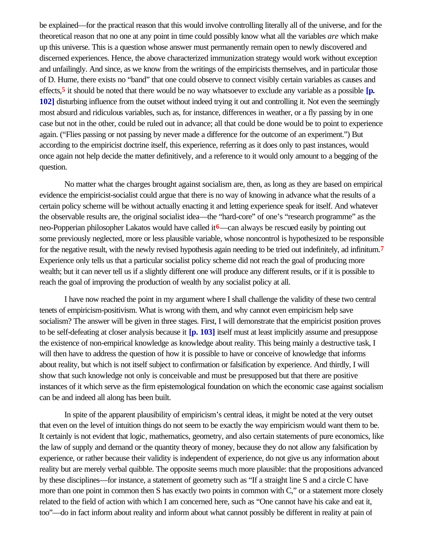be explained—for the practical reason that this would involve controlling literally all of the universe, and for the theoretical reason that no one at any point in time could possibly know what all the variables *are* which make up this universe. This is a question whose answer must permanently remain open to newly discovered and discerned experiences. Hence, the above characterized immunization strategy would work without exception and unfailingly. And since, as we know from the writings of the empiricists themselves, and in particular those of D. Hume, there exists no "band" that one could observe to connect visibly certain variables as causes and effects,**5** it should be noted that there would be no way whatsoever to exclude any variable as a possible **[p. 102]** disturbing influence from the outset without indeed trying it out and controlling it. Not even the seemingly most absurd and ridiculous variables, such as, for instance, differences in weather, or a fly passing by in one case but not in the other, could be ruled out in advance; all that could be done would be to point to experience again. ("Flies passing or not passing by never made a difference for the outcome of an experiment.") But according to the empiricist doctrine itself, this experience, referring as it does only to past instances, would once again not help decide the matter definitively, and a reference to it would only amount to a begging of the question.

 No matter what the charges brought against socialism are, then, as long as they are based on empirical evidence the empiricist-socialist could argue that there is no way of knowing in advance what the results of a certain policy scheme will be without actually enacting it and letting experience speak for itself. And whatever the observable results are, the original socialist idea—the "hard-core" of one's "research programme" as the neo-Popperian philosopher Lakatos would have called it**6**—can always be rescued easily by pointing out some previously neglected, more or less plausible variable, whose noncontrol is hypothesized to be responsible for the negative result, with the newly revised hypothesis again needing to be tried out indefinitely, ad infinitum.**7** Experience only tells us that a particular socialist policy scheme did not reach the goal of producing more wealth; but it can never tell us if a slightly different one will produce any different results, or if it is possible to reach the goal of improving the production of wealth by any socialist policy at all.

 I have now reached the point in my argument where I shall challenge the validity of these two central tenets of empiricism-positivism. What is wrong with them, and why cannot even empiricism help save socialism? The answer will be given in three stages. First, I will demonstrate that the empiricist position proves to be self-defeating at closer analysis because it **[p. 103]** itself must at least implicitly assume and presuppose the existence of non-empirical knowledge as knowledge about reality. This being mainly a destructive task, I will then have to address the question of how it is possible to have or conceive of knowledge that informs about reality, but which is not itself subject to confirmation or falsification by experience. And thirdly, I will show that such knowledge not only is conceivable and must be presupposed but that there are positive instances of it which serve as the firm epistemological foundation on which the economic case against socialism can be and indeed all along has been built.

 In spite of the apparent plausibility of empiricism's central ideas, it might be noted at the very outset that even on the level of intuition things do not seem to be exactly the way empiricism would want them to be. It certainly is not evident that logic, mathematics, geometry, and also certain statements of pure economics, like the law of supply and demand or the quantity theory of money, because they do not allow any falsification by experience, or rather because their validity is independent of experience, do not give us any information about reality but are merely verbal quibble. The opposite seems much more plausible: that the propositions advanced by these disciplines—for instance, a statement of geometry such as "If a straight line S and a circle C have more than one point in common then S has exactly two points in common with C," or a statement more closely related to the field of action with which I am concerned here, such as "One cannot have his cake and eat it, too"—do in fact inform about reality and inform about what cannot possibly be different in reality at pain of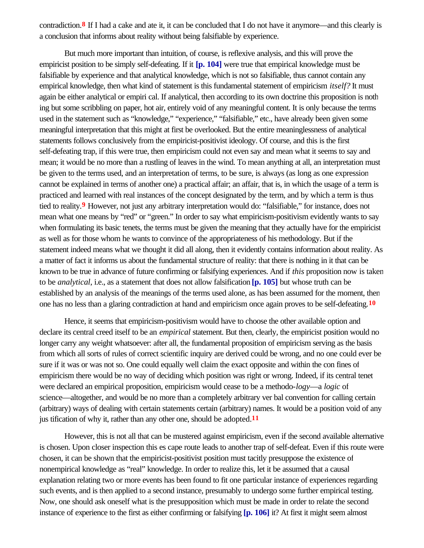contradiction.**8** If I had a cake and ate it, it can be concluded that I do not have it anymore—and this clearly is a conclusion that informs about reality without being falsifiable by experience.

 But much more important than intuition, of course, is reflexive analysis, and this will prove the empiricist position to be simply self-defeating. If it **[p. 104]** were true that empirical knowledge must be falsifiable by experience and that analytical knowledge, which is not so falsifiable, thus cannot contain any empirical knowledge, then what kind of statement is this fundamental statement of empiricism *itself?* It must again be either analytical or empiri cal. If analytical, then according to its own doctrine this proposition is noth ing but some scribbling on paper, hot air, entirely void of any meaningful content. It is only because the terms used in the statement such as "knowledge," "experience," "falsifiable," etc., have already been given some meaningful interpretation that this might at first be overlooked. But the entire meaninglessness of analytical statements follows conclusively from the empiricist-positivist ideology. Of course, and this is the first self-defeating trap, if this were true, then empiricism could not even say and mean what it seems to say and mean; it would be no more than a rustling of leaves in the wind. To mean anything at all, an interpretation must be given to the terms used, and an interpretation of terms, to be sure, is always (as long as one expression cannot be explained in terms of another one) a practical affair; an affair, that is, in which the usage of a term is practiced and learned with real instances of the concept designated by the term, and by which a term is thus tied to reality.**9** However, not just any arbitrary interpretation would do: "falsifiable," for instance, does not mean what one means by "red" or "green." In order to say what empiricism-positivism evidently wants to say when formulating its basic tenets, the terms must be given the meaning that they actually have for the empiricist as well as for those whom he wants to convince of the appropriateness of his methodology. But if the statement indeed means what we thought it did all along, then it evidently contains information about reality. As a matter of fact it informs us about the fundamental structure of reality: that there is nothing in it that can be known to be true in advance of future confirming or falsifying experiences. And if *this* proposition now is taken to be *analytical*, i.e., as a statement that does not allow falsification **[p. 105]** but whose truth can be established by an analysis of the meanings of the terms used alone, as has been assumed for the moment, then one has no less than a glaring contradiction at hand and empiricism once again proves to be self-defeating.**10**

 Hence, it seems that empiricism-positivism would have to choose the other available option and declare its central creed itself to be an *empirical* statement. But then, clearly, the empiricist position would no longer carry any weight whatsoever: after all, the fundamental proposition of empiricism serving as the basis from which all sorts of rules of correct scientific inquiry are derived could be wrong, and no one could ever be sure if it was or was not so. One could equally well claim the exact opposite and within the con fines of empiricism there would be no way of deciding which position was right or wrong. Indeed, if its central tenet were declared an empirical proposition, empiricism would cease to be a methodo-*logy*—a *logic* of science—altogether, and would be no more than a completely arbitrary ver bal convention for calling certain (arbitrary) ways of dealing with certain statements certain (arbitrary) names. It would be a position void of any jus tification of why it, rather than any other one, should be adopted.**11**

 However, this is not all that can be mustered against empiricism, even if the second available alternative is chosen. Upon closer inspection this es cape route leads to another trap of self-defeat. Even if this route were chosen, it can be shown that the empiricist-positivist position must tacitly presuppose the existence of nonempirical knowledge as "real" knowledge. In order to realize this, let it be assumed that a causal explanation relating two or more events has been found to fit one particular instance of experiences regarding such events, and is then applied to a second instance, presumably to undergo some further empirical testing. Now, one should ask oneself what is the presupposition which must be made in order to relate the second instance of experience to the first as either confirming or falsifying **[p. 106]** it? At first it might seem almost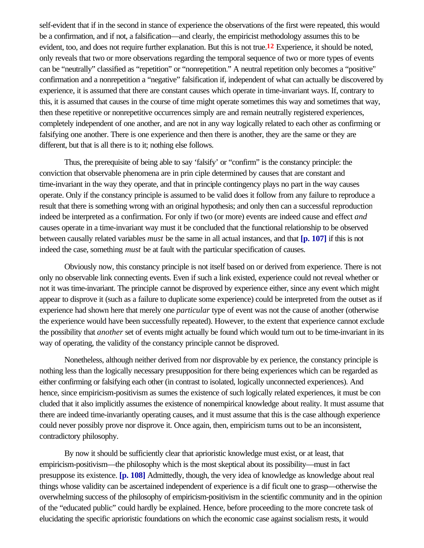self-evident that if in the second in stance of experience the observations of the first were repeated, this would be a confirmation, and if not, a falsification—and clearly, the empiricist methodology assumes this to be evident, too, and does not require further explanation. But this is not true.**12** Experience, it should be noted, only reveals that two or more observations regarding the temporal sequence of two or more types of events can be "neutrally" classified as "repetition" or "nonrepetition." A neutral repetition only becomes a "positive" confirmation and a nonrepetition a "negative" falsification if, independent of what can actually be discovered by experience, it is assumed that there are constant causes which operate in time-invariant ways. If, contrary to this, it is assumed that causes in the course of time might operate sometimes this way and sometimes that way, then these repetitive or nonrepetitive occurrences simply are and remain neutrally registered experiences, completely independent of one another, and are not in any way logically related to each other as confirming or falsifying one another. There is one experience and then there is another, they are the same or they are different, but that is all there is to it; nothing else follows.

 Thus, the prerequisite of being able to say 'falsify' or "confirm" is the constancy principle: the conviction that observable phenomena are in prin ciple determined by causes that are constant and time-invariant in the way they operate, and that in principle contingency plays no part in the way causes operate. Only if the constancy principle is assumed to be valid does it follow from any failure to reproduce a result that there is something wrong with an original hypothesis; and only then can a successful reproduction indeed be interpreted as a confirmation. For only if two (or more) events are indeed cause and effect *and* causes operate in a time-invariant way must it be concluded that the functional relationship to be observed between causally related variables *must* be the same in all actual instances, and that **[p. 107]** if this is not indeed the case, something *must* be at fault with the particular specification of causes.

 Obviously now, this constancy principle is not itself based on or derived from experience. There is not only no observable link connecting events. Even if such a link existed, experience could not reveal whether or not it was time-invariant. The principle cannot be disproved by experience either, since any event which might appear to disprove it (such as a failure to duplicate some experience) could be interpreted from the outset as if experience had shown here that merely one *particular* type of event was not the cause of another (otherwise the experience would have been successfully repeated). However, to the extent that experience cannot exclude the possibility that *another* set of events might actually be found which would turn out to be time-invariant in its way of operating, the validity of the constancy principle cannot be disproved.

 Nonetheless, although neither derived from nor disprovable by ex perience, the constancy principle is nothing less than the logically necessary presupposition for there being experiences which can be regarded as either confirming or falsifying each other (in contrast to isolated, logically unconnected experiences). And hence, since empiricism-positivism as sumes the existence of such logically related experiences, it must be con cluded that it also implicitly assumes the existence of nonempirical knowledge about reality. It must assume that there are indeed time-invariantly operating causes, and it must assume that this is the case although experience could never possibly prove nor disprove it. Once again, then, empiricism turns out to be an inconsistent, contradictory philosophy.

 By now it should be sufficiently clear that aprioristic knowledge must exist, or at least, that empiricism-positivism—the philosophy which is the most skeptical about its possibility—must in fact presuppose its existence. **[p. 108]** Admittedly, though, the very idea of knowledge as knowledge about real things whose validity can be ascertained independent of experience is a dif ficult one to grasp—otherwise the overwhelming success of the philosophy of empiricism-positivism in the scientific community and in the opinion of the "educated public" could hardly be explained. Hence, before proceeding to the more concrete task of elucidating the specific aprioristic foundations on which the economic case against socialism rests, it would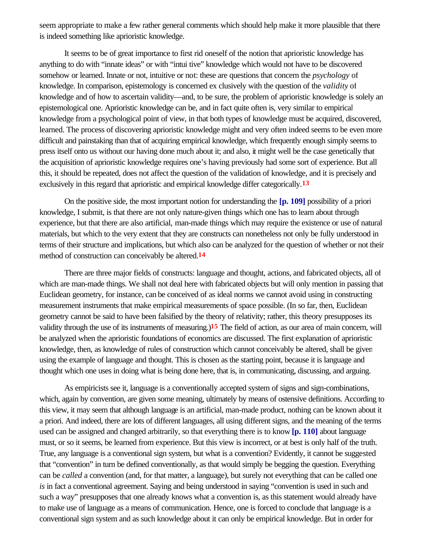seem appropriate to make a few rather general comments which should help make it more plausible that there is indeed something like aprioristic knowledge.

 It seems to be of great importance to first rid oneself of the notion that aprioristic knowledge has anything to do with "innate ideas" or with "intui tive" knowledge which would not have to be discovered somehow or learned. Innate or not, intuitive or not: these are questions that concern the *psychology* of knowledge. In comparison, epistemology is concerned ex clusively with the question of the *validity* of knowledge and of how to ascertain validity—and, to be sure, the problem of aprioristic knowledge is solely an epistemological one. Aprioristic knowledge can be, and in fact quite often is, very similar to empirical knowledge from a psychological point of view, in that both types of knowledge must be acquired, discovered, learned. The process of discovering aprioristic knowledge might and very often indeed seems to be even more difficult and painstaking than that of acquiring empirical knowledge, which frequently enough simply seems to press itself onto us without our having done much about it; and also, it might well be the case genetically that the acquisition of aprioristic knowledge requires one's having previously had some sort of experience. But all this, it should be repeated, does not affect the question of the validation of knowledge, and it is precisely and exclusively in this regard that aprioristic and empirical knowledge differ categorically.**13**

 On the positive side, the most important notion for understanding the **[p. 109]** possibility of a priori knowledge, I submit, is that there are not only nature-given things which one has to learn about through experience, but that there are also artificial, man-made things which may require the existence or use of natural materials, but which to the very extent that they are constructs can nonetheless not only be fully understood in terms of their structure and implications, but which also can be analyzed for the question of whether or not their method of construction can conceivably be altered.**14**

 There are three major fields of constructs: language and thought, actions, and fabricated objects, all of which are man-made things. We shall not deal here with fabricated objects but will only mention in passing that Euclidean geometry, for instance, can be conceived of as ideal norms we cannot avoid using in constructing measurement instruments that make empirical measurements of space possible. (In so far, then, Euclidean geometry cannot be said to have been falsified by the theory of relativity; rather, this theory presupposes its validity through the use of its instruments of measuring.)**15** The field of action, as our area of main concern, will be analyzed when the aprioristic foundations of economics are discussed. The first explanation of aprioristic knowledge, then, as knowledge of rules of construction which cannot conceivably be altered, shall be given using the example of language and thought. This is chosen as the starting point, because it is language and thought which one uses in doing what is being done here, that is, in communicating, discussing, and arguing.

As empiricists see it, language is a conventionally accepted system of signs and sign-combinations, which, again by convention, are given some meaning, ultimately by means of ostensive definitions. According to this view, it may seem that although language is an artificial, man-made product, nothing can be known about it a priori. And indeed, there are lots of different languages, all using different signs, and the meaning of the terms used can be assigned and changed arbitrarily, so that everything there is to know **[p. 110]** about language must, or so it seems, be learned from experience. But this view is incorrect, or at best is only half of the truth. True, any language is a conventional sign system, but what is a convention? Evidently, it cannot be suggested that "convention" in turn be defined conventionally, as that would simply be begging the question. Everything can be *called* a convention (and, for that matter, a language), but surely not everything that can be called one *is* in fact a conventional agreement. Saying and being understood in saying "convention is used in such and such a way" presupposes that one already knows what a convention is, as this statement would already have to make use of language as a means of communication. Hence, one is forced to conclude that language is a conventional sign system and as such knowledge about it can only be empirical knowledge. But in order for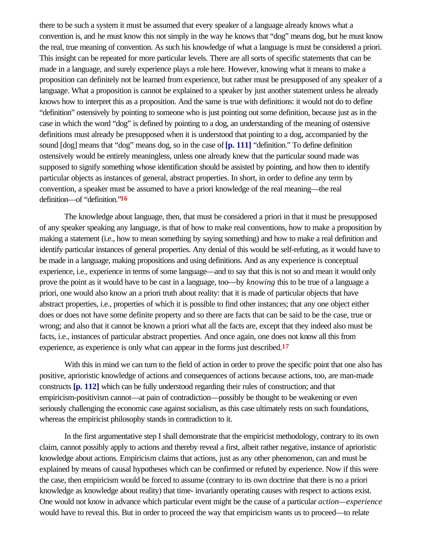there to be such a system it must be assumed that every speaker of a language already knows what a convention is, and he must know this not simply in the way he knows that "dog" means dog, but he must know the real, true meaning of convention. As such his knowledge of what a language is must be considered a priori. This insight can be repeated for more particular levels. There are all sorts of specific statements that can be made in a language, and surely experience plays a role here. However, knowing what it means to make a proposition can definitely not be learned from experience, but rather must be presupposed of any speaker of a language. What a proposition is cannot be explained to a speaker by just another statement unless he already knows how to interpret this as a proposition. And the same is true with definitions: it would not do to define "definition" ostensively by pointing to someone who is just pointing out some definition, because just as in the case in which the word "dog" is defined by pointing to a dog, an understanding of the meaning of ostensive definitions must already be presupposed when it is understood that pointing to a dog, accompanied by the sound  $\lceil \log \rceil$  means that "dog" means dog, so in the case of  $\lceil p. 111 \rceil$  "definition." To define definition ostensively would be entirely meaningless, unless one already knew that the particular sound made was supposed to signify something whose identification should be assisted by pointing, and how then to identify particular objects as instances of general, abstract properties. In short, in order to define any term by convention, a speaker must be assumed to have a priori knowledge of the real meaning—the real definition—of "definition."**16**

 The knowledge about language, then, that must be considered a priori in that it must be presupposed of any speaker speaking any language, is that of how to make real conventions, how to make a proposition by making a statement (i.e., how to mean something by saying something) and how to make a real definition and identify particular instances of general properties. Any denial of this would be self-refuting, as it would have to be made in a language, making propositions and using definitions. And as any experience is conceptual experience, i.e., experience in terms of some language—and to say that this is not so and mean it would only prove the point as it would have to be cast in a language, too—by *knowing* this to be true of a language a priori, one would also know an a priori truth about reality: that it is made of particular objects that have abstract properties, i.e., properties of which it is possible to find other instances; that any one object either does or does not have some definite property and so there are facts that can be said to be the case, true or wrong; and also that it cannot be known a priori what all the facts are, except that they indeed also must be facts, i.e., instances of particular abstract properties. And once again, one does not know all this from experience, as experience is only what can appear in the forms just described.**17**

 With this in mind we can turn to the field of action in order to prove the specific point that one also has positive, aprioristic knowledge of actions and consequences of actions because actions, too, are man-made constructs **[p. 112]** which can be fully understood regarding their rules of construction; and that empiricism-positivism cannot—at pain of contradiction—possibly be thought to be weakening or even seriously challenging the economic case against socialism, as this case ultimately rests on such foundations, whereas the empiricist philosophy stands in contradiction to it.

 In the first argumentative step I shall demonstrate that the empiricist methodology, contrary to its own claim, cannot possibly apply to actions and thereby reveal a first, albeit rather negative, instance of aprioristic knowledge about actions. Empiricism claims that actions, just as any other phenomenon, can and must be explained by means of causal hypotheses which can be confirmed or refuted by experience. Now if this were the case, then empiricism would be forced to assume (contrary to its own doctrine that there is no a priori knowledge as knowledge about reality) that time- invariantly operating causes with respect to actions exist. One would not know in advance which particular event might be the cause of a particular *action—experience* would have to reveal this. But in order to proceed the way that empiricism wants us to proceed—to relate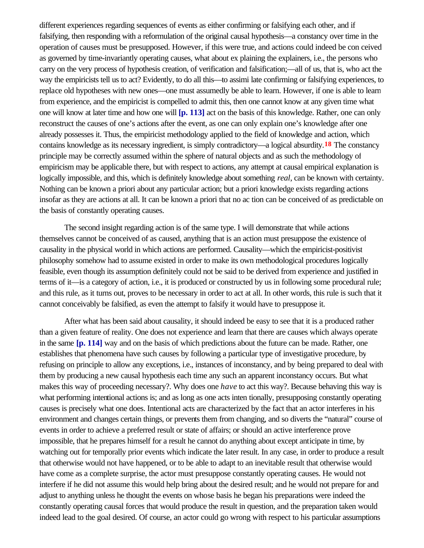different experiences regarding sequences of events as either confirming or falsifying each other, and if falsifying, then responding with a reformulation of the original causal hypothesis—a constancy over time in the operation of causes must be presupposed. However, if this were true, and actions could indeed be con ceived as governed by time-invariantly operating causes, what about ex plaining the explainers, i.e., the persons who carry on the very process of hypothesis creation, of verification and falsification;—all of us, that is, who act the way the empiricists tell us to act? Evidently, to do all this—to assimi late confirming or falsifying experiences, to replace old hypotheses with new ones—one must assumedly be able to learn. However, if one is able to learn from experience, and the empiricist is compelled to admit this, then one cannot know at any given time what one will know at later time and how one will **[p. 113]** act on the basis of this knowledge. Rather, one can only reconstruct the causes of one's actions after the event, as one can only explain one's knowledge after one already possesses it. Thus, the empiricist methodology applied to the field of knowledge and action, which contains knowledge as its necessary ingredient, is simply contradictory—a logical absurdity.**18** The constancy principle may be correctly assumed within the sphere of natural objects and as such the methodology of empiricism may be applicable there, but with respect to actions, any attempt at causal empirical explanation is logically impossible, and this, which is definitely knowledge about something *real*, can be known with certainty. Nothing can be known a priori about any particular action; but a priori knowledge exists regarding actions insofar as they are actions at all. It can be known a priori that no ac tion can be conceived of as predictable on the basis of constantly operating causes.

 The second insight regarding action is of the same type. I will demonstrate that while actions themselves cannot be conceived of as caused, anything that is an action must presuppose the existence of causality in the physical world in which actions are performed. Causality—which the empiricist-positivist philosophy somehow had to assume existed in order to make its own methodological procedures logically feasible, even though its assumption definitely could not be said to be derived from experience and justified in terms of it—is a category of action, i.e., it is produced or constructed by us in following some procedural rule; and this rule, as it turns out, proves to be necessary in order to act at all. In other words, this rule is such that it cannot conceivably be falsified, as even the attempt to falsify it would have to presuppose it.

 After what has been said about causality, it should indeed be easy to see that it is a produced rather than a given feature of reality. One does not experience and learn that there are causes which always operate in the same **[p. 114]** way and on the basis of which predictions about the future can be made. Rather, one establishes that phenomena have such causes by following a particular type of investigative procedure, by refusing on principle to allow any exceptions, i.e., instances of inconstancy, and by being prepared to deal with them by producing a new causal hypothesis each time any such an apparent inconstancy occurs. But what makes this way of proceeding necessary?. Why does one *have* to act this way?. Because behaving this way is what performing intentional actions is; and as long as one acts inten tionally, presupposing constantly operating causes is precisely what one does. Intentional acts are characterized by the fact that an actor interferes in his environment and changes certain things, or prevents them from changing, and so diverts the "natural" course of events in order to achieve a preferred result or state of affairs; or should an active interference prove impossible, that he prepares himself for a result he cannot do anything about except anticipate in time, by watching out for temporally prior events which indicate the later result. In any case, in order to produce a result that otherwise would not have happened, or to be able to adapt to an inevitable result that otherwise would have come as a complete surprise, the actor must presuppose constantly operating causes. He would not interfere if he did not assume this would help bring about the desired result; and he would not prepare for and adjust to anything unless he thought the events on whose basis he began his preparations were indeed the constantly operating causal forces that would produce the result in question, and the preparation taken would indeed lead to the goal desired. Of course, an actor could go wrong with respect to his particular assumptions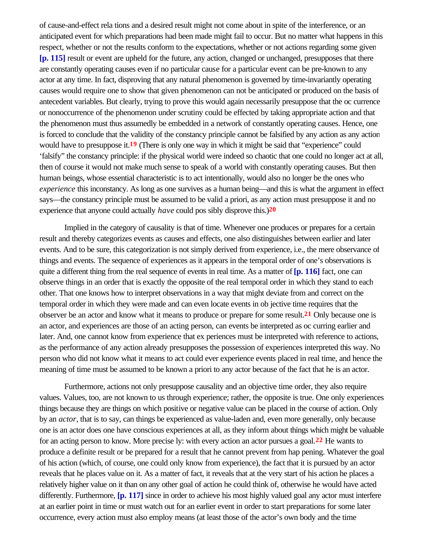of cause-and-effect rela tions and a desired result might not come about in spite of the interference, or an anticipated event for which preparations had been made might fail to occur. But no matter what happens in this respect, whether or not the results conform to the expectations, whether or not actions regarding some given **[p. 115]** result or event are upheld for the future, any action, changed or unchanged, presupposes that there are constantly operating causes even if no particular cause for a particular event can be pre-known to any actor at any time. In fact, disproving that any natural phenomenon is governed by time-invariantly operating causes would require one to show that given phenomenon can not be anticipated or produced on the basis of antecedent variables. But clearly, trying to prove this would again necessarily presuppose that the oc currence or nonoccurrence of the phenomenon under scrutiny could be effected by taking appropriate action and that the phenomenon must thus assumedly be embedded in a network of constantly operating causes. Hence, one is forced to conclude that the validity of the constancy principle cannot be falsified by any action as any action would have to presuppose it.<sup>19</sup> (There is only one way in which it might be said that "experience" could 'falsify" the constancy principle: if the physical world were indeed so chaotic that one could no longer act at all, then of course it would not make much sense to speak of a world with constantly operating causes. But then human beings, whose essential characteristic is to act intentionally, would also no longer be the ones who *experience* this inconstancy. As long as one survives as a human being—and this is what the argument in effect says—the constancy principle must be assumed to be valid a priori, as any action must presuppose it and no experience that anyone could actually *have* could pos sibly disprove this.)**20**

 Implied in the category of causality is that of time. Whenever one produces or prepares for a certain result and thereby categorizes events as causes and effects, one also distinguishes between earlier and later events. And to be sure, this categorization is not simply derived from experience, i.e., the mere observance of things and events. The sequence of experiences as it appears in the temporal order of one's observations is quite a different thing from the real sequence of events in real time. As a matter of **[p. 116]** fact, one can observe things in an order that is exactly the opposite of the real temporal order in which they stand to each other. That one knows how to interpret observations in a way that might deviate from and correct on the temporal order in which they were made and can even locate events in ob jective time requires that the observer be an actor and know what it means to produce or prepare for some result.**21** Only because one is an actor, and experiences are those of an acting person, can events be interpreted as oc curring earlier and later. And, one cannot know from experience that ex periences must be interpreted with reference to actions, as the performance of any action already presupposes the possession of experiences interpreted this way. No person who did not know what it means to act could ever experience events placed in real time, and hence the meaning of time must be assumed to be known a priori to any actor because of the fact that he is an actor.

 Furthermore, actions not only presuppose causality and an objective time order, they also require values. Values, too, are not known to us through experience; rather, the opposite is true. One only experiences things because they are things on which positive or negative value can be placed in the course of action. Only by an *actor*, that is to say, can things be experienced as value-laden and, even more generally, only because one is an actor does one have conscious experiences at all, as they inform about things which might be valuable for an acting person to know. More precise ly: with every action an actor pursues a goal.**22** He wants to produce a definite result or be prepared for a result that he cannot prevent from hap pening. Whatever the goal of his action (which, of course, one could only know from experience), the fact that it is pursued by an actor reveals that he places value on it. As a matter of fact, it reveals that at the very start of his action he places a relatively higher value on it than on any other goal of action he could think of, otherwise he would have acted differently. Furthermore, **[p. 117]** since in order to achieve his most highly valued goal any actor must interfere at an earlier point in time or must watch out for an earlier event in order to start preparations for some later occurrence, every action must also employ means (at least those of the actor's own body and the time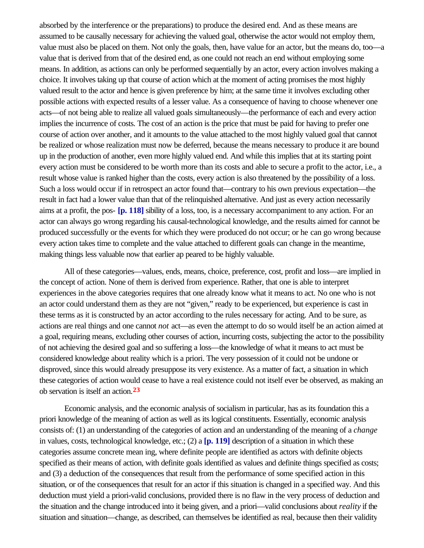absorbed by the interference or the preparations) to produce the desired end. And as these means are assumed to be causally necessary for achieving the valued goal, otherwise the actor would not employ them, value must also be placed on them. Not only the goals, then, have value for an actor, but the means do, too—a value that is derived from that of the desired end, as one could not reach an end without employing some means. In addition, as actions can only be performed sequentially by an actor, every action involves making a choice. It involves taking up that course of action which at the moment of acting promises the most highly valued result to the actor and hence is given preference by him; at the same time it involves excluding other possible actions with expected results of a lesser value. As a consequence of having to choose whenever one acts—of not being able to realize all valued goals simultaneously—the performance of each and every action implies the incurrence of costs. The cost of an action is the price that must be paid for having to prefer one course of action over another, and it amounts to the value attached to the most highly valued goal that cannot be realized or whose realization must now be deferred, because the means necessary to produce it are bound up in the production of another, even more highly valued end. And while this implies that at its starting point every action must be considered to be worth more than its costs and able to secure a profit to the actor, i.e., a result whose value is ranked higher than the costs, every action is also threatened by the possibility of a loss. Such a loss would occur if in retrospect an actor found that—contrary to his own previous expectation—the result in fact had a lower value than that of the relinquished alternative. And just as every action necessarily aims at a profit, the pos- **[p. 118]** sibility of a loss, too, is a necessary accompaniment to any action. For an actor can always go wrong regarding his causal-technological knowledge, and the results aimed for cannot be produced successfully or the events for which they were produced do not occur; or he can go wrong because every action takes time to complete and the value attached to different goals can change in the meantime, making things less valuable now that earlier ap peared to be highly valuable.

 All of these categories—values, ends, means, choice, preference, cost, profit and loss—are implied in the concept of action. None of them is derived from experience. Rather, that one is able to interpret experiences in the above categories requires that one already know what it means to act. No one who is not an actor could understand them as they are not "given," ready to be experienced, but experience is cast in these terms as it is constructed by an actor according to the rules necessary for acting. And to be sure, as actions are real things and one cannot *not* act—as even the attempt to do so would itself be an action aimed at a goal, requiring means, excluding other courses of action, incurring costs, subjecting the actor to the possibility of not achieving the desired goal and so suffering a loss—the knowledge of what it means to act must be considered knowledge about reality which is a priori. The very possession of it could not be undone or disproved, since this would already presuppose its very existence. As a matter of fact, a situation in which these categories of action would cease to have a real existence could not itself ever be observed, as making an ob servation is itself an action.**23**

 Economic analysis, and the economic analysis of socialism in particular, has as its foundation this a priori knowledge of the meaning of action as well as its logical constituents. Essentially, economic analysis consists of: (1) an understanding of the categories of action and an understanding of the meaning of a *change* in values, costs, technological knowledge, etc.; (2) a **[p. 119]** description of a situation in which these categories assume concrete mean ing, where definite people are identified as actors with definite objects specified as their means of action, with definite goals identified as values and definite things specified as costs; and (3) a deduction of the consequences that result from the performance of some specified action in this situation, or of the consequences that result for an actor if this situation is changed in a specified way. And this deduction must yield a priori-valid conclusions, provided there is no flaw in the very process of deduction and the situation and the change introduced into it being given, and a priori—valid conclusions about *reality* if the situation and situation—change, as described, can themselves be identified as real, because then their validity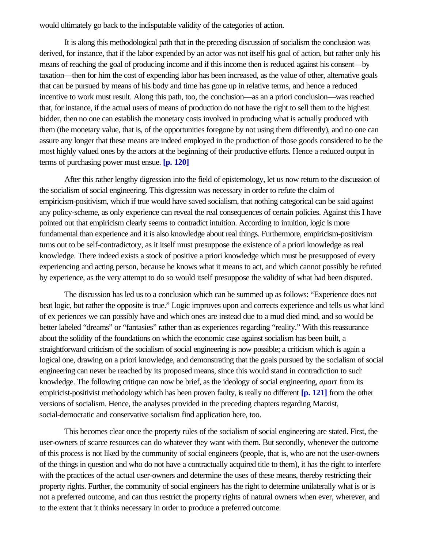would ultimately go back to the indisputable validity of the categories of action.

 It is along this methodological path that in the preceding discussion of socialism the conclusion was derived, for instance, that if the labor expended by an actor was not itself his goal of action, but rather only his means of reaching the goal of producing income and if this income then is reduced against his consent—by taxation—then for him the cost of expending labor has been increased, as the value of other, alternative goals that can be pursued by means of his body and time has gone up in relative terms, and hence a reduced incentive to work must result. Along this path, too, the conclusion—as an a priori conclusion—was reached that, for instance, if the actual users of means of production do not have the right to sell them to the highest bidder, then no one can establish the monetary costs involved in producing what is actually produced with them (the monetary value, that is, of the opportunities foregone by not using them differently), and no one can assure any longer that these means are indeed employed in the production of those goods considered to be the most highly valued ones by the actors at the beginning of their productive efforts. Hence a reduced output in terms of purchasing power must ensue. **[p. 120]**

 After this rather lengthy digression into the field of epistemology, let us now return to the discussion of the socialism of social engineering. This digression was necessary in order to refute the claim of empiricism-positivism, which if true would have saved socialism, that nothing categorical can be said against any policy-scheme, as only experience can reveal the real consequences of certain policies. Against this I have pointed out that empiricism clearly seems to contradict intuition. According to intuition, logic is more fundamental than experience and it is also knowledge about real things. Furthermore, empiricism-positivism turns out to be self-contradictory, as it itself must presuppose the existence of a priori knowledge as real knowledge. There indeed exists a stock of positive a priori knowledge which must be presupposed of every experiencing and acting person, because he knows what it means to act, and which cannot possibly be refuted by experience, as the very attempt to do so would itself presuppose the validity of what had been disputed.

 The discussion has led us to a conclusion which can be summed up as follows: "Experience does not beat logic, but rather the opposite is true." Logic improves upon and corrects experience and tells us what kind of ex periences we can possibly have and which ones are instead due to a mud died mind, and so would be better labeled "dreams" or "fantasies" rather than as experiences regarding "reality." With this reassurance about the solidity of the foundations on which the economic case against socialism has been built, a straightforward criticism of the socialism of social engineering is now possible; a criticism which is again a logical one, drawing on a priori knowledge, and demonstrating that the goals pursued by the socialism of social engineering can never be reached by its proposed means, since this would stand in contradiction to such knowledge. The following critique can now be brief, as the ideology of social engineering, *apart* from its empiricist-positivist methodology which has been proven faulty, is really no different **[p. 121]** from the other versions of socialism. Hence, the analyses provided in the preceding chapters regarding Marxist, social-democratic and conservative socialism find application here, too.

 This becomes clear once the property rules of the socialism of social engineering are stated. First, the user-owners of scarce resources can do whatever they want with them. But secondly, whenever the outcome of this process is not liked by the community of social engineers (people, that is, who are not the user-owners of the things in question and who do not have a contractually acquired title to them), it has the right to interfere with the practices of the actual user-owners and determine the uses of these means, thereby restricting their property rights. Further, the community of social engineers has the right to determine unilaterally what is or is not a preferred outcome, and can thus restrict the property rights of natural owners when ever, wherever, and to the extent that it thinks necessary in order to produce a preferred outcome.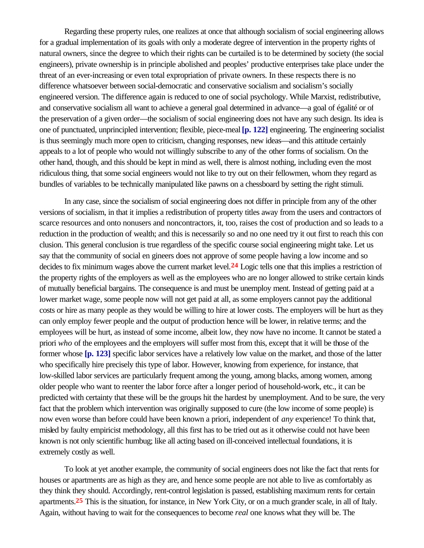Regarding these property rules, one realizes at once that although socialism of social engineering allows for a gradual implementation of its goals with only a moderate degree of intervention in the property rights of natural owners, since the degree to which their rights can be curtailed is to be determined by society (the social engineers), private ownership is in principle abolished and peoples' productive enterprises take place under the threat of an ever-increasing or even total expropriation of private owners. In these respects there is no difference whatsoever between social-democratic and conservative socialism and socialism's socially engineered version. The difference again is reduced to one of social psychology. While Marxist, redistributive, and conservative socialism all want to achieve a general goal determined in advance—a goal of égalité or of the preservation of a given order—the socialism of social engineering does not have any such design. Its idea is one of punctuated, unprincipled intervention; flexible, piece-meal**[p. 122]** engineering. The engineering socialist is thus seemingly much more open to criticism, changing responses, new ideas—and this attitude certainly appeals to a lot of people who would not willingly subscribe to any of the other forms of socialism. On the other hand, though, and this should be kept in mind as well, there is almost nothing, including even the most ridiculous thing, that some social engineers would not like to try out on their fellowmen, whom they regard as bundles of variables to be technically manipulated like pawns on a chessboard by setting the right stimuli.

 In any case, since the socialism of social engineering does not differ in principle from any of the other versions of socialism, in that it implies a redistribution of property titles away from the users and contractors of scarce resources and onto nonusers and noncontractors, it, too, raises the cost of production and so leads to a reduction in the production of wealth; and this is necessarily so and no one need try it out first to reach this con clusion. This general conclusion is true regardless of the specific course social engineering might take. Let us say that the community of social en gineers does not approve of some people having a low income and so decides to fix minimum wages above the current market level.**24** Logic tells one that this implies a restriction of the property rights of the employers as well as the employees who are no longer allowed to strike certain kinds of mutually beneficial bargains. The consequence is and must be unemploy ment. Instead of getting paid at a lower market wage, some people now will not get paid at all, as some employers cannot pay the additional costs or hire as many people as they would be willing to hire at lower costs. The employers will be hurt as they can only employ fewer people and the output of production hence will be lower, in relative terms; and the employees will be hurt, as instead of some income, albeit low, they now have no income. It cannot be stated a priori *who* of the employees and the employers will suffer most from this, except that it will be those of the former whose **[p. 123]** specific labor services have a relatively low value on the market, and those of the latter who specifically hire precisely this type of labor. However, knowing from experience, for instance, that low-skilled labor services are particularly frequent among the young, among blacks, among women, among older people who want to reenter the labor force after a longer period of household-work, etc., it can be predicted with certainty that these will be the groups hit the hardest by unemployment. And to be sure, the very fact that the problem which intervention was originally supposed to cure (the low income of some people) is now even worse than before could have been known a priori, independent of *any* experience! To think that, misled by faulty empiricist methodology, all this first has to be tried out as it otherwise could not have been known is not only scientific humbug; like all acting based on ill-conceived intellectual foundations, it is extremely costly as well.

 To look at yet another example, the community of social engineers does not like the fact that rents for houses or apartments are as high as they are, and hence some people are not able to live as comfortably as they think they should. Accordingly, rent-control legislation is passed, establishing maximum rents for certain apartments.**25** This is the situation, for instance, in New York City, or on a much grander scale, in all of Italy. Again, without having to wait for the consequences to become *real* one knows what they will be. The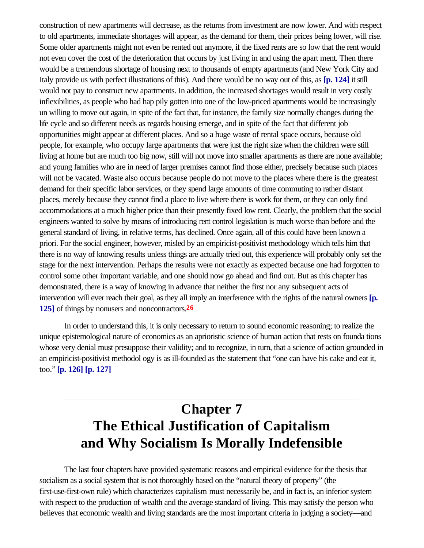construction of new apartments will decrease, as the returns from investment are now lower. And with respect to old apartments, immediate shortages will appear, as the demand for them, their prices being lower, will rise. Some older apartments might not even be rented out anymore, if the fixed rents are so low that the rent would not even cover the cost of the deterioration that occurs by just living in and using the apart ment. Then there would be a tremendous shortage of housing next to thousands of empty apartments (and New York City and Italy provide us with perfect illustrations of this). And there would be no way out of this, as **[p. 124]** it still would not pay to construct new apartments. In addition, the increased shortages would result in very costly inflexibilities, as people who had hap pily gotten into one of the low-priced apartments would be increasingly un willing to move out again, in spite of the fact that, for instance, the family size normally changes during the life cycle and so different needs as regards housing emerge, and in spite of the fact that different job opportunities might appear at different places. And so a huge waste of rental space occurs, because old people, for example, who occupy large apartments that were just the right size when the children were still living at home but are much too big now, still will not move into smaller apartments as there are none available; and young families who are in need of larger premises cannot find those either, precisely because such places will not be vacated. Waste also occurs because people do not move to the places where there is the greatest demand for their specific labor services, or they spend large amounts of time commuting to rather distant places, merely because they cannot find a place to live where there is work for them, or they can only find accommodations at a much higher price than their presently fixed low rent. Clearly, the problem that the social engineers wanted to solve by means of introducing rent control legislation is much worse than before and the general standard of living, in relative terms, has declined. Once again, all of this could have been known a priori. For the social engineer, however, misled by an empiricist-positivist methodology which tells him that there is no way of knowing results unless things are actually tried out, this experience will probably only set the stage for the next intervention. Perhaps the results were not exactly as expected because one had forgotten to control some other important variable, and one should now go ahead and find out. But as this chapter has demonstrated, there is a way of knowing in advance that neither the first nor any subsequent acts of intervention will ever reach their goal, as they all imply an interference with the rights of the natural owners **[p. 125]** of things by nonusers and noncontractors.**26**

 In order to understand this, it is only necessary to return to sound economic reasoning; to realize the unique epistemological nature of economics as an aprioristic science of human action that rests on founda tions whose very denial must presuppose their validity; and to recognize, in turn, that a science of action grounded in an empiricist-positivist methodol ogy is as ill-founded as the statement that "one can have his cake and eat it, too." **[p. 126] [p. 127]**

# **Chapter 7 The Ethical Justification of Capitalism and Why Socialism Is Morally Indefensible**

 The last four chapters have provided systematic reasons and empirical evidence for the thesis that socialism as a social system that is not thoroughly based on the "natural theory of property" (the first-use-first-own rule) which characterizes capitalism must necessarily be, and in fact is, an inferior system with respect to the production of wealth and the average standard of living. This may satisfy the person who believes that economic wealth and living standards are the most important criteria in judging a society—and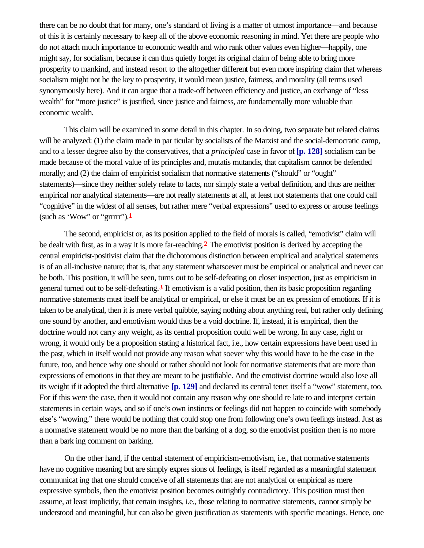there can be no doubt that for many, one's standard of living is a matter of utmost importance—and because of this it is certainly necessary to keep all of the above economic reasoning in mind. Yet there are people who do not attach much importance to economic wealth and who rank other values even higher—happily, one might say, for socialism, because it can thus quietly forget its original claim of being able to bring more prosperity to mankind, and instead resort to the altogether different but even more inspiring claim that whereas socialism might not be the key to prosperity, it would mean justice, fairness, and morality (all terms used synonymously here). And it can argue that a trade-off between efficiency and justice, an exchange of "less wealth" for "more justice" is justified, since justice and fairness, are fundamentally more valuable than economic wealth.

 This claim will be examined in some detail in this chapter. In so doing, two separate but related claims will be analyzed: (1) the claim made in par ticular by socialists of the Marxist and the social-democratic camp, and to a lesser degree also by the conservatives, that a *principled* case in favor of**[p. 128]** socialism can be made because of the moral value of its principles and, mutatis mutandis, that capitalism cannot be defended morally; and (2) the claim of empiricist socialism that normative statements ("should" or "ought" statements)—since they neither solely relate to facts, nor simply state a verbal definition, and thus are neither empirical nor analytical statements—are not really statements at all, at least not statements that one could call "cognitive" in the widest of all senses, but rather mere "verbal expressions" used to express or arouse feelings (such as 'Wow" or "grrrrr").**1**

 The second, empiricist or, as its position applied to the field of morals is called, "emotivist" claim will be dealt with first, as in a way it is more far-reaching.**2** The emotivist position is derived by accepting the central empiricist-positivist claim that the dichotomous distinction between empirical and analytical statements is of an all-inclusive nature; that is, that any statement whatsoever must be empirical or analytical and never can be both. This position, it will be seen, turns out to be self-defeating on closer inspection, just as empiricism in general turned out to be self-defeating.**3** If emotivism is a valid position, then its basic proposition regarding normative statements must itself be analytical or empirical, or else it must be an ex pression of emotions. If it is taken to be analytical, then it is mere verbal quibble, saying nothing about anything real, but rather only defining one sound by another, and emotivism would thus be a void doctrine. If, instead, it is empirical, then the doctrine would not carry any weight, as its central proposition could well be wrong. In any case, right or wrong, it would only be a proposition stating a historical fact, i.e., how certain expressions have been used in the past, which in itself would not provide any reason what soever why this would have to be the case in the future, too, and hence why one should or rather should not look for normative statements that are more than expressions of emotions in that they are meant to be justifiable. And the emotivist doctrine would also lose all its weight if it adopted the third alternative **[p. 129]** and declared its central tenet itself a "wow" statement, too. For if this were the case, then it would not contain any reason why one should re late to and interpret certain statements in certain ways, and so if one's own instincts or feelings did not happen to coincide with somebody else's "wowing," there would be nothing that could stop one from following one's own feelings instead. Just as a normative statement would be no more than the barking of a dog, so the emotivist position then is no more than a bark ing comment on barking.

 On the other hand, if the central statement of empiricism-emotivism, i.e., that normative statements have no cognitive meaning but are simply expres sions of feelings, is itself regarded as a meaningful statement communicat ing that one should conceive of all statements that are not analytical or empirical as mere expressive symbols, then the emotivist position becomes outrightly contradictory. This position must then assume, at least implicitly, that certain insights, i.e., those relating to normative statements, cannot simply be understood and meaningful, but can also be given justification as statements with specific meanings. Hence, one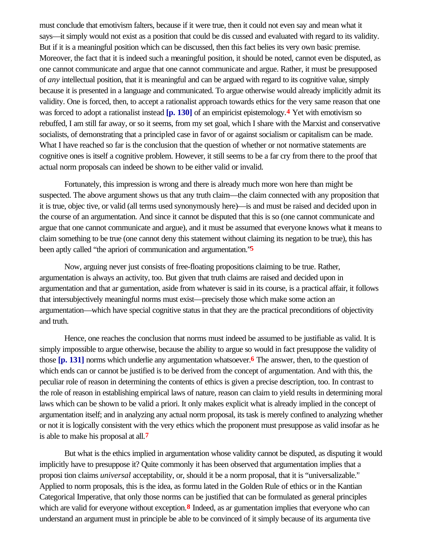must conclude that emotivism falters, because if it were true, then it could not even say and mean what it says—it simply would not exist as a position that could be dis cussed and evaluated with regard to its validity. But if it is a meaningful position which can be discussed, then this fact belies its very own basic premise. Moreover, the fact that it is indeed such a meaningful position, it should be noted, cannot even be disputed, as one cannot communicate and argue that one cannot communicate and argue. Rather, it must be presupposed of *any* intellectual position, that it is meaningful and can be argued with regard to its cognitive value, simply because it is presented in a language and communicated. To argue otherwise would already implicitly admit its validity. One is forced, then, to accept a rationalist approach towards ethics for the very same reason that one was forced to adopt a rationalist instead **[p. 130]** of an empiricist epistemology.<sup>4</sup> Yet with emotivism so rebuffed, I am still far away, or so it seems, from my set goal, which I share with the Marxist and conservative socialists, of demonstrating that a principled case in favor of or against socialism or capitalism can be made. What I have reached so far is the conclusion that the question of whether or not normative statements are cognitive ones is itself a cognitive problem. However, it still seems to be a far cry from there to the proof that actual norm proposals can indeed be shown to be either valid or invalid.

 Fortunately, this impression is wrong and there is already much more won here than might be suspected. The above argument shows us that any truth claim—the claim connected with any proposition that it is true, objec tive, or valid (all terms used synonymously here)—is and must be raised and decided upon in the course of an argumentation. And since it cannot be disputed that this is so (one cannot communicate and argue that one cannot communicate and argue), and it must be assumed that everyone knows what it means to claim something to be true (one cannot deny this statement without claiming its negation to be true), this has been aptly called "the apriori of communication and argumentation."**5**

 Now, arguing never just consists of free-floating propositions claiming to be true. Rather, argumentation is always an activity, too. But given that truth claims are raised and decided upon in argumentation and that ar gumentation, aside from whatever is said in its course, is a practical affair, it follows that intersubjectively meaningful norms must exist—precisely those which make some action an argumentation—which have special cognitive status in that they are the practical preconditions of objectivity and truth.

 Hence, one reaches the conclusion that norms must indeed be assumed to be justifiable as valid. It is simply impossible to argue otherwise, because the ability to argue so would in fact presuppose the validity of those **[p. 131]** norms which underlie any argumentation whatsoever.**6** The answer, then, to the question of which ends can or cannot be justified is to be derived from the concept of argumentation. And with this, the peculiar role of reason in determining the contents of ethics is given a precise description, too. In contrast to the role of reason in establishing empirical laws of nature, reason can claim to yield results in determining moral laws which can be shown to be valid a priori. It only makes explicit what is already implied in the concept of argumentation itself; and in analyzing any actual norm proposal, its task is merely confined to analyzing whether or not it is logically consistent with the very ethics which the proponent must presuppose as valid insofar as he is able to make his proposal at all.**7**

 But what is the ethics implied in argumentation whose validity cannot be disputed, as disputing it would implicitly have to presuppose it? Quite commonly it has been observed that argumentation implies that a proposi tion claims *universal* acceptability, or, should it be a norm proposal, that it is "universalizable." Applied to norm proposals, this is the idea, as formu lated in the Golden Rule of ethics or in the Kantian Categorical Imperative, that only those norms can be justified that can be formulated as general principles which are valid for everyone without exception.<sup>8</sup> Indeed, as ar gumentation implies that everyone who can understand an argument must in principle be able to be convinced of it simply because of its argumenta tive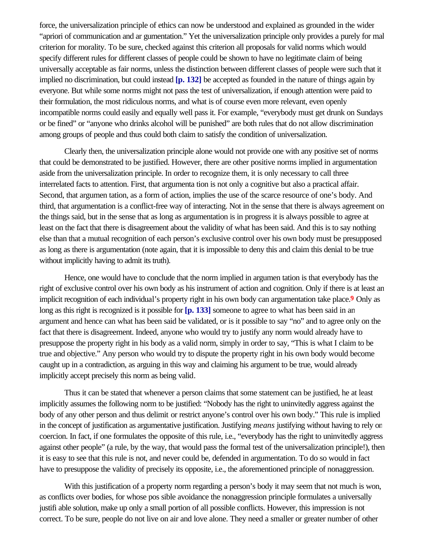force, the universalization principle of ethics can now be understood and explained as grounded in the wider "apriori of communication and ar gumentation." Yet the universalization principle only provides a purely for mal criterion for morality. To be sure, checked against this criterion all proposals for valid norms which would specify different rules for different classes of people could be shown to have no legitimate claim of being universally acceptable as fair norms, unless the distinction between different classes of people were such that it implied no discrimination, but could instead **[p. 132]** be accepted as founded in the nature of things again by everyone. But while some norms might not pass the test of universalization, if enough attention were paid to their formulation, the most ridiculous norms, and what is of course even more relevant, even openly incompatible norms could easily and equally well pass it. For example, "everybody must get drunk on Sundays or be fined" or "anyone who drinks alcohol will be punished" are both rules that do not allow discrimination among groups of people and thus could both claim to satisfy the condition of universalization.

 Clearly then, the universalization principle alone would not provide one with any positive set of norms that could be demonstrated to be justified. However, there are other positive norms implied in argumentation aside from the universalization principle. In order to recognize them, it is only necessary to call three interrelated facts to attention. First, that argumenta tion is not only a cognitive but also a practical affair. Second, that argumen tation, as a form of action, implies the use of the scarce resource of one's body. And third, that argumentation is a conflict-free way of interacting. Not in the sense that there is always agreement on the things said, but in the sense that as long as argumentation is in progress it is always possible to agree at least on the fact that there is disagreement about the validity of what has been said. And this is to say nothing else than that a mutual recognition of each person's exclusive control over his own body must be presupposed as long as there is argumentation (note again, that it is impossible to deny this and claim this denial to be true without implicitly having to admit its truth).

 Hence, one would have to conclude that the norm implied in argumen tation is that everybody has the right of exclusive control over his own body as his instrument of action and cognition. Only if there is at least an implicit recognition of each individual's property right in his own body can argumentation take place.**9** Only as long as this right is recognized is it possible for **[p. 133]** someone to agree to what has been said in an argument and hence can what has been said be validated, or is it possible to say "no" and to agree only on the fact that there is disagreement. Indeed, anyone who would try to justify any norm would already have to presuppose the property right in his body as a valid norm, simply in order to say, "This is what I claim to be true and objective." Any person who would try to dispute the property right in his own body would become caught up in a contradiction, as arguing in this way and claiming his argument to be true, would already implicitly accept precisely this norm as being valid.

 Thus it can be stated that whenever a person claims that some statement can be justified, he at least implicitly assumes the following norm to be justified: "Nobody has the right to uninvitedly aggress against the body of any other person and thus delimit or restrict anyone's control over his own body." This rule is implied in the concept of justification as argumentative justification. Justifying *means* justifying without having to rely on coercion. In fact, if one formulates the opposite of this rule, i.e., "everybody has the right to uninvitedly aggress against other people" (a rule, by the way, that would pass the formal test of the universalization principle!), then it is easy to see that this rule is not, and never could be, defended in argumentation. To do so would in fact have to presuppose the validity of precisely its opposite, i.e., the aforementioned principle of nonaggression.

 With this justification of a property norm regarding a person's body it may seem that not much is won, as conflicts over bodies, for whose pos sible avoidance the nonaggression principle formulates a universally justifi able solution, make up only a small portion of all possible conflicts. However, this impression is not correct. To be sure, people do not live on air and love alone. They need a smaller or greater number of other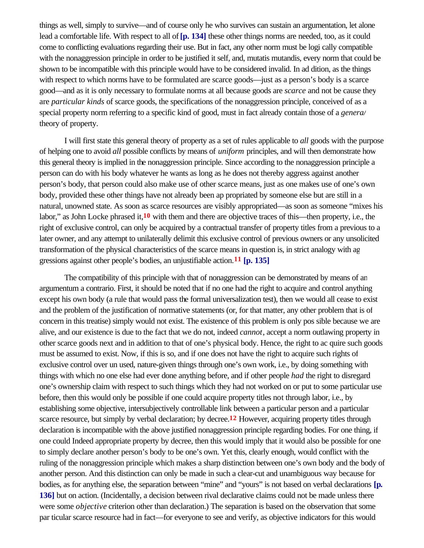things as well, simply to survive—and of course only he who survives can sustain an argumentation, let alone lead a comfortable life. With respect to all of**[p. 134]** these other things norms are needed, too, as it could come to conflicting evaluations regarding their use. But in fact, any other norm must be logi cally compatible with the nonaggression principle in order to be justified it self, and, mutatis mutandis, every norm that could be shown to be incompatible with this principle would have to be considered invalid. In ad dition, as the things with respect to which norms have to be formulated are scarce goods—just as a person's body is a scarce good—and as it is only necessary to formulate norms at all because goods are *scarce* and not be cause they are *particular kinds* of scarce goods, the specifications of the nonaggression principle, conceived of as a special property norm referring to a specific kind of good, must in fact already contain those of a *genera/* theory of property.

 I will first state this general theory of property as a set of rules applicable to *all* goods with the purpose of helping one to avoid *all* possible conflicts by means of *uniform* principles, and will then demonstrate how this general theory is implied in the nonaggression principle. Since according to the nonaggression principle a person can do with his body whatever he wants as long as he does not thereby aggress against another person's body, that person could also make use of other scarce means, just as one makes use of one's own body, provided these other things have not already been ap propriated by someone else but are still in a natural, unowned state. As soon as scarce resources are visibly appropriated—as soon as someone "mixes his labor," as John Locke phrased it,**10** with them and there are objective traces of this—then property, i.e., the right of exclusive control, can only be acquired by a contractual transfer of property titles from a previous to a later owner, and any attempt to unilaterally delimit this exclusive control of previous owners or any unsolicited transformation of the physical characteristics of the scarce means in question is, in strict analogy with ag gressions against other people's bodies, an unjustifiable action.**11 [p. 135]**

 The compatibility of this principle with that of nonaggression can be demonstrated by means of an argumentum a contrario. First, it should be noted that if no one had the right to acquire and control anything except his own body (a rule that would pass the formal universalization test), then we would all cease to exist and the problem of the justification of normative statements (or, for that matter, any other problem that is of concern in this treatise) simply would not exist. The existence of this problem is only pos sible because we are alive, and our existence is due to the fact that we do not, indeed *cannot*, accept a norm outlawing property in other scarce goods next and in addition to that of one's physical body. Hence, the right to ac quire such goods must be assumed to exist. Now, if this is so, and if one does not have the right to acquire such rights of exclusive control over un used, nature-given things through one's own work, i.e., by doing something with things with which no one else had ever done anything before, and if other people *had* the right to disregard one's ownership claim with respect to such things which they had not worked on or put to some particular use before, then this would only be possible if one could acquire property titles not through labor, i.e., by establishing some objective, intersubjectively controllable link between a particular person and a particular scarce resource, but simply by verbal declaration; by decree.**12** However, acquiring property titles through declaration is incompatible with the above justified nonaggression principle regarding bodies. For one thing, if one could Indeed appropriate property by decree, then this would imply that it would also be possible for one to simply declare another person's body to be one's own. Yet this, clearly enough, would conflict with the ruling of the nonaggression principle which makes a sharp distinction between one's own body and the body of another person. And this distinction can only be made in such a clear-cut and unambiguous way because for bodies, as for anything else, the separation between "mine" and "yours" is not based on verbal declarations **[p. 136]** but on action. (Incidentally, a decision between rival declarative claims could not be made unless there were some *objective* criterion other than declaration.) The separation is based on the observation that some par ticular scarce resource had in fact—for everyone to see and verify, as objective indicators for this would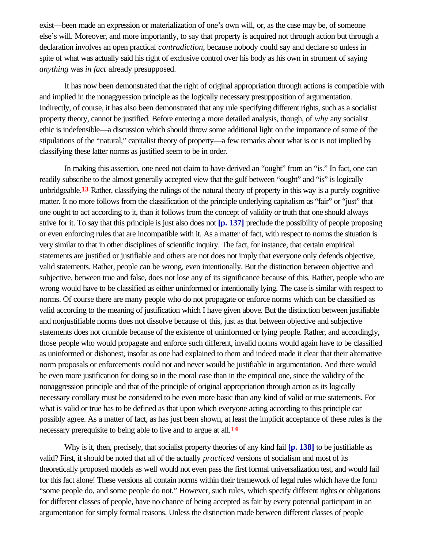exist—been made an expression or materialization of one's own will, or, as the case may be, of someone else's will. Moreover, and more importantly, to say that property is acquired not through action but through a declaration involves an open practical *contradiction*, because nobody could say and declare so unless in spite of what was actually said his right of exclusive control over his body as his own in strument of saying *anything* was *in fact* already presupposed.

 It has now been demonstrated that the right of original appropriation through actions is compatible with and implied in the nonaggression principle as the logically necessary presupposition of argumentation. Indirectly, of course, it has also been demonstrated that any rule specifying different rights, such as a socialist property theory, cannot be justified. Before entering a more detailed analysis, though, of *why* any socialist ethic is indefensible—a discussion which should throw some additional light on the importance of some of the stipulations of the "natural," capitalist theory of property—a few remarks about what is or is not implied by classifying these latter norms as justified seem to be in order.

In making this assertion, one need not claim to have derived an "ought" from an "is." In fact, one can readily subscribe to the almost generally accepted view that the gulf between "ought" and "is" is logically unbridgeable.**13** Rather, classifying the rulings of the natural theory of property in this way is a purely cognitive matter. It no more follows from the classification of the principle underlying capitalism as "fair" or "just" that one ought to act according to it, than it follows from the concept of validity or truth that one should always strive for it. To say that this principle is just also does not **[p. 137]** preclude the possibility of people proposing or even enforcing rules that are incompatible with it. As a matter of fact, with respect to norms the situation is very similar to that in other disciplines of scientific inquiry. The fact, for instance, that certain empirical statements are justified or justifiable and others are not does not imply that everyone only defends objective, valid statements. Rather, people can be wrong, even intentionally. But the distinction between objective and subjective, between true and false, does not lose any of its significance because of this. Rather, people who are wrong would have to be classified as either uninformed or intentionally lying. The case is similar with respect to norms. Of course there are many people who do not propagate or enforce norms which can be classified as valid according to the meaning of justification which I have given above. But the distinction between justifiable and nonjustifiable norms does not dissolve because of this, just as that between objective and subjective statements does not crumble because of the existence of uninformed or lying people. Rather, and accordingly, those people who would propagate and enforce such different, invalid norms would again have to be classified as uninformed or dishonest, insofar as one had explained to them and indeed made it clear that their alternative norm proposals or enforcements could not and never would be justifiable in argumentation. And there would be even more justification for doing so in the moral case than in the empirical one, since the validity of the nonaggression principle and that of the principle of original appropriation through action as its logically necessary corollary must be considered to be even more basic than any kind of valid or true statements. For what is valid or true has to be defined as that upon which everyone acting according to this principle can possibly agree. As a matter of fact, as has just been shown, at least the implicit acceptance of these rules is the necessary prerequisite to being able to live and to argue at all.**14**

 Why is it, then, precisely, that socialist property theories of any kind fail **[p. 138]** to be justifiable as valid? First, it should be noted that all of the actually *practiced* versions of socialism and most of its theoretically proposed models as well would not even pass the first formal universalization test, and would fail for this fact alone! These versions all contain norms within their framework of legal rules which have the form "some people do, and some people do not." However, such rules, which specify different rights or obligations for different classes of people, have no chance of being accepted as fair by every potential participant in an argumentation for simply formal reasons. Unless the distinction made between different classes of people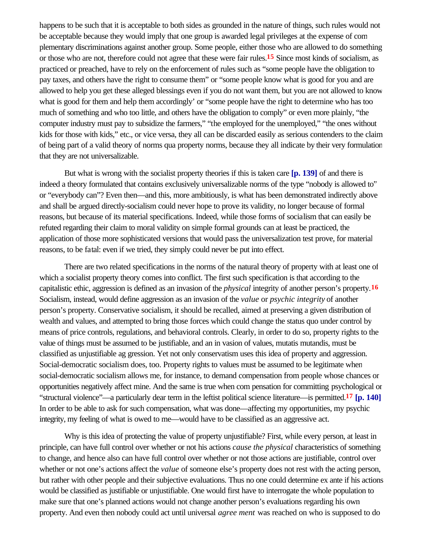happens to be such that it is acceptable to both sides as grounded in the nature of things, such rules would not be acceptable because they would imply that one group is awarded legal privileges at the expense of complementary discriminations against another group. Some people, either those who are allowed to do something or those who are not, therefore could not agree that these were fair rules.**15** Since most kinds of socialism, as practiced or preached, have to rely on the enforcement of rules such as "some people have the obligation to pay taxes, and others have the right to consume them" or "some people know what is good for you and are allowed to help you get these alleged blessings even if you do not want them, but you are not allowed to know what is good for them and help them accordingly' or "some people have the right to determine who has too much of something and who too little, and others have the obligation to comply" or even more plainly, "the computer industry must pay to subsidize the farmers," "the employed for the unemployed," "the ones without kids for those with kids," etc., or vice versa, they all can be discarded easily as serious contenders to the claim of being part of a valid theory of norms qua property norms, because they all indicate by their very formulation that they are not universalizable.

 But what is wrong with the socialist property theories if this is taken care **[p. 139]** of and there is indeed a theory formulated that contains exclusively universalizable norms of the type "nobody is allowed to" or "everybody can"? Even then—and this, more ambitiously, is what has been demonstrated indirectly above and shall be argued directly-socialism could never hope to prove its validity, no longer because of formal reasons, but because of its material specifications. Indeed, while those forms of socialism that can easily be refuted regarding their claim to moral validity on simple formal grounds can at least be practiced, the application of those more sophisticated versions that would pass the universalization test prove, for material reasons, to be fatal: even if we tried, they simply could never be put into effect.

 There are two related specifications in the norms of the natural theory of property with at least one of which a socialist property theory comes into conflict. The first such specification is that according to the capitalistic ethic, aggression is defined as an invasion of the *physical* integrity of another person's property.**16** Socialism, instead, would define aggression as an invasion of the *value* or *psychic integrity* of another person's property. Conservative socialism, it should be recalled, aimed at preserving a given distribution of wealth and values, and attempted to bring those forces which could change the status quo under control by means of price controls, regulations, and behavioral controls. Clearly, in order to do so, property rights to the value of things must be assumed to be justifiable, and an in vasion of values, mutatis mutandis, must be classified as unjustifiable ag gression. Yet not only conservatism uses this idea of property and aggression. Social-democratic socialism does, too. Property rights to values must be assumed to be legitimate when social-democratic socialism allows me, for instance, to demand compensation from people whose chances or opportunities negatively affect mine. And the same is true when com pensation for committing psychological or "structural violence"—a particularly dear term in the leftist political science literature—is permitted.**17 [p. 140]** In order to be able to ask for such compensation, what was done—affecting my opportunities, my psychic integrity, my feeling of what is owed to me—would have to be classified as an aggressive act.

 Why is this idea of protecting the value of property unjustifiable? First, while every person, at least in principle, can have full control over whether or not his actions *cause the physical* characteristics of something to change, and hence also can have full control over whether or not those actions are justifiable, control over whether or not one's actions affect the *value* of someone else's property does not rest with the acting person, but rather with other people and their subjective evaluations. Thus no one could determine ex ante if his actions would be classified as justifiable or unjustifiable. One would first have to interrogate the whole population to make sure that one's planned actions would not change another person's evaluations regarding his own property. And even then nobody could act until universal *agree ment* was reached on who is supposed to do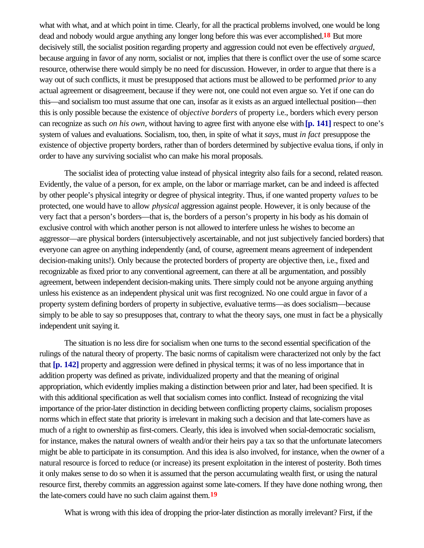what with what, and at which point in time. Clearly, for all the practical problems involved, one would be long dead and nobody would argue anything any longer long before this was ever accomplished.**18** But more decisively still, the socialist position regarding property and aggression could not even be effectively *argued*, because arguing in favor of any norm, socialist or not, implies that there is conflict over the use of some scarce resource, otherwise there would simply be no need for discussion. However, in order to argue that there is a way out of such conflicts, it must be presupposed that actions must be allowed to be performed *prior* to any actual agreement or disagreement, because if they were not, one could not even argue so. Yet if one can do this—and socialism too must assume that one can, insofar as it exists as an argued intellectual position—then this is only possible because the existence of ob*jective borders* of property i.e., borders which every person can recognize as such *on his own*, without having to agree first with anyone else with **[p. 141]** respect to one's system of values and evaluations. Socialism, too, then, in spite of what it *says*, must *in fact* presuppose the existence of objective property borders, rather than of borders determined by subjective evalua tions, if only in order to have any surviving socialist who can make his moral proposals.

 The socialist idea of protecting value instead of physical integrity also fails for a second, related reason. Evidently, the value of a person, for ex ample, on the labor or marriage market, can be and indeed is affected by other people's physical integrity or degree of physical integrity. Thus, if one wanted property *values* to be protected, one would have to allow *physical* aggression against people. However, it is only because of the very fact that a person's borders—that is, the borders of a person's property in his body as his domain of exclusive control with which another person is not allowed to interfere unless he wishes to become an aggressor—are physical borders (intersubjectively ascertainable, and not just subjectively fancied borders) that everyone can agree on anything independently (and, of course, agreement means agreement of independent decision-making units!). Only because the protected borders of property are objective then, i.e., fixed and recognizable as fixed prior to any conventional agreement, can there at all be argumentation, and possibly agreement, between independent decision-making units. There simply could not be anyone arguing anything unless his existence as an independent physical unit was first recognized. No one could argue in favor of a property system defining borders of property in subjective, evaluative terms—as does socialism—because simply to be able to say so presupposes that, contrary to what the theory says, one must in fact be a physically independent unit saying it.

 The situation is no less dire for socialism when one turns to the second essential specification of the rulings of the natural theory of property. The basic norms of capitalism were characterized not only by the fact that **[p. 142]** property and aggression were defined in physical terms; it was of no less importance that in addition property was defined as private, individualized property and that the meaning of original appropriation, which evidently implies making a distinction between prior and later, had been specified. It is with this additional specification as well that socialism comes into conflict. Instead of recognizing the vital importance of the prior-later distinction in deciding between conflicting property claims, socialism proposes norms which in effect state that priority is irrelevant in making such a decision and that late-comers have as much of a right to ownership as first-comers. Clearly, this idea is involved when social-democratic socialism, for instance, makes the natural owners of wealth and/or their heirs pay a tax so that the unfortunate latecomers might be able to participate in its consumption. And this idea is also involved, for instance, when the owner of a natural resource is forced to reduce (or increase) its present exploitation in the interest of posterity. Both times it only makes sense to do so when it is assumed that the person accumulating wealth first, or using the natural resource first, thereby commits an aggression against some late-comers. If they have done nothing wrong, then the late-comers could have no such claim against them.**19**

What is wrong with this idea of dropping the prior-later distinction as morally irrelevant? First, if the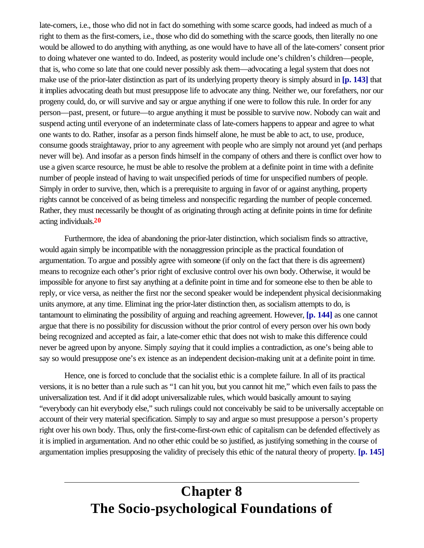late-comers, i.e., those who did not in fact do something with some scarce goods, had indeed as much of a right to them as the first-comers, i.e., those who did do something with the scarce goods, then literally no one would be allowed to do anything with anything, as one would have to have all of the late-comers' consent prior to doing whatever one wanted to do. Indeed, as posterity would include one's children's children—people, that is, who come so late that one could never possibly ask them—advocating a legal system that does not make use of the prior-later distinction as part of its underlying property theory is simply absurd in **[p. 143]** that it implies advocating death but must presuppose life to advocate any thing. Neither we, our forefathers, nor our progeny could, do, or will survive and say or argue anything if one were to follow this rule. In order for any person—past, present, or future—to argue anything it must be possible to survive now. Nobody can wait and suspend acting until everyone of an indeterminate class of late-comers happens to appear and agree to what one wants to do. Rather, insofar as a person finds himself alone, he must be able to act, to use, produce, consume goods straightaway, prior to any agreement with people who are simply not around yet (and perhaps never will be). And insofar as a person finds himself in the company of others and there is conflict over how to use a given scarce resource, he must be able to resolve the problem at a definite point in time with a definite number of people instead of having to wait unspecified periods of time for unspecified numbers of people. Simply in order to survive, then, which is a prerequisite to arguing in favor of or against anything, property rights cannot be conceived of as being timeless and nonspecific regarding the number of people concerned. Rather, they must necessarily be thought of as originating through acting at definite points in time for definite acting individuals.**20**

 Furthermore, the idea of abandoning the prior-later distinction, which socialism finds so attractive, would again simply be incompatible with the nonaggression principle as the practical foundation of argumentation. To argue and possibly agree with someone (if only on the fact that there is dis agreement) means to recognize each other's prior right of exclusive control over his own body. Otherwise, it would be impossible for anyone to first say anything at a definite point in time and for someone else to then be able to reply, or vice versa, as neither the first nor the second speaker would be independent physical decisionmaking units anymore, at any time. Eliminat ing the prior-later distinction then, as socialism attempts to do, is tantamount to eliminating the possibility of arguing and reaching agreement. However, **[p. 144]** as one cannot argue that there is no possibility for discussion without the prior control of every person over his own body being recognized and accepted as fair, a late-comer ethic that does not wish to make this difference could never be agreed upon by anyone. Simply *saying* that it could implies a contradiction, as one's being able to say so would presuppose one's ex istence as an independent decision-making unit at a definite point in time.

 Hence, one is forced to conclude that the socialist ethic is a complete failure. In all of its practical versions, it is no better than a rule such as "1 can hit you, but you cannot hit me," which even fails to pass the universalization test. And if it did adopt universalizable rules, which would basically amount to saying "everybody can hit everybody else," such rulings could not conceivably be said to be universally acceptable on account of their very material specification. Simply to say and argue so must presuppose a person's property right over his own body. Thus, only the first-come-first-own ethic of capitalism can be defended effectively as it is implied in argumentation. And no other ethic could be so justified, as justifying something in the course of argumentation implies presupposing the validity of precisely this ethic of the natural theory of property. **[p. 145]**

### **Chapter 8 The Socio-psychological Foundations of**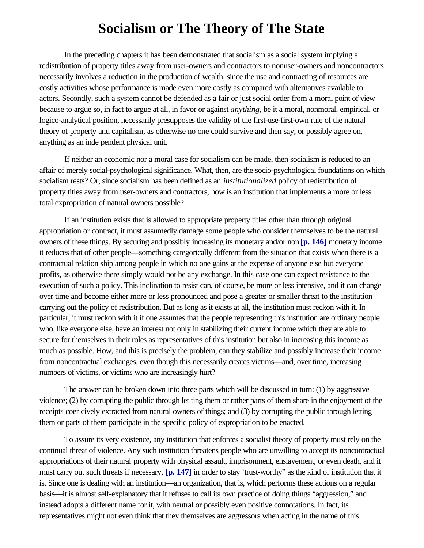#### **Socialism or The Theory of The State**

 In the preceding chapters it has been demonstrated that socialism as a social system implying a redistribution of property titles away from user-owners and contractors to nonuser-owners and noncontractors necessarily involves a reduction in the production of wealth, since the use and contracting of resources are costly activities whose performance is made even more costly as compared with alternatives available to actors. Secondly, such a system cannot be defended as a fair or just social order from a moral point of view because to argue so, in fact to argue at all, in favor or against *anything*, be it a moral, nonmoral, empirical, or logico-analytical position, necessarily presupposes the validity of the first-use-first-own rule of the natural theory of property and capitalism, as otherwise no one could survive and then say, or possibly agree on, anything as an inde pendent physical unit.

 If neither an economic nor a moral case for socialism can be made, then socialism is reduced to an affair of merely social-psychological significance. What, then, are the socio-psychological foundations on which socialism rests? Or, since socialism has been defined as an *institutionalized* policy of redistribution of property titles away from user-owners and contractors, how is an institution that implements a more or less total expropriation of natural owners possible?

 If an institution exists that is allowed to appropriate property titles other than through original appropriation or contract, it must assumedly damage some people who consider themselves to be the natural owners of these things. By securing and possibly increasing its monetary and/or non **[p. 146]** monetary income it reduces that of other people—something categorically different from the situation that exists when there is a contractual relation ship among people in which no one gains at the expense of anyone else but everyone profits, as otherwise there simply would not be any exchange. In this case one can expect resistance to the execution of such a policy. This inclination to resist can, of course, be more or less intensive, and it can change over time and become either more or less pronounced and pose a greater or smaller threat to the institution carrying out the policy of redistribution. But as long as it exists at all, the institution must reckon with it. In particular, it must reckon with it if one assumes that the people representing this institution are ordinary people who, like everyone else, have an interest not only in stabilizing their current income which they are able to secure for themselves in their roles as representatives of this institution but also in increasing this income as much as possible. How, and this is precisely the problem, can they stabilize and possibly increase their income from noncontractual exchanges, even though this necessarily creates victims—and, over time, increasing numbers of victims, or victims who are increasingly hurt?

 The answer can be broken down into three parts which will be discussed in turn: (1) by aggressive violence; (2) by corrupting the public through let ting them or rather parts of them share in the enjoyment of the receipts coer cively extracted from natural owners of things; and (3) by corrupting the public through letting them or parts of them participate in the specific policy of expropriation to be enacted.

 To assure its very existence, any institution that enforces a socialist theory of property must rely on the continual threat of violence. Any such institution threatens people who are unwilling to accept its noncontractual appropriations of their natural property with physical assault, imprisonment, enslavement, or even death, and it must carry out such threats if necessary, **[p. 147]** in order to stay 'trust-worthy" as the kind of institution that it is. Since one is dealing with an institution—an organization, that is, which performs these actions on a regular basis—it is almost self-explanatory that it refuses to call its own practice of doing things "aggression," and instead adopts a different name for it, with neutral or possibly even positive connotations. In fact, its representatives might not even think that they themselves are aggressors when acting in the name of this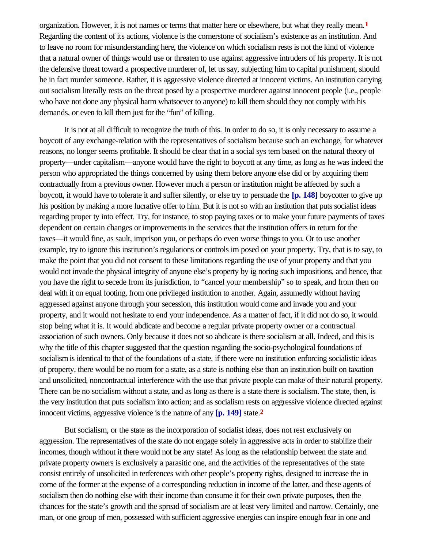organization. However, it is not names or terms that matter here or elsewhere, but what they really mean.**1** Regarding the content of its actions, violence is the cornerstone of socialism's existence as an institution. And to leave no room for misunderstanding here, the violence on which socialism rests is not the kind of violence that a natural owner of things would use or threaten to use against aggressive intruders of his property. It is not the defensive threat toward a prospective murderer of, let us say, subjecting him to capital punishment, should he in fact murder someone. Rather, it is aggressive violence directed at innocent victims. An institution carrying out socialism literally rests on the threat posed by a prospective murderer against innocent people (i.e., people who have not done any physical harm whatsoever to anyone) to kill them should they not comply with his demands, or even to kill them just for the "fun" of killing.

 It is not at all difficult to recognize the truth of this. In order to do so, it is only necessary to assume a boycott of any exchange-relation with the representatives of socialism because such an exchange, for whatever reasons, no longer seems profitable. It should be clear that in a social sys tem based on the natural theory of property—under capitalism—anyone would have the right to boycott at any time, as long as he was indeed the person who appropriated the things concerned by using them before anyone else did or by acquiring them contractually from a previous owner. However much a person or institution might be affected by such a boycott, it would have to tolerate it and suffer silently, or else try to persuade the **[p. 148]** boycotter to give up his position by making a more lucrative offer to him. But it is not so with an institution that puts socialist ideas regarding proper ty into effect. Try, for instance, to stop paying taxes or to make your future payments of taxes dependent on certain changes or improvements in the services that the institution offers in return for the taxes—it would fine, as sault, imprison you, or perhaps do even worse things to you. Or to use another example, try to ignore this institution's regulations or controls im posed on your property. Try, that is to say, to make the point that you did not consent to these limitations regarding the use of your property and that you would not invade the physical integrity of anyone else's property by ig noring such impositions, and hence, that you have the right to secede from its jurisdiction, to "cancel your membership" so to speak, and from then on deal with it on equal footing, from one privileged institution to another. Again, assumedly without having aggressed against anyone through your secession, this institution would come and invade you and your property, and it would not hesitate to end your independence. As a matter of fact, if it did not do so, it would stop being what it is. It would abdicate and become a regular private property owner or a contractual association of such owners. Only because it does not so abdicate is there socialism at all. Indeed, and this is why the title of this chapter suggested that the question regarding the socio-psychological foundations of socialism is identical to that of the foundations of a state, if there were no institution enforcing socialistic ideas of property, there would be no room for a state, as a state is nothing else than an institution built on taxation and unsolicited, noncontractual interference with the use that private people can make of their natural property. There can be no socialism without a state, and as long as there is a state there is socialism. The state, then, is the very institution that puts socialism into action; and as socialism rests on aggressive violence directed against innocent victims, aggressive violence is the nature of any **[p. 149]** state.**2**

 But socialism, or the state as the incorporation of socialist ideas, does not rest exclusively on aggression. The representatives of the state do not engage solely in aggressive acts in order to stabilize their incomes, though without it there would not be any state! As long as the relationship between the state and private property owners is exclusively a parasitic one, and the activities of the representatives of the state consist entirely of unsolicited in terferences with other people's property rights, designed to increase the in come of the former at the expense of a corresponding reduction in income of the latter, and these agents of socialism then do nothing else with their income than consume it for their own private purposes, then the chances for the state's growth and the spread of socialism are at least very limited and narrow. Certainly, one man, or one group of men, possessed with sufficient aggressive energies can inspire enough fear in one and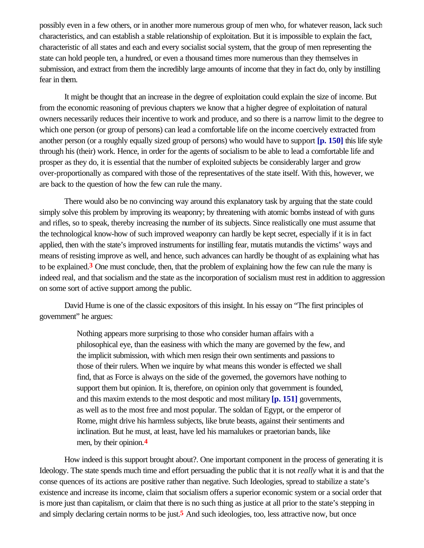possibly even in a few others, or in another more numerous group of men who, for whatever reason, lack such characteristics, and can establish a stable relationship of exploitation. But it is impossible to explain the fact, characteristic of all states and each and every socialist social system, that the group of men representing the state can hold people ten, a hundred, or even a thousand times more numerous than they themselves in submission, and extract from them the incredibly large amounts of income that they in fact do, only by instilling fear in them.

 It might be thought that an increase in the degree of exploitation could explain the size of income. But from the economic reasoning of previous chapters we know that a higher degree of exploitation of natural owners necessarily reduces their incentive to work and produce, and so there is a narrow limit to the degree to which one person (or group of persons) can lead a comfortable life on the income coercively extracted from another person (or a roughly equally sized group of persons) who would have to support **[p. 150]** this life style through his (their) work. Hence, in order for the agents of socialism to be able to lead a comfortable life and prosper as they do, it is essential that the number of exploited subjects be considerably larger and grow over-proportionally as compared with those of the representatives of the state itself. With this, however, we are back to the question of how the few can rule the many.

 There would also be no convincing way around this explanatory task by arguing that the state could simply solve this problem by improving its weaponry; by threatening with atomic bombs instead of with guns and rifles, so to speak, thereby increasing the number of its subjects. Since realistically one must assume that the technological know-how of such improved weaponry can hardly be kept secret, especially if it is in fact applied, then with the state's improved instruments for instilling fear, mutatis mutandis the victims' ways and means of resisting improve as well, and hence, such advances can hardly be thought of as explaining what has to be explained.**3** One must conclude, then, that the problem of explaining how the few can rule the many is indeed real, and that socialism and the state as the incorporation of socialism must rest in addition to aggression on some sort of active support among the public.

 David Hume is one of the classic expositors of this insight. In his essay on "The first principles of government" he argues:

> Nothing appears more surprising to those who consider human affairs with a philosophical eye, than the easiness with which the many are governed by the few, and the implicit submission, with which men resign their own sentiments and passions to those of their rulers. When we inquire by what means this wonder is effected we shall find, that as Force is always on the side of the governed, the governors have nothing to support them but opinion. It is, therefore, on opinion only that government is founded, and this maxim extends to the most despotic and most military **[p. 151]** governments, as well as to the most free and most popular. The soldan of Egypt, or the emperor of Rome, might drive his harmless subjects, like brute beasts, against their sentiments and inclination. But he must, at least, have led his mamalukes or praetorian bands, like men, by their opinion.**4**

 How indeed is this support brought about?. One important component in the process of generating it is Ideology. The state spends much time and effort persuading the public that it is not *really* what it is and that the conse quences of its actions are positive rather than negative. Such Ideologies, spread to stabilize a state's existence and increase its income, claim that socialism offers a superior economic system or a social order that is more just than capitalism, or claim that there is no such thing as justice at all prior to the state's stepping in and simply declaring certain norms to be just.**5** And such ideologies, too, less attractive now, but once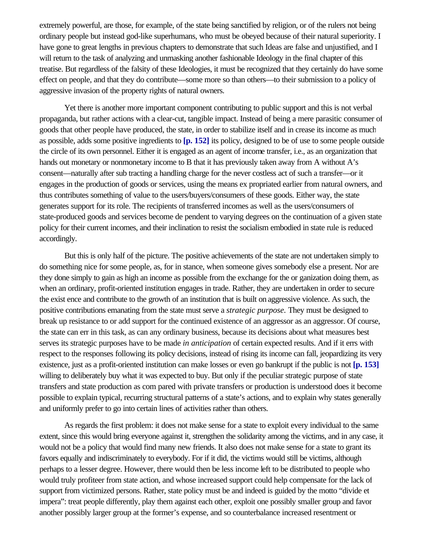extremely powerful, are those, for example, of the state being sanctified by religion, or of the rulers not being ordinary people but instead god-like superhumans, who must be obeyed because of their natural superiority. I have gone to great lengths in previous chapters to demonstrate that such Ideas are false and unjustified, and I will return to the task of analyzing and unmasking another fashionable Ideology in the final chapter of this treatise. But regardless of the falsity of these Ideologies, it must be recognized that they certainly do have some effect on people, and that they do contribute—some more so than others—to their submission to a policy of aggressive invasion of the property rights of natural owners.

 Yet there is another more important component contributing to public support and this is not verbal propaganda, but rather actions with a clear-cut, tangible impact. Instead of being a mere parasitic consumer of goods that other people have produced, the state, in order to stabilize itself and in crease its income as much as possible, adds some positive ingredients to **[p. 152]** its policy, designed to be of use to some people outside the circle of its own personnel. Either it is engaged as an agent of income transfer, i.e., as an organization that hands out monetary or nonmonetary income to B that it has previously taken away from A without A's consent—naturally after sub tracting a handling charge for the never costless act of such a transfer—or it engages in the production of goods or services, using the means ex propriated earlier from natural owners, and thus contributes something of value to the users/buyers/consumers of these goods. Either way, the state generates support for its role. The recipients of transferred incomes as well as the users/consumers of state-produced goods and services become de pendent to varying degrees on the continuation of a given state policy for their current incomes, and their inclination to resist the socialism embodied in state rule is reduced accordingly.

 But this is only half of the picture. The positive achievements of the state are not undertaken simply to do something nice for some people, as, for in stance, when someone gives somebody else a present. Nor are they done simply to gain as high an income as possible from the exchange for the or ganization doing them, as when an ordinary, profit-oriented institution engages in trade. Rather, they are undertaken in order to secure the exist ence and contribute to the growth of an institution that is built on aggressive violence. As such, the positive contributions emanating from the state must serve a *strategic purpose.* They must be designed to break up resistance to or add support for the continued existence of an aggressor as an aggressor. Of course, the state can err in this task, as can any ordinary business, because its decisions about what measures best serves its strategic purposes have to be made *in anticipation* of certain expected results. And if it errs with respect to the responses following its policy decisions, instead of rising its income can fall, jeopardizing its very existence, just as a profit-oriented institution can make losses or even go bankrupt if the public is not **[p. 153]** willing to deliberately buy what it was expected to buy. But only if the peculiar strategic purpose of state transfers and state production as com pared with private transfers or production is understood does it become possible to explain typical, recurring structural patterns of a state's actions, and to explain why states generally and uniformly prefer to go into certain lines of activities rather than others.

 As regards the first problem: it does not make sense for a state to exploit every individual to the same extent, since this would bring everyone against it, strengthen the solidarity among the victims, and in any case, it would not be a policy that would find many new friends. It also does not make sense for a state to grant its favors equally and indiscriminately to everybody. For if it did, the victims would still be victims, although perhaps to a lesser degree. However, there would then be less income left to be distributed to people who would truly profiteer from state action, and whose increased support could help compensate for the lack of support from victimized persons. Rather, state policy must be and indeed is guided by the motto "divide et impera": treat people differently, play them against each other, exploit one possibly smaller group and favor another possibly larger group at the former's expense, and so counterbalance increased resentment or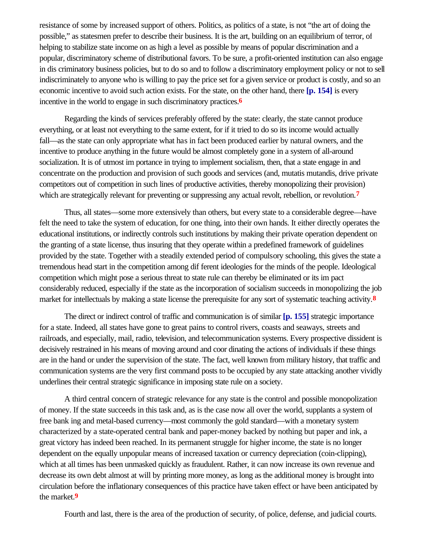resistance of some by increased support of others. Politics, as politics of a state, is not "the art of doing the possible," as statesmen prefer to describe their business. It is the art, building on an equilibrium of terror, of helping to stabilize state income on as high a level as possible by means of popular discrimination and a popular, discriminatory scheme of distributional favors. To be sure, a profit-oriented institution can also engage in dis criminatory business policies, but to do so and to follow a discriminatory employment policy or not to sell indiscriminately to anyone who is willing to pay the price set for a given service or product is costly, and so an economic incentive to avoid such action exists. For the state, on the other hand, there **[p. 154]** is every incentive in the world to engage in such discriminatory practices.**6**

 Regarding the kinds of services preferably offered by the state: clearly, the state cannot produce everything, or at least not everything to the same extent, for if it tried to do so its income would actually fall—as the state can only appropriate what has in fact been produced earlier by natural owners, and the incentive to produce anything in the future would be almost completely gone in a system of all-around socialization. It is of utmost im portance in trying to implement socialism, then, that a state engage in and concentrate on the production and provision of such goods and services (and, mutatis mutandis, drive private competitors out of competition in such lines of productive activities, thereby monopolizing their provision) which are strategically relevant for preventing or suppressing any actual revolt, rebellion, or revolution.**7**

 Thus, all states—some more extensively than others, but every state to a considerable degree—have felt the need to take the system of education, for one thing, into their own hands. It either directly operates the educational institutions, or indirectly controls such institutions by making their private operation dependent on the granting of a state license, thus insuring that they operate within a predefined framework of guidelines provided by the state. Together with a steadily extended period of compulsory schooling, this gives the state a tremendous head start in the competition among dif ferent ideologies for the minds of the people. Ideological competition which might pose a serious threat to state rule can thereby be eliminated or its im pact considerably reduced, especially if the state as the incorporation of socialism succeeds in monopolizing the job market for intellectuals by making a state license the prerequisite for any sort of systematic teaching activity.**8**

 The direct or indirect control of traffic and communication is of similar **[p. 155]** strategic importance for a state. Indeed, all states have gone to great pains to control rivers, coasts and seaways, streets and railroads, and especially, mail, radio, television, and telecommunication systems. Every prospective dissident is decisively restrained in his means of moving around and coor dinating the actions of individuals if these things are in the hand or under the supervision of the state. The fact, well known from military history, that traffic and communication systems are the very first command posts to be occupied by any state attacking another vividly underlines their central strategic significance in imposing state rule on a society.

 A third central concern of strategic relevance for any state is the control and possible monopolization of money. If the state succeeds in this task and, as is the case now all over the world, supplants a system of free bank ing and metal-based currency—most commonly the gold standard—with a monetary system characterized by a state-operated central bank and paper-money backed by nothing but paper and ink, a great victory has indeed been reached. In its permanent struggle for higher income, the state is no longer dependent on the equally unpopular means of increased taxation or currency depreciation (coin-clipping), which at all times has been unmasked quickly as fraudulent. Rather, it can now increase its own revenue and decrease its own debt almost at will by printing more money, as long as the additional money is brought into circulation before the inflationary consequences of this practice have taken effect or have been anticipated by the market.**9**

Fourth and last, there is the area of the production of security, of police, defense, and judicial courts.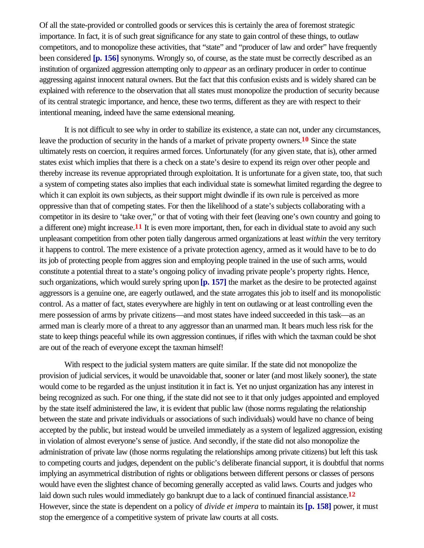Of all the state-provided or controlled goods or services this is certainly the area of foremost strategic importance. In fact, it is of such great significance for any state to gain control of these things, to outlaw competitors, and to monopolize these activities, that "state" and "producer of law and order" have frequently been considered **[p. 156]** synonyms. Wrongly so, of course, as the state must be correctly described as an institution of organized aggression attempting only to *appear* as an ordinary producer in order to continue aggressing against innocent natural owners. But the fact that this confusion exists and is widely shared can be explained with reference to the observation that all states must monopolize the production of security because of its central strategic importance, and hence, these two terms, different as they are with respect to their intentional meaning, indeed have the same extensional meaning.

 It is not difficult to see why in order to stabilize its existence, a state can not, under any circumstances, leave the production of security in the hands of a market of private property owners.**10** Since the state ultimately rests on coercion, it requires armed forces. Unfortunately (for any given state, that is), other armed states exist which implies that there is a check on a state's desire to expend its reign over other people and thereby increase its revenue appropriated through exploitation. It is unfortunate for a given state, too, that such a system of competing states also implies that each individual state is somewhat limited regarding the degree to which it can exploit its own subjects, as their support might dwindle if its own rule is perceived as more oppressive than that of competing states. For then the likelihood of a state's subjects collaborating with a competitor in its desire to 'take over," or that of voting with their feet (leaving one's own country and going to a different one) might increase.**11** It is even more important, then, for each in dividual state to avoid any such unpleasant competition from other poten tially dangerous armed organizations at least *within* the very territory it happens to control. The mere existence of a private protection agency, armed as it would have to be to do its job of protecting people from aggres sion and employing people trained in the use of such arms, would constitute a potential threat to a state's ongoing policy of invading private people's property rights. Hence, such organizations, which would surely spring upon **[p. 157]** the market as the desire to be protected against aggressors is a genuine one, are eagerly outlawed, and the state arrogates this job to itself and its monopolistic control. As a matter of fact, states everywhere are highly in tent on outlawing or at least controlling even the mere possession of arms by private citizens—and most states have indeed succeeded in this task—as an armed man is clearly more of a threat to any aggressor than an unarmed man. It bears much less risk for the state to keep things peaceful while its own aggression continues, if rifles with which the taxman could be shot are out of the reach of everyone except the taxman himself!

 With respect to the judicial system matters are quite similar. If the state did not monopolize the provision of judicial services, it would be unavoidable that, sooner or later (and most likely sooner), the state would come to be regarded as the unjust institution it in fact is. Yet no unjust organization has any interest in being recognized as such. For one thing, if the state did not see to it that only judges appointed and employed by the state itself administered the law, it is evident that public law (those norms regulating the relationship between the state and private individuals or associations of such individuals) would have no chance of being accepted by the public, but instead would be unveiled immediately as a system of legalized aggression, existing in violation of almost everyone's sense of justice. And secondly, if the state did not also monopolize the administration of private law (those norms regulating the relationships among private citizens) but left this task to competing courts and judges, dependent on the public's deliberate financial support, it is doubtful that norms implying an asymmetrical distribution of rights or obligations between different persons or classes of persons would have even the slightest chance of becoming generally accepted as valid laws. Courts and judges who laid down such rules would immediately go bankrupt due to a lack of continued financial assistance.**12** However, since the state is dependent on a policy of *divide et impera* to maintain its **[p. 158]** power, it must stop the emergence of a competitive system of private law courts at all costs.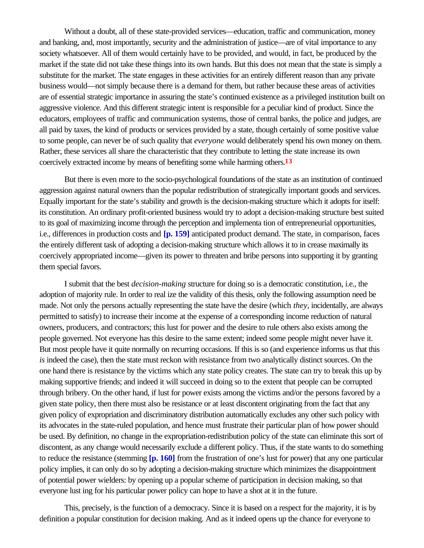Without a doubt, all of these state-provided services—education, traffic and communication, money and banking, and, most importantly, security and the administration of justice—are of vital importance to any society whatsoever. All of them would certainly have to be provided, and would, in fact, be produced by the market if the state did not take these things into its own hands. But this does not mean that the state is simply a substitute for the market. The state engages in these activities for an entirely different reason than any private business would—not simply because there is a demand for them, but rather because these areas of activities are of essential strategic importance in assuring the state's continued existence as a privileged institution built on aggressive violence. And this different strategic intent is responsible for a peculiar kind of product. Since the educators, employees of traffic and communication systems, those of central banks, the police and judges, are all paid by taxes, the kind of products or services provided by a state, though certainly of some positive value to some people, can never be of such quality that *everyone* would deliberately spend his own money on them. Rather, these services all share the characteristic that they contribute to letting the state increase its own coercively extracted income by means of benefiting some while harming others.**13**

 But there is even more to the socio-psychological foundations of the state as an institution of continued aggression against natural owners than the popular redistribution of strategically important goods and services. Equally important for the state's stability and growth is the decision-making structure which it adopts for itself: its constitution. An ordinary profit-oriented business would try to adopt a decision-making structure best suited to its goal of maximizing income through the perception and implementa tion of entrepreneurial opportunities, i.e., differences in production costs and **[p. 159]** anticipated product demand. The state, in comparison, faces the entirely different task of adopting a decision-making structure which allows it to in crease maximally its coercively appropriated income—given its power to threaten and bribe persons into supporting it by granting them special favors.

 I submit that the best *decision-making* structure for doing so is a democratic constitution, i.e., the adoption of majority rule. In order to real ize the validity of this thesis, only the following assumption need be made. Not only the persons actually representing the state have the desire (which *they*, incidentally, are always permitted to satisfy) to increase their income at the expense of a corresponding income reduction of natural owners, producers, and contractors; this lust for power and the desire to rule others also exists among the people governed. Not everyone has this desire to the same extent; indeed some people might never have it. But most people have it quite normally on recurring occasions. If this is so (and experience informs us that this *is* indeed the case), then the state must reckon with resistance from two analytically distinct sources. On the one hand there is resistance by the victims which any state policy creates. The state can try to break this up by making supportive friends; and indeed it will succeed in doing so to the extent that people can be corrupted through bribery. On the other hand, if lust for power exists among the victims and/or the persons favored by a given state policy, then there must also be resistance or at least discontent originating from the fact that any given policy of expropriation and discriminatory distribution automatically excludes any other such policy with its advocates in the state-ruled population, and hence must frustrate their particular plan of how power should be used. By definition, no change in the expropriation-redistribution policy of the state can eliminate this sort of discontent, as any change would necessarily exclude a different policy. Thus, if the state wants to do something to reduce the resistance (stemming **[p. 160]** from the frustration of one's lust for power) that any one particular policy implies, it can only do so by adopting a decision-making structure which minimizes the disappointment of potential power wielders: by opening up a popular scheme of participation in decision making, so that everyone lust ing for his particular power policy can hope to have a shot at it in the future.

 This, precisely, is the function of a democracy. Since it is based on a respect for the majority, it is by definition a popular constitution for decision making. And as it indeed opens up the chance for everyone to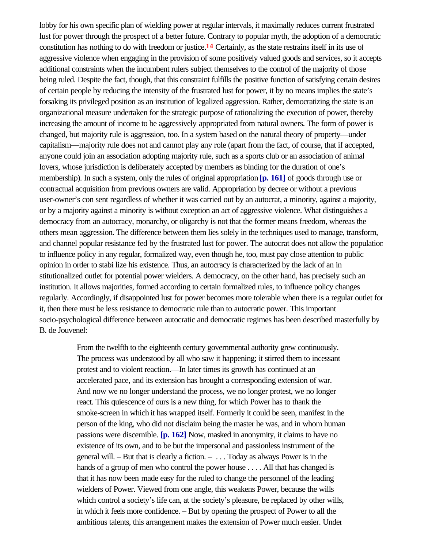lobby for his own specific plan of wielding power at regular intervals, it maximally reduces current frustrated lust for power through the prospect of a better future. Contrary to popular myth, the adoption of a democratic constitution has nothing to do with freedom or justice.**14** Certainly, as the state restrains itself in its use of aggressive violence when engaging in the provision of some positively valued goods and services, so it accepts additional constraints when the incumbent rulers subject themselves to the control of the majority of those being ruled. Despite the fact, though, that this constraint fulfills the positive function of satisfying certain desires of certain people by reducing the intensity of the frustrated lust for power, it by no means implies the state's forsaking its privileged position as an institution of legalized aggression. Rather, democratizing the state is an organizational measure undertaken for the strategic purpose of rationalizing the execution of power, thereby increasing the amount of income to be aggressively appropriated from natural owners. The form of power is changed, but majority rule is aggression, too. In a system based on the natural theory of property—under capitalism—majority rule does not and cannot play any role (apart from the fact, of course, that if accepted, anyone could join an association adopting majority rule, such as a sports club or an association of animal lovers, whose jurisdiction is deliberately accepted by members as binding for the duration of one's membership). In such a system, only the rules of original appropriation **[p. 161]** of goods through use or contractual acquisition from previous owners are valid. Appropriation by decree or without a previous user-owner's con sent regardless of whether it was carried out by an autocrat, a minority, against a majority, or by a majority against a minority is without exception an act of aggressive violence. What distinguishes a democracy from an autocracy, monarchy, or oligarchy is not that the former means freedom, whereas the others mean aggression. The difference between them lies solely in the techniques used to manage, transform, and channel popular resistance fed by the frustrated lust for power. The autocrat does not allow the population to influence policy in any regular, formalized way, even though he, too, must pay close attention to public opinion in order to stabi lize his existence. Thus, an autocracy is characterized by the lack of an in stitutionalized outlet for potential power wielders. A democracy, on the other hand, has precisely such an institution. It allows majorities, formed according to certain formalized rules, to influence policy changes regularly. Accordingly, if disappointed lust for power becomes more tolerable when there is a regular outlet for it, then there must be less resistance to democratic rule than to autocratic power. This important socio-psychological difference between autocratic and democratic regimes has been described masterfully by B. de Jouvenel:

> From the twelfth to the eighteenth century governmental authority grew continuously. The process was understood by all who saw it happening; it stirred them to incessant protest and to violent reaction.—In later times its growth has continued at an accelerated pace, and its extension has brought a corresponding extension of war. And now we no longer understand the process, we no longer protest, we no longer react. This quiescence of ours is a new thing, for which Power has to thank the smoke-screen in which it has wrapped itself. Formerly it could be seen, manifest in the person of the king, who did not disclaim being the master he was, and in whom human passions were discernible. **[p. 162]** Now, masked in anonymity, it claims to have no existence of its own, and to be but the impersonal and passionless instrument of the general will. – But that is clearly a fiction.  $- \ldots$  Today as always Power is in the hands of a group of men who control the power house . . . . All that has changed is that it has now been made easy for the ruled to change the personnel of the leading wielders of Power. Viewed from one angle, this weakens Power, because the wills which control a society's life can, at the society's pleasure, be replaced by other wills, in which it feels more confidence. – But by opening the prospect of Power to all the ambitious talents, this arrangement makes the extension of Power much easier. Under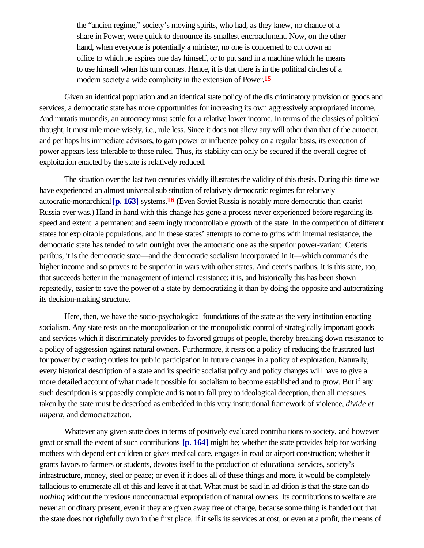the "ancien regime," society's moving spirits, who had, as they knew, no chance of a share in Power, were quick to denounce its smallest encroachment. Now, on the other hand, when everyone is potentially a minister, no one is concerned to cut down an office to which he aspires one day himself, or to put sand in a machine which he means to use himself when his turn comes. Hence, it is that there is in the political circles of a modern society a wide complicity in the extension of Power.**15**

 Given an identical population and an identical state policy of the dis criminatory provision of goods and services, a democratic state has more opportunities for increasing its own aggressively appropriated income. And mutatis mutandis, an autocracy must settle for a relative lower income. In terms of the classics of political thought, it must rule more wisely, i.e., rule less. Since it does not allow any will other than that of the autocrat, and per haps his immediate advisors, to gain power or influence policy on a regular basis, its execution of power appears less tolerable to those ruled. Thus, its stability can only be secured if the overall degree of exploitation enacted by the state is relatively reduced.

 The situation over the last two centuries vividly illustrates the validity of this thesis. During this time we have experienced an almost universal sub stitution of relatively democratic regimes for relatively autocratic-monarchical**[p. 163]** systems.**16** (Even Soviet Russia is notably more democratic than czarist Russia ever was.) Hand in hand with this change has gone a process never experienced before regarding its speed and extent: a permanent and seem ingly uncontrollable growth of the state. In the competition of different states for exploitable populations, and in these states' attempts to come to grips with internal resistance, the democratic state has tended to win outright over the autocratic one as the superior power-variant. Ceteris paribus, it is the democratic state—and the democratic socialism incorporated in it—which commands the higher income and so proves to be superior in wars with other states. And ceteris paribus, it is this state, too, that succeeds better in the management of internal resistance: it is, and historically this has been shown repeatedly, easier to save the power of a state by democratizing it than by doing the opposite and autocratizing its decision-making structure.

 Here, then, we have the socio-psychological foundations of the state as the very institution enacting socialism. Any state rests on the monopolization or the monopolistic control of strategically important goods and services which it discriminately provides to favored groups of people, thereby breaking down resistance to a policy of aggression against natural owners. Furthermore, it rests on a policy of reducing the frustrated lust for power by creating outlets for public participation in future changes in a policy of exploration. Naturally, every historical description of a state and its specific socialist policy and policy changes will have to give a more detailed account of what made it possible for socialism to become established and to grow. But if any such description is supposedly complete and is not to fall prey to ideological deception, then all measures taken by the state must be described as embedded in this very institutional framework of violence, *divide et impera*, and democratization.

 Whatever any given state does in terms of positively evaluated contribu tions to society, and however great or small the extent of such contributions **[p. 164]** might be; whether the state provides help for working mothers with depend ent children or gives medical care, engages in road or airport construction; whether it grants favors to farmers or students, devotes itself to the production of educational services, society's infrastructure, money, steel or peace; or even if it does all of these things and more, it would be completely fallacious to enumerate all of this and leave it at that. What must be said in ad dition is that the state can do *nothing* without the previous noncontractual expropriation of natural owners. Its contributions to welfare are never an or dinary present, even if they are given away free of charge, because some thing is handed out that the state does not rightfully own in the first place. If it sells its services at cost, or even at a profit, the means of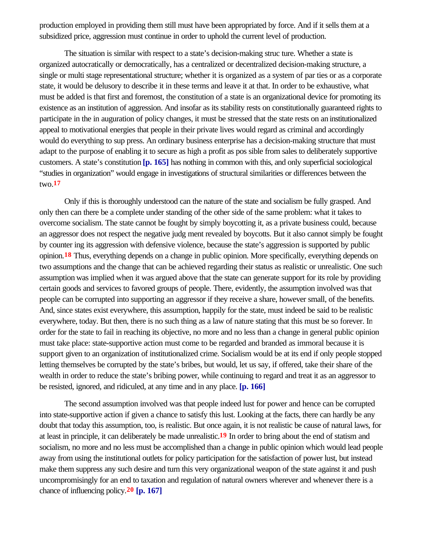production employed in providing them still must have been appropriated by force. And if it sells them at a subsidized price, aggression must continue in order to uphold the current level of production.

 The situation is similar with respect to a state's decision-making struc ture. Whether a state is organized autocratically or democratically, has a centralized or decentralized decision-making structure, a single or multi stage representational structure; whether it is organized as a system of par ties or as a corporate state, it would be delusory to describe it in these terms and leave it at that. In order to be exhaustive, what must be added is that first and foremost, the constitution of a state is an organizational device for promoting its existence as an institution of aggression. And insofar as its stability rests on constitutionally guaranteed rights to participate in the in auguration of policy changes, it must be stressed that the state rests on an institutionalized appeal to motivational energies that people in their private lives would regard as criminal and accordingly would do everything to sup press. An ordinary business enterprise has a decision-making structure that must adapt to the purpose of enabling it to secure as high a profit as pos sible from sales to deliberately supportive customers. A state's constitution **[p. 165]** has nothing in common with this, and only superficial sociological "studies in organization" would engage in investigations of structural similarities or differences between the two.**17**

 Only if this is thoroughly understood can the nature of the state and socialism be fully grasped. And only then can there be a complete under standing of the other side of the same problem: what it takes to overcome socialism. The state cannot be fought by simply boycotting it, as a private business could, because an aggressor does not respect the negative judg ment revealed by boycotts. But it also cannot simply be fought by counter ing its aggression with defensive violence, because the state's aggression is supported by public opinion.**18** Thus, everything depends on a change in public opinion. More specifically, everything depends on two assumptions and the change that can be achieved regarding their status as realistic or unrealistic. One such assumption was implied when it was argued above that the state can generate support for its role by providing certain goods and services to favored groups of people. There, evidently, the assumption involved was that people can be corrupted into supporting an aggressor if they receive a share, however small, of the benefits. And, since states exist everywhere, this assumption, happily for the state, must indeed be said to be realistic everywhere, today. But then, there is no such thing as a law of nature stating that this must be so forever. In order for the state to fail in reaching its objective, no more and no less than a change in general public opinion must take place: state-supportive action must come to be regarded and branded as immoral because it is support given to an organization of institutionalized crime. Socialism would be at its end if only people stopped letting themselves be corrupted by the state's bribes, but would, let us say, if offered, take their share of the wealth in order to reduce the state's bribing power, while continuing to regard and treat it as an aggressor to be resisted, ignored, and ridiculed, at any time and in any place. **[p. 166]**

 The second assumption involved was that people indeed lust for power and hence can be corrupted into state-supportive action if given a chance to satisfy this lust. Looking at the facts, there can hardly be any doubt that today this assumption, too, is realistic. But once again, it is not realistic be cause of natural laws, for at least in principle, it can deliberately be made unrealistic.**19** In order to bring about the end of statism and socialism, no more and no less must be accomplished than a change in public opinion which would lead people away from using the institutional outlets for policy participation for the satisfaction of power lust, but instead make them suppress any such desire and turn this very organizational weapon of the state against it and push uncompromisingly for an end to taxation and regulation of natural owners wherever and whenever there is a chance of influencing policy.**20 [p. 167]**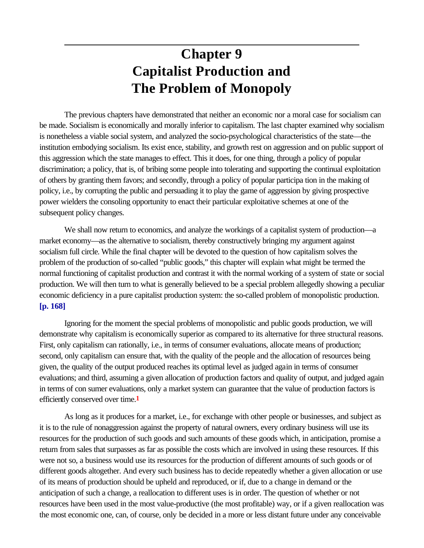# **Chapter 9 Capitalist Production and The Problem of Monopoly**

 The previous chapters have demonstrated that neither an economic nor a moral case for socialism can be made. Socialism is economically and morally inferior to capitalism. The last chapter examined why socialism is nonetheless a viable social system, and analyzed the socio-psychological characteristics of the state—the institution embodying socialism. Its exist ence, stability, and growth rest on aggression and on public support of this aggression which the state manages to effect. This it does, for one thing, through a policy of popular discrimination; a policy, that is, of bribing some people into tolerating and supporting the continual exploitation of others by granting them favors; and secondly, through a policy of popular participa tion in the making of policy, i.e., by corrupting the public and persuading it to play the game of aggression by giving prospective power wielders the consoling opportunity to enact their particular exploitative schemes at one of the subsequent policy changes.

We shall now return to economics, and analyze the workings of a capitalist system of production—a market economy—as the alternative to socialism, thereby constructively bringing my argument against socialism full circle. While the final chapter will be devoted to the question of how capitalism solves the problem of the production of so-called "public goods," this chapter will explain what might be termed the normal functioning of capitalist production and contrast it with the normal working of a system of state or social production. We will then turn to what is generally believed to be a special problem allegedly showing a peculiar economic deficiency in a pure capitalist production system: the so-called problem of monopolistic production. **[p. 168]**

 Ignoring for the moment the special problems of monopolistic and public goods production, we will demonstrate why capitalism is economically superior as compared to its alternative for three structural reasons. First, only capitalism can rationally, i.e., in terms of consumer evaluations, allocate means of production; second, only capitalism can ensure that, with the quality of the people and the allocation of resources being given, the quality of the output produced reaches its optimal level as judged again in terms of consumer evaluations; and third, assuming a given allocation of production factors and quality of output, and judged again in terms of con sumer evaluations, only a market system can guarantee that the value of production factors is efficiently conserved over time.**1**

 As long as it produces for a market, i.e., for exchange with other people or businesses, and subject as it is to the rule of nonaggression against the property of natural owners, every ordinary business will use its resources for the production of such goods and such amounts of these goods which, in anticipation, promise a return from sales that surpasses as far as possible the costs which are involved in using these resources. If this were not so, a business would use its resources for the production of different amounts of such goods or of different goods altogether. And every such business has to decide repeatedly whether a given allocation or use of its means of production should be upheld and reproduced, or if, due to a change in demand or the anticipation of such a change, a reallocation to different uses is in order. The question of whether or not resources have been used in the most value-productive (the most profitable) way, or if a given reallocation was the most economic one, can, of course, only be decided in a more or less distant future under any conceivable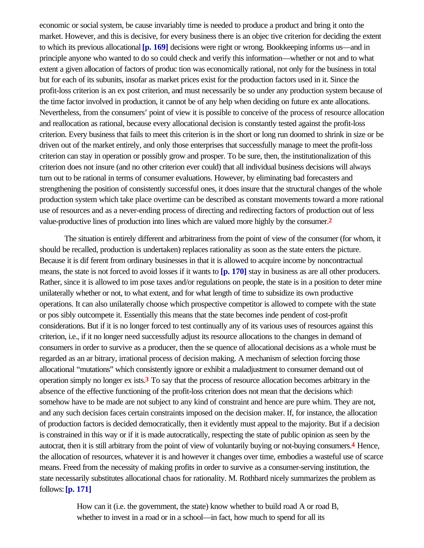economic or social system, be cause invariably time is needed to produce a product and bring it onto the market. However, and this is decisive, for every business there is an objec tive criterion for deciding the extent to which its previous allocational**[p. 169]** decisions were right or wrong. Bookkeeping informs us—and in principle anyone who wanted to do so could check and verify this information—whether or not and to what extent a given allocation of factors of produc tion was economically rational, not only for the business in total but for each of its subunits, insofar as market prices exist for the production factors used in it. Since the profit-loss criterion is an ex post criterion, and must necessarily be so under any production system because of the time factor involved in production, it cannot be of any help when deciding on future ex ante allocations. Nevertheless, from the consumers' point of view it is possible to conceive of the process of resource allocation and reallocation as rational, because every allocational decision is constantly tested against the profit-loss criterion. Every business that fails to meet this criterion is in the short or long run doomed to shrink in size or be driven out of the market entirely, and only those enterprises that successfully manage to meet the profit-loss criterion can stay in operation or possibly grow and prosper. To be sure, then, the institutionalization of this criterion does not insure (and no other criterion ever could) that all individual business decisions will always turn out to be rational in terms of consumer evaluations. However, by eliminating bad forecasters and strengthening the position of consistently successful ones, it does insure that the structural changes of the whole production system which take place overtime can be described as constant movements toward a more rational use of resources and as a never-ending process of directing and redirecting factors of production out of less value-productive lines of production into lines which are valued more highly by the consumer.**2**

 The situation is entirely different and arbitrariness from the point of view of the consumer (for whom, it should be recalled, production is undertaken) replaces rationality as soon as the state enters the picture. Because it is dif ferent from ordinary businesses in that it is allowed to acquire income by noncontractual means, the state is not forced to avoid losses if it wants to **[p. 170]** stay in business as are all other producers. Rather, since it is allowed to im pose taxes and/or regulations on people, the state is in a position to deter mine unilaterally whether or not, to what extent, and for what length of time to subsidize its own productive operations. It can also unilaterally choose which prospective competitor is allowed to compete with the state or pos sibly outcompete it. Essentially this means that the state becomes inde pendent of cost-profit considerations. But if it is no longer forced to test continually any of its various uses of resources against this criterion, i.e., if it no longer need successfully adjust its resource allocations to the changes in demand of consumers in order to survive as a producer, then the se quence of allocational decisions as a whole must be regarded as an ar bitrary, irrational process of decision making. A mechanism of selection forcing those allocational "mutations" which consistently ignore or exhibit a maladjustment to consumer demand out of operation simply no longer ex ists.**3** To say that the process of resource allocation becomes arbitrary in the absence of the effective functioning of the profit-loss criterion does not mean that the decisions which somehow have to be made are not subject to any kind of constraint and hence are pure whim. They are not, and any such decision faces certain constraints imposed on the decision maker. If, for instance, the allocation of production factors is decided democratically, then it evidently must appeal to the majority. But if a decision is constrained in this way or if it is made autocratically, respecting the state of public opinion as seen by the autocrat, then it is still arbitrary from the point of view of voluntarily buying or not-buying consumers.**4** Hence, the allocation of resources, whatever it is and however it changes over time, embodies a wasteful use of scarce means. Freed from the necessity of making profits in order to survive as a consumer-serving institution, the state necessarily substitutes allocational chaos for rationality. M. Rothbard nicely summarizes the problem as follows:**[p. 171]**

> How can it (i.e. the government, the state) know whether to build road A or road B, whether to invest in a road or in a school—in fact, how much to spend for all its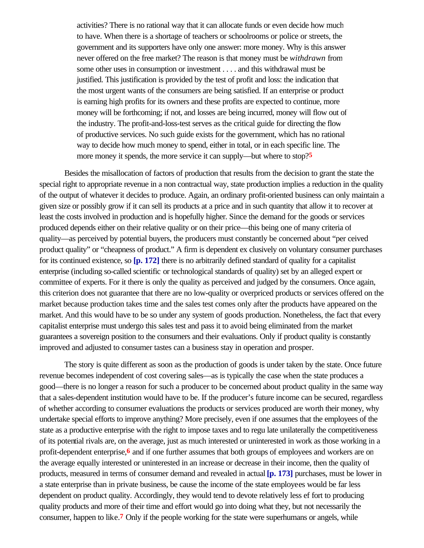activities? There is no rational way that it can allocate funds or even decide how much to have. When there is a shortage of teachers or schoolrooms or police or streets, the government and its supporters have only one answer: more money. Why is this answer never offered on the free market? The reason is that money must be *withdrawn* from some other uses in consumption or investment . . . . and this withdrawal must be justified. This justification is provided by the test of profit and loss: the indication that the most urgent wants of the consumers are being satisfied. If an enterprise or product is earning high profits for its owners and these profits are expected to continue, more money will be forthcoming; if not, and losses are being incurred, money will flow out of the industry. The profit-and-loss-test serves as the critical guide for directing the flow of productive services. No such guide exists for the government, which has no rational way to decide how much money to spend, either in total, or in each specific line. The more money it spends, the more service it can supply—but where to stop?**5**

 Besides the misallocation of factors of production that results from the decision to grant the state the special right to appropriate revenue in a non contractual way, state production implies a reduction in the quality of the output of whatever it decides to produce. Again, an ordinary profit-oriented business can only maintain a given size or possibly grow if it can sell its products at a price and in such quantity that allow it to recover at least the costs involved in production and is hopefully higher. Since the demand for the goods or services produced depends either on their relative quality or on their price—this being one of many criteria of quality—as perceived by potential buyers, the producers must constantly be concerned about "per ceived product quality" or "cheapness of product." A firm is dependent ex clusively on voluntary consumer purchases for its continued existence, so **[p. 172]** there is no arbitrarily defined standard of quality for a capitalist enterprise (including so-called scientific or technological standards of quality) set by an alleged expert or committee of experts. For it there is only the quality as perceived and judged by the consumers. Once again, this criterion does not guarantee that there are no low-quality or overpriced products or services offered on the market because production takes time and the sales test comes only after the products have appeared on the market. And this would have to be so under any system of goods production. Nonetheless, the fact that every capitalist enterprise must undergo this sales test and pass it to avoid being eliminated from the market guarantees a sovereign position to the consumers and their evaluations. Only if product quality is constantly improved and adjusted to consumer tastes can a business stay in operation and prosper.

 The story is quite different as soon as the production of goods is under taken by the state. Once future revenue becomes independent of cost covering sales—as is typically the case when the state produces a good—there is no longer a reason for such a producer to be concerned about product quality in the same way that a sales-dependent institution would have to be. If the producer's future income can be secured, regardless of whether according to consumer evaluations the products or services produced are worth their money, why undertake special efforts to improve anything? More precisely, even if one assumes that the employees of the state as a productive enterprise with the right to impose taxes and to regu late unilaterally the competitiveness of its potential rivals are, on the average, just as much interested or uninterested in work as those working in a profit-dependent enterprise,**6** and if one further assumes that both groups of employees and workers are on the average equally interested or uninterested in an increase or decrease in their income, then the quality of products, measured in terms of consumer demand and revealed in actual**[p. 173]** purchases, must be lower in a state enterprise than in private business, be cause the income of the state employees would be far less dependent on product quality. Accordingly, they would tend to devote relatively less ef fort to producing quality products and more of their time and effort would go into doing what they, but not necessarily the consumer, happen to like.**7** Only if the people working for the state were superhumans or angels, while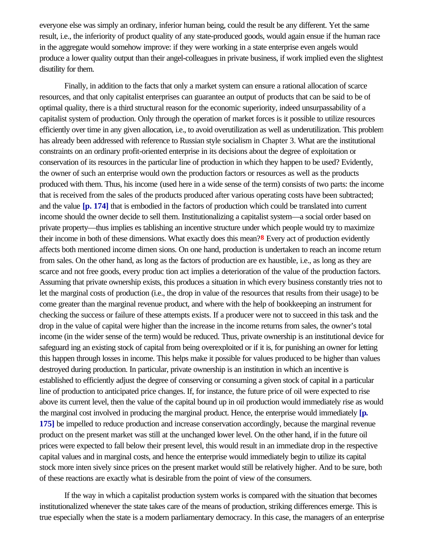everyone else was simply an ordinary, inferior human being, could the result be any different. Yet the same result, i.e., the inferiority of product quality of any state-produced goods, would again ensue if the human race in the aggregate would somehow improve: if they were working in a state enterprise even angels would produce a lower quality output than their angel-colleagues in private business, if work implied even the slightest disutility for them.

 Finally, in addition to the facts that only a market system can ensure a rational allocation of scarce resources, and that only capitalist enterprises can guarantee an output of products that can be said to be of optimal quality, there is a third structural reason for the economic superiority, indeed unsurpassability of a capitalist system of production. Only through the operation of market forces is it possible to utilize resources efficiently over time in any given allocation, i.e., to avoid overutilization as well as underutilization. This problem has already been addressed with reference to Russian style socialism in Chapter 3. What are the institutional constraints on an ordinary profit-oriented enterprise in its decisions about the degree of exploitation or conservation of its resources in the particular line of production in which they happen to be used? Evidently, the owner of such an enterprise would own the production factors or resources as well as the products produced with them. Thus, his income (used here in a wide sense of the term) consists of two parts: the income that is received from the sales of the products produced after various operating costs have been subtracted; and the value **[p. 174]** that is embodied in the factors of production which could be translated into current income should the owner decide to sell them. Institutionalizing a capitalist system—a social order based on private property—thus implies es tablishing an incentive structure under which people would try to maximize their income in both of these dimensions. What exactly does this mean?**8** Every act of production evidently affects both mentioned income dimen sions. On one hand, production is undertaken to reach an income return from sales. On the other hand, as long as the factors of production are ex haustible, i.e., as long as they are scarce and not free goods, every produc tion act implies a deterioration of the value of the production factors. Assuming that private ownership exists, this produces a situation in which every business constantly tries not to let the marginal costs of production (i.e., the drop in value of the resources that results from their usage) to be come greater than the marginal revenue product, and where with the help of bookkeeping an instrument for checking the success or failure of these attempts exists. If a producer were not to succeed in this task and the drop in the value of capital were higher than the increase in the income returns from sales, the owner's total income (in the wider sense of the term) would be reduced. Thus, private ownership is an institutional device for safeguard ing an existing stock of capital from being overexploited or if it is, for punishing an owner for letting this happen through losses in income. This helps make it possible for values produced to be higher than values destroyed during production. In particular, private ownership is an institution in which an incentive is established to efficiently adjust the degree of conserving or consuming a given stock of capital in a particular line of production to anticipated price changes. If, for instance, the future price of oil were expected to rise above its current level, then the value of the capital bound up in oil production would immediately rise as would the marginal cost involved in producing the marginal product. Hence, the enterprise would immediately **[p. 175]** be impelled to reduce production and increase conservation accordingly, because the marginal revenue product on the present market was still at the unchanged lower level. On the other hand, if in the future oil prices were expected to fall below their present level, this would result in an immediate drop in the respective capital values and in marginal costs, and hence the enterprise would immediately begin to utilize its capital stock more inten sively since prices on the present market would still be relatively higher. And to be sure, both of these reactions are exactly what is desirable from the point of view of the consumers.

 If the way in which a capitalist production system works is compared with the situation that becomes institutionalized whenever the state takes care of the means of production, striking differences emerge. This is true especially when the state is a modern parliamentary democracy. In this case, the managers of an enterprise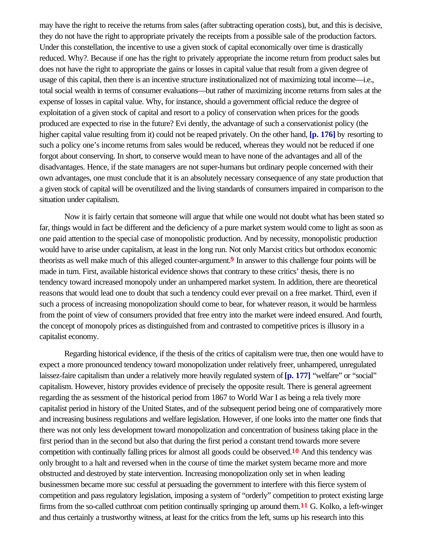may have the right to receive the returns from sales (after subtracting operation costs), but, and this is decisive, they do not have the right to appropriate privately the receipts from a possible sale of the production factors. Under this constellation, the incentive to use a given stock of capital economically over time is drastically reduced. Why?. Because if one has the right to privately appropriate the income return from product sales but does not have the right to appropriate the gains or losses in capital value that result from a given degree of usage of this capital, then there is an incentive structure institutionalized not of maximizing total income—i.e., total social wealth in terms of consumer evaluations—but rather of maximizing income returns from sales at the expense of losses in capital value. Why, for instance, should a government official reduce the degree of exploitation of a given stock of capital and resort to a policy of conservation when prices for the goods produced are expected to rise in the future? Evi dently, the advantage of such a conservationist policy (the higher capital value resulting from it) could not be reaped privately. On the other hand, **[p. 176]** by resorting to such a policy one's income returns from sales would be reduced, whereas they would not be reduced if one forgot about conserving. In short, to conserve would mean to have none of the advantages and all of the disadvantages. Hence, if the state managers are not super-humans but ordinary people concerned with their own advantages, one must conclude that it is an absolutely necessary consequence of any state production that a given stock of capital will be overutilized and the living standards of consumers impaired in comparison to the situation under capitalism.

 Now it is fairly certain that someone will argue that while one would not doubt what has been stated so far, things would in fact be different and the deficiency of a pure market system would come to light as soon as one paid attention to the special case of monopolistic production. And by necessity, monopolistic production would have to arise under capitalism, at least in the long run. Not only Marxist critics but orthodox economic theorists as well make much of this alleged counter-argument.**9** In answer to this challenge four points will be made in turn. First, available historical evidence shows that contrary to these critics' thesis, there is no tendency toward increased monopoly under an unhampered market system. In addition, there are theoretical reasons that would lead one to doubt that such a tendency could ever prevail on a free market. Third, even if such a process of increasing monopolization should come to bear, for whatever reason, it would be harmless from the point of view of consumers provided that free entry into the market were indeed ensured. And fourth, the concept of monopoly prices as distinguished from and contrasted to competitive prices is illusory in a capitalist economy.

 Regarding historical evidence, if the thesis of the critics of capitalism were true, then one would have to expect a more pronounced tendency toward monopolization under relatively freer, unhampered, unregulated laissez-faire capitalism than under a relatively more heavily regulated system of  $[p. 177]$  "welfare" or "social" capitalism. However, history provides evidence of precisely the opposite result. There is general agreement regarding the as sessment of the historical period from 1867 to World War I as being a rela tively more capitalist period in history of the United States, and of the subsequent period being one of comparatively more and increasing business regulations and welfare legislation. However, if one looks into the matter one finds that there was not only less development toward monopolization and concentration of business taking place in the first period than in the second but also that during the first period a constant trend towards more severe competition with continually falling prices for almost all goods could be observed.**10** And this tendency was only brought to a halt and reversed when in the course of time the market system became more and more obstructed and destroyed by state intervention. Increasing monopolization only set in when leading businessmen became more suc cessful at persuading the government to interfere with this fierce system of competition and pass regulatory legislation, imposing a system of "orderly" competition to protect existing large firms from the so-called cutthroat com petition continually springing up around them.**11** G. Kolko, a left-winger and thus certainly a trustworthy witness, at least for the critics from the left, sums up his research into this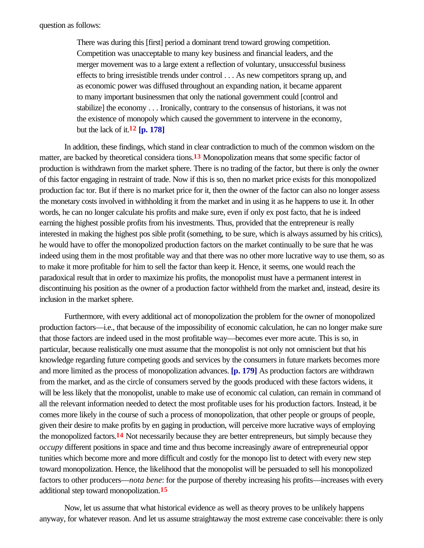There was during this [first] period a dominant trend toward growing competition. Competition was unacceptable to many key business and financial leaders, and the merger movement was to a large extent a reflection of voluntary, unsuccessful business effects to bring irresistible trends under control . . . As new competitors sprang up, and as economic power was diffused throughout an expanding nation, it became apparent to many important businessmen that only the national government could [control and stabilize] the economy . . . Ironically, contrary to the consensus of historians, it was not the existence of monopoly which caused the government to intervene in the economy, but the lack of it.**12 [p. 178]**

 In addition, these findings, which stand in clear contradiction to much of the common wisdom on the matter, are backed by theoretical considera tions.**13** Monopolization means that some specific factor of production is withdrawn from the market sphere. There is no trading of the factor, but there is only the owner of this factor engaging in restraint of trade. Now if this is so, then no market price exists for this monopolized production fac tor. But if there is no market price for it, then the owner of the factor can also no longer assess the monetary costs involved in withholding it from the market and in using it as he happens to use it. In other words, he can no longer calculate his profits and make sure, even if only ex post facto, that he is indeed earning the highest possible profits from his investments. Thus, provided that the entrepreneur is really interested in making the highest pos sible profit (something, to be sure, which is always assumed by his critics), he would have to offer the monopolized production factors on the market continually to be sure that he was indeed using them in the most profitable way and that there was no other more lucrative way to use them, so as to make it more profitable for him to sell the factor than keep it. Hence, it seems, one would reach the paradoxical result that in order to maximize his profits, the monopolist must have a permanent interest in discontinuing his position as the owner of a production factor withheld from the market and, instead, desire its inclusion in the market sphere.

 Furthermore, with every additional act of monopolization the problem for the owner of monopolized production factors—i.e., that because of the impossibility of economic calculation, he can no longer make sure that those factors are indeed used in the most profitable way—becomes ever more acute. This is so, in particular, because realistically one must assume that the monopolist is not only not omniscient but that his knowledge regarding future competing goods and services by the consumers in future markets becomes more and more limited as the process of monopolization advances. **[p. 179]** As production factors are withdrawn from the market, and as the circle of consumers served by the goods produced with these factors widens, it will be less likely that the monopolist, unable to make use of economic cal culation, can remain in command of all the relevant information needed to detect the most profitable uses for his production factors. Instead, it be comes more likely in the course of such a process of monopolization, that other people or groups of people, given their desire to make profits by en gaging in production, will perceive more lucrative ways of employing the monopolized factors.**14** Not necessarily because they are better entrepreneurs, but simply because they *occupy* different positions in space and time and thus become increasingly aware of entrepreneurial oppor tunities which become more and more difficult and costly for the monopo list to detect with every new step toward monopolization. Hence, the likelihood that the monopolist will be persuaded to sell his monopolized factors to other producers—*nota bene*: for the purpose of thereby increasing his profits—increases with every additional step toward monopolization.**15**

 Now, let us assume that what historical evidence as well as theory proves to be unlikely happens anyway, for whatever reason. And let us assume straightaway the most extreme case conceivable: there is only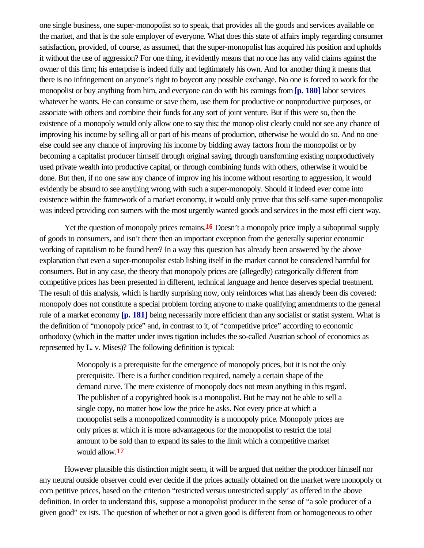one single business, one super-monopolist so to speak, that provides all the goods and services available on the market, and that is the sole employer of everyone. What does this state of affairs imply regarding consumer satisfaction, provided, of course, as assumed, that the super-monopolist has acquired his position and upholds it without the use of aggression? For one thing, it evidently means that no one has any valid claims against the owner of this firm; his enterprise is indeed fully and legitimately his own. And for another thing it means that there is no infringement on anyone's right to boycott any possible exchange. No one is forced to work for the monopolist or buy anything from him, and everyone can do with his earnings from**[p. 180]** labor services whatever he wants. He can consume or save them, use them for productive or nonproductive purposes, or associate with others and combine their funds for any sort of joint venture. But if this were so, then the existence of a monopoly would only allow one to say this: the monop olist clearly could not see any chance of improving his income by selling all or part of his means of production, otherwise he would do so. And no one else could see any chance of improving his income by bidding away factors from the monopolist or by becoming a capitalist producer himself through original saving, through transforming existing nonproductively used private wealth into productive capital, or through combining funds with others, otherwise it would be done. But then, if no one saw any chance of improv ing his income without resorting to aggression, it would evidently be absurd to see anything wrong with such a super-monopoly. Should it indeed ever come into existence within the framework of a market economy, it would only prove that this self-same super-monopolist was indeed providing con sumers with the most urgently wanted goods and services in the most effi cient way.

 Yet the question of monopoly prices remains.**16** Doesn't a monopoly price imply a suboptimal supply of goods to consumers, and isn't there then an important exception from the generally superior economic working of capitalism to be found here? In a way this question has already been answered by the above explanation that even a super-monopolist estab lishing itself in the market cannot be considered harmful for consumers. But in any case, the theory that monopoly prices are (allegedly) categorically different from competitive prices has been presented in different, technical language and hence deserves special treatment. The result of this analysis, which is hardly surprising now, only reinforces what has already been dis covered: monopoly does not constitute a special problem forcing anyone to make qualifying amendments to the general rule of a market economy **[p. 181]** being necessarily more efficient than any socialist or statist system. What is the definition of "monopoly price" and, in contrast to it, of "competitive price" according to economic orthodoxy (which in the matter under inves tigation includes the so-called Austrian school of economics as represented by L. v. Mises)? The following definition is typical:

> Monopoly is a prerequisite for the emergence of monopoly prices, but it is not the only prerequisite. There is a further condition required, namely a certain shape of the demand curve. The mere existence of monopoly does not mean anything in this regard. The publisher of a copyrighted book is a monopolist. But he may not be able to sell a single copy, no matter how low the price he asks. Not every price at which a monopolist sells a monopolized commodity is a monopoly price. Monopoly prices are only prices at which it is more advantageous for the monopolist to restrict the total amount to be sold than to expand its sales to the limit which a competitive market would allow.**17**

 However plausible this distinction might seem, it will be argued that neither the producer himself nor any neutral outside observer could ever decide if the prices actually obtained on the market were monopoly or com petitive prices, based on the criterion "restricted versus unrestricted supply' as offered in the above definition. In order to understand this, suppose a monopolist producer in the sense of "a sole producer of a given good" ex ists. The question of whether or not a given good is different from or homogeneous to other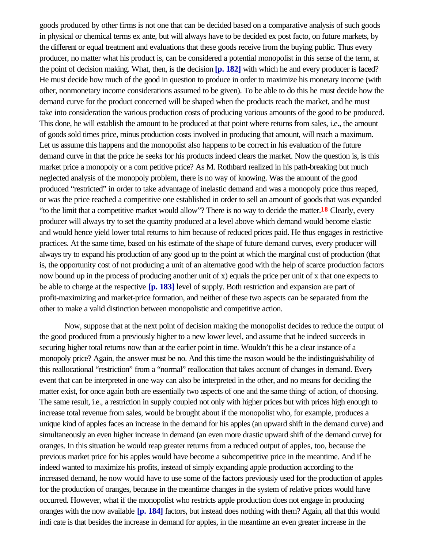goods produced by other firms is not one that can be decided based on a comparative analysis of such goods in physical or chemical terms ex ante, but will always have to be decided ex post facto, on future markets, by the different or equal treatment and evaluations that these goods receive from the buying public. Thus every producer, no matter what his product is, can be considered a potential monopolist in this sense of the term, at the point of decision making. What, then, is the decision **[p. 182]** with which he and every producer is faced? He must decide how much of the good in question to produce in order to maximize his monetary income (with other, nonmonetary income considerations assumed to be given). To be able to do this he must decide how the demand curve for the product concerned will be shaped when the products reach the market, and he must take into consideration the various production costs of producing various amounts of the good to be produced. This done, he will establish the amount to be produced at that point where returns from sales, i.e., the amount of goods sold times price, minus production costs involved in producing that amount, will reach a maximum. Let us assume this happens and the monopolist also happens to be correct in his evaluation of the future demand curve in that the price he seeks for his products indeed clears the market. Now the question is, is this market price a monopoly or a com petitive price? As M. Rothbard realized in his path-breaking but much neglected analysis of the monopoly problem, there is no way of knowing. Was the amount of the good produced "restricted" in order to take advantage of inelastic demand and was a monopoly price thus reaped, or was the price reached a competitive one established in order to sell an amount of goods that was expanded "to the limit that a competitive market would allow"? There is no way to decide the matter.**18** Clearly, every producer will always try to set the quantity produced at a level above which demand would become elastic and would hence yield lower total returns to him because of reduced prices paid. He thus engages in restrictive practices. At the same time, based on his estimate of the shape of future demand curves, every producer will always try to expand his production of any good up to the point at which the marginal cost of production (that is, the opportunity cost of not producing a unit of an alternative good with the help of scarce production factors now bound up in the process of producing another unit of x) equals the price per unit of x that one expects to be able to charge at the respective **[p. 183]** level of supply. Both restriction and expansion are part of profit-maximizing and market-price formation, and neither of these two aspects can be separated from the other to make a valid distinction between monopolistic and competitive action.

 Now, suppose that at the next point of decision making the monopolist decides to reduce the output of the good produced from a previously higher to a new lower level, and assume that he indeed succeeds in securing higher total returns now than at the earlier point in time. Wouldn't this be a clear instance of a monopoly price? Again, the answer must be no. And this time the reason would be the indistinguishability of this reallocational "restriction" from a "normal" reallocation that takes account of changes in demand. Every event that can be interpreted in one way can also be interpreted in the other, and no means for deciding the matter exist, for once again both are essentially two aspects of one and the same thing: of action, of choosing. The same result, i.e., a restriction in supply coupled not only with higher prices but with prices high enough to increase total revenue from sales, would be brought about if the monopolist who, for example, produces a unique kind of apples faces an increase in the demand for his apples (an upward shift in the demand curve) and simultaneously an even higher increase in demand (an even more drastic upward shift of the demand curve) for oranges. In this situation he would reap greater returns from a reduced output of apples, too, because the previous market price for his apples would have become a subcompetitive price in the meantime. And if he indeed wanted to maximize his profits, instead of simply expanding apple production according to the increased demand, he now would have to use some of the factors previously used for the production of apples for the production of oranges, because in the meantime changes in the system of relative prices would have occurred. However, what if the monopolist who restricts apple production does not engage in producing oranges with the now available **[p. 184]** factors, but instead does nothing with them? Again, all that this would indi cate is that besides the increase in demand for apples, in the meantime an even greater increase in the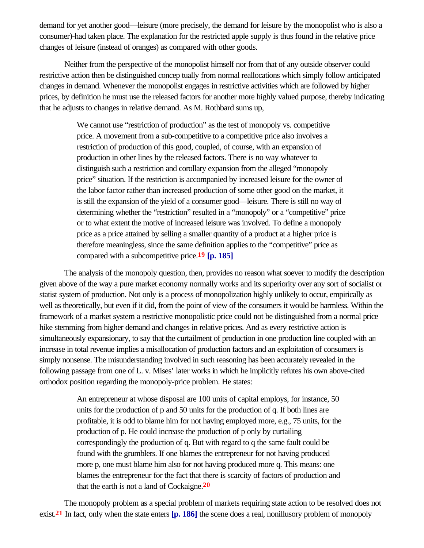demand for yet another good—leisure (more precisely, the demand for leisure by the monopolist who is also a consumer)-had taken place. The explanation for the restricted apple supply is thus found in the relative price changes of leisure (instead of oranges) as compared with other goods.

 Neither from the perspective of the monopolist himself nor from that of any outside observer could restrictive action then be distinguished concep tually from normal reallocations which simply follow anticipated changes in demand. Whenever the monopolist engages in restrictive activities which are followed by higher prices, by definition he must use the released factors for another more highly valued purpose, thereby indicating that he adjusts to changes in relative demand. As M. Rothbard sums up,

> We cannot use "restriction of production" as the test of monopoly vs. competitive price. A movement from a sub-competitive to a competitive price also involves a restriction of production of this good, coupled, of course, with an expansion of production in other lines by the released factors. There is no way whatever to distinguish such a restriction and corollary expansion from the alleged "monopoly price" situation. If the restriction is accompanied by increased leisure for the owner of the labor factor rather than increased production of some other good on the market, it is still the expansion of the yield of a consumer good—leisure. There is still no way of determining whether the "restriction" resulted in a "monopoly" or a "competitive" price or to what extent the motive of increased leisure was involved. To define a monopoly price as a price attained by selling a smaller quantity of a product at a higher price is therefore meaningless, since the same definition applies to the "competitive" price as compared with a subcompetitive price.**19 [p. 185]**

 The analysis of the monopoly question, then, provides no reason what soever to modify the description given above of the way a pure market economy normally works and its superiority over any sort of socialist or statist system of production. Not only is a process of monopolization highly unlikely to occur, empirically as well as theoretically, but even if it did, from the point of view of the consumers it would be harmless. Within the framework of a market system a restrictive monopolistic price could not be distinguished from a normal price hike stemming from higher demand and changes in relative prices. And as every restrictive action is simultaneously expansionary, to say that the curtailment of production in one production line coupled with an increase in total revenue implies a misallocation of production factors and an exploitation of consumers is simply nonsense. The misunderstanding involved in such reasoning has been accurately revealed in the following passage from one of L. v. Mises' later works in which he implicitly refutes his own above-cited orthodox position regarding the monopoly-price problem. He states:

> An entrepreneur at whose disposal are 100 units of capital employs, for instance, 50 units for the production of p and 50 units for the production of q. If both lines are profitable, it is odd to blame him for not having employed more, e.g., 75 units, for the production of p. He could increase the production of p only by curtailing correspondingly the production of q. But with regard to q the same fault could be found with the grumblers. If one blames the entrepreneur for not having produced more p, one must blame him also for not having produced more q. This means: one blames the entrepreneur for the fact that there is scarcity of factors of production and that the earth is not a land of Cockaigne.**20**

 The monopoly problem as a special problem of markets requiring state action to be resolved does not exist.**21** In fact, only when the state enters **[p. 186]** the scene does a real, nonillusory problem of monopoly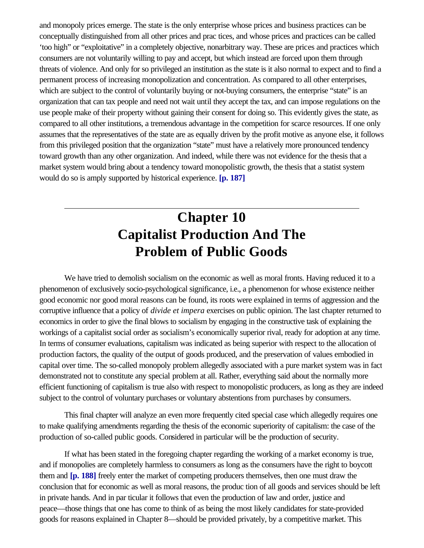and monopoly prices emerge. The state is the only enterprise whose prices and business practices can be conceptually distinguished from all other prices and prac tices, and whose prices and practices can be called 'too high" or "exploitative" in a completely objective, nonarbitrary way. These are prices and practices which consumers are not voluntarily willing to pay and accept, but which instead are forced upon them through threats of violence. And only for so privileged an institution as the state is it also normal to expect and to find a permanent process of increasing monopolization and concentration. As compared to all other enterprises, which are subject to the control of voluntarily buying or not-buying consumers, the enterprise "state" is an organization that can tax people and need not wait until they accept the tax, and can impose regulations on the use people make of their property without gaining their consent for doing so. This evidently gives the state, as compared to all other institutions, a tremendous advantage in the competition for scarce resources. If one only assumes that the representatives of the state are as equally driven by the profit motive as anyone else, it follows from this privileged position that the organization "state" must have a relatively more pronounced tendency toward growth than any other organization. And indeed, while there was not evidence for the thesis that a market system would bring about a tendency toward monopolistic growth, the thesis that a statist system would do so is amply supported by historical experience. **[p. 187]**

# **Chapter 10 Capitalist Production And The Problem of Public Goods**

 We have tried to demolish socialism on the economic as well as moral fronts. Having reduced it to a phenomenon of exclusively socio-psychological significance, i.e., a phenomenon for whose existence neither good economic nor good moral reasons can be found, its roots were explained in terms of aggression and the corruptive influence that a policy of *divide et impera* exercises on public opinion. The last chapter returned to economics in order to give the final blows to socialism by engaging in the constructive task of explaining the workings of a capitalist social order as socialism's economically superior rival, ready for adoption at any time. In terms of consumer evaluations, capitalism was indicated as being superior with respect to the allocation of production factors, the quality of the output of goods produced, and the preservation of values embodied in capital over time. The so-called monopoly problem allegedly associated with a pure market system was in fact demonstrated not to constitute any special problem at all. Rather, everything said about the normally more efficient functioning of capitalism is true also with respect to monopolistic producers, as long as they are indeed subject to the control of voluntary purchases or voluntary abstentions from purchases by consumers.

 This final chapter will analyze an even more frequently cited special case which allegedly requires one to make qualifying amendments regarding the thesis of the economic superiority of capitalism: the case of the production of so-called public goods. Considered in particular will be the production of security.

 If what has been stated in the foregoing chapter regarding the working of a market economy is true, and if monopolies are completely harmless to consumers as long as the consumers have the right to boycott them and **[p. 188]** freely enter the market of competing producers themselves, then one must draw the conclusion that for economic as well as moral reasons, the produc tion of all goods and services should be left in private hands. And in par ticular it follows that even the production of law and order, justice and peace—those things that one has come to think of as being the most likely candidates for state-provided goods for reasons explained in Chapter 8—should be provided privately, by a competitive market. This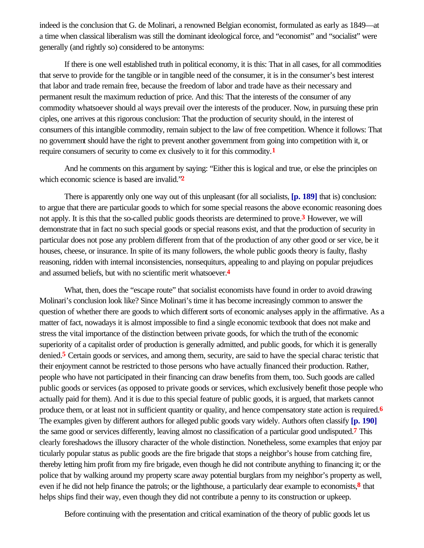indeed is the conclusion that G. de Molinari, a renowned Belgian economist, formulated as early as 1849—at a time when classical liberalism was still the dominant ideological force, and "economist" and "socialist" were generally (and rightly so) considered to be antonyms:

 If there is one well established truth in political economy, it is this: That in all cases, for all commodities that serve to provide for the tangible or in tangible need of the consumer, it is in the consumer's best interest that labor and trade remain free, because the freedom of labor and trade have as their necessary and permanent result the maximum reduction of price. And this: That the interests of the consumer of any commodity whatsoever should al ways prevail over the interests of the producer. Now, in pursuing these prin ciples, one arrives at this rigorous conclusion: That the production of security should, in the interest of consumers of this intangible commodity, remain subject to the law of free competition. Whence it follows: That no government should have the right to prevent another government from going into competition with it, or require consumers of security to come ex clusively to it for this commodity.**1**

 And he comments on this argument by saying: "Either this is logical and true, or else the principles on which economic science is based are invalid."**2**

 There is apparently only one way out of this unpleasant (for all socialists, **[p. 189]** that is) conclusion: to argue that there are particular goods to which for some special reasons the above economic reasoning does not apply. It is this that the so-called public goods theorists are determined to prove.**3** However, we will demonstrate that in fact no such special goods or special reasons exist, and that the production of security in particular does not pose any problem different from that of the production of any other good or ser vice, be it houses, cheese, or insurance. In spite of its many followers, the whole public goods theory is faulty, flashy reasoning, ridden with internal inconsistencies, nonsequiturs, appealing to and playing on popular prejudices and assumed beliefs, but with no scientific merit whatsoever.**4**

What, then, does the "escape route" that socialist economists have found in order to avoid drawing Molinari's conclusion look like? Since Molinari's time it has become increasingly common to answer the question of whether there are goods to which different sorts of economic analyses apply in the affirmative. As a matter of fact, nowadays it is almost impossible to find a single economic textbook that does not make and stress the vital importance of the distinction between private goods, for which the truth of the economic superiority of a capitalist order of production is generally admitted, and public goods, for which it is generally denied.<sup>5</sup> Certain goods or services, and among them, security, are said to have the special charac teristic that their enjoyment cannot be restricted to those persons who have actually financed their production. Rather, people who have not participated in their financing can draw benefits from them, too. Such goods are called public goods or services (as opposed to private goods or services, which exclusively benefit those people who actually paid for them). And it is due to this special feature of public goods, it is argued, that markets cannot produce them, or at least not in sufficient quantity or quality, and hence compensatory state action is required.**6** The examples given by different authors for alleged public goods vary widely. Authors often classify **[p. 190]** the same good or services differently, leaving almost no classification of a particular good undisputed.**7** This clearly foreshadows the illusory character of the whole distinction. Nonetheless, some examples that enjoy par ticularly popular status as public goods are the fire brigade that stops a neighbor's house from catching fire, thereby letting him profit from my fire brigade, even though he did not contribute anything to financing it; or the police that by walking around my property scare away potential burglars from my neighbor's property as well, even if he did not help finance the patrols; or the lighthouse, a particularly dear example to economists,**8** that helps ships find their way, even though they did not contribute a penny to its construction or upkeep.

Before continuing with the presentation and critical examination of the theory of public goods let us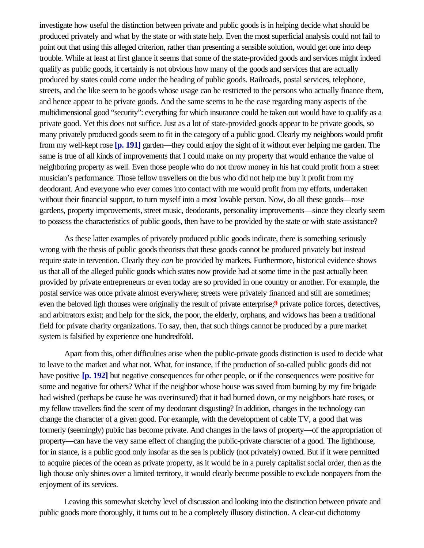investigate how useful the distinction between private and public goods is in helping decide what should be produced privately and what by the state or with state help. Even the most superficial analysis could not fail to point out that using this alleged criterion, rather than presenting a sensible solution, would get one into deep trouble. While at least at first glance it seems that some of the state-provided goods and services might indeed qualify as public goods, it certainly is not obvious how many of the goods and services that are actually produced by states could come under the heading of public goods. Railroads, postal services, telephone, streets, and the like seem to be goods whose usage can be restricted to the persons who actually finance them, and hence appear to be private goods. And the same seems to be the case regarding many aspects of the multidimensional good "security": everything for which insurance could be taken out would have to qualify as a private good. Yet this does not suffice. Just as a lot of state-provided goods appear to be private goods, so many privately produced goods seem to fit in the category of a public good. Clearly my neighbors would profit from my well-kept rose **[p. 191]** garden—they could enjoy the sight of it without ever helping me garden. The same is true of all kinds of improvements that I could make on my property that would enhance the value of neighboring property as well. Even those people who do not throw money in his hat could profit from a street musician's performance. Those fellow travellers on the bus who did not help me buy it profit from my deodorant. And everyone who ever comes into contact with me would profit from my efforts, undertaken without their financial support, to turn myself into a most lovable person. Now, do all these goods—rose gardens, property improvements, street music, deodorants, personality improvements—since they clearly seem to possess the characteristics of public goods, then have to be provided by the state or with state assistance?

 As these latter examples of privately produced public goods indicate, there is something seriously wrong with the thesis of public goods theorists that these goods cannot be produced privately but instead require state in tervention. Clearly they *can* be provided by markets. Furthermore, historical evidence shows us that all of the alleged public goods which states now provide had at some time in the past actually been provided by private entrepreneurs or even today are so provided in one country or another. For example, the postal service was once private almost everywhere; streets were privately financed and still are sometimes; even the beloved ligh thouses were originally the result of private enterprise;**9** private police forces, detectives, and arbitrators exist; and help for the sick, the poor, the elderly, orphans, and widows has been a traditional field for private charity organizations. To say, then, that such things cannot be produced by a pure market system is falsified by experience one hundredfold.

 Apart from this, other difficulties arise when the public-private goods distinction is used to decide what to leave to the market and what not. What, for instance, if the production of so-called public goods did not have positive [p. 192] but negative consequences for other people, or if the consequences were positive for some and negative for others? What if the neighbor whose house was saved from burning by my fire brigade had wished (perhaps be cause he was overinsured) that it had burned down, or my neighbors hate roses, or my fellow travellers find the scent of my deodorant disgusting? In addition, changes in the technology can change the character of a given good. For example, with the development of cable TV, a good that was formerly (seemingly) public has become private. And changes in the laws of property—of the appropriation of property—can have the very same effect of changing the public-private character of a good. The lighthouse, for in stance, is a public good only insofar as the sea is publicly (not privately) owned. But if it were permitted to acquire pieces of the ocean as private property, as it would be in a purely capitalist social order, then as the ligh thouse only shines over a limited territory, it would clearly become possible to exclude nonpayers from the enjoyment of its services.

 Leaving this somewhat sketchy level of discussion and looking into the distinction between private and public goods more thoroughly, it turns out to be a completely illusory distinction. A clear-cut dichotomy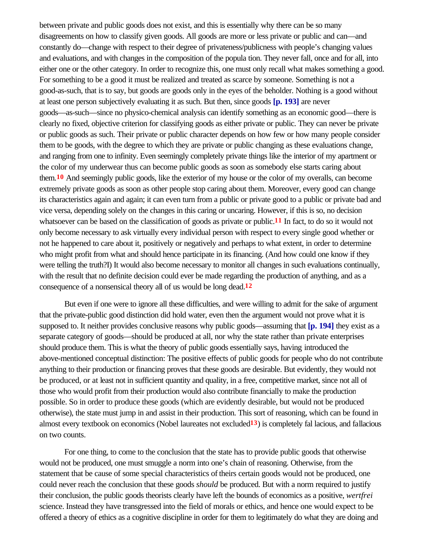between private and public goods does not exist, and this is essentially why there can be so many disagreements on how to classify given goods. All goods are more or less private or public and can—and constantly do—change with respect to their degree of privateness/publicness with people's changing values and evaluations, and with changes in the composition of the popula tion. They never fall, once and for all, into either one or the other category. In order to recognize this, one must only recall what makes something a good. For something to be a good it must be realized and treated as scarce by someone. Something is not a good-as-such, that is to say, but goods are goods only in the eyes of the beholder. Nothing is a good without at least one person subjectively evaluating it as such. But then, since goods **[p. 193]** are never goods—as-such—since no physico-chemical analysis can identify something as an economic good—there is clearly no fixed, objective criterion for classifying goods as either private or public. They can never be private or public goods as such. Their private or public character depends on how few or how many people consider them to be goods, with the degree to which they are private or public changing as these evaluations change, and ranging from one to infinity. Even seemingly completely private things like the interior of my apartment or the color of my underwear thus can become public goods as soon as somebody else starts caring about them.**10** And seemingly public goods, like the exterior of my house or the color of my overalls, can become extremely private goods as soon as other people stop caring about them. Moreover, every good can change its characteristics again and again; it can even turn from a public or private good to a public or private bad and vice versa, depending solely on the changes in this caring or uncaring. However, if this is so, no decision whatsoever can be based on the classification of goods as private or public.**11** In fact, to do so it would not only become necessary to ask virtually every individual person with respect to every single good whether or not he happened to care about it, positively or negatively and perhaps to what extent, in order to determine who might profit from what and should hence participate in its financing. (And how could one know if they were telling the truth?I) It would also become necessary to monitor all changes in such evaluations continually, with the result that no definite decision could ever be made regarding the production of anything, and as a consequence of a nonsensical theory all of us would be long dead.**12**

 But even if one were to ignore all these difficulties, and were willing to admit for the sake of argument that the private-public good distinction did hold water, even then the argument would not prove what it is supposed to. It neither provides conclusive reasons why public goods—assuming that **[p. 194]** they exist as a separate category of goods—should be produced at all, nor why the state rather than private enterprises should produce them. This is what the theory of public goods essentially says, having introduced the above-mentioned conceptual distinction: The positive effects of public goods for people who do not contribute anything to their production or financing proves that these goods are desirable. But evidently, they would not be produced, or at least not in sufficient quantity and quality, in a free, competitive market, since not all of those who would profit from their production would also contribute financially to make the production possible. So in order to produce these goods (which are evidently desirable, but would not be produced otherwise), the state must jump in and assist in their production. This sort of reasoning, which can be found in almost every textbook on economics (Nobel laureates not excluded**13**) is completely fal lacious, and fallacious on two counts.

 For one thing, to come to the conclusion that the state has to provide public goods that otherwise would not be produced, one must smuggle a norm into one's chain of reasoning. Otherwise, from the statement that be cause of some special characteristics of theirs certain goods would not be produced, one could never reach the conclusion that these goods *should* be produced. But with a norm required to justify their conclusion, the public goods theorists clearly have left the bounds of economics as a positive, *wertfrei* science. Instead they have transgressed into the field of morals or ethics, and hence one would expect to be offered a theory of ethics as a cognitive discipline in order for them to legitimately do what they are doing and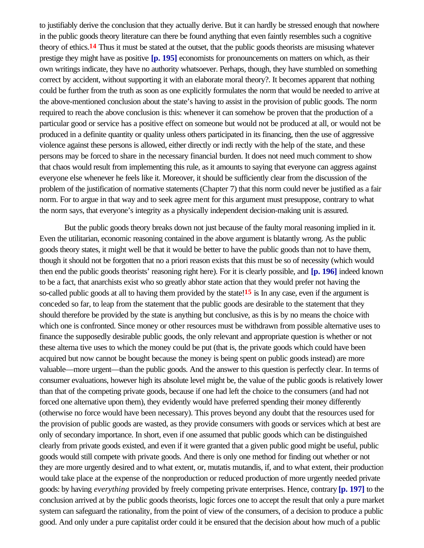to justifiably derive the conclusion that they actually derive. But it can hardly be stressed enough that nowhere in the public goods theory literature can there be found anything that even faintly resembles such a cognitive theory of ethics.**14** Thus it must be stated at the outset, that the public goods theorists are misusing whatever prestige they might have as positive **[p. 195]** economists for pronouncements on matters on which, as their own writings indicate, they have no authority whatsoever. Perhaps, though, they have stumbled on something correct by accident, without supporting it with an elaborate moral theory?. It becomes apparent that nothing could be further from the truth as soon as one explicitly formulates the norm that would be needed to arrive at the above-mentioned conclusion about the state's having to assist in the provision of public goods. The norm required to reach the above conclusion is this: whenever it can somehow be proven that the production of a particular good or service has a positive effect on someone but would not be produced at all, or would not be produced in a definite quantity or quality unless others participated in its financing, then the use of aggressive violence against these persons is allowed, either directly or indi rectly with the help of the state, and these persons may be forced to share in the necessary financial burden. It does not need much comment to show that chaos would result from implementing this rule, as it amounts to saying that everyone can aggress against everyone else whenever he feels like it. Moreover, it should be sufficiently clear from the discussion of the problem of the justification of normative statements (Chapter 7) that this norm could never be justified as a fair norm. For to argue in that way and to seek agree ment for this argument must presuppose, contrary to what the norm says, that everyone's integrity as a physically independent decision-making unit is assured.

 But the public goods theory breaks down not just because of the faulty moral reasoning implied in it. Even the utilitarian, economic reasoning contained in the above argument is blatantly wrong. As the public goods theory states, it might well be that it would be better to have the public goods than not to have them, though it should not be forgotten that no a priori reason exists that this must be so of necessity (which would then end the public goods theorists' reasoning right here). For it is clearly possible, and **[p. 196]** indeed known to be a fact, that anarchists exist who so greatly abhor state action that they would prefer not having the so-called public goods at all to having them provided by the state!<sup>15</sup> is In any case, even if the argument is conceded so far, to leap from the statement that the public goods are desirable to the statement that they should therefore be provided by the state is anything but conclusive, as this is by no means the choice with which one is confronted. Since money or other resources must be withdrawn from possible alternative uses to finance the supposedly desirable public goods, the only relevant and appropriate question is whether or not these alterna tive uses to which the money could be put (that is, the private goods which could have been acquired but now cannot be bought because the money is being spent on public goods instead) are more valuable—more urgent—than the public goods. And the answer to this question is perfectly clear. In terms of consumer evaluations, however high its absolute level might be, the value of the public goods is relatively lower than that of the competing private goods, because if one had left the choice to the consumers (and had not forced one alternative upon them), they evidently would have preferred spending their money differently (otherwise no force would have been necessary). This proves beyond any doubt that the resources used for the provision of public goods are wasted, as they provide consumers with goods or services which at best are only of secondary importance. In short, even if one assumed that public goods which can be distinguished clearly from private goods existed, and even if it were granted that a given public good might be useful, public goods would still compete with private goods. And there is only one method for finding out whether or not they are more urgently desired and to what extent, or, mutatis mutandis, if, and to what extent, their production would take place at the expense of the nonproduction or reduced production of more urgently needed private goods: by having *everything* provided by freely competing private enterprises. Hence, contrary **[p. 197]** to the conclusion arrived at by the public goods theorists, logic forces one to accept the result that only a pure market system can safeguard the rationality, from the point of view of the consumers, of a decision to produce a public good. And only under a pure capitalist order could it be ensured that the decision about how much of a public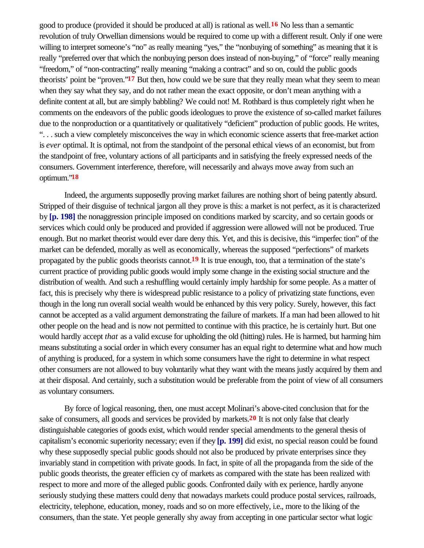good to produce (provided it should be produced at all) is rational as well.**16** No less than a semantic revolution of truly Orwellian dimensions would be required to come up with a different result. Only if one were willing to interpret someone's "no" as really meaning "yes," the "nonbuying of something" as meaning that it is really "preferred over that which the nonbuying person does instead of non-buying," of "force" really meaning "freedom," of "non-contracting" really meaning "making a contract" and so on, could the public goods theorists' point be "proven."**17** But then, how could we be sure that they really mean what they seem to mean when they say what they say, and do not rather mean the exact opposite, or don't mean anything with a definite content at all, but are simply babbling? We could not! M. Rothbard is thus completely right when he comments on the endeavors of the public goods ideologues to prove the existence of so-called market failures due to the nonproduction or a quantitatively or qualitatively "deficient" production of public goods. He writes, ". . . such a view completely misconceives the way in which economic science asserts that free-market action is *ever* optimal. It is optimal, not from the standpoint of the personal ethical views of an economist, but from the standpoint of free, voluntary actions of all participants and in satisfying the freely expressed needs of the consumers. Government interference, therefore, will necessarily and always move away from such an optimum."**18**

 Indeed, the arguments supposedly proving market failures are nothing short of being patently absurd. Stripped of their disguise of technical jargon all they prove is this: a market is not perfect, as it is characterized by **[p. 198]** the nonaggression principle imposed on conditions marked by scarcity, and so certain goods or services which could only be produced and provided if aggression were allowed will not be produced. True enough. But no market theorist would ever dare deny this. Yet, and this is decisive, this "imperfec tion" of the market can be defended, morally as well as economically, whereas the supposed "perfections" of markets propagated by the public goods theorists cannot.**19** It is true enough, too, that a termination of the state's current practice of providing public goods would imply some change in the existing social structure and the distribution of wealth. And such a reshuffling would certainly imply hardship for some people. As a matter of fact, this is precisely why there is widespread public resistance to a policy of privatizing state functions, even though in the long run overall social wealth would be enhanced by this very policy. Surely, however, this fact cannot be accepted as a valid argument demonstrating the failure of markets. If a man had been allowed to hit other people on the head and is now not permitted to continue with this practice, he is certainly hurt. But one would hardly accept *that* as a valid excuse for upholding the old (hitting) rules. He is harmed, but harming him means substituting a social order in which every consumer has an equal right to determine what and how much of anything is produced, for a system in which some consumers have the right to determine in what respect other consumers are not allowed to buy voluntarily what they want with the means justly acquired by them and at their disposal. And certainly, such a substitution would be preferable from the point of view of all consumers as voluntary consumers.

 By force of logical reasoning, then, one must accept Molinari's above-cited conclusion that for the sake of consumers, all goods and services be provided by markets.**20** It is not only false that clearly distinguishable categories of goods exist, which would render special amendments to the general thesis of capitalism's economic superiority necessary; even if they **[p. 199]** did exist, no special reason could be found why these supposedly special public goods should not also be produced by private enterprises since they invariably stand in competition with private goods. In fact, in spite of all the propaganda from the side of the public goods theorists, the greater efficien cy of markets as compared with the state has been realized with respect to more and more of the alleged public goods. Confronted daily with ex perience, hardly anyone seriously studying these matters could deny that nowadays markets could produce postal services, railroads, electricity, telephone, education, money, roads and so on more effectively, i.e., more to the liking of the consumers, than the state. Yet people generally shy away from accepting in one particular sector what logic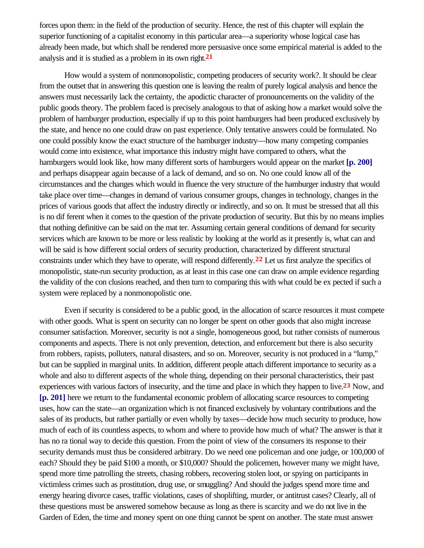forces upon them: in the field of the production of security. Hence, the rest of this chapter will explain the superior functioning of a capitalist economy in this particular area—a superiority whose logical case has already been made, but which shall be rendered more persuasive once some empirical material is added to the analysis and it is studied as a problem in its own right.**21**

 How would a system of nonmonopolistic, competing producers of security work?. It should be clear from the outset that in answering this question one is leaving the realm of purely logical analysis and hence the answers must necessarily lack the certainty, the apodictic character of pronouncements on the validity of the public goods theory. The problem faced is precisely analogous to that of asking how a market would solve the problem of hamburger production, especially if up to this point hamburgers had been produced exclusively by the state, and hence no one could draw on past experience. Only tentative answers could be formulated. No one could possibly know the exact structure of the hamburger industry—how many competing companies would come into existence, what importance this industry might have compared to others, what the hamburgers would look like, how many different sorts of hamburgers would appear on the market **[p. 200]** and perhaps disappear again because of a lack of demand, and so on. No one could know all of the circumstances and the changes which would in fluence the very structure of the hamburger industry that would take place over time—changes in demand of various consumer groups, changes in technology, changes in the prices of various goods that affect the industry directly or indirectly, and so on. It must be stressed that all this is no dif ferent when it comes to the question of the private production of security. But this by no means implies that nothing definitive can be said on the mat ter. Assuming certain general conditions of demand for security services which are known to be more or less realistic by looking at the world as it presently is, what can and will be said is how different social orders of security production, characterized by different structural constraints under which they have to operate, will respond differently.**22** Let us first analyze the specifics of monopolistic, state-run security production, as at least in this case one can draw on ample evidence regarding the validity of the con clusions reached, and then turn to comparing this with what could be ex pected if such a system were replaced by a nonmonopolistic one.

 Even if security is considered to be a public good, in the allocation of scarce resources it must compete with other goods. What is spent on security can no longer be spent on other goods that also might increase consumer satisfaction. Moreover, security is not a single, homogeneous good, but rather consists of numerous components and aspects. There is not only prevention, detection, and enforcement but there is also security from robbers, rapists, polluters, natural disasters, and so on. Moreover, security is not produced in a "lump," but can be supplied in marginal units. In addition, different people attach different importance to security as a whole and also to different aspects of the whole thing, depending on their personal characteristics, their past experiences with various factors of insecurity, and the time and place in which they happen to live.**23** Now, and **[p. 201]** here we return to the fundamental economic problem of allocating scarce resources to competing uses, how can the state—an organization which is not financed exclusively by voluntary contributions and the sales of its products, but rather partially or even wholly by taxes—decide how much security to produce, how much of each of its countless aspects, to whom and where to provide how much of what? The answer is that it has no ra tional way to decide this question. From the point of view of the consumers its response to their security demands must thus be considered arbitrary. Do we need one policeman and one judge, or 100,000 of each? Should they be paid \$100 a month, or \$10,000? Should the policemen, however many we might have, spend more time patrolling the streets, chasing robbers, recovering stolen loot, or spying on participants in victimless crimes such as prostitution, drug use, or smuggling? And should the judges spend more time and energy hearing divorce cases, traffic violations, cases of shoplifting, murder, or antitrust cases? Clearly, all of these questions must be answered somehow because as long as there is scarcity and we do not live in the Garden of Eden, the time and money spent on one thing cannot be spent on another. The state must answer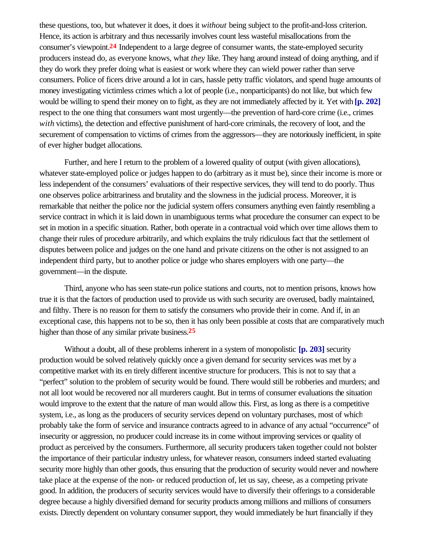these questions, too, but whatever it does, it does it *without* being subject to the profit-and-loss criterion. Hence, its action is arbitrary and thus necessarily involves count less wasteful misallocations from the consumer's viewpoint.**24** Independent to a large degree of consumer wants, the state-employed security producers instead do, as everyone knows, what *they* like. They hang around instead of doing anything, and if they do work they prefer doing what is easiest or work where they can wield power rather than serve consumers. Police of ficers drive around a lot in cars, hassle petty traffic violators, and spend huge amounts of money investigating victimless crimes which a lot of people (i.e., nonparticipants) do not like, but which few would be willing to spend their money on to fight, as they are not immediately affected by it. Yet with **[p. 202]** respect to the one thing that consumers want most urgently—the prevention of hard-core crime (i.e., crimes *with* victims), the detection and effective punishment of hard-core criminals, the recovery of loot, and the securement of compensation to victims of crimes from the aggressors—they are notoriously inefficient, in spite of ever higher budget allocations.

 Further, and here I return to the problem of a lowered quality of output (with given allocations), whatever state-employed police or judges happen to do (arbitrary as it must be), since their income is more or less independent of the consumers' evaluations of their respective services, they will tend to do poorly. Thus one observes police arbitrariness and brutality and the slowness in the judicial process. Moreover, it is remarkable that neither the police nor the judicial system offers consumers anything even faintly resembling a service contract in which it is laid down in unambiguous terms what procedure the consumer can expect to be set in motion in a specific situation. Rather, both operate in a contractual void which over time allows them to change their rules of procedure arbitrarily, and which explains the truly ridiculous fact that the settlement of disputes between police and judges on the one hand and private citizens on the other is not assigned to an independent third party, but to another police or judge who shares employers with one party—the government—in the dispute.

 Third, anyone who has seen state-run police stations and courts, not to mention prisons, knows how true it is that the factors of production used to provide us with such security are overused, badly maintained, and filthy. There is no reason for them to satisfy the consumers who provide their in come. And if, in an exceptional case, this happens not to be so, then it has only been possible at costs that are comparatively much higher than those of any similar private business.**25**

Without a doubt, all of these problems inherent in a system of monopolistic **[p. 203]** security production would be solved relatively quickly once a given demand for security services was met by a competitive market with its en tirely different incentive structure for producers. This is not to say that a "perfect" solution to the problem of security would be found. There would still be robberies and murders; and not all loot would be recovered nor all murderers caught. But in terms of consumer evaluations the situation would improve to the extent that the nature of man would allow this. First, as long as there is a competitive system, i.e., as long as the producers of security services depend on voluntary purchases, most of which probably take the form of service and insurance contracts agreed to in advance of any actual "occurrence" of insecurity or aggression, no producer could increase its in come without improving services or quality of product as perceived by the consumers. Furthermore, all security producers taken together could not bolster the importance of their particular industry unless, for whatever reason, consumers indeed started evaluating security more highly than other goods, thus ensuring that the production of security would never and nowhere take place at the expense of the non- or reduced production of, let us say, cheese, as a competing private good. In addition, the producers of security services would have to diversify their offerings to a considerable degree because a highly diversified demand for security products among millions and millions of consumers exists. Directly dependent on voluntary consumer support, they would immediately be hurt financially if they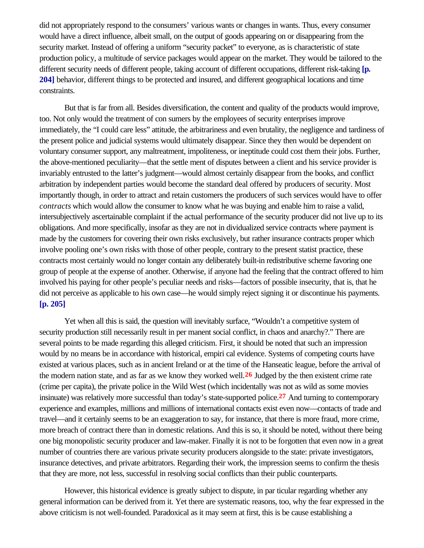did not appropriately respond to the consumers' various wants or changes in wants. Thus, every consumer would have a direct influence, albeit small, on the output of goods appearing on or disappearing from the security market. Instead of offering a uniform "security packet" to everyone, as is characteristic of state production policy, a multitude of service packages would appear on the market. They would be tailored to the different security needs of different people, taking account of different occupations, different risk-taking **[p. 204]** behavior, different things to be protected and insured, and different geographical locations and time constraints.

 But that is far from all. Besides diversification, the content and quality of the products would improve, too. Not only would the treatment of con sumers by the employees of security enterprises improve immediately, the "I could care less" attitude, the arbitrariness and even brutality, the negligence and tardiness of the present police and judicial systems would ultimately disappear. Since they then would be dependent on voluntary consumer support, any maltreatment, impoliteness, or ineptitude could cost them their jobs. Further, the above-mentioned peculiarity—that the settle ment of disputes between a client and his service provider is invariably entrusted to the latter's judgment—would almost certainly disappear from the books, and conflict arbitration by independent parties would become the standard deal offered by producers of security. Most importantly though, in order to attract and retain customers the producers of such services would have to offer *contracts* which would allow the consumer to know what he was buying and enable him to raise a valid, intersubjectively ascertainable complaint if the actual performance of the security producer did not live up to its obligations. And more specifically, insofar as they are not in dividualized service contracts where payment is made by the customers for covering their own risks exclusively, but rather insurance contracts proper which involve pooling one's own risks with those of other people, contrary to the present statist practice, these contracts most certainly would no longer contain any deliberately built-in redistributive scheme favoring one group of people at the expense of another. Otherwise, if anyone had the feeling that the contract offered to him involved his paying for other people's peculiar needs and risks—factors of possible insecurity, that is, that he did not perceive as applicable to his own case—he would simply reject signing it or discontinue his payments. **[p. 205]**

 Yet when all this is said, the question will inevitably surface, "Wouldn't a competitive system of security production still necessarily result in per manent social conflict, in chaos and anarchy?." There are several points to be made regarding this alleged criticism. First, it should be noted that such an impression would by no means be in accordance with historical, empiri cal evidence. Systems of competing courts have existed at various places, such as in ancient Ireland or at the time of the Hanseatic league, before the arrival of the modern nation state, and as far as we know they worked well.**26** Judged by the then existent crime rate (crime per capita), the private police in the Wild West (which incidentally was not as wild as some movies insinuate) was relatively more successful than today's state-supported police.**27** And turning to contemporary experience and examples, millions and millions of international contacts exist even now—contacts of trade and travel—and it certainly seems to be an exaggeration to say, for instance, that there is more fraud, more crime, more breach of contract there than in domestic relations. And this is so, it should be noted, without there being one big monopolistic security producer and law-maker. Finally it is not to be forgotten that even now in a great number of countries there are various private security producers alongside to the state: private investigators, insurance detectives, and private arbitrators. Regarding their work, the impression seems to confirm the thesis that they are more, not less, successful in resolving social conflicts than their public counterparts.

 However, this historical evidence is greatly subject to dispute, in par ticular regarding whether any general information can be derived from it. Yet there are systematic reasons, too, why the fear expressed in the above criticism is not well-founded. Paradoxical as it may seem at first, this is be cause establishing a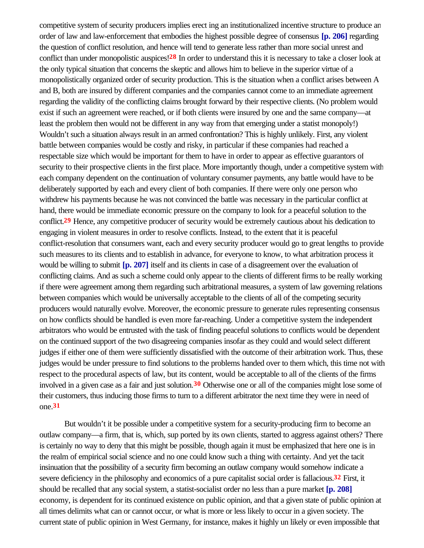competitive system of security producers implies erect ing an institutionalized incentive structure to produce an order of law and law-enforcement that embodies the highest possible degree of consensus **[p. 206]** regarding the question of conflict resolution, and hence will tend to generate less rather than more social unrest and conflict than under monopolistic auspices!**28** In order to understand this it is necessary to take a closer look at the only typical situation that concerns the skeptic and allows him to believe in the superior virtue of a monopolistically organized order of security production. This is the situation when a conflict arises between A and B, both are insured by different companies and the companies cannot come to an immediate agreement regarding the validity of the conflicting claims brought forward by their respective clients. (No problem would exist if such an agreement were reached, or if both clients were insured by one and the same company—at least the problem then would not be different in any way from that emerging under a statist monopoly!) Wouldn't such a situation always result in an armed confrontation? This is highly unlikely. First, any violent battle between companies would be costly and risky, in particular if these companies had reached a respectable size which would be important for them to have in order to appear as effective guarantors of security to their prospective clients in the first place. More importantly though, under a competitive system with each company dependent on the continuation of voluntary consumer payments, any battle would have to be deliberately supported by each and every client of both companies. If there were only one person who withdrew his payments because he was not convinced the battle was necessary in the particular conflict at hand, there would be immediate economic pressure on the company to look for a peaceful solution to the conflict.**29** Hence, any competitive producer of security would be extremely cautious about his dedication to engaging in violent measures in order to resolve conflicts. Instead, to the extent that it is peaceful conflict-resolution that consumers want, each and every security producer would go to great lengths to provide such measures to its clients and to establish in advance, for everyone to know, to what arbitration process it would be willing to submit **[p. 207]** itself and its clients in case of a disagreement over the evaluation of conflicting claims. And as such a scheme could only appear to the clients of different firms to be really working if there were agreement among them regarding such arbitrational measures, a system of law governing relations between companies which would be universally acceptable to the clients of all of the competing security producers would naturally evolve. Moreover, the economic pressure to generate rules representing consensus on how conflicts should be handled is even more far-reaching. Under a competitive system the independent arbitrators who would be entrusted with the task of finding peaceful solutions to conflicts would be dependent on the continued support of the two disagreeing companies insofar as they could and would select different judges if either one of them were sufficiently dissatisfied with the outcome of their arbitration work. Thus, these judges would be under pressure to find solutions to the problems handed over to them which, this time not with respect to the procedural aspects of law, but its content, would be acceptable to all of the clients of the firms involved in a given case as a fair and just solution.**30** Otherwise one or all of the companies might lose some of their customers, thus inducing those firms to turn to a different arbitrator the next time they were in need of one.**31**

But wouldn't it be possible under a competitive system for a security-producing firm to become an outlaw company—a firm, that is, which, sup ported by its own clients, started to aggress against others? There is certainly no way to deny that this might be possible, though again it must be emphasized that here one is in the realm of empirical social science and no one could know such a thing with certainty. And yet the tacit insinuation that the possibility of a security firm becoming an outlaw company would somehow indicate a severe deficiency in the philosophy and economics of a pure capitalist social order is fallacious.**32** First, it should be recalled that any social system, a statist-socialist order no less than a pure market **[p. 208]** economy, is dependent for its continued existence on public opinion, and that a given state of public opinion at all times delimits what can or cannot occur, or what is more or less likely to occur in a given society. The current state of public opinion in West Germany, for instance, makes it highly un likely or even impossible that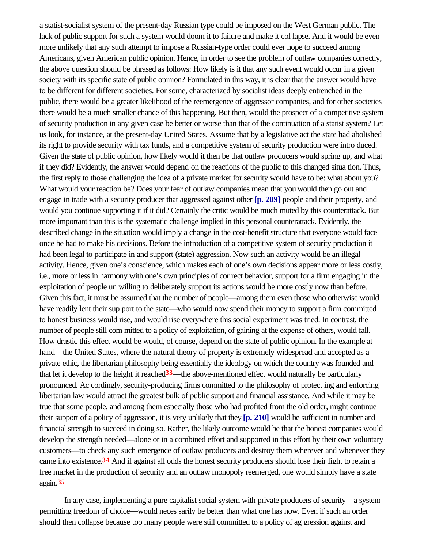a statist-socialist system of the present-day Russian type could be imposed on the West German public. The lack of public support for such a system would doom it to failure and make it col lapse. And it would be even more unlikely that any such attempt to impose a Russian-type order could ever hope to succeed among Americans, given American public opinion. Hence, in order to see the problem of outlaw companies correctly, the above question should be phrased as follows: How likely is it that any such event would occur in a given society with its specific state of public opinion? Formulated in this way, it is clear that the answer would have to be different for different societies. For some, characterized by socialist ideas deeply entrenched in the public, there would be a greater likelihood of the reemergence of aggressor companies, and for other societies there would be a much smaller chance of this happening. But then, would the prospect of a competitive system of security production in any given case be better or worse than that of the continuation of a statist system? Let us look, for instance, at the present-day United States. Assume that by a legislative act the state had abolished its right to provide security with tax funds, and a competitive system of security production were intro duced. Given the state of public opinion, how likely would it then be that outlaw producers would spring up, and what if they did? Evidently, the answer would depend on the reactions of the public to this changed situa tion. Thus, the first reply to those challenging the idea of a private market for security would have to be: what about you? What would your reaction be? Does your fear of outlaw companies mean that you would then go out and engage in trade with a security producer that aggressed against other **[p. 209]** people and their property, and would you continue supporting it if it did? Certainly the critic would be much muted by this counterattack. But more important than this is the systematic challenge implied in this personal counterattack. Evidently, the described change in the situation would imply a change in the cost-benefit structure that everyone would face once he had to make his decisions. Before the introduction of a competitive system of security production it had been legal to participate in and support (state) aggression. Now such an activity would be an illegal activity. Hence, given one's conscience, which makes each of one's own decisions appear more or less costly, i.e., more or less in harmony with one's own principles of cor rect behavior, support for a firm engaging in the exploitation of people un willing to deliberately support its actions would be more costly now than before. Given this fact, it must be assumed that the number of people—among them even those who otherwise would have readily lent their sup port to the state—who would now spend their money to support a firm committed to honest business would rise, and would rise everywhere this social experiment was tried. In contrast, the number of people still com mitted to a policy of exploitation, of gaining at the expense of others, would fall. How drastic this effect would be would, of course, depend on the state of public opinion. In the example at hand—the United States, where the natural theory of property is extremely widespread and accepted as a private ethic, the libertarian philosophy being essentially the ideology on which the country was founded and that let it develop to the height it reached**33**—the above-mentioned effect would naturally be particularly pronounced. Ac cordingly, security-producing firms committed to the philosophy of protect ing and enforcing libertarian law would attract the greatest bulk of public support and financial assistance. And while it may be true that some people, and among them especially those who had profited from the old order, might continue their support of a policy of aggression, it is very unlikely that they **[p. 210]** would be sufficient in number and financial strength to succeed in doing so. Rather, the likely outcome would be that the honest companies would develop the strength needed—alone or in a combined effort and supported in this effort by their own voluntary customers—to check any such emergence of outlaw producers and destroy them wherever and whenever they came into existence.**34** And if against all odds the honest security producers should lose their fight to retain a free market in the production of security and an outlaw monopoly reemerged, one would simply have a state again.**35**

 In any case, implementing a pure capitalist social system with private producers of security—a system permitting freedom of choice—would neces sarily be better than what one has now. Even if such an order should then collapse because too many people were still committed to a policy of ag gression against and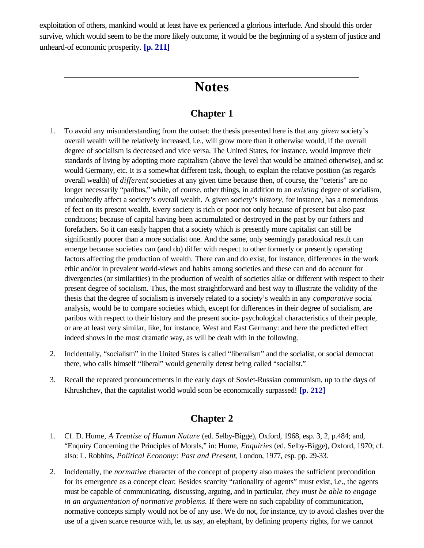exploitation of others, mankind would at least have ex perienced a glorious interlude. And should this order survive, which would seem to be the more likely outcome, it would be the beginning of a system of justice and unheard-of economic prosperity. **[p. 211]**

# **Notes**

## **Chapter 1**

- 1. To avoid any misunderstanding from the outset: the thesis presented here is that any *given* society's overall wealth will be relatively increased, i.e., will grow more than it otherwise would, if the overall degree of socialism is decreased and vice versa. The United States, for instance, would improve their standards of living by adopting more capitalism (above the level that would be attained otherwise), and so would Germany, etc. It is a somewhat different task, though, to explain the relative position (as regards overall wealth) of *different* societies at any given time because then, of course, the "ceteris" are no longer necessarily "paribus," while, of course, other things, in addition to an *existing* degree of socialism, undoubtedly affect a society's overall wealth. A given society's *history*, for instance, has a tremendous ef fect on its present wealth. Every society is rich or poor not only because of present but also past conditions; because of capital having been accumulated or destroyed in the past by our fathers and forefathers. So it can easily happen that a society which is presently more capitalist can still be significantly poorer than a more socialist one. And the same, only seemingly paradoxical result can emerge because societies can (and do) differ with respect to other formerly or presently operating factors affecting the production of wealth. There can and do exist, for instance, differences in the work ethic and/or in prevalent world-views and habits among societies and these can and do account for divergencies (or similarities) in the production of wealth of societies alike or different with respect to their present degree of socialism. Thus, the most straightforward and best way to illustrate the validity of the thesis that the degree of socialism is inversely related to a society's wealth in any *comparative* social analysis, would be to compare societies which, except for differences in their degree of socialism, are paribus with respect to their history and the present socio- psychological characteristics of their people, or are at least very similar, like, for instance, West and East Germany: and here the predicted effect indeed shows in the most dramatic way, as will be dealt with in the following.
- 2. Incidentally, "socialism" in the United States is called "liberalism" and the socialist, or social democrat there, who calls himself "liberal" would generally detest being called "socialist."
- 3. Recall the repeated pronouncements in the early days of Soviet-Russian communism, up to the days of Khrushchev, that the capitalist world would soon be economically surpassed! **[p. 212]**

### **Chapter 2**

- 1. Cf. D. Hume, *A Treatise of Human Nature* (ed. Selby-Bigge), Oxford, 1968, esp. 3, 2, p.484; and, "Enquiry Concerning the Principles of Morals," in: Hume, *Enquiries* (ed. Selby-Bigge), Oxford, 1970; cf. also: L. Robbins, *Political Economy: Past and Present*, London, 1977, esp. pp. 29-33.
- 2. Incidentally, the *normative* character of the concept of property also makes the sufficient precondition for its emergence as a concept clear: Besides scarcity "rationality of agents" must exist, i.e., the agents must be capable of communicating, discussing, arguing, and in particular, *they must be able to engage in an argumentation of normative problems.* If there were no such capability of communication, normative concepts simply would not be of any use. We do not, for instance, try to avoid clashes over the use of a given scarce resource with, let us say, an elephant, by defining property rights, for we cannot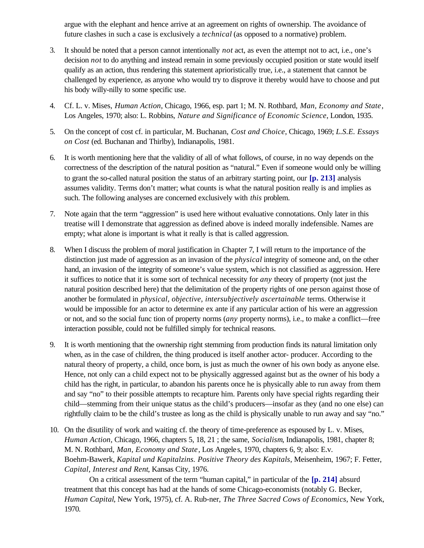argue with the elephant and hence arrive at an agreement on rights of ownership. The avoidance of future clashes in such a case is exclusively a *technical* (as opposed to a normative) problem.

- 3. It should be noted that a person cannot intentionally *not* act, as even the attempt not to act, i.e., one's decision *not* to do anything and instead remain in some previously occupied position or state would itself qualify as an action, thus rendering this statement aprioristically true, i.e., a statement that cannot be challenged by experience, as anyone who would try to disprove it thereby would have to choose and put his body willy-nilly to some specific use.
- 4. Cf. L. v. Mises, *Human Action*, Chicago, 1966, esp. part 1; M. N. Rothbard, *Man, Economy and State*, Los Angeles, 1970; also: L. Robbins, *Nature and Significance of Economic Science*, London, 1935.
- 5. On the concept of cost cf. in particular, M. Buchanan, *Cost and Choice*, Chicago, 1969; *L.S.E. Essays on Cost* (ed. Buchanan and Thirlby), Indianapolis, 1981.
- 6. It is worth mentioning here that the validity of all of what follows, of course, in no way depends on the correctness of the description of the natural position as "natural." Even if someone would only be willing to grant the so-called natural position the status of an arbitrary starting point, our **[p. 213]** analysis assumes validity. Terms don't matter; what counts is what the natural position really is and implies as such. The following analyses are concerned exclusively with *this* problem.
- 7. Note again that the term "aggression" is used here without evaluative connotations. Only later in this treatise will I demonstrate that aggression as defined above is indeed morally indefensible. Names are empty; what alone is important is what it really is that is called aggression.
- 8. When I discuss the problem of moral justification in Chapter 7, I will return to the importance of the distinction just made of aggression as an invasion of the *physical* integrity of someone and, on the other hand, an invasion of the integrity of someone's value system, which is not classified as aggression. Here it suffices to notice that it is some sort of technical necessity for *any* theory of property (not just the natural position described here) that the delimitation of the property rights of one person against those of another be formulated in *physical, objective, intersubjectively ascertainable* terms. Otherwise it would be impossible for an actor to determine ex ante if any particular action of his were an aggression or not, and so the social func tion of property norms (*any* property norms), i.e., to make a conflict—free interaction possible, could not be fulfilled simply for technical reasons.
- 9. It is worth mentioning that the ownership right stemming from production finds its natural limitation only when, as in the case of children, the thing produced is itself another actor- producer. According to the natural theory of property, a child, once born, is just as much the owner of his own body as anyone else. Hence, not only can a child expect not to be physically aggressed against but as the owner of his body a child has the right, in particular, to abandon his parents once he is physically able to run away from them and say "no" to their possible attempts to recapture him. Parents only have special rights regarding their child—stemming from their unique status as the child's producers—insofar as they (and no one else) can rightfully claim to be the child's trustee as long as the child is physically unable to run away and say "no."
- 10. On the disutility of work and waiting cf. the theory of time-preference as espoused by L. v. Mises, *Human Action*, Chicago, 1966, chapters 5, 18, 21 ; the same, *Socialism*, Indianapolis, 1981, chapter 8; M. N. Rothbard, *Man, Economy and State*, Los Angeles, 1970, chapters 6, 9; also: E.v. Boehm-Bawerk, *Kapital und Kapitalzins. Positive Theory des Kapitals*, Meisenheim, 1967; F. Fetter, *Capital, Interest and Rent*, Kansas City, 1976.

 On a critical assessment of the term "human capital," in particular of the **[p. 214]** absurd treatment that this concept has had at the hands of some Chicago-economists (notably G. Becker, *Human Capital*, New York, 1975), cf. A. Rub-ner, *The Three Sacred Cows of Economics*, New York, 1970.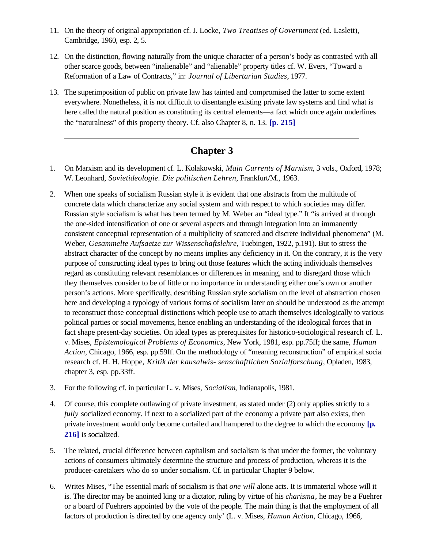- 11. On the theory of original appropriation cf. J. Locke, *Two Treatises of Government* (ed. Laslett), Cambridge, 1960, esp. 2, 5.
- 12. On the distinction, flowing naturally from the unique character of a person's body as contrasted with all other scarce goods, between "inalienable" and "alienable" property titles cf. W. Evers, "Toward a Reformation of a Law of Contracts," in: *Journal of Libertarian Studies*, 1977.
- 13. The superimposition of public on private law has tainted and compromised the latter to some extent everywhere. Nonetheless, it is not difficult to disentangle existing private law systems and find what is here called the natural position as constituting its central elements—a fact which once again underlines the "naturalness" of this property theory. Cf. also Chapter 8, n. 13. **[p. 215]**

#### **Chapter 3**

- 1. On Marxism and its development cf. L. Kolakowski, *Main Currents of Marxism*, 3 vols., Oxford, 1978; W. Leonhard, *Sovietideologie. Die politischen Lehren*, Frankfurt/M., 1963.
- 2. When one speaks of socialism Russian style it is evident that one abstracts from the multitude of concrete data which characterize any social system and with respect to which societies may differ. Russian style socialism is what has been termed by M. Weber an "ideal type." It "is arrived at through the one-sided intensification of one or several aspects and through integration into an immanently consistent conceptual representation of a multiplicity of scattered and discrete individual phenomena" (M. Weber, *Gesammelte Aufsaetze zur Wissenschaftslehre*, Tuebingen, 1922, p.191). But to stress the abstract character of the concept by no means implies any deficiency in it. On the contrary, it is the very purpose of constructing ideal types to bring out those features which the acting individuals themselves regard as constituting relevant resemblances or differences in meaning, and to disregard those which they themselves consider to be of little or no importance in understanding either one's own or another person's actions. More specifically, describing Russian style socialism on the level of abstraction chosen here and developing a typology of various forms of socialism later on should be understood as the attempt to reconstruct those conceptual distinctions which people use to attach themselves ideologically to various political parties or social movements, hence enabling an understanding of the ideological forces that in fact shape present-day societies. On ideal types as prerequisites for historico-sociologic al research cf. L. v. Mises, *Epistemological Problems of Economics*, New York, 1981, esp. pp.75ff; the same, *Human Action*, Chicago, 1966, esp. pp.59ff. On the methodology of "meaning reconstruction" of empirical social research cf. H. H. Hoppe, *Kritik der kausalwis- senschaftlichen Sozialforschung*, Opladen, 1983, chapter 3, esp. pp.33ff.
- 3. For the following cf. in particular L. v. Mises, *Socialism*, Indianapolis, 1981.
- 4. Of course, this complete outlawing of private investment, as stated under (2) only applies strictly to a *fully* socialized economy. If next to a socialized part of the economy a private part also exists, then private investment would only become curtailed and hampered to the degree to which the economy **[p. 216]** is socialized.
- 5. The related, crucial difference between capitalism and socialism is that under the former, the voluntary actions of consumers ultimately determine the structure and process of production, whereas it is the producer-caretakers who do so under socialism. Cf. in particular Chapter 9 below.
- 6. Writes Mises, "The essential mark of socialism is that *one will* alone acts. It is immaterial whose will it is. The director may be anointed king or a dictator, ruling by virtue of his *charisma*, he may be a Fuehrer or a board of Fuehrers appointed by the vote of the people. The main thing is that the employment of all factors of production is directed by one agency only' (L. v. Mises, *Human Action*, Chicago, 1966,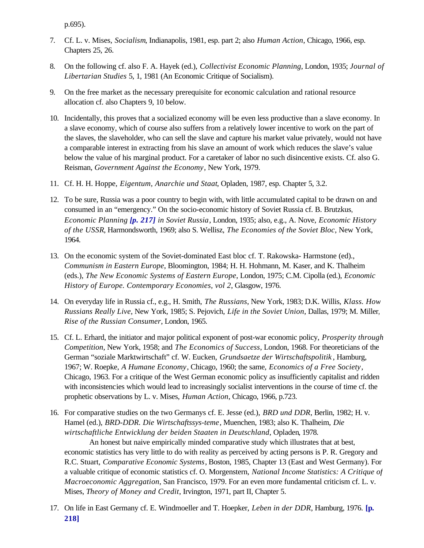p.695).

- 7. Cf. L. v. Mises, *Socialism*, Indianapolis, 1981, esp. part 2; also *Human Action*, Chicago, 1966, esp. Chapters 25, 26.
- 8. On the following cf. also F. A. Hayek (ed.), *Collectivist Economic Planning*, London, 1935; *Journal of Libertarian Studies* 5, 1, 1981 (An Economic Critique of Socialism).
- 9. On the free market as the necessary prerequisite for economic calculation and rational resource allocation cf. also Chapters 9, 10 below.
- 10. Incidentally, this proves that a socialized economy will be even less productive than a slave economy. In a slave economy, which of course also suffers from a relatively lower incentive to work on the part of the slaves, the slaveholder, who can sell the slave and capture his market value privately, would not have a comparable interest in extracting from his slave an amount of work which reduces the slave's value below the value of his marginal product. For a caretaker of labor no such disincentive exists. Cf. also G. Reisman, *Government Against the Economy*, New York, 1979.
- 11. Cf. H. H. Hoppe, *Eigentum, Anarchie und Staat*, Opladen, 1987, esp. Chapter 5, 3.2.
- 12. To be sure, Russia was a poor country to begin with, with little accumulated capital to be drawn on and consumed in an "emergency." On the socio-economic history of Soviet Russia cf. B. Brutzkus, *Economic Planning [p. 217] in Soviet Russia*, London, 1935; also, e.g., A. Nove, *Economic History of the USSR*, Harmondsworth, 1969; also S. Wellisz, *The Economies of the Soviet Bloc*, New York, 1964.
- 13. On the economic system of the Soviet-dominated East bloc cf. T. Rakowska- Harmstone (ed)., *Communism in Eastern Europe*, Bloomington, 1984; H. H. Hohmann, M. Kaser, and K. Thalheim (eds.), *The New Economic Systems of Eastern Europe*, London, 1975; C.M. Cipolla (ed.), *Economic History of Europe. Contemporary Economies, vol 2*, Glasgow, 1976.
- 14. On everyday life in Russia cf., e.g., H. Smith, *The Russians*, New York, 1983; D.K. Willis, *Klass. How Russians Really Live*, New York, 1985; S. Pejovich, *Life in the Soviet Union*, Dallas, 1979; M. Miller, *Rise of the Russian Consumer*, London, 1965.
- 15. Cf. L. Erhard, the initiator and major political exponent of post-war economic policy, *Prosperity through Competition*, New York, 1958; and *The Economics of Success*, London, 1968. For theoreticians of the German "soziale Marktwirtschaft" cf. W. Eucken, *Grundsaetze der Wirtschaftspolitik* , Hamburg, 1967; W. Roepke, *A Humane Economy*, Chicago, 1960; the same, *Economics of a Free Society*, Chicago, 1963. For a critique of the West German economic policy as insufficiently capitalist and ridden with inconsistencies which would lead to increasingly socialist interventions in the course of time cf. the prophetic observations by L. v. Mises, *Human Action*, Chicago, 1966, p.723.
- 16. For comparative studies on the two Germanys cf. E. Jesse (ed.), *BRD und DDR*, Berlin, 1982; H. v. Hamel (ed.), *BRD-DDR. Die Wirtschaftssys-teme*, Muenchen, 1983; also K. Thalheim, *Die wirtschaftliche Entwicklung der beiden Staaten in Deutschland*, Opladen, 1978.

 An honest but naive empirically minded comparative study which illustrates that at best, economic statistics has very little to do with reality as perceived by acting persons is P. R. Gregory and R.C. Stuart, *Comparative Economic Systems*, Boston, 1985, Chapter 13 (East and West Germany). For a valuable critique of economic statistics cf. O. Morgenstern, *National Income Statistics: A Critique of Macroeconomic Aggregation*, San Francisco, 1979. For an even more fundamental criticism cf. L. v. Mises, *Theory of Money and Credit*, Irvington, 1971, part II, Chapter 5.

17. On life in East Germany cf. E. Windmoeller and T. Hoepker, *Leben in der DDR*, Hamburg, 1976. **[p. 218]**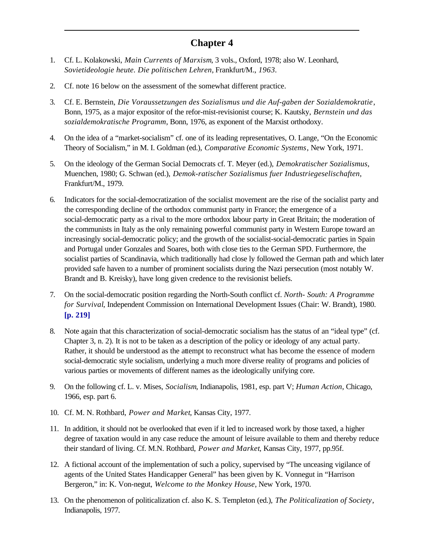### **Chapter 4**

- 1. Cf. L. Kolakowski, *Main Currents of Marxism*, 3 vols., Oxford, 1978; also W. Leonhard, *Sovietideologie heute. Die politischen Lehren*, Frankfurt/M., *1963.*
- 2. Cf. note 16 below on the assessment of the somewhat different practice.
- 3. Cf. E. Bernstein, *Die Voraussetzungen des Sozialismus und die Auf-gaben der Sozialdemokratie*, Bonn, 1975, as a major expositor of the refor-mist-revisionist course; K. Kautsky, *Bernstein und das sozialdemokratische Programm*, Bonn, 1976, as exponent of the Marxist orthodoxy.
- 4. On the idea of a "market-socialism" cf. one of its leading representatives, O. Lange, "On the Economic Theory of Socialism," in M. I. Goldman (ed.), *Comparative Economic Systems*, New York, 1971.
- 5. On the ideology of the German Social Democrats cf. T. Meyer (ed.), *Demokratischer Sozialismus*, Muenchen, 1980; G. Schwan (ed.), *Demok-ratischer Sozialismus fuer Industriegeselischaften*, Frankfurt/M., 1979.
- 6. Indicators for the social-democratization of the socialist movement are the rise of the socialist party and the corresponding decline of the orthodox communist party in France; the emergence of a social-democratic party as a rival to the more orthodox labour party in Great Britain; the moderation of the communists in Italy as the only remaining powerful communist party in Western Europe toward an increasingly social-democratic policy; and the growth of the socialist-social-democratic parties in Spain and Portugal under Gonzales and Soares, both with close ties to the German SPD. Furthermore, the socialist parties of Scandinavia, which traditionally had close ly followed the German path and which later provided safe haven to a number of prominent socialists during the Nazi persecution (most notably W. Brandt and B. Kreisky), have long given credence to the revisionist beliefs.
- 7. On the social-democratic position regarding the North-South conflict cf. *North- South: A Programme for Survival*, Independent Commission on International Development Issues (Chair: W. Brandt), 1980. **[p. 219]**
- 8. Note again that this characterization of social-democratic socialism has the status of an "ideal type" (cf. Chapter 3, n. 2). It is not to be taken as a description of the policy or ideology of any actual party. Rather, it should be understood as the attempt to reconstruct what has become the essence of modern social-democratic style socialism, underlying a much more diverse reality of programs and policies of various parties or movements of different names as the ideologically unifying core.
- 9. On the following cf. L. v. Mises, *Socialism*, Indianapolis, 1981, esp. part V; *Human Action*, Chicago, 1966, esp. part 6.
- 10. Cf. M. N. Rothbard, *Power and Market*, Kansas City, 1977.
- 11. In addition, it should not be overlooked that even if it led to increased work by those taxed, a higher degree of taxation would in any case reduce the amount of leisure available to them and thereby reduce their standard of living. Cf. M.N. Rothbard, *Power and Market*, Kansas City, 1977, pp.95f.
- 12. A fictional account of the implementation of such a policy, supervised by "The unceasing vigilance of agents of the United States Handicapper General" has been given by K. Vonnegut in "Harrison Bergeron," in: K. Von-negut, *Welcome to the Monkey House*, New York, 1970.
- 13. On the phenomenon of politicalization cf. also K. S. Templeton (ed.), *The Politicalization of Society*, Indianapolis, 1977.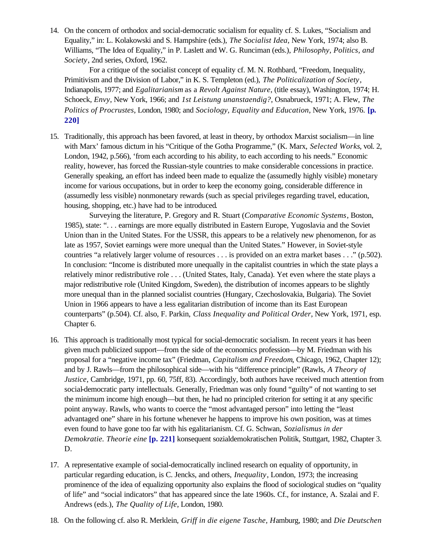14. On the concern of orthodox and social-democratic socialism for equality cf. S. Lukes, "Socialism and Equality," in: L. Kolakowski and S. Hampshire (eds.), *The Socialist Idea*, New York, 1974; also B. Williams, "The Idea of Equality," in P. Laslett and W. G. Runciman (eds.), *Philosophy, Politics, and Society*, 2nd series, Oxford, 1962.

 For a critique of the socialist concept of equality cf. M. N. Rothbard, "Freedom, Inequality, Primitivism and the Division of Labor," in K. S. Templeton (ed.), *The Politicalization of Society*, Indianapolis, 1977; and *Egalitarianism* as a *Revolt Against Nature*, (title essay), Washington, 1974; H. Schoeck, *Envy*, New York, 1966; and *1st Leistung unanstaendig?*, Osnabrueck, 1971; A. Flew, *The Politics of Procrustes*, London, 1980; and *Sociology, Equality and Education*, New York, 1976. **[p. 220]**

15. Traditionally, this approach has been favored, at least in theory, by orthodox Marxist socialism—in line with Marx' famous dictum in his "Critique of the Gotha Programme," (K. Marx, *Selected Works*, vol. 2, London, 1942, p.566), 'from each according to his ability, to each according to his needs." Economic reality, however, has forced the Russian-style countries to make considerable concessions in practice. Generally speaking, an effort has indeed been made to equalize the (assumedly highly visible) monetary income for various occupations, but in order to keep the economy going, considerable difference in (assumedly less visible) nonmonetary rewards (such as special privileges regarding travel, education, housing, shopping, etc.) have had to be introduced.

 Surveying the literature, P. Gregory and R. Stuart (*Comparative Economic Systems*, Boston, 1985), state: ". . . earnings are more equally distributed in Eastern Europe, Yugoslavia and the Soviet Union than in the United States. For the USSR, this appears to be a relatively new phenomenon, for as late as 1957, Soviet earnings were more unequal than the United States." However, in Soviet-style countries "a relatively larger volume of resources . . . is provided on an extra market bases . . ." (p.502). In conclusion: "Income is distributed more unequally in the capitalist countries in which the state plays a relatively minor redistributive role . . . (United States, Italy, Canada). Yet even where the state plays a major redistributive role (United Kingdom, Sweden), the distribution of incomes appears to be slightly more unequal than in the planned socialist countries (Hungary, Czechoslovakia, Bulgaria). The Soviet Union in 1966 appears to have a less egalitarian distribution of income than its East European counterparts" (p.504). Cf. also, F. Parkin, *Class Inequality and Political Order*, New York, 1971, esp. Chapter 6.

- 16. This approach is traditionally most typical for social-democratic socialism. In recent years it has been given much publicized support—from the side of the economics profession—by M. Friedman with his proposal for a "negative income tax" (Friedman, *Capitalism and Freedom*, Chicago, 1962, Chapter 12); and by J. Rawls—from the philosophical side—with his "difference principle" (Rawls, *A Theory of Justice*, Cambridge, 1971, pp. 60, 75ff, 83). Accordingly, both authors have received much attention from social-democratic party intellectuals. Generally, Friedman was only found "guilty" of not wanting to set the minimum income high enough—but then, he had no principled criterion for setting it at any specific point anyway. Rawls, who wants to coerce the "most advantaged person" into letting the "least advantaged one" share in his fortune whenever he happens to improve his own position, was at times even found to have gone too far with his egalitarianism. Cf. G. Schwan, *Sozialismus in der Demokratie. Theorie eine* **[p. 221]** konsequent sozialdemokratischen Politik, Stuttgart, 1982, Chapter 3. D.
- 17. A representative example of social-democratically inclined research on equality of opportunity, in particular regarding education, is C. Jencks, and others, *Inequality*, London, 1973; the increasing prominence of the idea of equalizing opportunity also explains the flood of sociological studies on "quality of life" and "social indicators" that has appeared since the late 1960s. Cf., for instance, A. Szalai and F. Andrews (eds.), *The Quality of Life*, London, 1980.
- 18. On the following cf. also R. Merklein, *Griff in die eigene Tasche, H*amburg, 1980; and *Die Deutschen*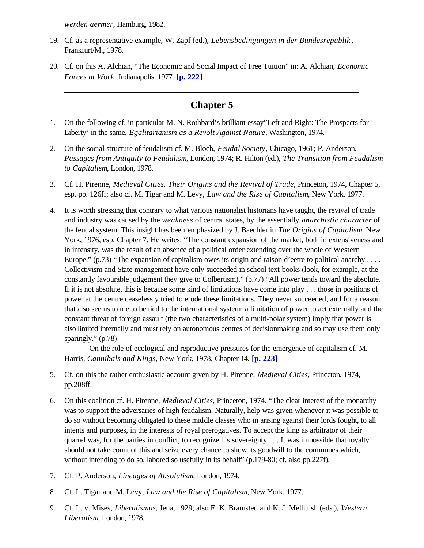*werden aermer*, Hamburg, 1982.

- 19. Cf. as a representative example, W. Zapf (ed.), *Lebensbedingungen in der Bundesrepublik* , Frankfurt/M., 1978.
- 20. Cf. on this A. Alchian, "The Economic and Social Impact of Free Tuition" in: A. Alchian, *Economic Forces at Work*, Indianapolis, 1977. **[p. 222]**

#### **Chapter 5**

- 1. On the following cf. in particular M. N. Rothbard's brilliant essay"Left and Right: The Prospects for Liberty' in the same, *Egalitarianism as a Revolt Against Nature*, Washington, 1974.
- 2. On the social structure of feudalism cf. M. Bloch, *Feudal Society*, Chicago, 1961; P. Anderson, *Passages from Antiquity to Feudalism*, London, 1974; R. Hilton (ed.), *The Transition from Feudalism to Capitalism*, London, 1978.
- 3. Cf. H. Pirenne, *Medieval Cities. Their Origins and the Revival of Trade*, Princeton, 1974, Chapter 5, esp. pp. 126ff; also cf. M. Tigar and M. Levy, *Law and the Rise of Capitalism*, New York, 1977.
- 4. It is worth stressing that contrary to what various nationalist historians have taught, the revival of trade and industry was caused by the *weakness* of central states, by the essentially *anarchistic character* of the feudal system. This insight has been emphasized by J. Baechler in *The Origins of Capitalism*, New York, 1976, esp. Chapter 7. He writes: "The constant expansion of the market, both in extensiveness and in intensity, was the result of an absence of a political order extending over the whole of Western Europe." (p.73) "The expansion of capitalism owes its origin and raison d'eetre to political anarchy . . . . Collectivism and State management have only succeeded in school text-books (look, for example, at the constantly favourable judgement they give to Colbertism)." (p.77) "All power tends toward the absolute. If it is not absolute, this is because some kind of limitations have come into play . . . those in positions of power at the centre ceaselessly tried to erode these limitations. They never succeeded, and for a reason that also seems to me to be tied to the international system: a limitation of power to act externally and the constant threat of foreign assault (the two characteristics of a multi-polar system) imply that power is also limited internally and must rely on autonomous centres of decisionmaking and so may use them only sparingly." (p.78)

 On the role of ecological and reproductive pressures for the emergence of capitalism cf. M. Harris, *Cannibals and Kings*, New York, 1978, Chapter 14. **[p. 223]**

- 5. Cf. on this the rather enthusiastic account given by H. Pirenne, *Medieval Cities*, Princeton, 1974, pp.208ff.
- 6. On this coalition cf. H. Pirenne, *Medieval Cities*, Princeton, 1974. "The clear interest of the monarchy was to support the adversaries of high feudalism. Naturally, help was given whenever it was possible to do so without becoming obligated to these middle classes who in arising against their lords fought, to all intents and purposes, in the interests of royal prerogatives. To accept the king as arbitrator of their quarrel was, for the parties in conflict, to recognize his sovereignty . . . It was impossible that royalty should not take count of this and seize every chance to show its goodwill to the communes which, without intending to do so, labored so usefully in its behalf" (p.179-80; cf. also pp.227f).
- 7. Cf. P. Anderson, *Lineages of Absolutism*, London, 1974.
- 8. Cf. L. Tigar and M. Levy, *Law and the Rise of Capitalism*, New York, 1977.
- 9. Cf. L. v. Mises, *Liberalismus*, Jena, 1929; also E. K. Bramsted and K. J. Melhuish (eds.), *Western Liberalism*, London, 1978.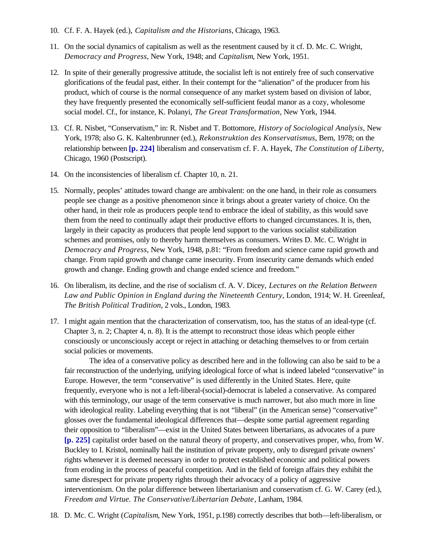- 10. Cf. F. A. Hayek (ed.), *Capitalism and the Historians*, Chicago, 1963.
- 11. On the social dynamics of capitalism as well as the resentment caused by it cf. D. Mc. C. Wright, *Democracy and Progress*, New York, 1948; and *Capitalism*, New York, 1951.
- 12. In spite of their generally progressive attitude, the socialist left is not entirely free of such conservative glorifications of the feudal past, either. In their contempt for the "alienation" of the producer from his product, which of course is the normal consequence of any market system based on division of labor, they have frequently presented the economically self-sufficient feudal manor as a cozy, wholesome social model. Cf., for instance, K. Polanyi, *The Great Transformation*, New York, 1944.
- 13. Cf. R. Nisbet, "Conservatism," in: R. Nisbet and T. Bottomore, *History of Sociological Analysis*, New York, 1978; also G. K. Kaltenbrunner (ed.), *Rekonstruktion des Konservatismus*, Bern, 1978; on the relationship between **[p. 224]** liberalism and conservatism cf. F. A. Hayek, *The Constitution of Liber*ty, Chicago, 1960 (Postscript).
- 14. On the inconsistencies of liberalism cf. Chapter 10, n. 21.
- 15. Normally, peoples' attitudes toward change are ambivalent: on the one hand, in their role as consumers people see change as a positive phenomenon since it brings about a greater variety of choice. On the other hand, in their role as producers people tend to embrace the ideal of stability, as this would save them from the need to continually adapt their productive efforts to changed circumstances. It is, then, largely in their capacity as producers that people lend support to the various socialist stabilization schemes and promises, only to thereby harm themselves as consumers. Writes D. Mc. C. Wright in *Democracy and Progress*, New York, 1948, p.81: "From freedom and science came rapid growth and change. From rapid growth and change came insecurity. From insecurity came demands which ended growth and change. Ending growth and change ended science and freedom."
- 16. On liberalism, its decline, and the rise of socialism cf. A. V. Dicey, *Lectures on the Relation Between Law and Public Opinion in England during the Nineteenth Century*, London, 1914; W. H. Greenleaf, *The British Political Tradition*, 2 vols., London, 1983.
- 17. I might again mention that the characterization of conservatism, too, has the status of an ideal-type (cf. Chapter 3, n. 2; Chapter 4, n. 8). It is the attempt to reconstruct those ideas which people either consciously or unconsciously accept or reject in attaching or detaching themselves to or from certain social policies or movements.

 The idea of a conservative policy as described here and in the following can also be said to be a fair reconstruction of the underlying, unifying ideological force of what is indeed labeled "conservative" in Europe. However, the term "conservative" is used differently in the United States. Here, quite frequently, everyone who is not a left-liberal-(social)-democrat is labeled a conservative. As compared with this terminology, our usage of the term conservative is much narrower, but also much more in line with ideological reality. Labeling everything that is not "liberal" (in the American sense) "conservative" glosses over the fundamental ideological differences that—despite some partial agreement regarding their opposition to "liberalism"—exist in the United States between libertarians, as advocates of a pure **[p. 225]** capitalist order based on the natural theory of property, and conservatives proper, who, from W. Buckley to I. Kristol, nominally hail the institution of private property, only to disregard private owners' rights whenever it is deemed necessary in order to protect established economic and political powers from eroding in the process of peaceful competition. And in the field of foreign affairs they exhibit the same disrespect for private property rights through their advocacy of a policy of aggressive interventionism. On the polar difference between libertarianism and conservatism cf. G. W. Carey (ed.), *Freedom and Virtue. The Conservative/Libertarian Debate*, Lanham, 1984.

18. D. Mc. C. Wright (*Capitalism*, New York, 1951, p.198) correctly describes that both—left-liberalism, or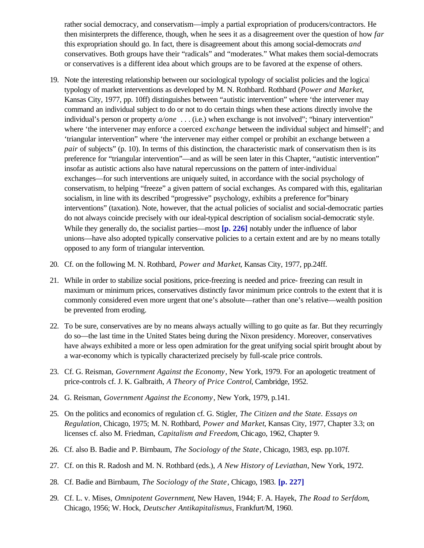rather social democracy, and conservatism—imply a partial expropriation of producers/contractors. He then misinterprets the difference, though, when he sees it as a disagreement over the question of how *far* this expropriation should go. In fact, there is disagreement about this among social-democrats *and* conservatives. Both groups have their "radicals" and "moderates." What makes them social-democrats or conservatives is a different idea about which groups are to be favored at the expense of others.

- 19. Note the interesting relationship between our sociological typology of socialist policies and the logical typology of market interventions as developed by M. N. Rothbard. Rothbard (*Power and Market*, Kansas City, 1977, pp. 10ff) distinguishes between "autistic intervention" where 'the intervener may command an individual subject to do or not to do certain things when these actions directly involve the individual's person or property *a/one* . . . (i.e.) when exchange is not involved"; "binary intervention" where 'the intervener may enforce a coerced *exchange* between the individual subject and himself'; and 'triangular intervention" where 'the intervener may either compel or prohibit an exchange between a *pair* of subjects" (p. 10). In terms of this distinction, the characteristic mark of conservatism then is its preference for "triangular intervention"—and as will be seen later in this Chapter, "autistic intervention" insofar as autistic actions also have natural repercussions on the pattern of inter-individual exchanges—for such interventions are uniquely suited, in accordance with the social psychology of conservatism, to helping "freeze" a given pattern of social exchanges. As compared with this, egalitarian socialism, in line with its described "progressive" psychology, exhibits a preference for"binary interventions" (taxation). Note, however, that the actual policies of socialist and social-democratic parties do not always coincide precisely with our ideal-typical description of socialism social-democratic style. While they generally do, the socialist parties—most  $[p, 226]$  notably under the influence of labor unions—have also adopted typically conservative policies to a certain extent and are by no means totally opposed to any form of triangular intervention.
- 20. Cf. on the following M. N. Rothbard, *Power and Market*, Kansas City, 1977, pp.24ff.
- 21. While in order to stabilize social positions, price-freezing is needed and price- freezing can result in maximum or minimum prices, conservatives distinctly favor minimum price controls to the extent that it is commonly considered even more urgent that one's absolute—rather than one's relative—wealth position be prevented from eroding.
- 22. To be sure, conservatives are by no means always actually willing to go quite as far. But they recurringly do so—the last time in the United States being during the Nixon presidency. Moreover, conservatives have always exhibited a more or less open admiration for the great unifying social spirit brought about by a war-economy which is typically characterized precisely by full-scale price controls.
- 23. Cf. G. Reisman, *Government Against the Economy*, New York, 1979. For an apologetic treatment of price-controls cf. J. K. Galbraith, *A Theory of Price Control*, Cambridge, 1952.
- 24. G. Reisman, *Government Against the Economy*, New York, 1979, p.141.
- 25. On the politics and economics of regulation cf. G. Stigler, *The Citizen and the State. Essays on Regulation*, Chicago, 1975; M. N. Rothbard, *Power and Market*, Kansas City, 1977, Chapter 3.3; on licenses cf. also M. Friedman, *Capitalism and Freedom*, Chicago, 1962, Chapter 9.
- 26. Cf. also B. Badie and P. Birnbaum, *The Sociology of the State*, Chicago, 1983, esp. pp.107f.
- 27. Cf. on this R. Radosh and M. N. Rothbard (eds.), *A New History of Leviathan*, New York, 1972.
- 28. Cf. Badie and Birnbaum, *The Sociology of the State*, Chicago, 1983. **[p. 227]**
- 29. Cf. L. v. Mises, *Omnipotent Government*, New Haven, 1944; F. A. Hayek, *The Road to Serfdom*, Chicago, 1956; W. Hock, *Deutscher Antikapitalismus*, Frankfurt/M, 1960.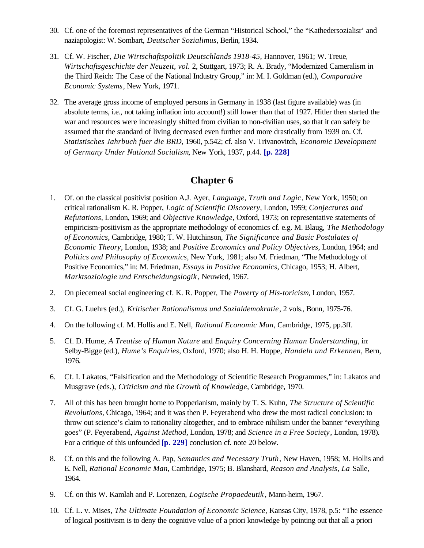- 30. Cf. one of the foremost representatives of the German "Historical School," the "Kathedersozialisr' and naziapologist: W. Sombart, *Deutscher Sozialimus*, Berlin, 1934.
- 31. Cf. W. Fischer, *Die Wirtschaftspolitik Deutschlands 1918-45*, Hannover, 1961; W. Treue, *Wirtschaftsgeschichte der Neuzeit, vol.* 2, Stuttgart, 1973; R. A. Brady, "Modernized Cameralism in the Third Reich: The Case of the National Industry Group," in: M. I. Goldman (ed.), *Comparative Economic Systems*, New York, 1971.
- 32. The average gross income of employed persons in Germany in 1938 (last figure available) was (in absolute terms, i.e., not taking inflation into account!) still lower than that of 1927. Hitler then started the war and resources were increasingly shifted from civilian to non-civilian uses, so that it can safely be assumed that the standard of living decreased even further and more drastically from 1939 on. Cf. *Statistisches Jahrbuch fuer die BRD*, 1960, p.542; cf. also V. Trivanovitch, *Economic Development of Germany Under National Socialism*, New York, 1937, p.44. **[p. 228]**

#### **Chapter 6**

- 1. Of. on the classical positivist position A.J. Ayer, *Language, Truth and Logic*, New York, 1950; on critical rationalism K. R. Popper, *Logic of Scientific Discovery*, London, 1959; *Conjectures and Refutations*, London, 1969; and *Objective Knowledge*, Oxford, 1973; on representative statements of empiricism-positivism as the appropriate methodology of economics cf. e.g. M. Blaug, *The Methodology of Economics*, Cambridge, 1980; T. W. Hutchinson, *The Significance and Basic Postulates of Economic Theory*, London, 1938; and *Positive Economics and Policy Objectives*, London, 1964; and *Politics and Philosophy of Economics*, New York, 1981; also M. Friedman, "The Methodology of Positive Economics," in: M. Friedman, *Essays in Positive Economics*, Chicago, 1953; H. Albert, *Marktsoziologie und Entscheidungslogik* , Neuwied, 1967.
- 2. On piecemeal social engineering cf. K. R. Popper, The *Poverty of His-toricism*, London, 1957.
- 3. Cf. G. Luehrs (ed.), *Kritischer Rationalismus und Sozialdemokratie*, 2 vols., Bonn, 1975-76.
- 4. On the following cf. M. Hollis and E. Nell, *Rational Economic Man*, Cambridge, 1975, pp.3ff.
- 5. Cf. D. Hume, *A Treatise of Human Nature* and *Enquiry Concerning Human Understanding*, in: Selby-Bigge (ed.), *Hume's Enquiries*, Oxford, 1970; also H. H. Hoppe, *Handeln und Erkennen*, Bern, 1976.
- 6. Cf. I. Lakatos, "Falsification and the Methodology of Scientific Research Programmes," in: Lakatos and Musgrave (eds.), *Criticism and the Growth of Knowledge*, Cambridge, 1970.
- 7. All of this has been brought home to Popperianism, mainly by T. S. Kuhn, *The Structure of Scientific Revolutions*, Chicago, 1964; and it was then P. Feyerabend who drew the most radical conclusion: to throw out science's claim to rationality altogether, and to embrace nihilism under the banner "everything goes" (P. Feyerabend, *Against Method*, London, 1978; and *Science in a Free Society*, London, 1978). For a critique of this unfounded **[p. 229]** conclusion cf. note 20 below.
- 8. Cf. on this and the following A. Pap, *Semantics and Necessary Truth*, New Haven, 1958; M. Hollis and E. Nell, *Rational Economic Man*, Cambridge, 1975; B. Blanshard, *Reason and Analysis, La* Salle, 1964.
- 9. Cf. on this W. Kamlah and P. Lorenzen, *Logische Propaedeutik* , Mann-heim, 1967.
- 10. Cf. L. v. Mises, *The Ultimate Foundation of Economic Science*, Kansas City, 1978, p.5: "The essence of logical positivism is to deny the cognitive value of a priori knowledge by pointing out that all a priori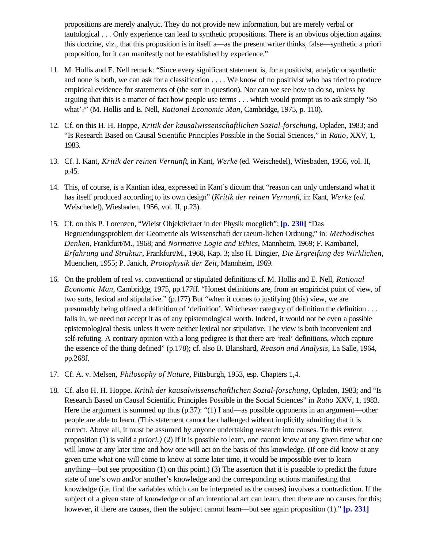propositions are merely analytic. They do not provide new information, but are merely verbal or tautological . . . Only experience can lead to synthetic propositions. There is an obvious objection against this doctrine, viz., that this proposition is in itself a—as the present writer thinks, false—synthetic a priori proposition, for it can manifestly not be established by experience."

- 11. M. Hollis and E. Nell remark: "Since every significant statement is, for a positivist, analytic or synthetic and none is both, we can ask for a classification . . . . We know of no positivist who has tried to produce empirical evidence for statements of (the sort in question). Nor can we see how to do so, unless by arguing that this is a matter of fact how people use terms . . . which would prompt us to ask simply 'So what'?" (M. Hollis and E. Nell, *Rational Economic Man*, Cambridge, 1975, p. 110).
- 12. Cf. on this H. H. Hoppe, *Kritik der kausalwissenschaftlichen Sozial-forschung*, Opladen, 1983; and "Is Research Based on Causal Scientific Principles Possible in the Social Sciences," in *Ratio*, XXV, 1, 1983.
- 13. Cf. I. Kant, *Kritik der reinen Vernunft*, in Kant, *Werke* (ed. Weischedel), Wiesbaden, 1956, vol. II, p.45.
- 14. This, of course, is a Kantian idea, expressed in Kant's dictum that "reason can only understand what it has itself produced according to its own design" (*Kritik der reinen Vernunft*, in: Kant, *Werke* (*ed.* Weischedel), Wiesbaden, 1956, vol. II, p.23).
- 15. Cf. on this P. Lorenzen, "Wieist Objektivitaet in der Physik moeglich"; **[p. 230]** "Das Begruendungsproblem der Geometrie als Wissenschaft der raeum-lichen Ordnung," in: *Methodisches Denken*, Frankfurt/M., 1968; and *Normative Logic and Ethics*, Mannheim, 1969; F. Kambartel, *Erfahrung und Struktur*, Frankfurt/M., 1968, Kap. 3; also H. Dingier, *Die Ergreifung des Wirklichen*, Muenchen, 1955; P. Janich, *Protophysik der Zeit*, Mannheim, 1969.
- 16. On the problem of real vs. conventional or stipulated definitions cf. M. Hollis and E. Nell, *Rational Economic Man*, Cambridge, 1975, pp.177ff. "Honest definitions are, from an empiricist point of view, of two sorts, lexical and stipulative." (p.177) But "when it comes to justifying (this) view, we are presumably being offered a definition of 'definition'. Whichever category of definition the definition . . . falls in, we need not accept it as of any epistemological worth. Indeed, it would not be even a possible epistemological thesis, unless it were neither lexical nor stipulative. The view is both inconvenient and self-refuting. A contrary opinion with a long pedigree is that there are 'real' definitions, which capture the essence of the thing defined" (p.178); cf. also B. Blanshard, *Reason and Analysis*, La Salle, 1964, pp.268f.
- 17. Cf. A. v. Melsen, *Philosophy of Nature*, Pittsburgh, 1953, esp. Chapters 1,4.
- 18. Cf. also H. H. Hoppe. *Kritik der kausalwissenschaftlichen Sozial-forschung*, Opladen, 1983; and "Is Research Based on Causal Scientific Principles Possible in the Social Sciences" in *Ratio* XXV, 1, 1983. Here the argument is summed up thus (p.37): "(1) I and—as possible opponents in an argument—other people are able to learn. (This statement cannot be challenged without implicitly admitting that it is correct. Above all, it must be assumed by anyone undertaking research into causes. To this extent, proposition (1) is valid a *priori.)* (2) If it is possible to learn, one cannot know at any given time what one will know at any later time and how one will act on the basis of this knowledge. (If one did know at any given time what one will come to know at some later time, it would be impossible ever to learn anything—but see proposition (1) on this point.) (3) The assertion that it is possible to predict the future state of one's own and/or another's knowledge and the corresponding actions manifesting that knowledge (i.e. find the variables which can be interpreted as the causes) involves a contradiction. If the subject of a given state of knowledge or of an intentional act can learn, then there are no causes for this; however, if there are causes, then the subject cannot learn—but see again proposition (1)." **[p. 231]**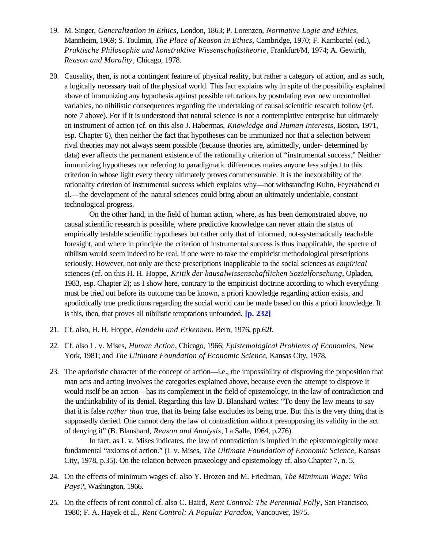- 19. M. Singer, *Generalization in Ethics*, London, 1863; P. Lorenzen, *Normative Logic and Ethics*, Mannheim, 1969; S. Toulmin, *The Place of Reason in Ethics*, Cambridge, 1970; F. Kambartel (ed.), *Praktische Philosophie und konstruktive Wissenschaftstheorie*, Frankfurt/M, 1974; A. Gewirth, *Reason and Morality*, Chicago, 1978.
- 20. Causality, then, is not a contingent feature of physical reality, but rather a category of action, and as such, a logically necessary trait of the physical world. This fact explains why in spite of the possibility explained above of immunizing any hypothesis against possible refutations by postulating ever new uncontrolled variables, no nihilistic consequences regarding the undertaking of causal scientific research follow (cf. note 7 above). For if it is understood that natural science is not a contemplative enterprise but ultimately an instrument of action (cf. on this also J. Habermas, *Knowledge and Human Interests*, Boston, 1971, esp. Chapter 6), then neither the fact that hypotheses can be immunized nor that a selection between rival theories may not always seem possible (because theories are, admittedly, under- determined by data) ever affects the permanent existence of the rationality criterion of "instrumental success." Neither immunizing hypotheses nor referring to paradigmatic differences makes anyone less subject to this criterion in whose light every theory ultimately proves commensurable. It is the inexorability of the rationality criterion of instrumental success which explains why—not withstanding Kuhn, Feyerabend et al.—the development of the natural sciences could bring about an ultimately undeniable, constant technological progress.

 On the other hand, in the field of human action, where, as has been demonstrated above, no causal scientific research is possible, where predictive knowledge can never attain the status of empirically testable scientific hypotheses but rather only that of informed, not-systematically teachable foresight, and where in principle the criterion of instrumental success is thus inapplicable, the spectre of nihilism would seem indeed to be real, if one were to take the empiricist methodological prescriptions seriously. However, not only are these prescriptions inapplicable to the social sciences as *empirical* sciences (cf. on this H. H. Hoppe, *Kritik der kausalwissenschaftlichen Sozialforschung*, Opladen, 1983, esp. Chapter 2); as I show here, contrary to the empiricist doctrine according to which everything must be tried out before its outcome can be known, a priori knowledge regarding action exists, and apodictically true predictions regarding the social world can be made based on this a priori knowledge. It is this, then, that proves all nihilistic temptations unfounded. **[p. 232]**

- 21. Cf. also, H. H. Hoppe, *Handeln und Erkennen*, Bern, 1976, pp.62f.
- 22. Cf. also L. v. Mises, *Human Action*, Chicago, 1966; *Epistemological Problems of Economics*, New York, 1981; and *The Ultimate Foundation of Economic Science*, Kansas City, 1978.
- 23. The aprioristic character of the concept of action—i.e., the impossibility of disproving the proposition that man acts and acting involves the categories explained above, because even the attempt to disprove it would itself be an action—has its complement in the field of epistemology, in the law of contradiction and the unthinkability of its denial. Regarding this law B. Blanshard writes: "To deny the law means to say that it is false *rather than* true, that its being false excludes its being true. But this is the very thing that is supposedly denied. One cannot deny the law of contradiction without presupposing its validity in the act of denying it" (B. Blanshard, *Reason and Analysis*, La Salle, 1964, p.276).

 In fact, as L v. Mises indicates, the law of contradiction is implied in the epistemologically more fundamental "axioms of action." (L v. Mises, *The Ultimate Foundation of Economic Science*, Kansas City, 1978, p.35). On the relation between praxeology and epistemology cf. also Chapter 7, n. 5.

- 24. On the effects of minimum wages cf. also Y. Brozen and M. Friedman, *The Minimum Wage: Who Pays?*, Washington, 1966.
- 25. On the effects of rent control cf. also C. Baird, *Rent Control: The Perennial Folly*, San Francisco, 1980; F. A. Hayek et al., *Rent Control: A Popular Paradox*, Vancouver, 1975.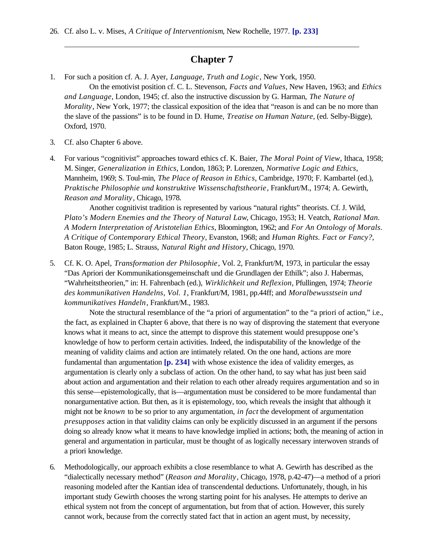#### **Chapter 7**

- 1. For such a position cf. A. J. Ayer, *Language, Truth and Logic*, New York, 1950. On the emotivist position cf. C. L. Stevenson, *Facts and Values*, New Haven, 1963; and *Ethics and Language*, London, 1945; cf. also the instructive discussion by G. Harman, *The Nature of Morality*, New York, 1977; the classical exposition of the idea that "reason is and can be no more than the slave of the passions" is to be found in D. Hume, *Treatise on Human Nature*, (ed. Selby-Bigge), Oxford, 1970.
- 3. Cf. also Chapter 6 above.
- 4. For various "cognitivist" approaches toward ethics cf. K. Baier, *The Moral Point of View*, Ithaca, 1958; M. Singer, *Generalization in Ethics*, London, 1863; P. Lorenzen, *Normative Logic and Ethics*, Mannheim, 1969; S. Toul-min, *The Place of Reason in Ethics*, Cambridge, 1970; F. Kambartel (ed.), *Praktische Philosophie und konstruktive Wissenschaftstheorie*, Frankfurt/M., 1974; A. Gewirth, *Reason and Morality*, Chicago, 1978.

 Another cognitivist tradition is represented by various "natural rights" theorists. Cf. J. Wild, *Plato's Modern Enemies and the Theory of Natural Law*, Chicago, 1953; H. Veatch, *Rational Man. A Modern Interpretation of Aristotelian Ethics*, Bloomington, 1962; and *For An Ontology of Morals. A Critique of Contemporary Ethical Theory*, Evanston, 1968; and *Human Rights. Fact or Fancy?*, Baton Rouge, 1985; L. Strauss, *Natural Right and History*, Chicago, 1970.

5. Cf. K. O. Apel, *Transformation der Philosophie*, Vol. 2, Frankfurt/M, 1973, in particular the essay "Das Apriori der Kommunikationsgemeinschaft und die Grundlagen der Ethilk"; also J. Habermas, "Wahrheitstheorien," in: H. Fahrenbach (ed.), *Wirklichkeit und Reflexion*, Pfullingen, 1974; *Theorie des kommunikativen Handelns, Vol. 1*, Frankfurt/M, 1981, pp.44ff; and *Moralbewusstsein und kommunikatives Handeln*, Frankfurt/M., 1983.

 Note the structural resemblance of the "a priori of argumentation" to the "a priori of action," i.e., the fact, as explained in Chapter 6 above, that there is no way of disproving the statement that everyone knows what it means to act, since the attempt to disprove this statement would presuppose one's knowledge of how to perform certain activities. Indeed, the indisputability of the knowledge of the meaning of validity claims and action are intimately related. On the one hand, actions are more fundamental than argumentation **[p. 234]** with whose existence the idea of validity emerges, as argumentation is clearly only a subclass of action. On the other hand, to say what has just been said about action and argumentation and their relation to each other already requires argumentation and so in this sense—epistemologically, that is—argumentation must be considered to be more fundamental than nonargumentative action. But then, as it is epistemology, too, which reveals the insight that although it might not be *known* to be so prior to any argumentation, *in fact* the development of argumentation *presupposes* action in that validity claims can only be explicitly discussed in an argument if the persons doing so already know what it means to have knowledge implied in actions; both, the meaning of action in general and argumentation in particular, must be thought of as logically necessary interwoven strands of a priori knowledge.

6. Methodologically, our approach exhibits a close resemblance to what A. Gewirth has described as the "dialectically necessary method" (*Reason and Morality*, Chicago, 1978, p.42-47)—a method of a priori reasoning modeled after the Kantian idea of transcendental deductions. Unfortunately, though, in his important study Gewirth chooses the wrong starting point for his analyses. He attempts to derive an ethical system not from the concept of argumentation, but from that of action. However, this surely cannot work, because from the correctly stated fact that in action an agent must, by necessity,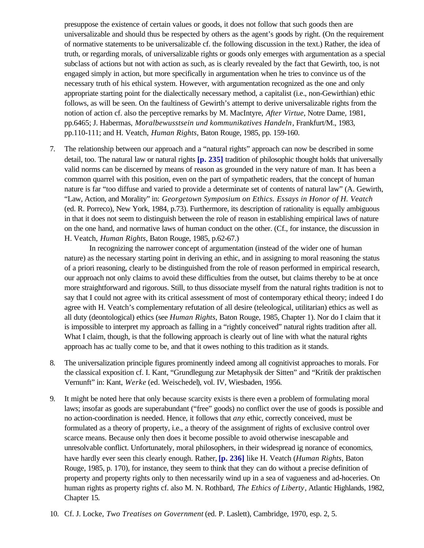presuppose the existence of certain values or goods, it does not follow that such goods then are universalizable and should thus be respected by others as the agent's goods by right. (On the requirement of normative statements to be universalizable cf. the following discussion in the text.) Rather, the idea of truth, or regarding morals, of universalizable rights or goods only emerges with argumentation as a special subclass of actions but not with action as such, as is clearly revealed by the fact that Gewirth, too, is not engaged simply in action, but more specifically in argumentation when he tries to convince us of the necessary truth of his ethical system. However, with argumentation recognized as the one and only appropriate starting point for the dialectically necessary method, a capitalist (i.e., non-Gewirthian) ethic follows, as will be seen. On the faultiness of Gewirth's attempt to derive universalizable rights from the notion of action cf. also the perceptive remarks by M. MacIntyre, *After Virtue*, Notre Dame, 1981, pp.6465; J. Habermas, *Moralbewusstsein und kommunikatives Handeln*, Frankfurt/M., 1983, pp.110-111; and H. Veatch, *Human Rights*, Baton Rouge, 1985, pp. 159-160.

7. The relationship between our approach and a "natural rights" approach can now be described in some detail, too. The natural law or natural rights **[p. 235]** tradition of philosophic thought holds that universally valid norms can be discerned by means of reason as grounded in the very nature of man. It has been a common quarrel with this position, even on the part of sympathetic readers, that the concept of human nature is far "too diffuse and varied to provide a determinate set of contents of natural law" (A. Gewirth, "Law, Action, and Morality" in: *Georgetown Symposium on Ethics. Essays in Honor of H. Veatch* (ed. R. Porreco), New York, 1984, p.73). Furthermore, its description of rationality is equally ambiguous in that it does not seem to distinguish between the role of reason in establishing empirical laws of nature on the one hand, and normative laws of human conduct on the other. (Cf., for instance, the discussion in H. Veatch, *Human Rights*, Baton Rouge, 1985, p.62-67.)

 In recognizing the narrower concept of argumentation (instead of the wider one of human nature) as the necessary starting point in deriving an ethic, and in assigning to moral reasoning the status of a priori reasoning, clearly to be distinguished from the role of reason performed in empirical research, our approach not only claims to avoid these difficulties from the outset, but claims thereby to be at once more straightforward and rigorous. Still, to thus dissociate myself from the natural rights tradition is not to say that I could not agree with its critical assessment of most of contemporary ethical theory; indeed I do agree with H. Veatch's complementary refutation of all desire (teleological, utilitarian) ethics as well as all duty (deontological) ethics (see *Human Rights*, Baton Rouge, 1985, Chapter 1). Nor do I claim that it is impossible to interpret my approach as falling in a "rightly conceived" natural rights tradition after all. What I claim, though, is that the following approach is clearly out of line with what the natural rights approach has ac tually come to be, and that it owes nothing to this tradition as it stands.

- 8. The universalization principle figures prominently indeed among all cognitivist approaches to morals. For the classical exposition cf. I. Kant, "Grundlegung zur Metaphysik der Sitten" and "Kritik der praktischen Vernunft" in: Kant, *Werke* (ed. Weischedel), vol. IV, Wiesbaden, 1956.
- 9. It might be noted here that only because scarcity exists is there even a problem of formulating moral laws; insofar as goods are superabundant ("free" goods) no conflict over the use of goods is possible and no action-coordination is needed. Hence, it follows that *any* ethic, correctly conceived, must be formulated as a theory of property, i.e., a theory of the assignment of rights of exclusive control over scarce means. Because only then does it become possible to avoid otherwise inescapable and unresolvable conflict. Unfortunately, moral philosophers, in their widespread ig norance of economics, have hardly ever seen this clearly enough. Rather, **[p. 236]** like H. Veatch (*Human Rights*, Baton Rouge, 1985, p. 170), for instance, they seem to think that they can do without a precise definition of property and property rights only to then necessarily wind up in a sea of vagueness and ad-hoceries. On human rights as property rights cf. also M. N. Rothbard, *The Ethics of Liberty*, Atlantic Highlands, 1982, Chapter 15.
- 10. Cf. J. Locke, *Two Treatises on Government* (ed. P. Laslett), Cambridge, 1970, esp. 2, 5.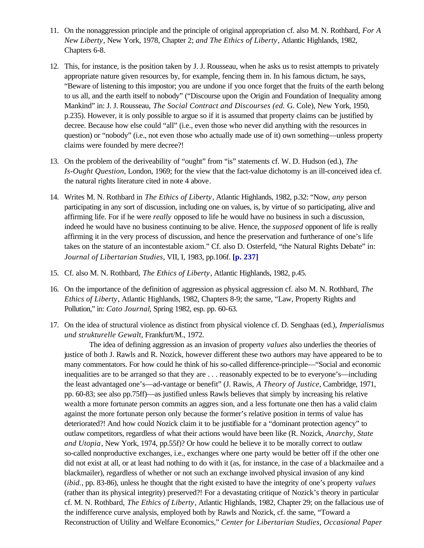- 11. On the nonaggression principle and the principle of original appropriation cf. also M. N. Rothbard, *For A New Liberty*, New York, 1978, Chapter 2; *and The Ethics of Liberty*, Atlantic Highlands, 1982, Chapters 6-8.
- 12. This, for instance, is the position taken by J. J. Rousseau, when he asks us to resist attempts to privately appropriate nature given resources by, for example, fencing them in. In his famous dictum, he says, "Beware of listening to this impostor; you are undone if you once forget that the fruits of the earth belong to us all, and the earth itself to nobody" ("Discourse upon the Origin and Foundation of Inequality among Mankind" in: J. J. Rousseau, *The Social Contract and Discourses (ed.* G. Cole), New York, 1950, p.235). However, it is only possible to argue so if it is assumed that property claims can be justified by decree. Because how else could "all" (i.e., even those who never did anything with the resources in question) or "nobody" (i.e., not even those who actually made use of it) own something—unless property claims were founded by mere decree?!
- 13. On the problem of the deriveability of "ought" from "is" statements cf. W. D. Hudson (ed.), *The Is-Ought Question*, London, 1969; for the view that the fact-value dichotomy is an ill-conceived idea cf. the natural rights literature cited in note 4 above.
- 14. Writes M. N. Rothbard in *The Ethics of Liberty*, Atlantic Highlands, 1982, p.32: "Now, *any* person participating in any sort of discussion, including one on values, is, by virtue of so participating, alive and affirming life. For if he were *really* opposed to life he would have no business in such a discussion, indeed he would have no business continuing to be alive. Hence, the *supposed* opponent of life is really affirming it in the very process of discussion, and hence the preservation and furtherance of one's life takes on the stature of an incontestable axiom." Cf. also D. Osterfeld, "the Natural Rights Debate" in: *Journal of Libertarian Studies*, VII, I, 1983, pp.106f. **[p. 237]**
- 15. Cf. also M. N. Rothbard, *The Ethics of Liberty*, Atlantic Highlands, 1982, p.45.
- 16. On the importance of the definition of aggression as physical aggression cf. also M. N. Rothbard, *The Ethics of Liberty*, Atlantic Highlands, 1982, Chapters 8-9; the same, "Law, Property Rights and Pollution," in: *Cato Journal*, Spring 1982, esp. pp. 60-63.
- 17. On the idea of structural violence as distinct from physical violence cf. D. Senghaas (ed.), *Imperialismus und strukturelle Gewalt*, Frankfurt/M., 1972.

 The idea of defining aggression as an invasion of property *values* also underlies the theories of justice of both J. Rawls and R. Nozick, however different these two authors may have appeared to be to many commentators. For how could he think of his so-called difference-principle—"Social and economic inequalities are to be arranged so that they are . . . reasonably expected to be to everyone's—including the least advantaged one's—ad-vantage or benefit" (J. Rawis, *A Theory of Justice*, Cambridge, 1971, pp. 60-83; see also pp.75ff)—as justified unless Rawls believes that simply by increasing his relative wealth a more fortunate person commits an aggres sion, and a less fortunate one then has a valid claim against the more fortunate person only because the former's relative position in terms of value has deteriorated?! And how could Nozick claim it to be justifiable for a "dominant protection agency" to outlaw competitors, regardless of what their actions would have been like (R. Nozick, *Anarchy, State and Utopia*, New York, 1974, pp.55f)? Or how could he believe it to be morally correct to outlaw so-called nonproductive exchanges, i.e., exchanges where one party would be better off if the other one did not exist at all, or at least had nothing to do with it (as, for instance, in the case of a blackmailee and a blackmailer), regardless of whether or not such an exchange involved physical invasion of any kind (*ibid.*, pp. 83-86), unless he thought that the right existed to have the integrity of one's property *values* (rather than its physical integrity) preserved?! For a devastating critique of Nozick's theory in particular cf. M. N. Rothbard, *The Ethics of Liberty*, Atlantic Highlands, 1982, Chapter 29; on the fallacious use of the indifference curve analysis, employed both by Rawls and Nozick, cf. the same, "Toward a Reconstruction of Utility and Welfare Economics," *Center for Libertarian Studies, Occasional Paper*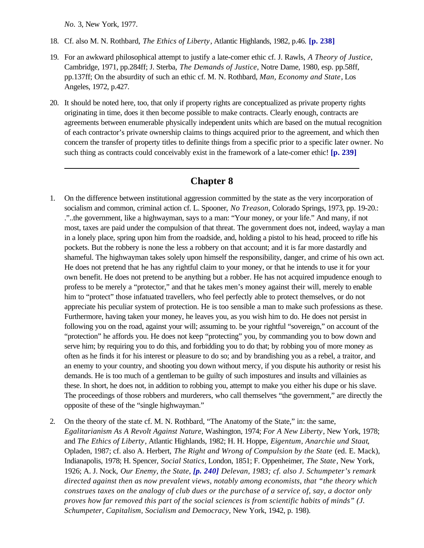*No.* 3, New York, 1977.

- 18. Cf. also M. N. Rothbard, *The Ethics of Liberty*, Atlantic Highlands, 1982, p.46. **[p. 238]**
- 19. For an awkward philosophical attempt to justify a late-comer ethic cf. J. Rawls, *A Theory of Justice*, Cambridge, 1971, pp.284ff; J. Sterba, *The Demands of Justice*, Notre Dame, 1980, esp. pp.58ff, pp.137ff; On the absurdity of such an ethic cf. M. N. Rothbard, *Man, Economy and State*, Los Angeles, 1972, p.427.
- 20. It should be noted here, too, that only if property rights are conceptualized as private property rights originating in time, does it then become possible to make contracts. Clearly enough, contracts are agreements between enumerable physically independent units which are based on the mutual recognition of each contractor's private ownership claims to things acquired prior to the agreement, and which then concern the transfer of property titles to definite things from a specific prior to a specific later owner. No such thing as contracts could conceivably exist in the framework of a late-comer ethic! **[p. 239]**

#### **Chapter 8**

- 1. On the difference between institutional aggression committed by the state as the very incorporation of socialism and common, criminal action cf. L. Spooner, *No Treason*, Colorado Springs, 1973, pp. 19-20.: ."..the government, like a highwayman, says to a man: "Your money, or your life." And many, if not most, taxes are paid under the compulsion of that threat. The government does not, indeed, waylay a man in a lonely place, spring upon him from the roadside, and, holding a pistol to his head, proceed to rifle his pockets. But the robbery is none the less a robbery on that account; and it is far more dastardly and shameful. The highwayman takes solely upon himself the responsibility, danger, and crime of his own act. He does not pretend that he has any rightful claim to your money, or that he intends to use it for your own benefit. He does not pretend to be anything but a robber. He has not acquired impudence enough to profess to be merely a "protector," and that he takes men's money against their will, merely to enable him to "protect" those infatuated travellers, who feel perfectly able to protect themselves, or do not appreciate his peculiar system of protection. He is too sensible a man to make such professions as these. Furthermore, having taken your money, he leaves you, as you wish him to do. He does not persist in following you on the road, against your will; assuming to. be your rightful "sovereign," on account of the "protection" he affords you. He does not keep "protecting" you, by commanding you to bow down and serve him; by requiring you to do this, and forbidding you to do that; by robbing you of more money as often as he finds it for his interest or pleasure to do so; and by brandishing you as a rebel, a traitor, and an enemy to your country, and shooting you down without mercy, if you dispute his authority or resist his demands. He is too much of a gentleman to be guilty of such impostures and insults and villainies as these. In short, he does not, in addition to robbing you, attempt to make you either his dupe or his slave. The proceedings of those robbers and murderers, who call themselves "the government," are directly the opposite of these of the "single highwayman."
- 2. On the theory of the state cf. M. N. Rothbard, "The Anatomy of the State," in: the same, *Egalitarianism As A Revolt Against Nature*, Washington, 1974; *For A New Liberty*, New York, 1978; and *The Ethics of Liberty*, Atlantic Highlands, 1982; H. H. Hoppe, *Eigentum, Anarchie und Staat*, Opladen, 1987; cf. also A. Herbert, *The Right and Wrong of Compulsion by the State* (ed. E. Mack), Indianapolis, 1978; H. Spencer, *Social Statics*, London, 1851; F. Oppenheimer, *The State*, New York, 1926; A. J. Nock, *Our Enemy, the State, [p. 240] Delevan, 1983; cf. also J. Schumpeter's remark directed against then as now prevalent views, notably among economists, that "the theory which construes taxes on the analogy of club dues or the purchase of a service of, say, a doctor only proves how far removed this part of the social sciences is from scientific habits of minds" (J. Schumpeter, Capitalism, Socialism and Democracy*, New York, 1942, p. 198).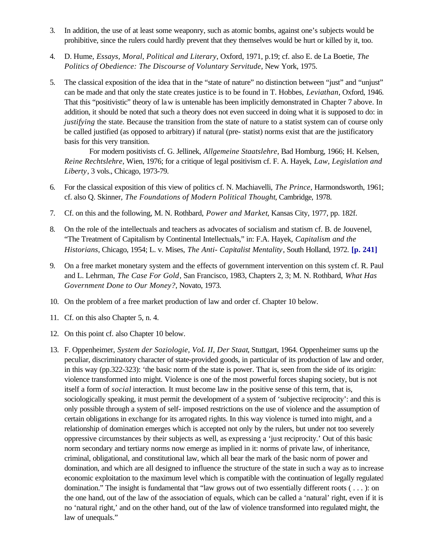- 3. In addition, the use of at least some weaponry, such as atomic bombs, against one's subjects would be prohibitive, since the rulers could hardly prevent that they themselves would be hurt or killed by it, too.
- 4. D. Hume, *Essays, Moral, Political and Literary*, Oxford, 1971, p.19; cf. also E. de La Boetie, *The Politics of Obedience: The Discourse of Voluntary Servitude*, New York, 1975.
- 5. The classical exposition of the idea that in the "state of nature" no distinction between "just" and "unjust" can be made and that only the state creates justice is to be found in T. Hobbes, *Leviathan*, Oxford, 1946. That this "positivistic" theory of law is untenable has been implicitly demonstrated in Chapter 7 above. In addition, it should be noted that such a theory does not even succeed in doing what it is supposed to do: in *justifying* the state. Because the transition from the state of nature to a statist system can of course only be called justified (as opposed to arbitrary) if natural (pre- statist) norms exist that are the justificatory basis for this very transition.

 For modern positivists cf. G. Jellinek, *Allgemeine Staatslehre*, Bad Homburg, 1966; H. Kelsen, *Reine Rechtslehre*, Wien, 1976; for a critique of legal positivism cf. F. A. Hayek, *Law, Legislation and Liberty*, 3 vols., Chicago, 1973-79.

- 6. For the classical exposition of this view of politics cf. N. Machiavelli, *The Prince*, Harmondsworth, 1961; cf. also Q. Skinner, *The Foundations of Modern Political Thought*, Cambridge, 1978.
- 7. Cf. on this and the following, M. N. Rothbard, *Power and Market*, Kansas City, 1977, pp. 182f.
- 8. On the role of the intellectuals and teachers as advocates of socialism and statism cf. B. de Jouvenel, "The Treatment of Capitalism by Continental Intellectuals," in: F.A. Hayek, *Capitalism and the Historians*, Chicago, 1954; L. v. Mises, *The Anti- Capitalist Mentality*, South Holland, 1972. **[p. 241]**
- 9. On a free market monetary system and the effects of government intervention on this system cf. R. Paul and L. Lehrman, *The Case For Gold*, San Francisco, 1983, Chapters 2, 3; M. N. Rothbard, *What Has Government Done to Our Money?*, Novato, 1973.
- 10. On the problem of a free market production of law and order cf. Chapter 10 below.
- 11. Cf. on this also Chapter 5, n. 4.
- 12. On this point cf. also Chapter 10 below.
- 13. F. Oppenheimer, *System der Soziologie, VoL II, Der Staat*, Stuttgart, 1964. Oppenheimer sums up the peculiar, discriminatory character of state-provided goods, in particular of its production of law and order, in this way (pp.322-323): 'the basic norm of the state is power. That is, seen from the side of its origin: violence transformed into might. Violence is one of the most powerful forces shaping society, but is not itself a form of *social* interaction. It must become law in the positive sense of this term, that is, sociologically speaking, it must permit the development of a system of 'subjective reciprocity': and this is only possible through a system of self- imposed restrictions on the use of violence and the assumption of certain obligations in exchange for its arrogated rights. In this way violence is turned into might, and a relationship of domination emerges which is accepted not only by the rulers, but under not too severely oppressive circumstances by their subjects as well, as expressing a 'just reciprocity.' Out of this basic norm secondary and tertiary norms now emerge as implied in it: norms of private law, of inheritance, criminal, obligational, and constitutional law, which all bear the mark of the basic norm of power and domination, and which are all designed to influence the structure of the state in such a way as to increase economic exploitation to the maximum level which is compatible with the continuation of legally regulated domination." The insight is fundamental that "law grows out of two essentially different roots ( . . . ): on the one hand, out of the law of the association of equals, which can be called a 'natural' right, even if it is no 'natural right,' and on the other hand, out of the law of violence transformed into regulated might, the law of unequals."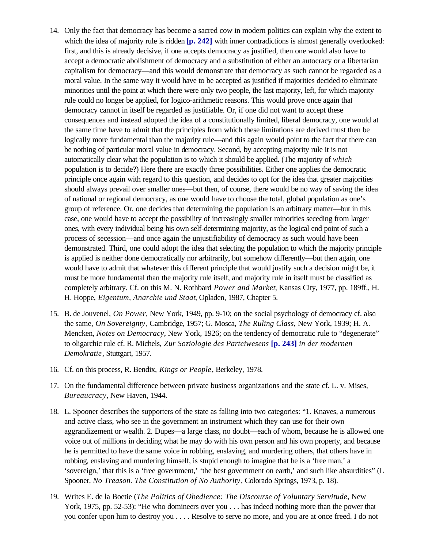- 14. Only the fact that democracy has become a sacred cow in modern politics can explain why the extent to which the idea of majority rule is ridden **[p. 242]** with inner contradictions is almost generally overlooked: first, and this is already decisive, if one accepts democracy as justified, then one would also have to accept a democratic abolishment of democracy and a substitution of either an autocracy or a libertarian capitalism for democracy—and this would demonstrate that democracy as such cannot be regarded as a moral value. In the same way it would have to be accepted as justified if majorities decided to eliminate minorities until the point at which there were only two people, the last majority, left, for which majority rule could no longer be applied, for logico-arithmetic reasons. This would prove once again that democracy cannot in itself be regarded as justifiable. Or, if one did not want to accept these consequences and instead adopted the idea of a constitutionally limited, liberal democracy, one would at the same time have to admit that the principles from which these limitations are derived must then be logically more fundamental than the majority rule—and this again would point to the fact that there can be nothing of particular moral value in democracy. Second, by accepting majority rule it is not automatically clear what the population is to which it should be applied. (The majority of *which* population is to decide?) Here there are exactly three possibilities. Either one applies the democratic principle once again with regard to this question, and decides to opt for the idea that greater majorities should always prevail over smaller ones—but then, of course, there would be no way of saving the idea of national or regional democracy, as one would have to choose the total, global population as one's group of reference. Or, one decides that determining the population is an arbitrary matter—but in this case, one would have to accept the possibility of increasingly smaller minorities seceding from larger ones, with every individual being his own self-determining majority, as the logical end point of such a process of secession—and once again the unjustifiability of democracy as such would have been demonstrated. Third, one could adopt the idea that selecting the population to which the majority principle is applied is neither done democratically nor arbitrarily, but somehow differently—but then again, one would have to admit that whatever this different principle that would justify such a decision might be, it must be more fundamental than the majority rule itself, and majority rule in itself must be classified as completely arbitrary. Cf. on this M. N. Rothbard *Power and Market*, Kansas City, 1977, pp. 189ff., H. H. Hoppe, *Eigentum, Anarchie und Staat*, Opladen, 1987, Chapter 5.
- 15. B. de Jouvenel, *On Power*, New York, 1949, pp. 9-10; on the social psychology of democracy cf. also the same, *On Sovereignty*, Cambridge, 1957; G. Mosca, *The Ruling Class*, New York, 1939; H. A. Mencken, *Notes on Democracy*, New York, 1926; on the tendency of democratic rule to "degenerate" to oligarchic rule cf. R. Michels, *Zur Soziologie des Parteiwesens* **[p. 243]** *in der modernen Demokratie*, Stuttgart, 1957.
- 16. Cf. on this process, R. Bendix, *Kings or People*, Berkeley, 1978.
- 17. On the fundamental difference between private business organizations and the state cf. L. v. Mises, *Bureaucracy*, New Haven, 1944.
- 18. L. Spooner describes the supporters of the state as falling into two categories: "1. Knaves, a numerous and active class, who see in the government an instrument which they can use for their own aggrandizement or wealth. 2. Dupes—a large class, no doubt—each of whom, because he is allowed one voice out of millions in deciding what he may do with his own person and his own property, and because he is permitted to have the same voice in robbing, enslaving, and murdering others, that others have in robbing, enslaving and murdering himself, is stupid enough to imagine that he is a 'free man,' a 'sovereign,' that this is a 'free government,' 'the best government on earth,' and such like absurdities" (L Spooner, *No Treason. The Constitution of No Authority*, Colorado Springs, 1973, p. 18).
- 19. Writes E. de la Boetie (*The Politics of Obedience: The Discourse of Voluntary Servitude*, New York, 1975, pp. 52-53): "He who domineers over you . . . has indeed nothing more than the power that you confer upon him to destroy you . . . . Resolve to serve no more, and you are at once freed. I do not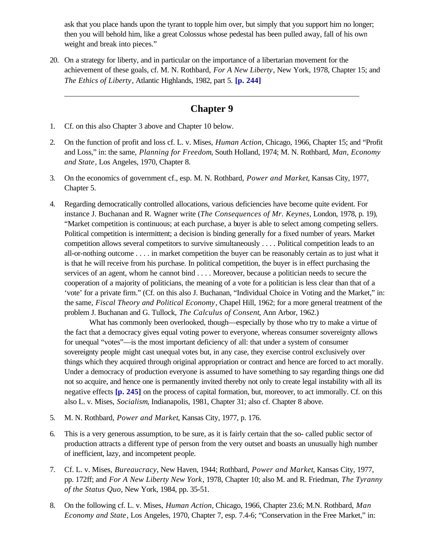ask that you place hands upon the tyrant to topple him over, but simply that you support him no longer; then you will behold him, like a great Colossus whose pedestal has been pulled away, fall of his own weight and break into pieces."

20. On a strategy for liberty, and in particular on the importance of a libertarian movement for the achievement of these goals, cf. M. N. Rothbard, *For A New Liberty*, New York, 1978, Chapter 15; and *The Ethics of Liberty*, Atlantic Highlands, 1982, part 5. **[p. 244]**

## **Chapter 9**

- 1. Cf. on this also Chapter 3 above and Chapter 10 below.
- 2. On the function of profit and loss cf. L. v. Mises, *Human Action*, Chicago, 1966, Chapter 15; and "Profit and Loss," in: the same, *Planning for Freedom*, South Holland, 1974; M. N. Rothbard, *Man, Economy and State*, Los Angeles, 1970, Chapter 8.
- 3. On the economics of government cf., esp. M. N. Rothbard, *Power and Market*, Kansas City, 1977, Chapter 5.
- 4. Regarding democratically controlled allocations, various deficiencies have become quite evident. For instance J. Buchanan and R. Wagner write (*The Consequences of Mr. Keynes*, London, 1978, p. 19), "Market competition is continuous; at each purchase, a buyer is able to select among competing sellers. Political competition is intermittent; a decision is binding generally for a fixed number of years. Market competition allows several competitors to survive simultaneously . . . . Political competition leads to an all-or-nothing outcome . . . . in market competition the buyer can be reasonably certain as to just what it is that he will receive from his purchase. In political competition, the buyer is in effect purchasing the services of an agent, whom he cannot bind . . . . Moreover, because a politician needs to secure the cooperation of a majority of politicians, the meaning of a vote for a politician is less clear than that of a 'vote' for a private firm." (Cf. on this also J. Buchanan, "Individual Choice in Voting and the Market," in: the same, *Fiscal Theory and Political Economy*, Chapel Hill, 1962; for a more general treatment of the problem J. Buchanan and G. Tullock, *The Calculus of Consent*, Ann Arbor, 1962.)

 What has commonly been overlooked, though—especially by those who try to make a virtue of the fact that a democracy gives equal voting power to everyone, whereas consumer sovereignty allows for unequal "votes"—is the most important deficiency of all: that under a system of consumer sovereignty people might cast unequal votes but, in any case, they exercise control exclusively over things which they acquired through original appropriation or contract and hence are forced to act morally. Under a democracy of production everyone is assumed to have something to say regarding things one did not so acquire, and hence one is permanently invited thereby not only to create legal instability with all its negative effects **[p. 245]** on the process of capital formation, but, moreover, to act immorally. Cf. on this also L. v. Mises, *Socialism*, Indianapolis, 1981, Chapter 31; also cf. Chapter 8 above.

- 5. M. N. Rothbard, *Power and Market*, Kansas City, 1977, p. 176.
- 6. This is a very generous assumption, to be sure, as it is fairly certain that the so- called public sector of production attracts a different type of person from the very outset and boasts an unusually high number of inefficient, lazy, and incompetent people.
- 7. Cf. L. v. Mises, *Bureaucracy*, New Haven, 1944; Rothbard, *Power and Market*, Kansas City, 1977, pp. 172ff; and *For A New Liberty New York*, 1978, Chapter 10; also M. and R. Friedman, *The Tyranny of the Status Quo*, New York, 1984, pp. 35-51.
- 8. On the following cf. L. v. Mises, *Human Action*, Chicago, 1966, Chapter 23.6; M.N. Rothbard, *Man Economy and State*, Los Angeles, 1970, Chapter 7, esp. 7.4-6; "Conservation in the Free Market," in: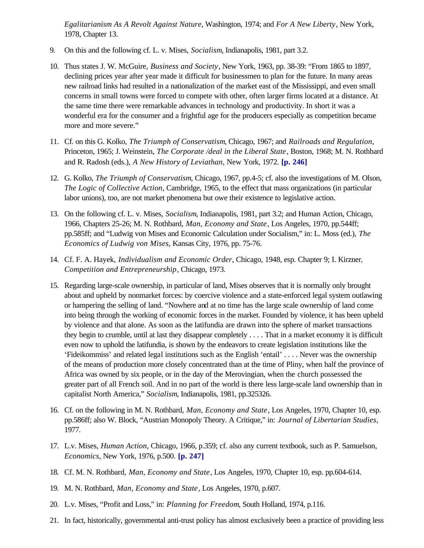*Egalitarianism As A Revolt Against Nature*, Washington, 1974; and *For A New Liberty*, New York, 1978, Chapter 13.

- 9. On this and the following cf. L. v. Mises, *Socialism*, Indianapolis, 1981, part 3.2.
- 10. Thus states J. W. McGuire, *Business and Society*, New York, 1963, pp. 38-39: "From 1865 to 1897, declining prices year after year made it difficult for businessmen to plan for the future. In many areas new railroad links had resulted in a nationalization of the market east of the Mississippi, and even small concerns in small towns were forced to compete with other, often larger firms located at a distance. At the same time there were remarkable advances in technology and productivity. In short it was a wonderful era for the consumer and a frightful age for the producers especially as competition became more and more severe."
- 11. Cf. on this G. Kolko, *The Triumph of Conservatism*, Chicago, 1967; and *Railroads and Regulation*, Princeton, 1965; J. Weinstein, *The Corporate /deal in the Liberal State*, Boston, 1968; M. N. Rothbard and R. Radosh (eds.), *A New History of Leviathan*, New York, 1972. **[p. 246]**
- 12. G. Kolko, *The Triumph of Conservatism*, Chicago, 1967, pp.4-5; cf. also the investigations of M. Olson, *The Logic of Collective Action*, Cambridge, 1965, to the effect that mass organizations (in particular labor unions), too, are not market phenomena but owe their existence to legislative action.
- 13. On the following cf. L. v. Mises, *Socialism*, Indianapolis, 1981, part 3.2; and Human Action, Chicago, 1966, Chapters 25-26; M. N. Rothbard, *Man, Economy and State*, Los Angeles, 1970, pp.544ff; pp.585ff; and "Ludwig von Mises and Economic Calculation under Socialism," in: L. Moss (ed.), *The Economics of Ludwig von Mises*, Kansas City, 1976, pp. 75-76.
- 14. Cf. F. A. Hayek, *Individualism and Economic Order*, Chicago, 1948, esp. Chapter 9; I. Kirzner, *Competition and Entrepreneurship*, Chicago, 1973.
- 15. Regarding large-scale ownership, in particular of land, Mises observes that it is normally only brought about and upheld by nonmarket forces: by coercive violence and a state-enforced legal system outlawing or hampering the selling of land. "Nowhere and at no time has the large scale ownership of land come into being through the working of economic forces in the market. Founded by violence, it has been upheld by violence and that alone. As soon as the latifundia are drawn into the sphere of market transactions they begin to crumble, until at last they disappear completely . . . . That in a market economy it is difficult even now to uphold the latifundia, is shown by the endeavors to create legislation institutions like the 'Fideikommiss' and related legal institutions such as the English 'entail' . . . . Never was the ownership of the means of production more closely concentrated than at the time of Pliny, when half the province of Africa was owned by six people, or in the day of the Merovingian, when the church possessed the greater part of all French soil. And in no part of the world is there less large-scale land ownership than in capitalist North America," *Socialism*, Indianapolis, 1981, pp.325326.
- 16. Cf. on the following in M. N. Rothbard, *Man, Economy and State*, Los Angeles, 1970, Chapter 10, esp. pp.586ff; also W. Block, "Austrian Monopoly Theory. A Critique," in: *Journal of Libertarian Studies*, 1977.
- 17. L.v. Mises, *Human Action*, Chicago, 1966, p.359; cf. also any current textbook, such as P. Samuelson, *Economics*, New York, 1976, p.500. **[p. 247]**
- 18. Cf. M. N. Rothbard, *Man, Economy and State*, Los Angeles, 1970, Chapter 10, esp. pp.604-614.
- 19. M. N. Rothbard, *Man, Economy and State*, Los Angeles, 1970, p.607.
- 20. L.v. Mises, "Profit and Loss," in: *Planning for Freedom*, South Holland, 1974, p.116.
- 21. In fact, historically, governmental anti-trust policy has almost exclusively been a practice of providing less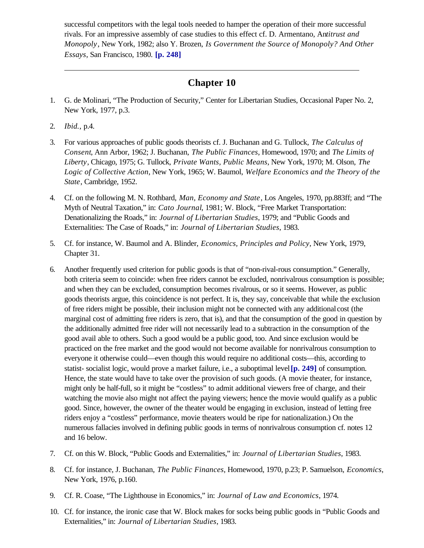successful competitors with the legal tools needed to hamper the operation of their more successful rivals. For an impressive assembly of case studies to this effect cf. D. Armentano, An*titrust and Monopoly*, New York, 1982; also Y. Brozen, *Is Government the Source of Monopoly? And Other Essays*, San Francisco, 1980. **[p. 248]**

## **Chapter 10**

- 1. G. de Molinari, "The Production of Security," Center for Libertarian Studies, Occasional Paper No. 2, New York, 1977, p.3.
- 2. *Ibid.,* p.4.
- 3. For various approaches of public goods theorists cf. J. Buchanan and G. Tullock, *The Calculus of Consent*, Ann Arbor, 1962; J. Buchanan, *The Public Finances*, Homewood, 1970; and *The Limits of Liberty*, Chicago, 1975; G. Tullock, *Private Wants, Public Means*, New York, 1970; M. Olson, *The Logic of Collective Action*, New York, 1965; W. Baumol, *Welfare Economics and the Theory of the State*, Cambridge, 1952.
- 4. Cf. on the following M. N. Rothbard, *Man, Economy and State*, Los Angeles, 1970, pp.883ff; and "The Myth of Neutral Taxation," in: *Cato Journal*, 1981; W. Block, "Free Market Transportation: Denationalizing the Roads," in: *Journal of Libertarian Studies*, 1979; and "Public Goods and Externalities: The Case of Roads," in: *Journal of Libertarian Studies*, 1983.
- 5. Cf. for instance, W. Baumol and A. Blinder, *Economics, Principles and Policy*, New York, 1979, Chapter 31.
- 6. Another frequently used criterion for public goods is that of "non-rival-rous consumption." Generally, both criteria seem to coincide: when free riders cannot be excluded, nonrivalrous consumption is possible; and when they can be excluded, consumption becomes rivalrous, or so it seems. However, as public goods theorists argue, this coincidence is not perfect. It is, they say, conceivable that while the exclusion of free riders might be possible, their inclusion might not be connected with any additional cost (the marginal cost of admitting free riders is zero, that is), and that the consumption of the good in question by the additionally admitted free rider will not necessarily lead to a subtraction in the consumption of the good avail able to others. Such a good would be a public good, too. And since exclusion would be practiced on the free market and the good would not become available for nonrivalrous consumption to everyone it otherwise could—even though this would require no additional costs—this, according to statist- socialist logic, would prove a market failure, i.e., a suboptimal level**[p. 249]** of consumption. Hence, the state would have to take over the provision of such goods. (A movie theater, for instance, might only be half-full, so it might be "costless" to admit additional viewers free of charge, and their watching the movie also might not affect the paying viewers; hence the movie would qualify as a public good. Since, however, the owner of the theater would be engaging in exclusion, instead of letting free riders enjoy a "costless" performance, movie theaters would be ripe for nationalization.) On the numerous fallacies involved in defining public goods in terms of nonrivalrous consumption cf. notes 12 and 16 below.
- 7. Cf. on this W. Block, "Public Goods and Externalities," in: *Journal of Libertarian Studies*, 1983.
- 8. Cf. for instance, J. Buchanan, *The Public Finances*, Homewood, 1970, p.23; P. Samuelson, *Economics*, New York, 1976, p.160.
- 9. Cf. R. Coase, "The Lighthouse in Economics," in: *Journal of Law and Economics*, 1974.
- 10. Cf. for instance, the ironic case that W. Block makes for socks being public goods in "Public Goods and Externalities," in: *Journal of Libertarian Studies*, 1983.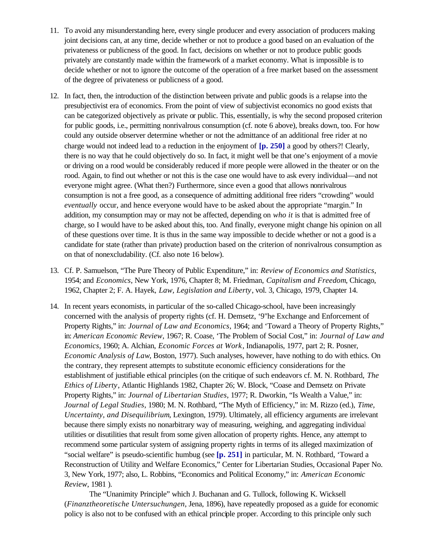- 11. To avoid any misunderstanding here, every single producer and every association of producers making joint decisions can, at any time, decide whether or not to produce a good based on an evaluation of the privateness or publicness of the good. In fact, decisions on whether or not to produce public goods privately are constantly made within the framework of a market economy. What is impossible is to decide whether or not to ignore the outcome of the operation of a free market based on the assessment of the degree of privateness or publicness of a good.
- 12. In fact, then, the introduction of the distinction between private and public goods is a relapse into the presubjectivist era of economics. From the point of view of subjectivist economics no good exists that can be categorized objectively as private or public. This, essentially, is why the second proposed criterion for public goods, i.e., permitting nonrivalrous consumption (cf. note 6 above), breaks down, too. For how could any outside observer determine whether or not the admittance of an additional free rider at no charge would not indeed lead to a reduction in the enjoyment of **[p. 250]** a good by others?! Clearly, there is no way that he could objectively do so. In fact, it might well be that one's enjoyment of a movie or driving on a rood would be considerably reduced if more people were allowed in the theater or on the rood. Again, to find out whether or not this is the case one would have to ask every individual—and not everyone might agree. (What then?) Furthermore, since even a good that allows nonrivalrous consumption is not a free good, as a consequence of admitting additional free riders "crowding" would *eventually* occur, and hence everyone would have to be asked about the appropriate "margin." In addition, my consumption may or may not be affected, depending on *who it* is that is admitted free of charge, so I would have to be asked about this, too. And finally, everyone might change his opinion on all of these questions over time. It is thus in the same way impossible to decide whether or not a good is a candidate for state (rather than private) production based on the criterion of nonrivalrous consumption as on that of nonexcludability. (Cf. also note 16 below).
- 13. Cf. P. Samuelson, "The Pure Theory of Public Expenditure," in: *Review of Economics and Statistics*, 1954; and *Economics*, New York, 1976, Chapter 8; M. Friedman, *Capitalism and Freedom*, Chicago, 1962, Chapter 2; F. A. Hayek, *Law, Legislation and Liberty*, vol. 3, Chicago, 1979, Chapter 14.
- 14. In recent years economists, in particular of the so-called Chicago-school, have been increasingly concerned with the analysis of property rights (cf. H. Demsetz, '9"he Exchange and Enforcement of Property Rights," in: *Journal of Law and Economics*, 1964; and 'Toward a Theory of Property Rights," in: *American Economic Review*, 1967; R. Coase, 'The Problem of Social Cost," in: *Journal of Law and Economics*, 1960; A. Alchian, *Economic Forces at Work*, Indianapolis, 1977, part 2; R. Posner, *Economic Analysis of Law*, Boston, 1977). Such analyses, however, have nothing to do with ethics. On the contrary, they represent attempts to substitute economic efficiency considerations for the establishment of justifiable ethical principles (on the critique of such endeavors cf. M. N. Rothbard, *The Ethics of Liberty*, Atlantic Highlands 1982, Chapter 26; W. Block, "Coase and Demsetz on Private Property Rights," in: *Journal of Libertarian Studies*, 1977; R. Dworkin, "Is Wealth a Value," in: *Journal of Legal Studies*, 1980; M. N. Rothbard, "The Myth of Efficiency," in: M. Rizzo (ed.), *Time, Uncertainty, and Disequilibrium*, Lexington, 1979). Ultimately, all efficiency arguments are irrelevant because there simply exists no nonarbitrary way of measuring, weighing, and aggregating individual utilities or disutilities that result from some given allocation of property rights. Hence, any attempt to recommend some particular system of assigning property rights in terms of its alleged maximization of "social welfare" is pseudo-scientific humbug (see **[p. 251]** in particular, M. N. Rothbard, 'Toward a Reconstruction of Utility and Welfare Economics," Center for Libertarian Studies, Occasional Paper No. 3, New York, 1977; also, L. Robbins, "Economics and Political Economy," in: *American Economic Review*, 1981 ).

 The "Unanimity Principle" which J. Buchanan and G. Tullock, following K. Wicksell (*Finanztheoretische Untersuchungen*, Jena, 1896), have repeatedly proposed as a guide for economic policy is also not to be confused with an ethical principle proper. According to this principle only such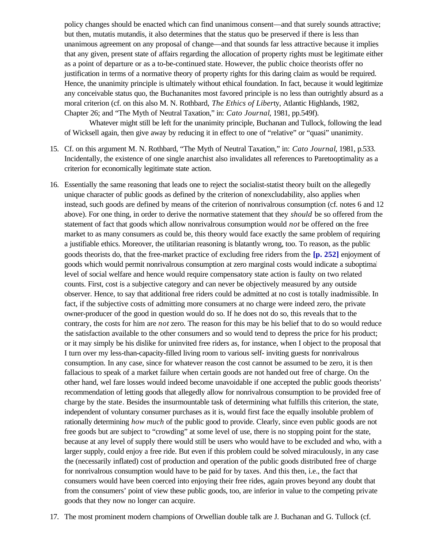policy changes should be enacted which can find unanimous consent—and that surely sounds attractive; but then, mutatis mutandis, it also determines that the status quo be preserved if there is less than unanimous agreement on any proposal of change—and that sounds far less attractive because it implies that any given, present state of affairs regarding the allocation of property rights must be legitimate either as a point of departure or as a to-be-continued state. However, the public choice theorists offer no justification in terms of a normative theory of property rights for this daring claim as would be required. Hence, the unanimity principle is ultimately without ethical foundation. In fact, because it would legitimize any conceivable status quo, the Buchananites most favored principle is no less than outrightly absurd as a moral criterion (cf. on this also M. N. Rothbard, *The Ethics of Liber*ty, Atlantic Highlands, 1982, Chapter 26; and "The Myth of Neutral Taxation," in: *Cato Journal*, 1981, pp.549f).

 Whatever might still be left for the unanimity principle, Buchanan and Tullock, following the lead of Wicksell again, then give away by reducing it in effect to one of "relative" or "quasi" unanimity.

- 15. Cf. on this argument M. N. Rothbard, "The Myth of Neutral Taxation," in: *Cato Journal*, 1981, p.533. Incidentally, the existence of one single anarchist also invalidates all references to Paretooptimality as a criterion for economically legitimate state action.
- 16. Essentially the same reasoning that leads one to reject the socialist-statist theory built on the allegedly unique character of public goods as defined by the criterion of nonexcludability, also applies when instead, such goods are defined by means of the criterion of nonrivalrous consumption (cf. notes 6 and 12 above). For one thing, in order to derive the normative statement that they *should* be so offered from the statement of fact that goods which allow nonrivalrous consumption would *not* be offered on the free market to as many consumers as could be, this theory would face exactly the same problem of requiring a justifiable ethics. Moreover, the utilitarian reasoning is blatantly wrong, too. To reason, as the public goods theorists do, that the free-market practice of excluding free riders from the **[p. 252]** enjoyment of goods which would permit nonrivalrous consumption at zero marginal costs would indicate a suboptimal level of social welfare and hence would require compensatory state action is faulty on two related counts. First, cost is a subjective category and can never be objectively measured by any outside observer. Hence, to say that additional free riders could be admitted at no cost is totally inadmissible. In fact, if the subjective costs of admitting more consumers at no charge were indeed zero, the private owner-producer of the good in question would do so. If he does not do so, this reveals that to the contrary, the costs for him are *not* zero. The reason for this may be his belief that to do so would reduce the satisfaction available to the other consumers and so would tend to depress the price for his product; or it may simply be his dislike for uninvited free riders as, for instance, when I object to the proposal that I turn over my less-than-capacity-filled living room to various self- inviting guests for nonrivalrous consumption. In any case, since for whatever reason the cost cannot be assumed to be zero, it is then fallacious to speak of a market failure when certain goods are not handed out free of charge. On the other hand, wel fare losses would indeed become unavoidable if one accepted the public goods theorists' recommendation of letting goods that allegedly allow for nonrivalrous consumption to be provided free of charge by the state. Besides the insurmountable task of determining what fulfills this criterion, the state, independent of voluntary consumer purchases as it is, would first face the equally insoluble problem of rationally determining *how much* of the public good to provide. Clearly, since even public goods are not free goods but are subject to "crowding" at some level of use, there is no stopping point for the state, because at any level of supply there would still be users who would have to be excluded and who, with a larger supply, could enjoy a free ride. But even if this problem could be solved miraculously, in any case the (necessarily inflated) cost of production and operation of the public goods distributed free of charge for nonrivalrous consumption would have to be paid for by taxes. And this then, i.e., the fact that consumers would have been coerced into enjoying their free rides, again proves beyond any doubt that from the consumers' point of view these public goods, too, are inferior in value to the competing private goods that they now no longer can acquire.
- 17. The most prominent modern champions of Orwellian double talk are J. Buchanan and G. Tullock (cf.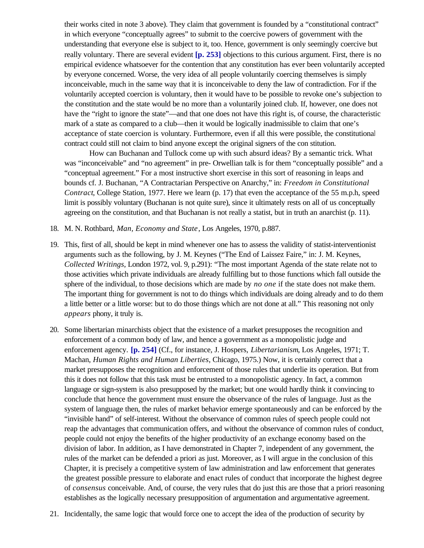their works cited in note 3 above). They claim that government is founded by a "constitutional contract" in which everyone "conceptually agrees" to submit to the coercive powers of government with the understanding that everyone else is subject to it, too. Hence, government is only seemingly coercive but really voluntary. There are several evident **[p. 253]** objections to this curious argument. First, there is no empirical evidence whatsoever for the contention that any constitution has ever been voluntarily accepted by everyone concerned. Worse, the very idea of all people voluntarily coercing themselves is simply inconceivable, much in the same way that it is inconceivable to deny the law of contradiction. For if the voluntarily accepted coercion is voluntary, then it would have to be possible to revoke one's subjection to the constitution and the state would be no more than a voluntarily joined club. If, however, one does not have the "right to ignore the state"—and that one does not have this right is, of course, the characteristic mark of a state as compared to a club—then it would be logically inadmissible to claim that one's acceptance of state coercion is voluntary. Furthermore, even if all this were possible, the constitutional contract could still not claim to bind anyone except the original signers of the con stitution.

 How can Buchanan and Tullock come up with such absurd ideas? By a semantic trick. What was "inconceivable" and "no agreement" in pre- Orwellian talk is for them "conceptually possible" and a "conceptual agreement." For a most instructive short exercise in this sort of reasoning in leaps and bounds cf. J. Buchanan, "A Contractarian Perspective on Anarchy," in: *Freedom in Constitutional Contract*, College Station, 1977. Here we learn (p. 17) that even the acceptance of the 55 m.p.h, speed limit is possibly voluntary (Buchanan is not quite sure), since it ultimately rests on all of us conceptually agreeing on the constitution, and that Buchanan is not really a statist, but in truth an anarchist (p. 11).

- 18. M. N. Rothbard, *Man, Economy and State*, Los Angeles, 1970, p.887.
- 19. This, first of all, should be kept in mind whenever one has to assess the validity of statist-interventionist arguments such as the following, by J. M. Keynes ("The End of Laissez Faire," in: J. M. Keynes, *Collected Writings*, London 1972, vol. 9, p.291): "The most important Agenda of the state relate not to those activities which private individuals are already fulfilling but to those functions which fall outside the sphere of the individual, to those decisions which are made by *no one* if the state does not make them. The important thing for government is not to do things which individuals are doing already and to do them a little better or a little worse: but to do those things which are not done at all." This reasoning not only *appears* phony, it truly is.
- 20. Some libertarian minarchists object that the existence of a market presupposes the recognition and enforcement of a common body of law, and hence a government as a monopolistic judge and enforcement agency. **[p. 254]** (Cf., for instance, J. Hospers, *Libertarianism*, Los Angeles, 1971; T. Machan, *Human Rights and Human Liberties*, Chicago, 1975.) Now, it is certainly correct that a market presupposes the recognition and enforcement of those rules that underlie its operation. But from this it does not follow that this task must be entrusted to a monopolistic agency. In fact, a common language or sign-system is also presupposed by the market; but one would hardly think it convincing to conclude that hence the government must ensure the observance of the rules of language. Just as the system of language then, the rules of market behavior emerge spontaneously and can be enforced by the "invisible hand" of self-interest. Without the observance of common rules of speech people could not reap the advantages that communication offers, and without the observance of common rules of conduct, people could not enjoy the benefits of the higher productivity of an exchange economy based on the division of labor. In addition, as I have demonstrated in Chapter 7, independent of any government, the rules of the market can be defended a priori as just. Moreover, as I will argue in the conclusion of this Chapter, it is precisely a competitive system of law administration and law enforcement that generates the greatest possible pressure to elaborate and enact rules of conduct that incorporate the highest degree of *consensus* conceivable. And, of course, the very rules that do just this are those that a priori reasoning establishes as the logically necessary presupposition of argumentation and argumentative agreement.
- 21. Incidentally, the same logic that would force one to accept the idea of the production of security by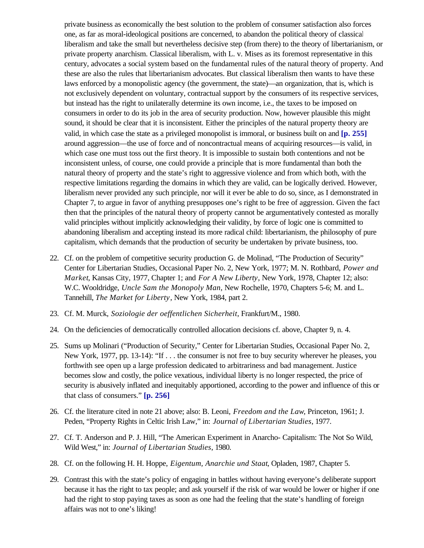private business as economically the best solution to the problem of consumer satisfaction also forces one, as far as moral-ideological positions are concerned, to abandon the political theory of classical liberalism and take the small but nevertheless decisive step (from there) to the theory of libertarianism, or private property anarchism. Classical liberalism, with L. v. Mises as its foremost representative in this century, advocates a social system based on the fundamental rules of the natural theory of property. And these are also the rules that libertarianism advocates. But classical liberalism then wants to have these laws enforced by a monopolistic agency (the government, the state)—an organization, that is, which is not exclusively dependent on voluntary, contractual support by the consumers of its respective services, but instead has the right to unilaterally determine its own income, i.e., the taxes to be imposed on consumers in order to do its job in the area of security production. Now, however plausible this might sound, it should be clear that it is inconsistent. Either the principles of the natural property theory are valid, in which case the state as a privileged monopolist is immoral, or business built on and **[p. 255]** around aggression—the use of force and of noncontractual means of acquiring resources—is valid, in which case one must toss out the first theory. It is impossible to sustain both contentions and not be inconsistent unless, of course, one could provide a principle that is more fundamental than both the natural theory of property and the state's right to aggressive violence and from which both, with the respective limitations regarding the domains in which they are valid, can be logically derived. However, liberalism never provided any such principle, nor will it ever be able to do so, since, as I demonstrated in Chapter 7, to argue in favor of anything presupposes one's right to be free of aggression. Given the fact then that the principles of the natural theory of property cannot be argumentatively contested as morally valid principles without implicitly acknowledging their validity, by force of logic one is committed to abandoning liberalism and accepting instead its more radical child: libertarianism, the philosophy of pure capitalism, which demands that the production of security be undertaken by private business, too.

- 22. Cf. on the problem of competitive security production G. de Molinad, "The Production of Security" Center for Libertarian Studies, Occasional Paper No. 2, New York, 1977; M. N. Rothbard, *Power and Market*, Kansas City, 1977, Chapter 1; and *For A New Liberty*, New York, 1978, Chapter 12; also: W.C. Wooldridge, *Uncle Sam the Monopoly Man*, New Rochelle, 1970, Chapters 5-6; M. and L. Tannehill, *The Market for Liberty*, New York, 1984, part 2.
- 23. Cf. M. Murck, *Soziologie der oeffentlichen Sicherheit*, Frankfurt/M., 1980.
- 24. On the deficiencies of democratically controlled allocation decisions cf. above, Chapter 9, n. 4.
- 25. Sums up Molinari ("Production of Security," Center for Libertarian Studies, Occasional Paper No. 2, New York, 1977, pp. 13-14): "If . . . the consumer is not free to buy security wherever he pleases, you forthwith see open up a large profession dedicated to arbitrariness and bad management. Justice becomes slow and costly, the police vexatious, individual liberty is no longer respected, the price of security is abusively inflated and inequitably apportioned, according to the power and influence of this or that class of consumers." **[p. 256]**
- 26. Cf. the literature cited in note 21 above; also: B. Leoni, *Freedom and the Law*, Princeton, 1961; J. Peden, "Property Rights in Celtic Irish Law," in: *Journal of Libertarian Studies*, 1977.
- 27. Cf. T. Anderson and P. J. Hill, "The American Experiment in Anarcho- Capitalism: The Not So Wild, Wild West," in: *Journal of Libertarian Studies*, 1980.
- 28. Cf. on the following H. H. Hoppe, *Eigentum, Anarchie und Staat*, Opladen, 1987, Chapter 5.
- 29. Contrast this with the state's policy of engaging in battles without having everyone's deliberate support because it has the right to tax people; and ask yourself if the risk of war would be lower or higher if one had the right to stop paying taxes as soon as one had the feeling that the state's handling of foreign affairs was not to one's liking!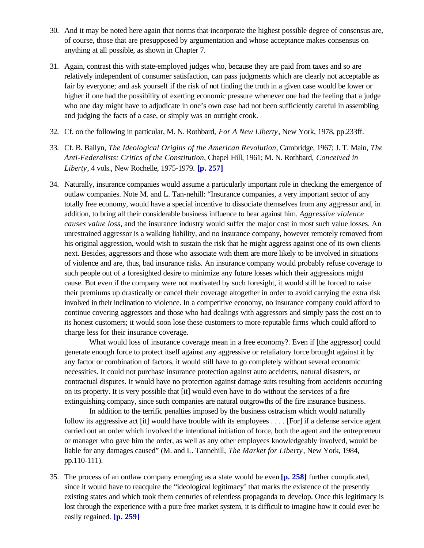- 30. And it may be noted here again that norms that incorporate the highest possible degree of consensus are, of course, those that are presupposed by argumentation and whose acceptance makes consensus on anything at all possible, as shown in Chapter 7.
- 31. Again, contrast this with state-employed judges who, because they are paid from taxes and so are relatively independent of consumer satisfaction, can pass judgments which are clearly not acceptable as fair by everyone; and ask yourself if the risk of not finding the truth in a given case would be lower or higher if one had the possibility of exerting economic pressure whenever one had the feeling that a judge who one day might have to adjudicate in one's own case had not been sufficiently careful in assembling and judging the facts of a case, or simply was an outright crook.
- 32. Cf. on the following in particular, M. N. Rothbard, *For A New Liberty*, New York, 1978, pp.233ff.
- 33. Cf. B. Bailyn, *The Ideological Origins of the American Revolution*, Cambridge, 1967; J. T. Main, *The Anti-Federalists: Critics of the Constitution*, Chapel Hill, 1961; M. N. Rothbard, *Conceived in Liberty*, 4 vols., New Rochelle, 1975-1979. **[p. 257]**
- 34. Naturally, insurance companies would assume a particularly important role in checking the emergence of outlaw companies. Note M. and L. Tan-nehill: "Insurance companies, a very important sector of any totally free economy, would have a special incentive to dissociate themselves from any aggressor and, in addition, to bring all their considerable business influence to bear against him. *Aggressive violence causes value loss*, and the insurance industry would suffer the major cost in most such value losses. An unrestrained aggressor is a walking liability, and no insurance company, however remotely removed from his original aggression, would wish to sustain the risk that he might aggress against one of its own clients next. Besides, aggressors and those who associate with them are more likely to be involved in situations of violence and are, thus, bad insurance risks. An insurance company would probably refuse coverage to such people out of a foresighted desire to minimize any future losses which their aggressions might cause. But even if the company were not motivated by such foresight, it would still be forced to raise their premiums up drastically or cancel their coverage altogether in order to avoid carrying the extra risk involved in their inclination to violence. In a competitive economy, no insurance company could afford to continue covering aggressors and those who had dealings with aggressors and simply pass the cost on to its honest customers; it would soon lose these customers to more reputable firms which could afford to charge less for their insurance coverage.

 What would loss of insurance coverage mean in a free economy?. Even if [the aggressor] could generate enough force to protect itself against any aggressive or retaliatory force brought against it by any factor or combination of factors, it would still have to go completely without several economic necessities. It could not purchase insurance protection against auto accidents, natural disasters, or contractual disputes. It would have no protection against damage suits resulting from accidents occurring on its property. It is very possible that [it] would even have to do without the services of a fire extinguishing company, since such companies are natural outgrowths of the fire insurance business.

 In addition to the terrific penalties imposed by the business ostracism which would naturally follow its aggressive act [it] would have trouble with its employees . . . . [For] if a defense service agent carried out an order which involved the intentional initiation of force, both the agent and the entrepreneur or manager who gave him the order, as well as any other employees knowledgeably involved, would be liable for any damages caused" (M. and L. Tannehill, *The Market for Liberty*, New York, 1984, pp.110-111).

35. The process of an outlaw company emerging as a state would be even **[p. 258]** further complicated, since it would have to reacquire the "ideological legitimacy' that marks the existence of the presently existing states and which took them centuries of relentless propaganda to develop. Once this legitimacy is lost through the experience with a pure free market system, it is difficult to imagine how it could ever be easily regained. **[p. 259]**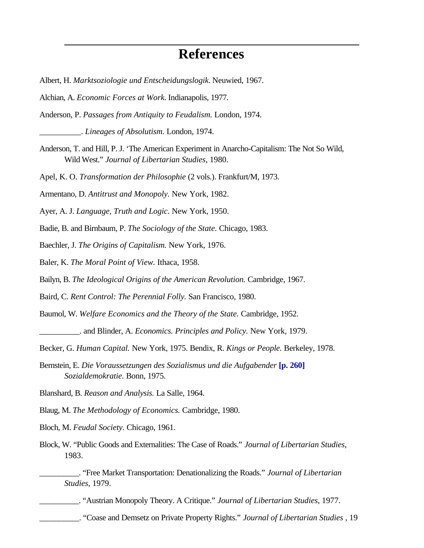# **References**

- Albert, H. *Marktsoziologie und Entscheidungslogik.* Neuwied, 1967.
- Alchian, A. *Economic Forces at Work.* Indianapolis, 1977.
- Anderson, P. *Passages from Antiquity to Feudalism.* London, 1974.

\_\_\_\_\_\_\_\_\_\_. *Lineages of Absolutism.* London, 1974.

Anderson, T. and Hill, P. J. 'The American Experiment in Anarcho-Capitalism: The Not So Wild, Wild West." *Journal of Libertarian Studies*, 1980.

Apel, K. O. *Transformation der Philosophie* (2 vols.). Frankfurt/M, 1973.

Armentano, D. *Antitrust and Monopoly.* New York, 1982.

- Ayer, A. J. *Language, Truth and Logic.* New York, 1950.
- Badie, B. and Birnbaum, P. *The Sociology of the State.* Chicago, 1983.

Baechler, J. *The Origins of Capitalism.* New York, 1976.

Baler, K. *The Moral Point of View.* Ithaca, 1958.

Bailyn, B. *The Ideological Origins of the American Revolution.* Cambridge, 1967.

Baird, C. *Rent Control: The Perennial Folly.* San Francisco, 1980.

Baumol, W. *Welfare Economics and the Theory of the State.* Cambridge, 1952.

\_\_\_\_\_\_\_\_\_\_. and Blinder, A. *Economics. Principles and Policy.* New York, 1979.

- Becker, G. *Human Capital.* New York, 1975. Bendix, R. *Kings or People.* Berkeley, 1978.
- Bernstein, E. *Die Voraussetzungen des Sozialismus und die Aufgabender* **[p. 260]** *Sozialdemokratie.* Bonn, 1975.
- Blanshard, B. *Reason and Analysis.* La Salle, 1964.
- Blaug, M. *The Methodology of Economics.* Cambridge, 1980.
- Bloch, M. *Feudal Society.* Chicago, 1961.
- Block, W. "Public Goods and Externalities: The Case of Roads." *Journal of Libertarian Studies*, 1983.

\_\_\_\_\_\_\_\_\_\_. "Free Market Transportation: Denationalizing the Roads." *Journal of Libertarian Studies*, 1979.

\_\_\_\_\_\_\_\_\_\_. "Austrian Monopoly Theory. A Critique." *Journal of Libertarian Studies*, 1977.

\_\_\_\_\_\_\_\_\_\_. "Coase and Demsetz on Private Property Rights." *Journal of Libertarian Studies* , 19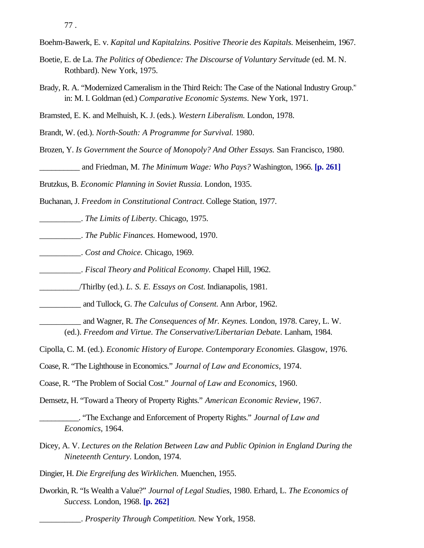- Boehm-Bawerk, E. v. *Kapital und Kapitalzins. Positive Theorie des Kapitals.* Meisenheim, 1967.
- Boetie, E. de La. *The Politics of Obedience: The Discourse of Voluntary Servitude* (ed. M. N. Rothbard). New York, 1975.
- Brady, R. A. "Modernized Cameralism in the Third Reich: The Case of the National Industry Group." in: M. I. Goldman (ed.) *Comparative Economic Systems.* New York, 1971.
- Bramsted, E. K. and Melhuish, K. J. (eds.). *Western Liberalism.* London, 1978.

Brandt, W. (ed.). *North-South: A Programme for Survival.* 1980.

Brozen, Y. *Is Government the Source of Monopoly? And Other Essays.* San Francisco, 1980.

\_\_\_\_\_\_\_\_\_\_ and Friedman, M. *The Minimum Wage: Who Pays?* Washington, 1966. **[p. 261]**

Brutzkus, B. *Economic Planning in Soviet Russia.* London, 1935.

Buchanan, J. *Freedom in Constitutional Contract.* College Station, 1977.

\_\_\_\_\_\_\_\_\_\_. *The Limits of Liberty.* Chicago, 1975.

\_\_\_\_\_\_\_\_\_\_. *The Public Finances.* Homewood, 1970.

\_\_\_\_\_\_\_\_\_\_. *Cost and Choice.* Chicago, 1969.

\_\_\_\_\_\_\_\_\_\_. *Fiscal Theory and Political Economy.* Chapel Hill, 1962.

\_\_\_\_\_\_\_\_\_\_/Thirlby (ed.). *L. S. E. Essays on Cost.* Indianapolis, 1981.

\_\_\_\_\_\_\_\_\_\_ and Tullock, G. *The Calculus of Consent.* Ann Arbor, 1962.

\_\_\_\_\_\_\_\_\_\_ and Wagner, R. *The Consequences of Mr. Keynes.* London, 1978. Carey, L. W. (ed.). *Freedom and Virtue. The Conservative/Libertarian Debate.* Lanham, 1984.

Cipolla, C. M. (ed.). *Economic History of Europe. Contemporary Economies.* Glasgow, 1976.

Coase, R. "The Lighthouse in Economics." *Journal of Law and Economics*, 1974.

Coase, R. "The Problem of Social Cost." *Journal of Law and Economics*, 1960.

Demsetz, H. "Toward a Theory of Property Rights." *American Economic Review*, 1967.

\_\_\_\_\_\_\_\_\_\_. "The Exchange and Enforcement of Property Rights." *Journal of Law and Economics*, 1964.

- Dicey, A. V. *Lectures on the Relation Between Law and Public Opinion in England During the Nineteenth Century.* London, 1974.
- Dingier, H. *Die Ergreifung des Wirklichen.* Muenchen, 1955.
- Dworkin, R. "Is Wealth a Value?" *Journal of Legal Studies*, 1980. Erhard, L. *The Economics of Success.* London, 1968. **[p. 262]**

\_\_\_\_\_\_\_\_\_\_. *Prosperity Through Competition.* New York, 1958.

<sup>77 .</sup>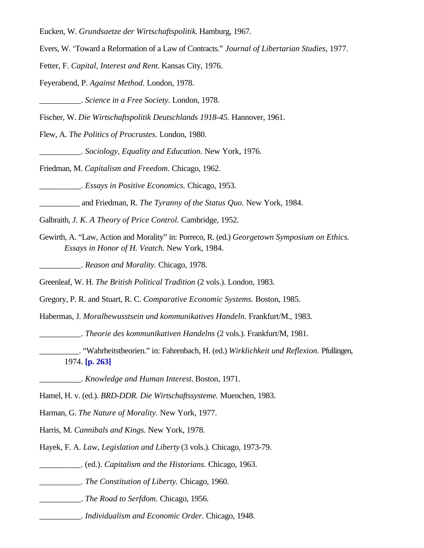Eucken, W. *Grundsaetze der Wirtschaftspolitik.* Hamburg, 1967.

Evers, W. 'Toward a Reformation of a Law of Contracts." *Journal of Libertarian Studies*, 1977.

Fetter, F. *Capital, Interest and Rent.* Kansas City, 1976.

Feyerabend, P. *Against Method.* London, 1978.

\_\_\_\_\_\_\_\_\_\_. *Science in a Free Society.* London, 1978.

Fischer, W. *Die Wirtschaftspolitik Deutschlands 1918-45.* Hannover, 1961.

Flew, A. *The Politics of Procrustes.* London, 1980.

\_\_\_\_\_\_\_\_\_\_. *Sociology, Equality and Education.* New York, 1976.

Friedman, M. *Capitalism and Freedom.* Chicago, 1962.

\_\_\_\_\_\_\_\_\_\_. *Essays in Positive Economics.* Chicago, 1953.

\_\_\_\_\_\_\_\_\_\_ and Friedman, R. *The Tyranny of the Status Quo.* New York, 1984.

Galbraith, *J. K. A Theory of Price Control.* Cambridge, 1952.

Gewirth, A. "Law, Action and Morality" in: Porreco, R. (ed.) *Georgetown Symposium on Ethics. Essays in Honor of H. Veatch.* New York, 1984.

\_\_\_\_\_\_\_\_\_\_. *Reason and Morality.* Chicago, 1978.

Greenleaf, W. H. *The British Political Tradition* (2 vols.). London, 1983.

Gregory, P. R. and Stuart, R. C. *Comparative Economic Systems.* Boston, 1985.

Habermas, J. *Moralbewusstsein und kommunikatives Handeln.* Frankfurt/M., 1983.

\_\_\_\_\_\_\_\_\_\_. *Theorie des kommunikativen Handelns* (2 vols.). Frankfurt/M, 1981.

\_\_\_\_\_\_\_\_\_\_. "Wahrheitstheorien." in: Fahrenbach, H. (ed.) *Wirklichkeit und Reflexion.* Pfullingen, 1974. **[p. 263]**

\_\_\_\_\_\_\_\_\_\_. *Knowledge and Human Interest.* Boston, 1971.

Hamel, H. v. (ed.). *BRD-DDR. Die Wirtschaftssysteme.* Muenchen, 1983.

Harman, G. *The Nature of Morality.* New York, 1977.

Harris, M. *Cannibals and Kings.* New York, 1978.

Hayek, F. A. *Law, Legislation and Liberty* (3 vols.). Chicago, 1973-79.

\_\_\_\_\_\_\_\_\_\_. (ed.). *Capitalism and the Historians.* Chicago, 1963.

\_\_\_\_\_\_\_\_\_\_. *The Constitution of Liberty.* Chicago, 1960.

\_\_\_\_\_\_\_\_\_\_. *The Road to Serfdom.* Chicago, 1956.

\_\_\_\_\_\_\_\_\_\_. *Individualism and Economic Order.* Chicago, 1948.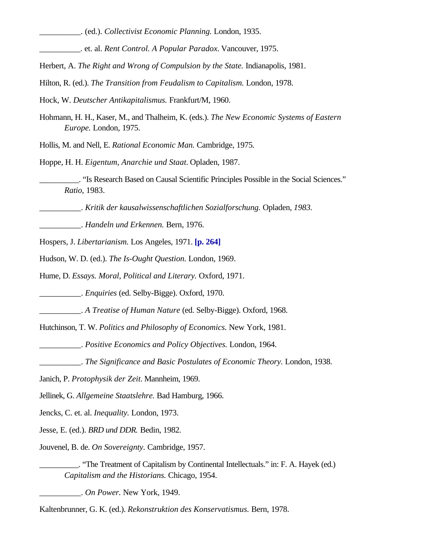\_\_\_\_\_\_\_\_\_\_. (ed.). *Collectivist Economic Planning.* London, 1935.

\_\_\_\_\_\_\_\_\_\_. et. al. *Rent Control. A Popular Paradox.* Vancouver, 1975.

- Herbert, A. *The Right and Wrong of Compulsion by the State.* Indianapolis, 1981.
- Hilton, R. (ed.). *The Transition from Feudalism to Capitalism.* London, 1978.
- Hock, W. *Deutscher Antikapitalismus.* Frankfurt/M, 1960.
- Hohmann, H. H., Kaser, M., and Thalheim, K. (eds.). *The New Economic Systems of Eastern Europe.* London, 1975.

Hollis, M. and Nell, E. *Rational Economic Man.* Cambridge, 1975.

Hoppe, H. H. *Eigentum, Anarchie und Staat.* Opladen, 1987.

\_\_\_\_\_\_\_\_\_\_. "Is Research Based on Causal Scientific Principles Possible in the Social Sciences." *Ratio*, 1983.

\_\_\_\_\_\_\_\_\_\_. *Kritik der kausalwissenschaftlichen Sozialforschung.* Opladen, *1983.*

\_\_\_\_\_\_\_\_\_\_. *Handeln und Erkennen.* Bern, 1976.

Hospers, J. *Libertarianism.* Los Angeles, 1971. **[p. 264]**

Hudson, W. D. (ed.). *The Is-Ought Question.* London, 1969.

Hume, D. *Essays. Moral, Political and Literary.* Oxford, 1971.

\_\_\_\_\_\_\_\_\_\_. *Enquiries* (ed. Selby-Bigge). Oxford, 1970.

\_\_\_\_\_\_\_\_\_\_. *A Treatise of Human Nature* (ed. Selby-Bigge). Oxford, 1968.

Hutchinson, T. W. *Politics and Philosophy of Economics.* New York, 1981.

\_\_\_\_\_\_\_\_\_\_. *Positive Economics and Policy Objectives.* London, 1964.

\_\_\_\_\_\_\_\_\_\_. *The Significance and Basic Postulates of Economic Theory.* London, 1938.

Janich, P. *Protophysik der Zeit.* Mannheim, 1969.

Jellinek, G. *Allgemeine Staatslehre.* Bad Hamburg, 1966.

Jencks, C. et. al. *Inequality.* London, 1973.

Jesse, E. (ed.). *BRD und DDR.* Bedin, 1982.

Jouvenel, B. de. *On Sovereignty.* Cambridge, 1957.

\_\_\_\_\_\_\_\_\_\_. "The Treatment of Capitalism by Continental Intellectuals." in: F. A. Hayek (ed.) *Capitalism and the Historians.* Chicago, 1954.

\_\_\_\_\_\_\_\_\_\_. *On Power.* New York, 1949.

Kaltenbrunner, G. K. (ed.). *Rekonstruktion des Konservatismus.* Bern, 1978.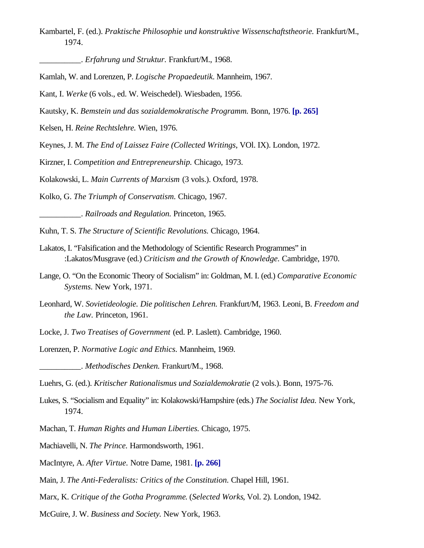Kambartel, F. (ed.). *Praktische Philosophie und konstruktive Wissenschaftstheorie.* Frankfurt/M., 1974.

\_\_\_\_\_\_\_\_\_\_. *Erfahrung und Struktur.* Frankfurt/M., 1968.

- Kamlah, W. and Lorenzen, P. *Logische Propaedeutik.* Mannheim, 1967.
- Kant, I. *Werke* (6 vols., ed. W. Weischedel). Wiesbaden, 1956.
- Kautsky, K. *Bemstein und das sozialdemokratische Programm.* Bonn, 1976. **[p. 265]**
- Kelsen, H. *Reine Rechtslehre.* Wien, 1976.
- Keynes, J. M. *The End of Laissez Faire (Collected Writings*, VOl. IX). London, 1972.
- Kirzner, I. *Competition and Entrepreneurship.* Chicago, 1973.
- Kolakowski, L. *Main Currents of Marxism* (3 vols.). Oxford, 1978.

Kolko, G. *The Triumph of Conservatism.* Chicago, 1967.

\_\_\_\_\_\_\_\_\_\_. *Railroads and Regulation.* Princeton, 1965.

- Kuhn, T. S. *The Structure of Scientific Revolutions.* Chicago, 1964.
- Lakatos, I. "Falsification and the Methodology of Scientific Research Programmes" in :Lakatos/Musgrave (ed.) *Criticism and the Growth of Knowledge.* Cambridge, 1970.
- Lange, O. "On the Economic Theory of Socialism" in: Goldman, M. I. (ed.) *Comparative Economic Systems.* New York, 1971.
- Leonhard, W. *Sovietideologie. Die politischen Lehren.* Frankfurt/M, 1963. Leoni, B. *Freedom and the Law.* Princeton, 1961.
- Locke, J. *Two Treatises of Government* (ed. P. Laslett). Cambridge, 1960.

Lorenzen, P. *Normative Logic and Ethics.* Mannheim, 1969.

\_\_\_\_\_\_\_\_\_\_. *Methodisches Denken.* Frankurt/M., 1968.

Luehrs, G. (ed.). *Kritischer Rationalismus und Sozialdemokratie* (2 vols.). Bonn, 1975-76.

- Lukes, S. "Socialism and Equality" in: Kolakowski/Hampshire (eds.) *The Socialist Idea.* New York, 1974.
- Machan, T. *Human Rights and Human Liberties.* Chicago, 1975.
- Machiavelli, N. *The Prince.* Harmondsworth, 1961.
- MacIntyre, A. *After Virtue.* Notre Dame, 1981. **[p. 266]**
- Main, J. *The Anti-Federalists: Critics of the Constitution.* Chapel Hill, 1961.
- Marx, K. *Critique of the Gotha Programme*. (*Selected Works*, Vol. 2). London, 1942.
- McGuire, J. W. *Business and Society.* New York, 1963.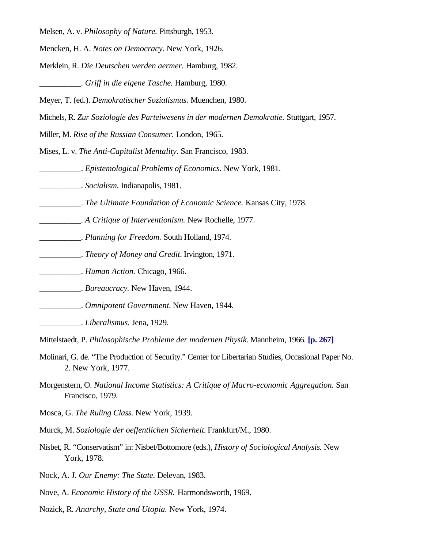Melsen, A. v. *Philosophy of Nature.* Pittsburgh, 1953.

Mencken, H. A. *Notes on Democracy.* New York, 1926.

Merklein, R. *Die Deutschen werden aermer.* Hamburg, 1982.

\_\_\_\_\_\_\_\_\_\_. *Griff in die eigene Tasche.* Hamburg, 1980.

Meyer, T. (ed.). *Demokratischer Sozialismus.* Muenchen, 1980.

Michels, R. *Zur Soziologie des Parteiwesens in der modernen Demokratie.* Stuttgart, 1957.

Miller, M. *Rise of the Russian Consumer.* London, 1965.

Mises, L. v. *The Anti-Capitalist Mentality.* San Francisco, 1983.

\_\_\_\_\_\_\_\_\_\_. *Epistemological Problems of Economics.* New York, 1981.

\_\_\_\_\_\_\_\_\_\_. *Socialism.* Indianapolis, 1981.

\_\_\_\_\_\_\_\_\_\_. *The Ultimate Foundation of Economic Science.* Kansas City, 1978.

\_\_\_\_\_\_\_\_\_\_. *A Critique of Interventionism.* New Rochelle, 1977.

- \_\_\_\_\_\_\_\_\_\_. *Planning for Freedom.* South Holland, 1974.
- \_\_\_\_\_\_\_\_\_\_. *Theory of Money and Credit.* Irvington, 1971.
- \_\_\_\_\_\_\_\_\_\_. *Human Action.* Chicago, 1966.
- \_\_\_\_\_\_\_\_\_\_. *Bureaucracy.* New Haven, 1944.
	- \_\_\_\_\_\_\_\_\_\_. *Omnipotent Government.* New Haven, 1944.
		- \_\_\_\_\_\_\_\_\_\_. *Liberalismus.* Jena, 1929.

Mittelstaedt, P. *Philosophische Probleme der modernen Physik.* Mannheim, 1966. **[p. 267]**

- Molinari, G. de. "The Production of Security." Center for Libertarian Studies, Occasional Paper No. 2. New York, 1977.
- Morgenstern, O. *National Income Statistics: A Critique of Macro-economic Aggregation.* San Francisco, 1979.
- Mosca, G. *The Ruling Class.* New York, 1939.
- Murck, M. *Soziologie der oeffentlichen Sicherheit.* Frankfurt/M., 1980.
- Nisbet, R. "Conservatism" in: Nisbet/Bottomore (eds.), *History of Sociological Analysis.* New York, 1978.
- Nock, A. J. *Our Enemy: The State.* Delevan, 1983.
- Nove, A. *Economic History of the USSR.* Harmondsworth, 1969.
- Nozick, R. *Anarchy, State and Utopia.* New York, 1974.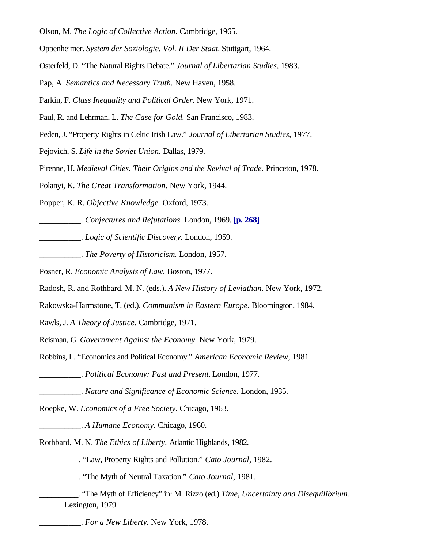Olson, M. *The Logic of Collective Action.* Cambridge, 1965.

- Oppenheimer. *System der Soziologie. Vol. II Der Staat.* Stuttgart, 1964.
- Osterfeld, D. "The Natural Rights Debate." *Journal of Libertarian Studies*, 1983.

Pap, A. *Semantics and Necessary Truth.* New Haven, 1958.

Parkin, F. *Class Inequality and Political Order.* New York, 1971.

- Paul, R. and Lehrman, L. *The Case for Gold.* San Francisco, 1983.
- Peden, J. "Property Rights in Celtic Irish Law." *Journal of Libertarian Studies*, 1977.
- Pejovich, S. *Life in the Soviet Union.* Dallas, 1979.
- Pirenne, H. *Medieval Cities. Their Origins and the Revival of Trade.* Princeton, 1978.
- Polanyi, K. *The Great Transformation.* New York, 1944.

Popper, K. R. *Objective Knowledge.* Oxford, 1973.

*\_\_\_\_\_\_\_\_\_\_*. *Conjectures and Refutations.* London, 1969. **[p. 268]**

\_\_\_\_\_\_\_\_\_\_. *Logic of Scientific Discovery.* London, 1959.

\_\_\_\_\_\_\_\_\_\_. *The Poverty of Historicism.* London, 1957.

Posner, R. *Economic Analysis of Law.* Boston, 1977.

- Radosh, R. and Rothbard, M. N. (eds.). *A New History of Leviathan.* New York, 1972.
- Rakowska-Harmstone, T. (ed.). *Communism in Eastern Europe.* Bloomington, 1984.

Rawls, J. *A Theory of Justice.* Cambridge, 1971.

Reisman, G. *Government Against the Economy.* New York, 1979.

Robbins, L. "Economics and Political Economy." *American Economic Review*, 1981.

\_\_\_\_\_\_\_\_\_\_. *Political Economy: Past and Present.* London, 1977.

\_\_\_\_\_\_\_\_\_\_. *Nature and Significance of Economic Science.* London, 1935.

Roepke, W. *Economics of a Free Society.* Chicago, 1963.

\_\_\_\_\_\_\_\_\_\_. *A Humane Economy.* Chicago, 1960.

Rothbard, M. N. *The Ethics of Liberty.* Atlantic Highlands, 1982.

\_\_\_\_\_\_\_\_\_\_. "Law, Property Rights and Pollution." *Cato Journal*, 1982.

\_\_\_\_\_\_\_\_\_\_. "The Myth of Neutral Taxation." *Cato Journal*, 1981.

\_\_\_\_\_\_\_\_\_\_. "The Myth of Efficiency" in: M. Rizzo (ed.) *Time, Uncertainty and Disequilibrium.* Lexington, 1979.

\_\_\_\_\_\_\_\_\_\_. *For a New Liberty.* New York, 1978.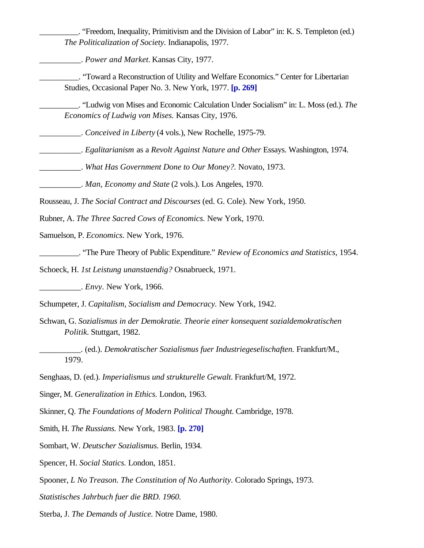\_\_\_\_\_\_\_\_\_\_. "Freedom, Inequality, Primitivism and the Division of Labor" in: K. S. Templeton (ed.) *The Politicalization of Society.* Indianapolis, 1977.

\_\_\_\_\_\_\_\_\_\_. *Power and Market.* Kansas City, 1977.

\_\_\_\_\_\_\_\_\_\_. "Toward a Reconstruction of Utility and Welfare Economics." Center for Libertarian Studies, Occasional Paper No. 3. New York, 1977. **[p. 269]**

\_\_\_\_\_\_\_\_\_\_. "Ludwig von Mises and Economic Calculation Under Socialism" in: L. Moss (ed.). *The Economics of Ludwig von Mises.* Kansas City, 1976.

\_\_\_\_\_\_\_\_\_\_. *Conceived in Liberty* (4 vols.), New Rochelle, 1975-79.

\_\_\_\_\_\_\_\_\_\_. *Egalitarianism* as a *Revolt Against Nature and Other* Essays. Washington, 1974.

\_\_\_\_\_\_\_\_\_\_. *What Has Government Done to Our Money?.* Novato, 1973.

\_\_\_\_\_\_\_\_\_\_. *Man, Economy and State* (2 vols.). Los Angeles, 1970.

Rousseau, J. *The Social Contract and Discourses* (ed. G. Cole). New York, 1950.

Rubner, A. *The Three Sacred Cows of Economics.* New York, 1970.

Samuelson, P. *Economics.* New York, 1976.

\_\_\_\_\_\_\_\_\_\_. "The Pure Theory of Public Expenditure." *Review of Economics and Statistics*, 1954.

Schoeck, H. *1st Leistung unanstaendig?* Osnabrueck, 1971.

\_\_\_\_\_\_\_\_\_\_. *Envy.* New York, 1966.

Schumpeter, J. *Capitalism, Socialism and Democracy.* New York, 1942.

Schwan, G. *Sozialismus in der Demokratie. Theorie einer konsequent sozialdemokratischen Politik.* Stuttgart, 1982.

\_\_\_\_\_\_\_\_\_\_. (ed.). *Demokratischer Sozialismus fuer Industriegeselischaften.* Frankfurt/M., 1979.

Senghaas, D. (ed.). *Imperialismus und strukturelle Gewalt.* Frankfurt/M, 1972.

Singer, M. *Generalization in Ethics.* London, 1963.

Skinner, Q. *The Foundations of Modern Political Thought.* Cambridge, 1978.

Smith, H. *The Russians.* New York, 1983. **[p. 270]**

Sombart, W. *Deutscher Sozialismus.* Berlin, 1934.

Spencer, H. *Social Statics.* London, 1851.

Spooner, *L No Treason. The Constitution of No Authority.* Colorado Springs, 1973.

*Statistisches Jahrbuch fuer die BRD. 1960.*

Sterba, J. *The Demands of Justice.* Notre Dame, 1980.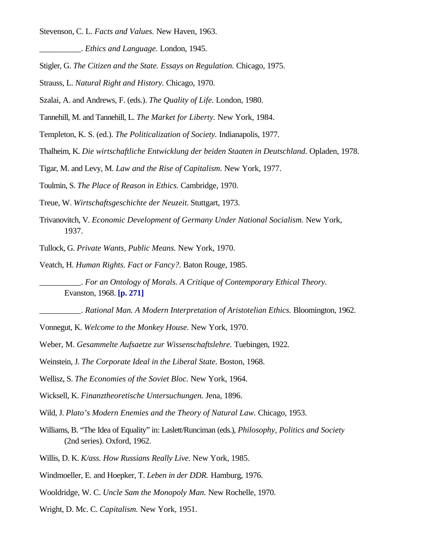Stevenson, C. L. *Facts and Values.* New Haven, 1963.

\_\_\_\_\_\_\_\_\_\_. *Ethics and Language.* London, 1945.

- Stigler, G. *The Citizen and the State. Essays on Regulation.* Chicago, 1975.
- Strauss, L. *Natural Right and History.* Chicago, 1970.
- Szalai, A. and Andrews, F. (eds.). *The Quality of Life.* London, 1980.

Tannehill, M. and Tannehill, L. *The Market for Liberty.* New York, 1984.

- Templeton, K. S. (ed.). *The Politicalization of Society.* Indianapolis, 1977.
- Thalheim, K. *Die wirtschaftliche Entwicklung der beiden Staaten in Deutschland.* Opladen, 1978.
- Tigar, M. and Levy, M. *Law and the Rise of Capitalism.* New York, 1977.

Toulmin, S. *The Place of Reason in Ethics.* Cambridge, 1970.

- Treue, W. *Wirtschaftsgeschichte der Neuzeit.* Stuttgart, 1973.
- Trivanovitch, V. *Economic Development of Germany Under National Socialism.* New York, 1937.
- Tullock, G. *Private Wants, Public Means.* New York, 1970.

Veatch, H. *Human Rights. Fact or Fancy?.* Baton Rouge, 1985.

\_\_\_\_\_\_\_\_\_\_. *For an Ontology of Morals. A Critique of Contemporary Ethical Theory.* Evanston, 1968. **[p. 271]**

\_\_\_\_\_\_\_\_\_\_. *Rational Man. A Modern Interpretation of Aristotelian Ethics.* Bloomington, 1962.

- Vonnegut, K. *Welcome to the Monkey House.* New York, 1970.
- Weber, M. *Gesammelte Aufsaetze zur Wissenschaftslehre.* Tuebingen, 1922.

Weinstein, J. *The Corporate Ideal in the Liberal State.* Boston, 1968.

Wellisz, S. *The Economies of the Soviet Bloc.* New York, 1964.

Wicksell, K. *Finanztheoretische Untersuchungen.* Jena, 1896.

Wild, J. *Plato's Modern Enemies and the Theory of Natural Law.* Chicago, 1953.

- Williams, B. "The Idea of Equality" in: Laslett/Runciman (eds.), *Philosophy, Politics and Society* (2nd series). Oxford, 1962.
- Willis, D. K. *K/ass. How Russians Really Live.* New York, 1985.
- Windmoeller, E. and Hoepker, T. *Leben in der DDR.* Hamburg, 1976.
- Wooldridge, W. C. *Uncle Sam the Monopoly Man.* New Rochelle, 1970.
- Wright, D. Mc. C. *Capitalism.* New York, 1951.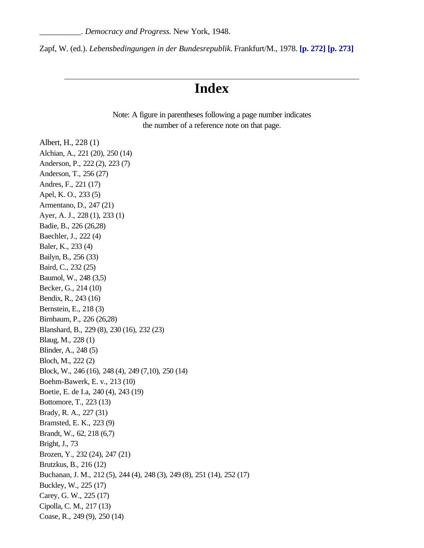Zapf, W. (ed.). *Lebensbedingungen in der Bundesrepublik.* Frankfurt/M., 1978. **[p. 272] [p. 273]**

# **Index**

Note: A figure in parentheses following a page number indicates the number of a reference note on that page.

Albert, H., 228 (1) Alchian, A., 221 (20), 250 (14) Anderson, P., 222 (2), 223 (7) Anderson, T., 256 (27) Andres, F., 221 (17) Apel, K. O., 233 (5) Armentano, D., 247 (21) Ayer, A. J., 228 (1), 233 (1) Badie, B., 226 (26,28) Baechler, J., 222 (4) Baler, K., 233 (4) Bailyn, B., 256 (33) Baird, C., 232 (25) Baumol, W., 248 (3,5) Becker, G., 214 (10) Bendix, R., 243 (16) Bernstein, E., 218 (3) Birnbaum, P., 226 (26,28) Blanshard, B., 229 (8), 230 (16), 232 (23) Blaug, M., 228 (1) Blinder, A., 248 (5) Bloch, M., 222 (2) Block, W., 246 (16), 248 (4), 249 (7,10), 250 (14) Boehm-Bawerk, E. v., 213 (10) Boetie, E. de I.a, 240 (4), 243 (19) Bottomore, T., 223 (13) Brady, R. A., 227 (31) Bramsted, E. K., 223 (9) Brandt, W., 62, 218 (6,7) Bright, J., 73 Brozen, Y., 232 (24), 247 (21) Brutzkus, B., 216 (12) Buchanan, J. M., 212 (5), 244 (4), 248 (3), 249 (8), 251 (14), 252 (17) Buckley, W., 225 (17) Carey, G. W., 225 (17) Cipolla, C. M., 217 (13) Coase, R., 249 (9), 250 (14)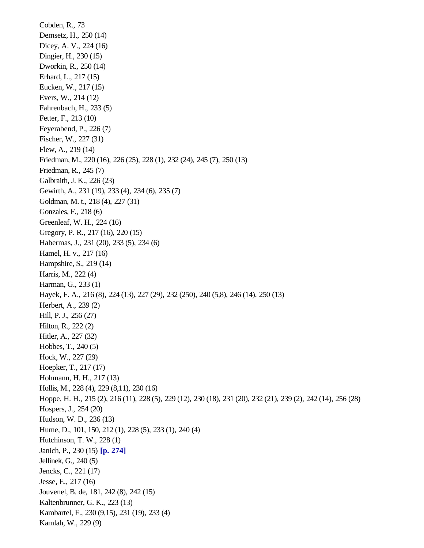Cobden, R., 73 Demsetz, H., 250 (14) Dicey, A. V., 224 (16) Dingier, H., 230 (15) Dworkin, R., 250 (14) Erhard, L., 217 (15) Eucken, W., 217 (15) Evers, W., 214 (12) Fahrenbach, H., 233 (5) Fetter, F., 213 (10) Feyerabend, P., 226 (7) Fischer, W., 227 (31) Flew, A., 219 (14) Friedman, M., 220 (16), 226 (25), 228 (1), 232 (24), 245 (7), 250 (13) Friedman, R., 245 (7) Galbraith, J. K., 226 (23) Gewirth, A., 231 (19), 233 (4), 234 (6), 235 (7) Goldman, M. t., 218 (4), 227 (31) Gonzales, F., 218 (6) Greenleaf, W. H., 224 (16) Gregory, P. R., 217 (16), 220 (15) Habermas, J., 231 (20), 233 (5), 234 (6) Hamel, H. v., 217 (16) Hampshire, S., 219 (14) Harris, M., 222 (4) Harman, G., 233 (1) Hayek, F. A., 216 (8), 224 (13), 227 (29), 232 (250), 240 (5,8), 246 (14), 250 (13) Herbert, A., 239 (2) Hill, P. J., 256 (27) Hilton, R., 222 (2) Hitler, A., 227 (32) Hobbes, T., 240 (5) Hock, W., 227 (29) Hoepker, T., 217 (17) Hohmann, H. H., 217 (13) Hollis, M., 228 (4), 229 (8,11), 230 (16) Hoppe, H. H., 215 (2), 216 (11), 228 (5), 229 (12), 230 (18), 231 (20), 232 (21), 239 (2), 242 (14), 256 (28) Hospers, J., 254 (20) Hudson, W. D., 236 (13) Hume, D., 101, 150, 212 (1), 228 (5), 233 (1), 240 (4) Hutchinson, T. W., 228 (1) Janich, P., 230 (15) **[p. 274]** Jellinek, G., 240 (5) Jencks, C., 221 (17) Jesse, E., 217 (16) Jouvenel, B. de, 181, 242 (8), 242 (15) Kaltenbrunner, G. K., 223 (13) Kambartel, F., 230 (9,15), 231 (19), 233 (4) Kamlah, W., 229 (9)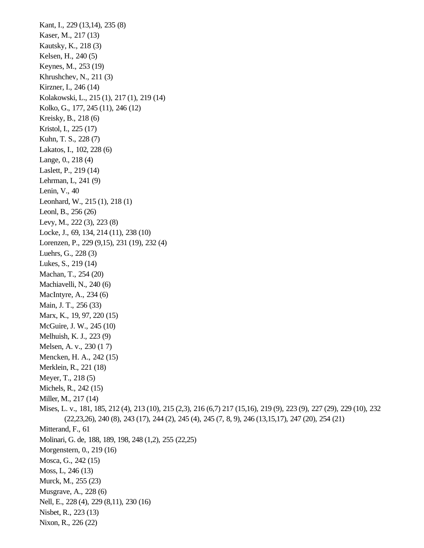Kant, I., 229 (13,14), 235 (8) Kaser, M., 217 (13) Kautsky, K., 218 (3) Kelsen, H., 240 (5) Keynes, M., 253 (19) Khrushchev, N., 211 (3) Kirzner, I., 246 (14) Kolakowski, L., 215 (1), 217 (1), 219 (14) Kolko, G., 177, 245 (11), 246 (12) Kreisky, B., 218 (6) Kristol, I., 225 (17) Kuhn, T. S., 228 (7) Lakatos, I., 102, 228 (6) Lange, 0., 218 (4) Laslett, P., 219 (14) Lehrman, L, 241 (9) Lenin, V., 40 Leonhard, W., 215 (1), 218 (1) Leonl, B., 256 (26) Levy, M., 222 (3), 223 (8) Locke, J., 69, 134, 214 (11), 238 (10) Lorenzen, P., 229 (9,15), 231 (19), 232 (4) Luehrs, G., 228 (3) Lukes, S., 219 (14) Machan, T., 254 (20) Machiavelli, N., 240 (6) MacIntyre, A., 234 (6) Main, J. T., 256 (33) Marx, K., 19, 97, 220 (15) McGuire, J. W., 245 (10) Melhuish, K. J., 223 (9) Melsen, A. v., 230 (1 7) Mencken, H. A., 242 (15) Merklein, R., 221 (18) Meyer, T., 218 (5) Michels, R., 242 (15) Miller, M., 217 (14) Mises, L. v., 181, 185, 212 (4), 213 (10), 215 (2,3), 216 (6,7) 217 (15,16), 219 (9), 223 (9), 227 (29), 229 (10), 232 (22,23,26), 240 (8), 243 (17), 244 (2), 245 (4), 245 (7, 8, 9), 246 (13,15,17), 247 (20), 254 (21) Mitterand, F., 61 Molinari, G. de, 188, 189, 198, 248 (1,2), 255 (22,25) Morgenstern, 0., 219 (16) Mosca, G., 242 (15) Moss, L, 246 (13) Murck, M., 255 (23) Musgrave, A., 228 (6) Nell, E., 228 (4), 229 (8,11), 230 (16) Nisbet, R., 223 (13) Nixon, R., 226 (22)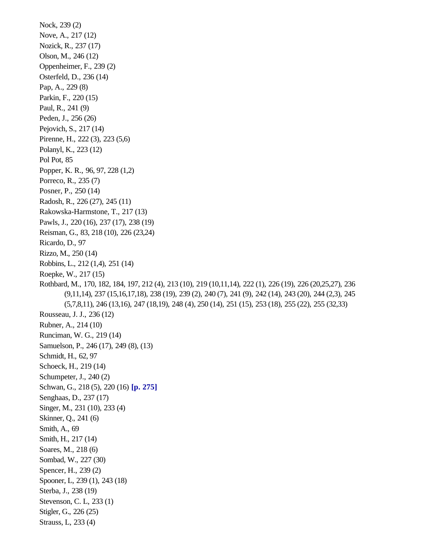Nock, 239 (2) Nove, A., 217 (12) Nozick, R., 237 (17) Olson, M., 246 (12) Oppenheimer, F., 239 (2) Osterfeld, D., 236 (14) Pap, A., 229 (8) Parkin, F., 220 (15) Paul, R., 241 (9) Peden, J., 256 (26) Pejovich, S., 217 (14) Pirenne, H., 222 (3), 223 (5,6) Polanyl, K., 223 (12) Pol Pot, 85 Popper, K. R., 96, 97, 228 (1,2) Porreco, R., 235 (7) Posner, P., 250 (14) Radosh, R., 226 (27), 245 (11) Rakowska-Harmstone, T., 217 (13) Pawls, J., 220 (16), 237 (17), 238 (19) Reisman, G., 83, 218 (10), 226 (23,24) Ricardo, D., 97 Rizzo, M., 250 (14) Robbins, L., 212 (1,4), 251 (14) Roepke, W., 217 (15) Rothbard, M., 170, 182, 184, 197, 212 (4), 213 (10), 219 (10,11,14), 222 (1), 226 (19), 226 (20,25,27), 236 (9,11,14), 237 (15,16,17,18), 238 (19), 239 (2), 240 (7), 241 (9), 242 (14), 243 (20), 244 (2,3), 245 (5,7,8,11), 246 (13,16), 247 (18,19), 248 (4), 250 (14), 251 (15), 253 (18), 255 (22), 255 (32,33) Rousseau, J. J., 236 (12) Rubner, A., 214 (10) Runciman, W. G., 219 (14) Samuelson, P., 246 (17), 249 (8), (13) Schmidt, H., 62, 97 Schoeck, H., 219 (14) Schumpeter, J., 240 (2) Schwan, G., 218 (5), 220 (16) **[p. 275]** Senghaas, D., 237 (17) Singer, M., 231 (10), 233 (4) Skinner, Q., 241 (6) Smith, A., 69 Smith, H., 217 (14) Soares, M., 218 (6) Sombad, W., 227 (30) Spencer, H., 239 (2) Spooner, L, 239 (1), 243 (18) Sterba, J., 238 (19) Stevenson, C. L, 233 (1) Stigler, G., 226 (25) Strauss, L, 233 (4)